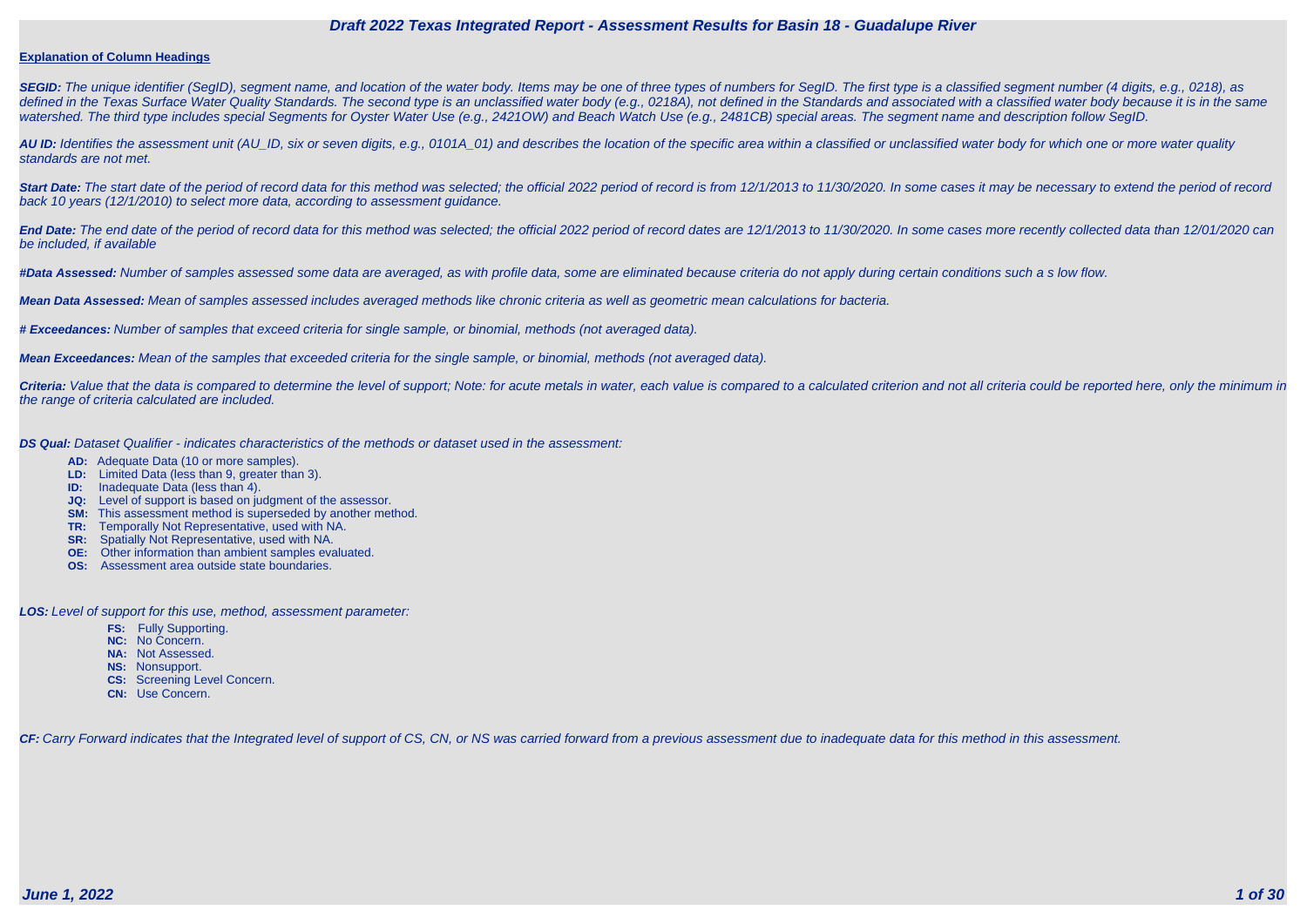#### **Explanation of Column Headings**

**SEGID:** The unique identifier (SegID), segment name, and location of the water body. Items may be one of three types of numbers for SegID. The first type is a classified segment number (4 digits, e.g., 0218), as defined in the Texas Surface Water Quality Standards. The second type is an unclassified water body (e.g., 0218A), not defined in the Standards and associated with a classified water body because it is in the same watershed. The third type includes special Segments for Oyster Water Use (e.g., 2421OW) and Beach Watch Use (e.g., 2481CB) special areas. The segment name and description follow SegID.

**AU ID:** Identifies the assessment unit (AU\_ID, six or seven digits, e.g., 0101A\_01) and describes the location of the specific area within a classified or unclassified water body for which one or more water quality standards are not met.

Start Date: The start date of the period of record data for this method was selected; the official 2022 period of record is from 12/1/2013 to 11/30/2020. In some cases it may be necessary to extend the period of record back 10 years (12/1/2010) to select more data, according to assessment guidance.

End Date: The end date of the period of record data for this method was selected; the official 2022 period of record dates are 12/1/2013 to 11/30/2020. In some cases more recently collected data than 12/01/2020 can be included, if available

Criteria: Value that the data is compared to determine the level of support; Note: for acute metals in water, each value is compared to a calculated criterion and not all criteria could be reported here, only the minimum i the range of criteria calculated are included.

**#Data Assessed:** Number of samples assessed some data are averaged, as with profile data, some are eliminated because criteria do not apply during certain conditions such a s low flow.

**Mean Data Assessed:** Mean of samples assessed includes averaged methods like chronic criteria as well as geometric mean calculations for bacteria.

**# Exceedances:** Number of samples that exceed criteria for single sample, or binomial, methods (not averaged data).

**Mean Exceedances:** Mean of the samples that exceeded criteria for the single sample, or binomial, methods (not averaged data).

**DS Qual:** Dataset Qualifier - indicates characteristics of the methods or dataset used in the assessment:

- **AD:** Adequate Data (10 or more samples).
- **LD:** Limited Data (less than 9, greater than 3).
- **ID:** Inadequate Data (less than 4).
- **JQ:** Level of support is based on judgment of the assessor.
- **SM:** This assessment method is superseded by another method.
- **TR:** Temporally Not Representative, used with NA.
- **SR:** Spatially Not Representative, used with NA.
- **OE:** Other information than ambient samples evaluated.
- **OS:** Assessment area outside state boundaries.

**LOS:** Level of support for this use, method, assessment parameter:

- **FS:** Fully Supporting.
- **NC:** No Concern.
- **NA:** Not Assessed.
- **NS:** Nonsupport.
- **CS:** Screening Level Concern.
- **CN:** Use Concern.

CF: Carry Forward indicates that the Integrated level of support of CS, CN, or NS was carried forward from a previous assessment due to inadequate data for this method in this assessment.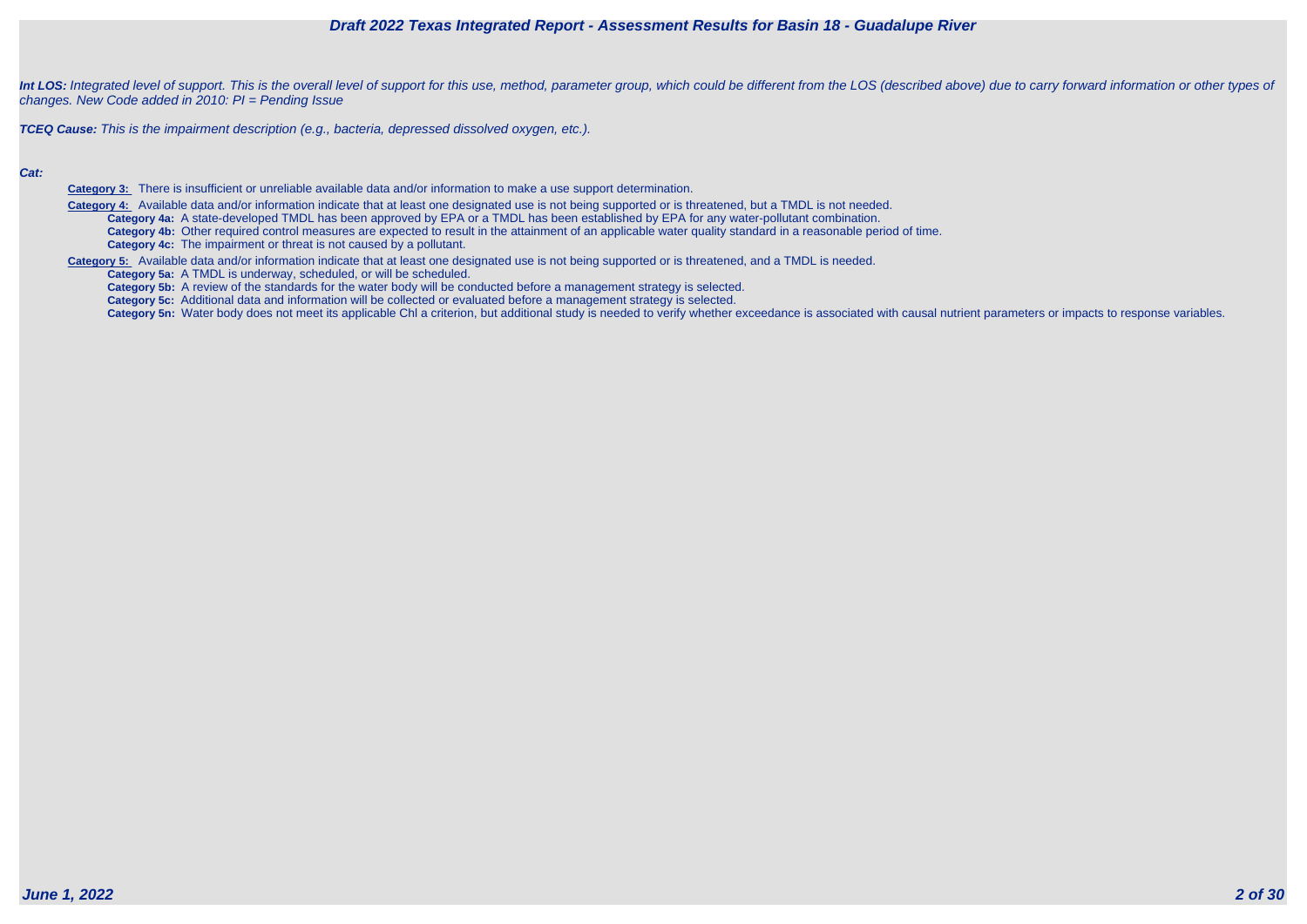

Int LOS: Integrated level of support. This is the overall level of support for this use, method, parameter group, which could be different from the LOS (described above) due to carry forward information or other types of changes. New Code added in 2010: PI = Pending Issue

**TCEQ Cause:** This is the impairment description (e.g., bacteria, depressed dissolved oxygen, etc.).

#### **Cat:**

**Category 3:** There is insufficient or unreliable available data and/or information to make a use support determination.

 **Category 4:** Available data and/or information indicate that at least one designated use is not being supported or is threatened, but a TMDL is not needed. **Category 4a:** A state-developed TMDL has been approved by EPA or a TMDL has been established by EPA for any water-pollutant combination. **Category 4b:** Other required control measures are expected to result in the attainment of an applicable water quality standard in a reasonable period of time. **Category 4c:** The impairment or threat is not caused by a pollutant.

**Category 5:** Available data and/or information indicate that at least one designated use is not being supported or is threatened, and a TMDL is needed.

**Category 5a:** A TMDL is underway, scheduled, or will be scheduled.

**Category 5b:** A review of the standards for the water body will be conducted before a management strategy is selected.

**Category 5c:** Additional data and information will be collected or evaluated before a management strategy is selected.

Category 5n: Water body does not meet its applicable Chl a criterion, but additional study is needed to verify whether exceedance is associated with causal nutrient parameters or impacts to response variables.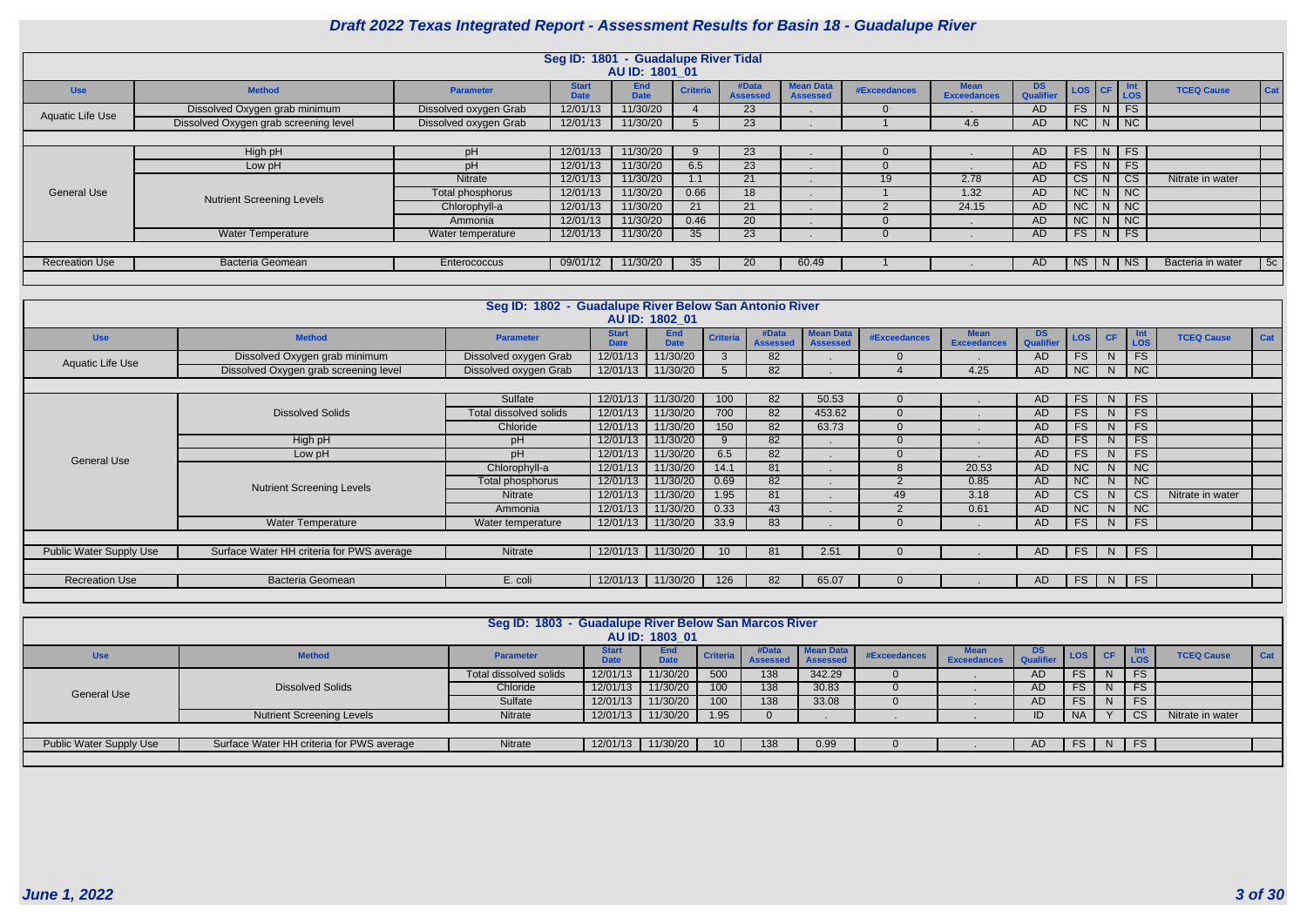|                                |                                                                                                                                                                                                                                                                                                                                                                                                                                                                                                                                                                                                |                               | Seg ID: 1801 - Guadalupe River Tidal | AU ID: 1801 01                        |                |                          |                                     |                          |                                   |                        |                                           |                |                        |                   |     |
|--------------------------------|------------------------------------------------------------------------------------------------------------------------------------------------------------------------------------------------------------------------------------------------------------------------------------------------------------------------------------------------------------------------------------------------------------------------------------------------------------------------------------------------------------------------------------------------------------------------------------------------|-------------------------------|--------------------------------------|---------------------------------------|----------------|--------------------------|-------------------------------------|--------------------------|-----------------------------------|------------------------|-------------------------------------------|----------------|------------------------|-------------------|-----|
| <b>Use</b>                     | <b>Method</b>                                                                                                                                                                                                                                                                                                                                                                                                                                                                                                                                                                                  | <b>Parameter</b>              | <b>Start</b><br><b>Date</b>          | End<br><b>Criteria</b><br><b>Date</b> |                | #Data<br><b>Assessed</b> | <b>Mean Data</b><br><b>Assessed</b> | <b>#Exceedances</b>      | <b>Mean</b><br><b>Exceedances</b> | <b>DS</b><br>Qualifier | LOS                                       | <b>CF</b>      | $\frac{Int}{LOS}$      | <b>TCEQ Cause</b> | Cat |
| <b>Aquatic Life Use</b>        | Dissolved Oxygen grab minimum                                                                                                                                                                                                                                                                                                                                                                                                                                                                                                                                                                  | Dissolved oxygen Grab         | 12/01/13                             | 11/30/20<br>$\boldsymbol{4}$          |                | $\overline{23}$          |                                     | $\overline{0}$           |                                   | AD                     | FS                                        | N              | FS                     |                   |     |
|                                | Dissolved Oxygen grab screening level                                                                                                                                                                                                                                                                                                                                                                                                                                                                                                                                                          | Dissolved oxygen Grab         | 12/01/13                             | 11/30/20<br>$5^{\circ}$               |                | 23                       |                                     | $\overline{1}$           | 4.6                               | <b>AD</b>              | NC                                        | N              | NC                     |                   |     |
|                                |                                                                                                                                                                                                                                                                                                                                                                                                                                                                                                                                                                                                |                               |                                      |                                       |                |                          |                                     |                          |                                   |                        |                                           |                |                        |                   |     |
|                                | High pH                                                                                                                                                                                                                                                                                                                                                                                                                                                                                                                                                                                        | pH                            | 12/01/13                             | 11/30/20<br>9                         |                | $\overline{23}$          |                                     | $\overline{0}$           |                                   | AD                     | FS                                        | N              | FS                     |                   |     |
|                                | Low pH                                                                                                                                                                                                                                                                                                                                                                                                                                                                                                                                                                                         | pH                            | 12/01/13                             | 11/30/20<br>6.5                       |                | $\overline{23}$          |                                     | $\overline{0}$           |                                   | AD                     | FS                                        |                | $\overline{FS}$        |                   |     |
|                                |                                                                                                                                                                                                                                                                                                                                                                                                                                                                                                                                                                                                | Nitrate                       | 12/01/13                             | 11/30/20<br>1.1                       |                | 21                       |                                     | 19                       | 2.78                              | <b>AD</b>              | $\overline{\text{CS}}$                    |                | $\overline{\text{cs}}$ | Nitrate in water  |     |
| <b>General Use</b>             | <b>Nutrient Screening Levels</b>                                                                                                                                                                                                                                                                                                                                                                                                                                                                                                                                                               | Total phosphorus              | 12/01/13                             | 11/30/20<br>0.66                      |                | 18                       |                                     |                          | 1.32                              | <b>AD</b>              | $\overline{NC}$                           | N              | NC                     |                   |     |
|                                |                                                                                                                                                                                                                                                                                                                                                                                                                                                                                                                                                                                                | Chlorophyll-a                 | 12/01/13                             | 11/30/20<br>$\overline{21}$           |                | 21                       |                                     | 2                        | 24.15                             | AD                     | NC                                        | $N$ NC         |                        |                   |     |
|                                |                                                                                                                                                                                                                                                                                                                                                                                                                                                                                                                                                                                                | Ammonia                       | 12/01/13                             |                                       |                |                          |                                     | $\overline{0}$           | $\sim$                            | AD                     | NC                                        |                |                        |                   |     |
|                                | $\overline{20}$<br>NC<br>11/30/20<br>0.46<br>N<br>FS<br>FS<br>11/30/20<br>35<br>23<br><b>AD</b><br><b>Water Temperature</b><br>Water temperature<br>12/01/13<br>$\Omega$<br>N.<br>09/01/12<br>11/30/20<br>35<br>20<br>60.49<br>NS<br>$N$ NS<br>Bacteria Geomean<br>Enterococcus<br>AD.<br>Bacteria in water<br>5c                                                                                                                                                                                                                                                                              |                               |                                      |                                       |                |                          |                                     |                          |                                   |                        |                                           |                |                        |                   |     |
|                                |                                                                                                                                                                                                                                                                                                                                                                                                                                                                                                                                                                                                |                               |                                      |                                       |                |                          |                                     |                          |                                   |                        |                                           |                |                        |                   |     |
| <b>Recreation Use</b>          |                                                                                                                                                                                                                                                                                                                                                                                                                                                                                                                                                                                                |                               |                                      |                                       |                |                          |                                     |                          |                                   |                        |                                           |                |                        |                   |     |
|                                |                                                                                                                                                                                                                                                                                                                                                                                                                                                                                                                                                                                                |                               |                                      |                                       |                |                          |                                     |                          |                                   |                        |                                           |                |                        |                   |     |
|                                |                                                                                                                                                                                                                                                                                                                                                                                                                                                                                                                                                                                                |                               |                                      |                                       |                |                          |                                     |                          |                                   |                        |                                           |                |                        |                   |     |
|                                |                                                                                                                                                                                                                                                                                                                                                                                                                                                                                                                                                                                                |                               |                                      |                                       |                |                          |                                     |                          |                                   |                        |                                           |                |                        |                   |     |
|                                |                                                                                                                                                                                                                                                                                                                                                                                                                                                                                                                                                                                                |                               |                                      |                                       |                |                          |                                     |                          |                                   |                        |                                           |                |                        |                   |     |
| <b>Use</b>                     | Seg ID: 1802 - Guadalupe River Below San Antonio River<br>AU ID: 1802 01<br><b>Start</b><br><b>End</b><br>#Data<br><b>Mean Data</b><br><b>Mean</b><br><b>DS</b><br>Int<br>LOS<br><b>Criteria</b><br>LOS<br><b>CF</b><br>Cat<br><b>Method</b><br><b>#Exceedances</b><br><b>TCEQ Cause</b><br><b>Parameter</b><br>Qualifie<br><b>Date</b><br><b>Date</b><br><b>Assessed</b><br><b>Exceedances</b><br><b>Assessed</b><br>11/30/20<br>82<br>FS<br>FS<br>Dissolved Oxygen grab minimum<br>Dissolved oxygen Grab<br>12/01/13<br>$\mathbf{3}$<br>AD<br>N<br>$\overline{0}$<br><b>Aquatic Life Use</b> |                               |                                      |                                       |                |                          |                                     |                          |                                   |                        |                                           |                |                        |                   |     |
|                                |                                                                                                                                                                                                                                                                                                                                                                                                                                                                                                                                                                                                |                               |                                      |                                       |                |                          |                                     |                          |                                   |                        |                                           |                |                        |                   |     |
|                                | Dissolved Oxygen grab screening level                                                                                                                                                                                                                                                                                                                                                                                                                                                                                                                                                          | Dissolved oxygen Grab         | 12/01/13                             | 11/30/20                              | $\overline{5}$ | 82                       |                                     | $\overline{\mathcal{A}}$ | 4.25                              | A <sub>D</sub>         | $\overline{NC}$                           | N              | NC                     |                   |     |
|                                |                                                                                                                                                                                                                                                                                                                                                                                                                                                                                                                                                                                                |                               |                                      |                                       |                |                          |                                     |                          |                                   |                        |                                           |                |                        |                   |     |
|                                |                                                                                                                                                                                                                                                                                                                                                                                                                                                                                                                                                                                                | Sulfate                       | 12/01/13                             | 11/30/20                              | 100            | 82                       | 50.53                               | $\Omega$                 |                                   | <b>AD</b>              | <b>FS</b>                                 | N              | FS                     |                   |     |
|                                | <b>Dissolved Solids</b>                                                                                                                                                                                                                                                                                                                                                                                                                                                                                                                                                                        | <b>Total dissolved solids</b> | 12/01/13                             | 11/30/20                              | 700            | 82                       | 453.62                              | $\Omega$                 |                                   | <b>AD</b>              | FS                                        | N              | FS                     |                   |     |
|                                |                                                                                                                                                                                                                                                                                                                                                                                                                                                                                                                                                                                                | Chloride                      | 12/01/13                             | 11/30/20                              | 150            | 82                       | 63.73                               | $\overline{0}$           |                                   | <b>AD</b>              | FS                                        | N              | FS                     |                   |     |
|                                | High pH                                                                                                                                                                                                                                                                                                                                                                                                                                                                                                                                                                                        | pH                            | 12/01/13                             | 11/30/20                              | 9              | 82                       |                                     | $\overline{0}$           |                                   | AD                     | FS                                        | N              | FS                     |                   |     |
|                                | Low pH                                                                                                                                                                                                                                                                                                                                                                                                                                                                                                                                                                                         | pH                            | 12/01/13                             | 11/30/20                              | 6.5            | 82                       |                                     | $\overline{0}$           |                                   | AD                     | FS                                        | N              | FS                     |                   |     |
| <b>General Use</b>             |                                                                                                                                                                                                                                                                                                                                                                                                                                                                                                                                                                                                |                               |                                      |                                       |                |                          |                                     |                          |                                   |                        |                                           |                |                        |                   |     |
|                                |                                                                                                                                                                                                                                                                                                                                                                                                                                                                                                                                                                                                | Chlorophyll-a                 | 12/01/13                             | 11/30/20                              | 14.1           | 81                       |                                     | $\overline{8}$           | 20.53                             | AD                     | $\overline{NC}$                           | N <sub>1</sub> | $\overline{NC}$        |                   |     |
|                                |                                                                                                                                                                                                                                                                                                                                                                                                                                                                                                                                                                                                | Total phosphorus              | 12/01/13                             | 11/30/20                              | 0.69           | 82                       |                                     | $\overline{2}$           | 0.85                              | AD                     | NC                                        | N              | $\overline{NC}$        |                   |     |
|                                | <b>Nutrient Screening Levels</b>                                                                                                                                                                                                                                                                                                                                                                                                                                                                                                                                                               | <b>Nitrate</b>                | 12/01/13                             | 11/30/20                              | 1.95           | 81                       |                                     | 49                       | 3.18                              | <b>AD</b>              |                                           | N              | $\overline{\text{cs}}$ | Nitrate in water  |     |
|                                |                                                                                                                                                                                                                                                                                                                                                                                                                                                                                                                                                                                                | Ammonia                       | 12/01/13                             | 11/30/20                              | 0.33           | 43                       |                                     | $\overline{2}$           | 0.61                              | <b>AD</b>              | $\overline{\text{CS}}$<br>$\overline{NC}$ | N              | $\overline{NC}$        |                   |     |
|                                | <b>Water Temperature</b>                                                                                                                                                                                                                                                                                                                                                                                                                                                                                                                                                                       | Water temperature             | 12/01/13                             | 11/30/20                              | 33.9           | 83                       |                                     | $\Omega$                 |                                   | A <sub>D</sub>         | $\overline{FS}$                           | N              | $\overline{FS}$        |                   |     |
|                                |                                                                                                                                                                                                                                                                                                                                                                                                                                                                                                                                                                                                |                               |                                      |                                       |                |                          |                                     |                          |                                   |                        |                                           |                |                        |                   |     |
|                                |                                                                                                                                                                                                                                                                                                                                                                                                                                                                                                                                                                                                |                               |                                      |                                       |                | 81                       |                                     | $\Omega$                 |                                   | <b>AD</b>              |                                           |                |                        |                   |     |
| <b>Public Water Supply Use</b> | Surface Water HH criteria for PWS average                                                                                                                                                                                                                                                                                                                                                                                                                                                                                                                                                      | Nitrate                       | 12/01/13                             | 11/30/20                              | 10             |                          | 2.51                                |                          |                                   |                        | FS                                        | N              | FS                     |                   |     |
| <b>Recreation Use</b>          | <b>Bacteria Geomean</b>                                                                                                                                                                                                                                                                                                                                                                                                                                                                                                                                                                        | E. coli                       | 12/01/13                             | 11/30/20                              | 126            | 82                       | 65.07                               | $\overline{0}$           |                                   | <b>AD</b>              | FS                                        | N              | FS                     |                   |     |

|                                |                                           | Seg ID: 1803 - Guadalupe River Below San Marcos River |              | AU ID: 1803 01     |          |                          |                                     |              |                                   |                         |            |       |                |                   |            |
|--------------------------------|-------------------------------------------|-------------------------------------------------------|--------------|--------------------|----------|--------------------------|-------------------------------------|--------------|-----------------------------------|-------------------------|------------|-------|----------------|-------------------|------------|
| <b>Use</b>                     | <b>Method</b>                             | <b>Parameter</b>                                      | <b>Start</b> | End<br><b>Date</b> | Criteria | #Data<br><b>Assessed</b> | <b>Mean Data</b><br><b>Assessed</b> | #Exceedances | <b>Mean</b><br><b>Exceedances</b> | DS.<br><b>Qualifier</b> | <b>LOS</b> | $C$ F | Int<br>LOS     | <b>TCEQ Cause</b> | <b>Cat</b> |
|                                |                                           | <b>Total dissolved solids</b>                         | 12/01/13     | 11/30/20           | 500      | 138                      | 342.29                              |              |                                   | AD                      | <b>FS</b>  | N.    | <b>FS</b>      |                   |            |
| <b>General Use</b>             | <b>Dissolved Solids</b>                   | Chloride                                              | 12/01/13     | 11/30/20           | 100      | 138                      | 30.83                               |              |                                   | AD                      | <b>FS</b>  | N     | <b>FS</b>      |                   |            |
|                                |                                           | Sulfate                                               | 12/01/13     | 11/30/20           | 100      | 138                      | 33.08                               |              |                                   | <b>AD</b>               | <b>FS</b>  | N     | <b>FS</b>      |                   |            |
|                                | <b>Nutrient Screening Levels</b>          | Nitrate                                               | 12/01/13     | 11/30/20           | 1.95     |                          |                                     |              |                                   | ID                      | <b>NA</b>  |       | <b>CS</b>      | Nitrate in water  |            |
|                                |                                           |                                                       |              |                    |          |                          |                                     |              |                                   |                         |            |       |                |                   |            |
| <b>Public Water Supply Use</b> | Surface Water HH criteria for PWS average | Nitrate                                               | 12/01/13     | 11/30/20           |          | 138                      | 0.99                                |              |                                   | AD                      | <b>FS</b>  | N.    | FS <sub></sub> |                   |            |
|                                |                                           |                                                       |              |                    |          |                          |                                     |              |                                   |                         |            |       |                |                   |            |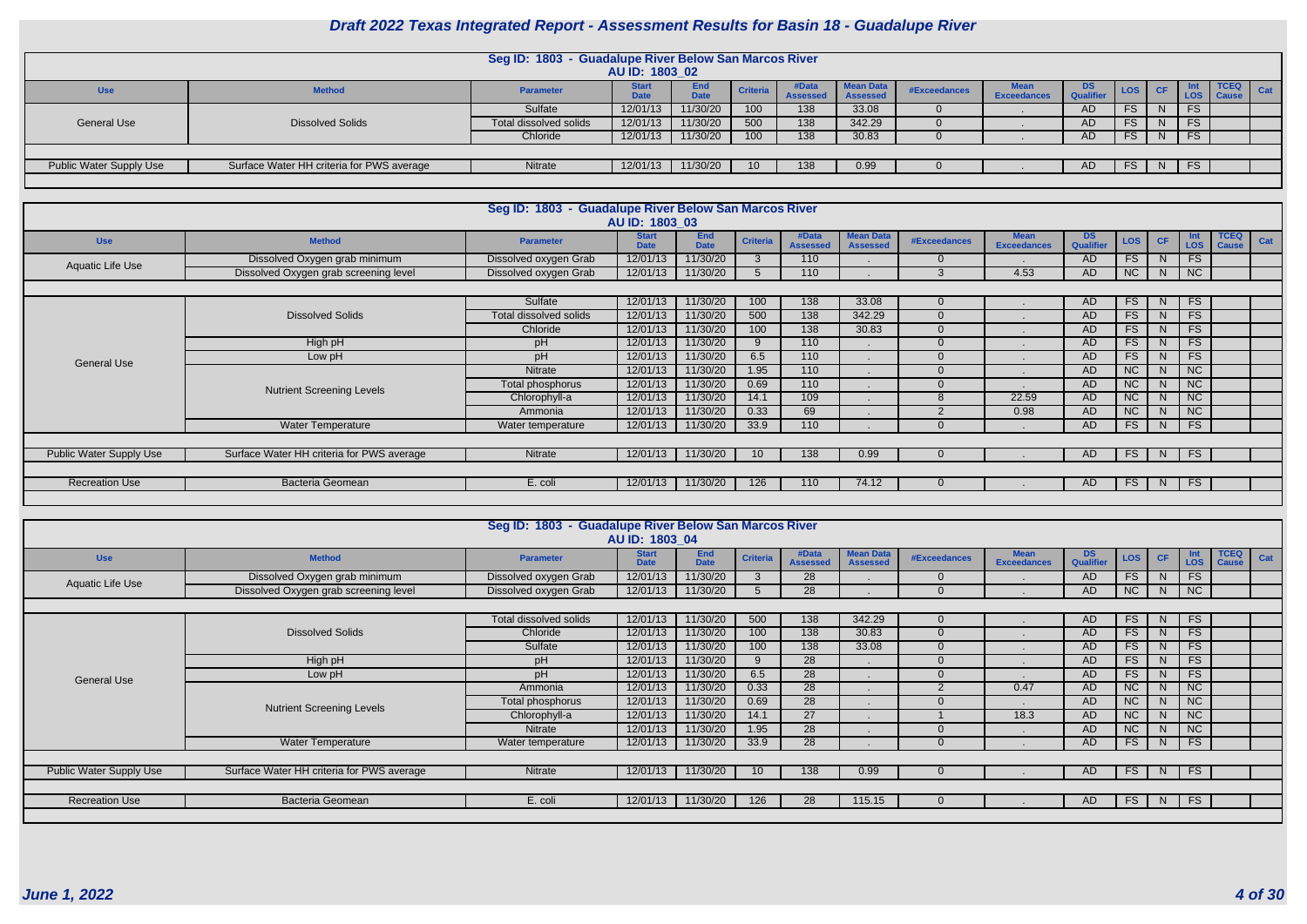|                         |                                           | Seg ID: 1803 - Guadalupe River Below San Marcos River |                             |                    |                 |                          |                                     |              |                    |                         |        |              |     |                             |     |
|-------------------------|-------------------------------------------|-------------------------------------------------------|-----------------------------|--------------------|-----------------|--------------------------|-------------------------------------|--------------|--------------------|-------------------------|--------|--------------|-----|-----------------------------|-----|
|                         |                                           |                                                       | AU ID: 1803_02              |                    |                 |                          |                                     |              |                    |                         |        |              |     |                             |     |
| <b>Use</b>              | <b>Method</b>                             | <b>Parameter</b>                                      | <b>Start</b><br><b>Date</b> | End<br><b>Date</b> | <b>Criteria</b> | #Data<br><b>Assessed</b> | <b>Mean Data</b><br><b>Assessed</b> | #Exceedances | <b>Exceedances</b> | DS.<br><b>Qualifier</b> | LOS CF |              | LOS | <b>TCEQ</b><br><b>Cause</b> | Cat |
|                         |                                           | Sulfate                                               | 12/01/13                    | 11/30/20           | 100             | 138                      | 33.08                               |              |                    | AD                      | FS     | <sup>N</sup> | FS  |                             |     |
| <b>General Use</b>      | <b>Dissolved Solids</b>                   | Total dissolved solids                                | 12/01/13                    | 11/30/20           | 500             | 138                      | 342.29                              |              |                    | AD                      | FS     | N            | FS  |                             |     |
|                         |                                           | Chloride                                              | 12/01/13                    | 11/30/20           | 100             | 138                      | 30.83                               |              |                    |                         | FS     | N            | FS  |                             |     |
|                         |                                           |                                                       |                             |                    |                 |                          |                                     |              |                    |                         |        |              |     |                             |     |
| Public Water Supply Use | Surface Water HH criteria for PWS average | Nitrate                                               | 12/01/13                    | 11/30/20           | 10              | 138                      | 0.99                                |              |                    |                         | FS     | <sub>N</sub> | FS  |                             |     |
|                         |                                           |                                                       |                             |                    |                 |                          |                                     |              |                    |                         |        |              |     |                             |     |

|                         |                                           | Seg ID: 1803 - Guadalupe River Below San Marcos River | AU ID: 1803 03              |                           |                 |                          |                                     |                     |                                   |                               |                 |              |                 |                             |     |
|-------------------------|-------------------------------------------|-------------------------------------------------------|-----------------------------|---------------------------|-----------------|--------------------------|-------------------------------------|---------------------|-----------------------------------|-------------------------------|-----------------|--------------|-----------------|-----------------------------|-----|
| <b>Use</b>              | <b>Method</b>                             | <b>Parameter</b>                                      | <b>Start</b><br><b>Date</b> | <b>End</b><br><b>Date</b> | <b>Criteria</b> | #Data<br><b>Assessed</b> | <b>Mean Data</b><br><b>Assessed</b> | <b>#Exceedances</b> | <b>Mean</b><br><b>Exceedances</b> | <b>DS</b><br><b>Qualifier</b> | <b>LOS</b>      | CF           | Int<br>LOS      | <b>TCEQ</b><br><b>Cause</b> | Cat |
| Aquatic Life Use        | Dissolved Oxygen grab minimum             | Dissolved oxygen Grab                                 | 12/01/13                    | 11/30/20                  |                 | 110                      |                                     |                     |                                   | AD                            | <b>FS</b>       |              | <b>FS</b>       |                             |     |
|                         | Dissolved Oxygen grab screening level     | Dissolved oxygen Grab                                 | 12/01/13                    | 11/30/20                  |                 | 110                      |                                     | 3                   | 4.53                              | AD                            | NC              | N            | NC              |                             |     |
|                         |                                           |                                                       |                             |                           |                 |                          |                                     |                     |                                   |                               |                 |              |                 |                             |     |
|                         |                                           | Sulfate                                               | 12/01/13                    | 11/30/20                  | 100             | 138                      | 33.08                               |                     |                                   | AD                            | <b>FS</b>       | <sup>N</sup> | <b>FS</b>       |                             |     |
|                         | <b>Dissolved Solids</b>                   | Total dissolved solids                                | 12/01/13                    | 11/30/20                  | 500             | 138                      | 342.29                              |                     |                                   | <b>AD</b>                     | FS <sub>1</sub> |              | FS              |                             |     |
|                         |                                           | Chloride                                              | 12/01/13                    | 11/30/20                  | 100             | 138                      | 30.83                               |                     |                                   | <b>AD</b>                     | <b>FS</b>       |              | <b>FS</b>       |                             |     |
|                         | High pH                                   | pH                                                    | 12/01/13                    | 11/30/20                  |                 | 110                      |                                     |                     |                                   | <b>AD</b>                     | <b>FS</b>       |              | <b>FS</b>       |                             |     |
| <b>General Use</b>      | Low pH                                    | pH                                                    | 12/01/13                    | 11/30/20                  | 6.5             | 110                      |                                     |                     |                                   | <b>AD</b>                     | <b>FS</b>       |              | <b>FS</b>       |                             |     |
|                         |                                           | Nitrate                                               | 12/01/13                    | 11/30/20                  | 1.95            | 110                      |                                     |                     |                                   | <b>AD</b>                     | NC              |              | NC              |                             |     |
|                         | <b>Nutrient Screening Levels</b>          | Total phosphorus                                      | 12/01/13                    | 11/30/20                  | 0.69            | 110                      |                                     |                     |                                   | <b>AD</b>                     | <b>NC</b>       |              | <b>NC</b>       |                             |     |
|                         |                                           | Chlorophyll-a                                         | 12/01/13                    | 11/30/20                  | 14.1            | 109                      |                                     |                     | 22.59                             | <b>AD</b>                     | <b>NC</b>       |              | $\overline{NC}$ |                             |     |
|                         |                                           | Ammonia                                               | 12/01/13                    | 11/30/20                  | 0.33            | 69                       |                                     |                     | 0.98                              | <b>AD</b>                     | NC              |              | NC              |                             |     |
|                         | <b>Water Temperature</b>                  | Water temperature                                     | 12/01/13                    | 11/30/20                  | 33.9            | 110                      |                                     |                     |                                   | AD                            | FS <sub>1</sub> | N            | FS              |                             |     |
|                         |                                           |                                                       |                             |                           |                 |                          |                                     |                     |                                   |                               |                 |              |                 |                             |     |
| Public Water Supply Use | Surface Water HH criteria for PWS average | Nitrate                                               | 12/01/13                    | 11/30/20                  | 10 <sup>°</sup> | 138                      | 0.99                                |                     |                                   | AD.                           | <b>FS</b>       | N            | FS              |                             |     |
|                         |                                           |                                                       |                             |                           |                 |                          |                                     |                     |                                   |                               |                 |              |                 |                             |     |
| <b>Recreation Use</b>   | <b>Bacteria Geomean</b>                   | E. coli                                               | 12/01/13                    | 11/30/20                  | 126             | 110                      | 74.12                               |                     |                                   | AD.                           | FS              | N.           | <b>FS</b>       |                             |     |
|                         |                                           |                                                       |                             |                           |                 |                          |                                     |                     |                                   |                               |                 |              |                 |                             |     |

|                                                                                                                                                                                                                                                                                                                              |                                           | Seg ID: 1803 - Guadalupe River Below San Marcos River | AU ID: 1803 04              |                           |                 |                          |                                     |                |                                   |                               |            |              |                          |                             |     |
|------------------------------------------------------------------------------------------------------------------------------------------------------------------------------------------------------------------------------------------------------------------------------------------------------------------------------|-------------------------------------------|-------------------------------------------------------|-----------------------------|---------------------------|-----------------|--------------------------|-------------------------------------|----------------|-----------------------------------|-------------------------------|------------|--------------|--------------------------|-----------------------------|-----|
| <b>Use</b>                                                                                                                                                                                                                                                                                                                   | <b>Method</b>                             | <b>Parameter</b>                                      | <b>Start</b><br><b>Date</b> | <b>End</b><br><b>Date</b> | <b>Criteria</b> | #Data<br><b>Assessed</b> | <b>Mean Data</b><br><b>Assessed</b> | #Exceedances   | <b>Mean</b><br><b>Exceedances</b> | <b>DS</b><br><b>Qualifier</b> | <b>LOS</b> | <b>CF</b>    | <b>Int</b><br><b>LOS</b> | <b>TCEQ</b><br><b>Cause</b> | Cat |
|                                                                                                                                                                                                                                                                                                                              | Dissolved Oxygen grab minimum             | Dissolved oxygen Grab                                 | 12/01/13                    | 11/30/20                  | $\mathbf{3}$    | 28                       |                                     | $\Omega$       |                                   | AD.                           | FS.        | N            | <b>FS</b>                |                             |     |
|                                                                                                                                                                                                                                                                                                                              | Dissolved Oxygen grab screening level     | Dissolved oxygen Grab                                 | 12/01/13                    | 11/30/20                  | $\mathcal{D}$   | 28                       |                                     |                |                                   | AD.                           | <b>NC</b>  | <sup>N</sup> | <b>NC</b>                |                             |     |
|                                                                                                                                                                                                                                                                                                                              |                                           |                                                       |                             |                           |                 |                          |                                     |                |                                   |                               |            |              |                          |                             |     |
|                                                                                                                                                                                                                                                                                                                              |                                           | <b>Total dissolved solids</b>                         | 12/01/13                    | 11/30/20                  | 500             | 138                      | 342.29                              | $\overline{0}$ |                                   | <b>AD</b>                     | FS.        | N.           | <b>FS</b>                |                             |     |
|                                                                                                                                                                                                                                                                                                                              | <b>Dissolved Solids</b>                   | Chloride                                              | 12/01/13                    | 11/30/20                  | 100             | 138                      | 30.83                               | $\overline{0}$ |                                   | <b>AD</b>                     | <b>FS</b>  |              | <b>FS</b>                |                             |     |
|                                                                                                                                                                                                                                                                                                                              |                                           | Sulfate                                               | 12/01/13                    | 11/30/20                  | 100             | 138                      | 33.08                               | $\overline{0}$ |                                   | <b>AD</b>                     | <b>FS</b>  |              | <b>FS</b>                |                             |     |
|                                                                                                                                                                                                                                                                                                                              | High pH                                   | pH                                                    | 12/01/13                    | 11/30/20                  | 9               | 28                       |                                     | $\overline{0}$ |                                   | <b>AD</b>                     | <b>FS</b>  | $\mathbb N$  | <b>FS</b>                |                             |     |
| Aquatic Life Use<br>6.5<br>11/30/20<br>28<br>Low pH<br>pH<br>12/01/13<br><b>General Use</b><br>0.33<br>28<br>11/30/20<br>12/01/13<br>0.47<br>2<br>Ammonia<br>0.69<br>11/30/20<br>28<br>12/01/13<br>Total phosphorus<br>п.<br><b>Nutrient Screening Levels</b><br>27<br>11/30/20<br>Chlorophyll-a<br>12/01/13<br>14.1<br>18.3 |                                           |                                                       |                             |                           |                 |                          |                                     | <b>AD</b>      | <b>FS</b>                         |                               | <b>FS</b>  |              |                          |                             |     |
|                                                                                                                                                                                                                                                                                                                              |                                           |                                                       |                             |                           |                 |                          |                                     |                |                                   | <b>AD</b>                     | NC         |              | NC                       |                             |     |
|                                                                                                                                                                                                                                                                                                                              |                                           |                                                       |                             |                           |                 |                          |                                     |                |                                   | AD                            | <b>NC</b>  |              | <b>NC</b>                |                             |     |
|                                                                                                                                                                                                                                                                                                                              |                                           |                                                       |                             |                           |                 |                          |                                     |                |                                   | <b>AD</b>                     | NC         |              | NC                       |                             |     |
|                                                                                                                                                                                                                                                                                                                              |                                           | Nitrate                                               | 12/01/13                    | 11/30/20                  | 1.95            | 28                       |                                     |                |                                   | <b>AD</b>                     | NC         |              | NC                       |                             |     |
|                                                                                                                                                                                                                                                                                                                              | <b>Water Temperature</b>                  | Water temperature                                     | 12/01/13                    | 11/30/20                  | 33.9            | 28                       |                                     |                |                                   | AD                            | <b>FS</b>  | N            | <b>FS</b>                |                             |     |
|                                                                                                                                                                                                                                                                                                                              |                                           |                                                       |                             |                           |                 |                          |                                     |                |                                   |                               |            |              |                          |                             |     |
| Public Water Supply Use                                                                                                                                                                                                                                                                                                      | Surface Water HH criteria for PWS average | Nitrate                                               | 12/01/13                    | 11/30/20                  | 10              | 138                      | 0.99                                | $\overline{0}$ |                                   | AD.                           | <b>FS</b>  | N.           | <b>FS</b>                |                             |     |
|                                                                                                                                                                                                                                                                                                                              |                                           |                                                       |                             |                           |                 |                          |                                     |                |                                   |                               |            |              |                          |                             |     |
| <b>Recreation Use</b>                                                                                                                                                                                                                                                                                                        | Bacteria Geomean                          | E. coli                                               | 12/01/13                    | 11/30/20                  | 126             | 28                       | 115.15                              |                |                                   | AD.                           | FS.        | N.           | <b>FS</b>                |                             |     |
|                                                                                                                                                                                                                                                                                                                              |                                           |                                                       |                             |                           |                 |                          |                                     |                |                                   |                               |            |              |                          |                             |     |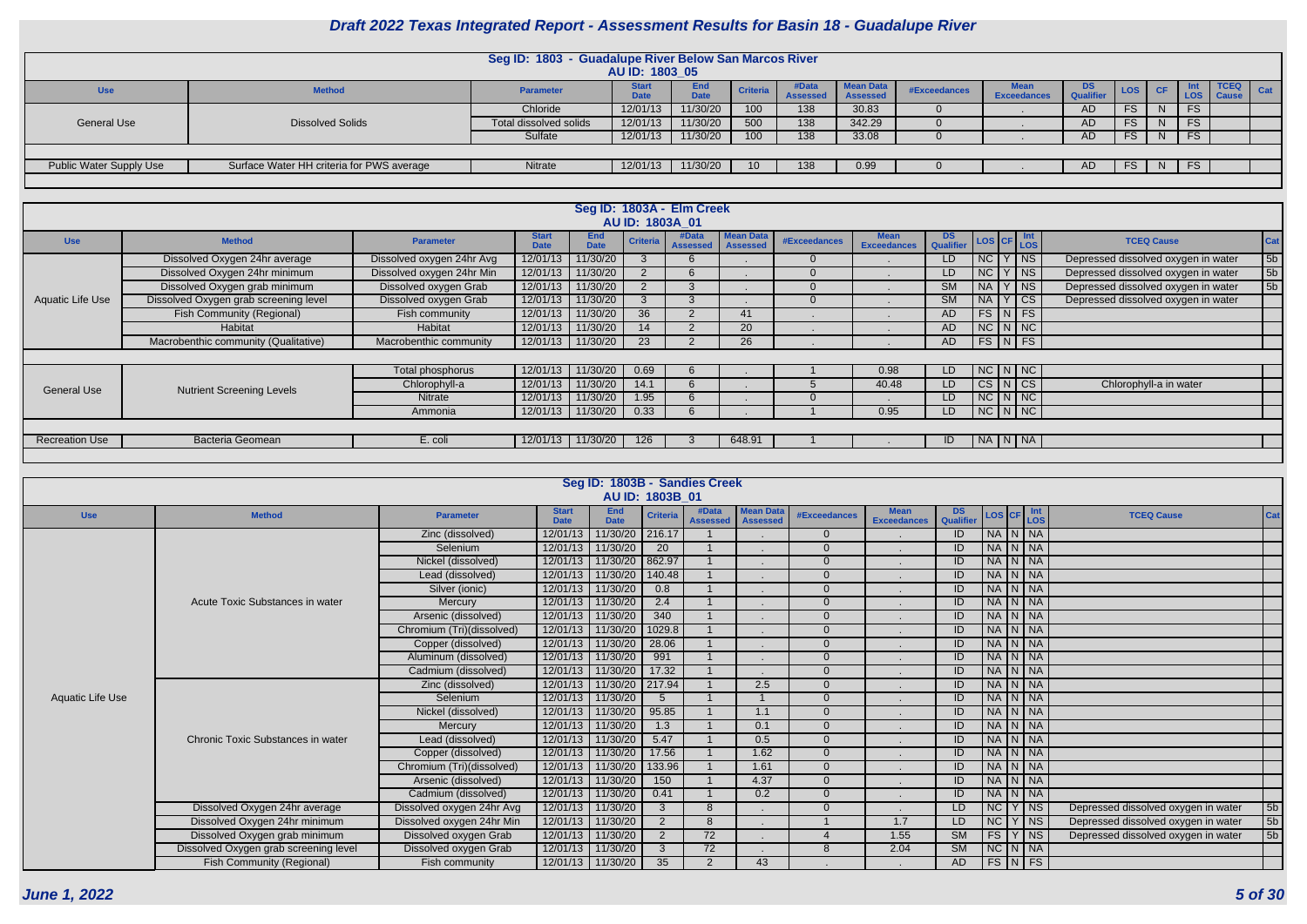|                         |                                           | Seg ID: 1803 - Guadalupe River Below San Marcos River | AU ID: 1803 05              |                           |                 |                          |                                     |              |                    |                  |           |                     |      |            |
|-------------------------|-------------------------------------------|-------------------------------------------------------|-----------------------------|---------------------------|-----------------|--------------------------|-------------------------------------|--------------|--------------------|------------------|-----------|---------------------|------|------------|
| <b>Use</b>              | <b>Method</b>                             | <b>Parameter</b>                                      | <b>Start</b><br><b>Date</b> | <b>End</b><br><b>Date</b> | <b>Criteria</b> | #Data<br><b>Assessed</b> | <b>Mean Data</b><br><b>Assessed</b> | #Exceedances | <b>Exceedances</b> | DS.<br>Qualifier | LOS CF    | - 1116<br>LOS Cause | TCEQ | <b>Cat</b> |
|                         |                                           | Chloride                                              | 12/01/13                    | 11/30/20                  | 100             | 138                      | 30.83                               |              |                    | AD               | <b>FS</b> | <b>FS</b>           |      |            |
| <b>General Use</b>      | <b>Dissolved Solids</b>                   | Total dissolved solids                                | 12/01/13                    | 11/30/20                  | 500             | 138                      | 342.29                              |              |                    | AD               | <b>FS</b> | <b>FS</b>           |      |            |
|                         |                                           | Sulfate                                               | 12/01/13                    | 11/30/20                  | 100             | 138                      | 33.08                               |              |                    | AD               | <b>FS</b> | <b>FS</b>           |      |            |
|                         |                                           |                                                       |                             |                           |                 |                          |                                     |              |                    |                  |           |                     |      |            |
| Public Water Supply Use | Surface Water HH criteria for PWS average | Nitrate                                               | 12/01/13                    | 11/30/20                  | 10              | 138                      | 0.99                                |              |                    |                  | FS.       | FS.                 |      |            |
|                         |                                           |                                                       |                             |                           |                 |                          |                                     |              |                    |                  |           |                     |      |            |

|                         |                                       |                           |                             |                           | AU ID: 1803A 01 | Seg ID: 1803A - Elm Creek |                                     |              |                                   |                        |           |                      |                                     |     |
|-------------------------|---------------------------------------|---------------------------|-----------------------------|---------------------------|-----------------|---------------------------|-------------------------------------|--------------|-----------------------------------|------------------------|-----------|----------------------|-------------------------------------|-----|
| <b>Use</b>              | <b>Method</b>                         | <b>Parameter</b>          | <b>Start</b><br><b>Date</b> | <b>End</b><br><b>Date</b> | <b>Criteria</b> | #Data<br><b>Assessed</b>  | <b>Mean Data</b><br><b>Assessed</b> | #Exceedances | <b>Mean</b><br><b>Exceedances</b> | <b>DS</b><br>Qualifier |           | LOS CF LOS           | <b>TCEQ Cause</b>                   | Cat |
|                         | Dissolved Oxygen 24hr average         | Dissolved oxygen 24hr Avg | 12/01/13                    | 11/30/20                  |                 | -6                        |                                     |              |                                   | LD.                    | NC        | $\sqrt{\mathsf{NS}}$ | Depressed dissolved oxygen in water | 5b  |
|                         | Dissolved Oxygen 24hr minimum         | Dissolved oxygen 24hr Min | 12/01/13                    | 11/30/20                  |                 | 6                         |                                     |              |                                   | LD                     | NC        | Y   NS               | Depressed dissolved oxygen in water | 5b  |
|                         | Dissolved Oxygen grab minimum         | Dissolved oxygen Grab     | 12/01/13                    | 11/30/20                  |                 |                           |                                     |              |                                   | <b>SM</b>              | <b>NA</b> | Y NS                 | Depressed dissolved oxygen in water | 5b  |
| <b>Aquatic Life Use</b> | Dissolved Oxygen grab screening level | Dissolved oxygen Grab     | 12/01/13                    | 11/30/20                  |                 |                           |                                     |              |                                   | <b>SM</b>              | <b>NA</b> | $Y$ $\mid$ CS        | Depressed dissolved oxygen in water |     |
|                         | <b>Fish Community (Regional)</b>      | Fish community            | 12/01/13                    | 11/30/20                  | 36              |                           |                                     |              |                                   | AD                     |           | $FS\vert N \vert FS$ |                                     |     |
|                         | <b>Habitat</b>                        | Habitat                   | 12/01/13                    | 11/30/20                  | 14              |                           | 20                                  |              |                                   | AD                     |           | $NC$ $N$ $NC$        |                                     |     |
|                         | Macrobenthic community (Qualitative)  | Macrobenthic community    | 12/01/13                    | $11/30/20$                | 23              |                           | 26                                  |              |                                   | AD                     |           | $FS$ N FS            |                                     |     |
|                         |                                       |                           |                             |                           |                 |                           |                                     |              |                                   |                        |           |                      |                                     |     |
|                         |                                       | Total phosphorus          | 12/01/13                    | 11/30/20                  | 0.69            | 6                         |                                     |              | 0.98                              | LD.                    |           | $NC$ $N$ $NC$        |                                     |     |
| <b>General Use</b>      | <b>Nutrient Screening Levels</b>      | Chlorophyll-a             | 12/01/13                    | 11/30/20                  | 14.1            | 6                         |                                     |              | 40.48                             | LD.                    |           | $CS\vert N\vert CS$  | Chlorophyll-a in water              |     |
|                         |                                       | Nitrate                   | 12/01/13                    | 11/30/20                  | 1.95            | -6                        |                                     |              |                                   | LD.                    |           | $NC$ $N$ $NC$        |                                     |     |
|                         |                                       | Ammonia                   | 12/01/13                    | 11/30/20                  | 0.33            | -6                        |                                     |              | 0.95                              | LD                     |           | $NC\ N\ N$           |                                     |     |
|                         |                                       |                           |                             |                           |                 |                           |                                     |              |                                   |                        |           |                      |                                     |     |
| <b>Recreation Use</b>   | <b>Bacteria Geomean</b>               | E. coli                   |                             | 12/01/13 11/30/20         | 126             |                           | 648.91                              |              |                                   | ID                     |           | NA N NA              |                                     |     |
|                         |                                       |                           |                             |                           |                 |                           |                                     |              |                                   |                        |           |                      |                                     |     |

|                         |                                       |                           |                             | Seg ID: 1803B - Sandies Creek | AU ID: 1803B 01 |                          |                                     |                     |                                   |                        |                    |                                     |                |
|-------------------------|---------------------------------------|---------------------------|-----------------------------|-------------------------------|-----------------|--------------------------|-------------------------------------|---------------------|-----------------------------------|------------------------|--------------------|-------------------------------------|----------------|
| <b>Use</b>              | <b>Method</b>                         | <b>Parameter</b>          | <b>Start</b><br><b>Date</b> | <b>End</b><br><b>Date</b>     | <b>Criteria</b> | #Data<br><b>Assessed</b> | <b>Mean Data</b><br><b>Assessed</b> | <b>#Exceedances</b> | <b>Mean</b><br><b>Exceedances</b> | DS<br>Qualifier        | LOS CF Int         | <b>TCEQ Cause</b>                   | <b>Cat</b>     |
|                         |                                       | Zinc (dissolved)          | 12/01/13                    | 11/30/20 216.17               |                 |                          |                                     | $\Omega$            |                                   | ID                     | NA N NA            |                                     |                |
|                         |                                       | Selenium                  |                             | 12/01/13 11/30/20             | 20              |                          |                                     | $\Omega$            |                                   | ID                     | NA N NA            |                                     |                |
|                         |                                       | Nickel (dissolved)        |                             | 12/01/13 11/30/20             | 862.97          |                          |                                     | $\Omega$            |                                   | ID                     | NA N NA            |                                     |                |
|                         |                                       | Lead (dissolved)          | 12/01/13 11/30/20           |                               | 140.48          |                          |                                     | $\Omega$            |                                   | ID                     | NA N NA            |                                     |                |
|                         |                                       | Silver (ionic)            | 12/01/13                    | 11/30/20                      | 0.8             |                          |                                     | $\Omega$            |                                   | ID                     | NA N NA            |                                     |                |
|                         | Acute Toxic Substances in water       | Mercury                   | 12/01/13 11/30/20           |                               | 2.4             |                          |                                     |                     |                                   | ID                     | NA N NA            |                                     |                |
|                         |                                       | Arsenic (dissolved)       | 12/01/13 11/30/20           |                               | 340             |                          |                                     |                     |                                   | ID                     | NA N NA            |                                     |                |
|                         |                                       | Chromium (Tri)(dissolved) |                             | 12/01/13 11/30/20             | 1029.8          |                          |                                     | $\Omega$            |                                   | ID                     | NA N NA            |                                     |                |
|                         |                                       | Copper (dissolved)        | 12/01/13 11/30/20           |                               | 28.06           |                          |                                     | $\Omega$            |                                   | ID                     | NA N NA            |                                     |                |
|                         |                                       | Aluminum (dissolved)      | 12/01/13 11/30/20           |                               | 991             |                          |                                     | $\Omega$            |                                   | ID                     | NA N NA            |                                     |                |
|                         |                                       | Cadmium (dissolved)       |                             | 12/01/13 11/30/20             | 17.32           |                          |                                     | $\Omega$            |                                   | $\overline{1}$         | NA N NA            |                                     |                |
|                         |                                       | Zinc (dissolved)          |                             | 12/01/13 11/30/20 217.94      |                 |                          | 2.5                                 | $\Omega$            |                                   | ID                     | NA N NA            |                                     |                |
| <b>Aquatic Life Use</b> |                                       | Selenium                  |                             | 12/01/13 11/30/20             |                 |                          |                                     | $\Omega$            |                                   | ID                     | NA N NA            |                                     |                |
|                         |                                       | Nickel (dissolved)        |                             | 12/01/13 11/30/20             | 95.85           |                          | 1.1                                 | $\Omega$            |                                   | ID                     | NA N NA            |                                     |                |
|                         |                                       | Mercury                   |                             | 12/01/13 11/30/20             | 1.3             |                          | 0.1                                 | $\Omega$            |                                   | ID                     | NA N NA            |                                     |                |
|                         | Chronic Toxic Substances in water     | Lead (dissolved)          |                             | 12/01/13 11/30/20             | 5.47            |                          | 0.5                                 |                     |                                   | ID                     | NA N NA            |                                     |                |
|                         |                                       | Copper (dissolved)        | 12/01/13 11/30/20           |                               | 17.56           |                          | 1.62                                | $\Omega$            |                                   | ID                     | NA N NA            |                                     |                |
|                         |                                       | Chromium (Tri)(dissolved) |                             | 12/01/13 11/30/20             | 133.96          |                          | 1.61                                | $\Omega$            |                                   | ID                     | NA N NA            |                                     |                |
|                         |                                       | Arsenic (dissolved)       |                             | 12/01/13 11/30/20             | 150             |                          | 4.37                                | $\Omega$            |                                   | ID                     | NA N NA            |                                     |                |
|                         |                                       | Cadmium (dissolved)       | 12/01/13 11/30/20           |                               | 0.41            |                          | 0.2                                 | $\Omega$            |                                   | $\overline{ID}$        | NA N NA            |                                     |                |
|                         | Dissolved Oxygen 24hr average         | Dissolved oxygen 24hr Avg |                             | 12/01/13 11/30/20             | 3               | -8                       |                                     | $\Omega$            |                                   | LD                     | $NC$ $Y$ $NS$      | Depressed dissolved oxygen in water | 5b             |
|                         | Dissolved Oxygen 24hr minimum         | Dissolved oxygen 24hr Min |                             | 12/01/13 11/30/20             | $\mathcal{P}$   | -8                       |                                     |                     | 1.7                               | LD                     | NC Y NS            | Depressed dissolved oxygen in water | 5 <sub>b</sub> |
|                         | Dissolved Oxygen grab minimum         | Dissolved oxygen Grab     |                             | 12/01/13 11/30/20             | 2               | 72                       |                                     |                     | 1.55                              | $\overline{\text{SM}}$ | FS Y NS            | Depressed dissolved oxygen in water | 5 <sub>b</sub> |
|                         | Dissolved Oxygen grab screening level | Dissolved oxygen Grab     |                             | 12/01/13 11/30/20             |                 | $\overline{72}$          |                                     | $\mathcal{B}$       | 2.04                              | <b>SM</b>              | $NC$ $N$ $NA$      |                                     |                |
|                         | <b>Fish Community (Regional)</b>      | Fish community            |                             | 12/01/13 11/30/20             | 35 <sup>5</sup> | 2                        | 43                                  |                     |                                   | <b>AD</b>              | $FS\mid N \mid FS$ |                                     |                |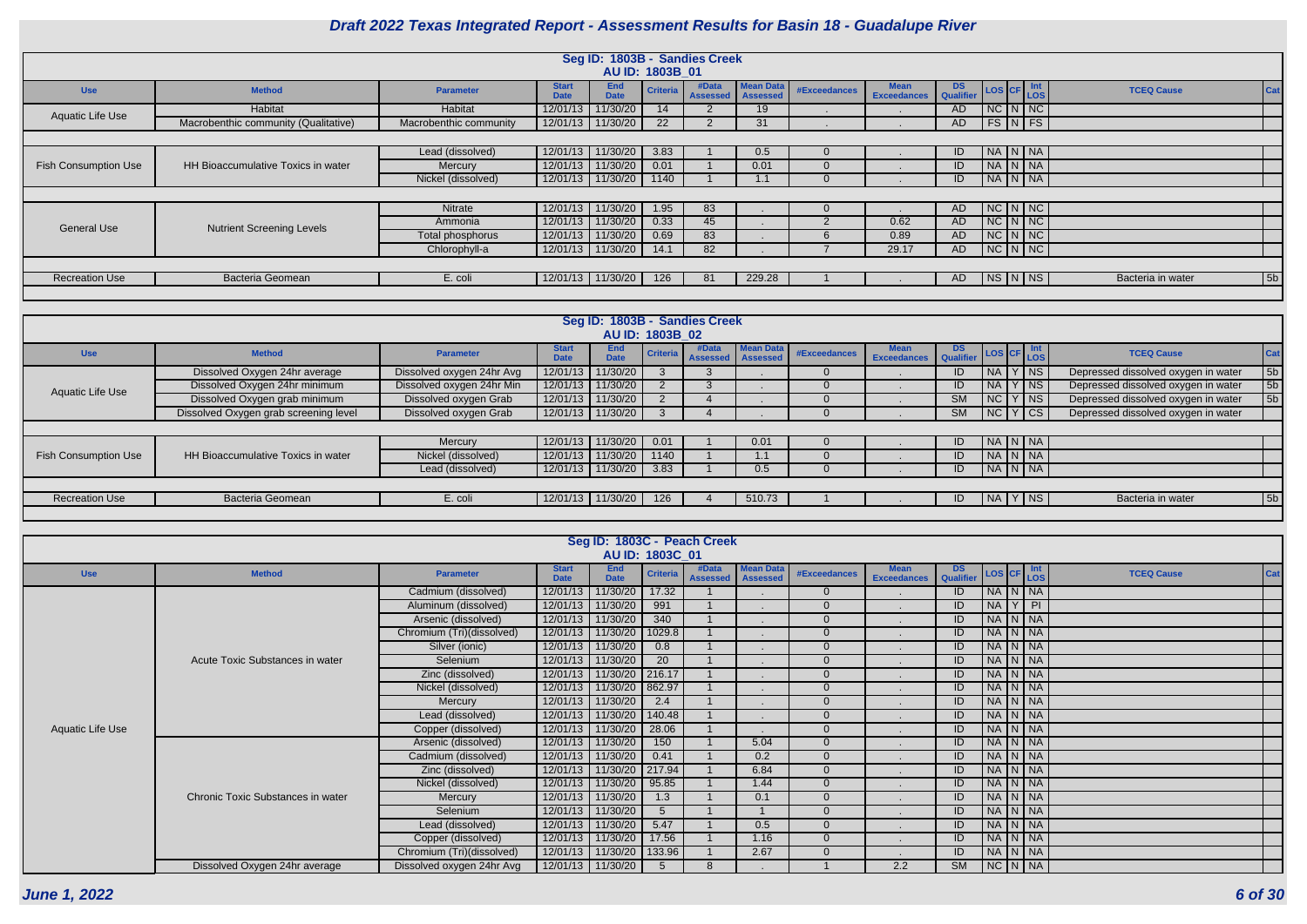**June 1, 2022 6 of 30**

| <b>DS</b><br><b>Qualifier</b> | LOS CF    |   | Int<br><b>LOS</b> | <b>TCEQ Cause</b> | Cat            |
|-------------------------------|-----------|---|-------------------|-------------------|----------------|
| <b>AD</b>                     | <b>NC</b> | N | <b>NC</b>         |                   |                |
| <b>AD</b>                     | <b>FS</b> | N | <b>FS</b>         |                   |                |
|                               |           |   |                   |                   |                |
| ID                            | <b>NA</b> | N | <b>NA</b>         |                   |                |
| ID                            | <b>NA</b> | N | <b>NA</b>         |                   |                |
| ID                            | <b>NA</b> | N | <b>NA</b>         |                   |                |
|                               |           |   |                   |                   |                |
| <b>AD</b>                     | <b>NC</b> | N | <b>NC</b>         |                   |                |
| <b>AD</b>                     | <b>NC</b> | N | <b>NC</b>         |                   |                |
| <b>AD</b>                     | <b>NC</b> | N | <b>NC</b>         |                   |                |
| <b>AD</b>                     | <b>NC</b> | N | <b>NC</b>         |                   |                |
|                               |           |   |                   |                   |                |
| AD                            | <b>NS</b> | N | <b>NS</b>         | Bacteria in water | 5 <sub>b</sub> |
|                               |           |   |                   |                   |                |

|                             |                                           |                        |                             | Seg ID: 1803B - Sandies Creek |                 |                          |                                     |              |                                   |               |                              |  |                   |                |
|-----------------------------|-------------------------------------------|------------------------|-----------------------------|-------------------------------|-----------------|--------------------------|-------------------------------------|--------------|-----------------------------------|---------------|------------------------------|--|-------------------|----------------|
|                             |                                           |                        |                             |                               | AU ID: 1803B 01 |                          |                                     |              |                                   |               |                              |  |                   |                |
| <b>Use</b>                  | <b>Method</b>                             | <b>Parameter</b>       | <b>Start</b><br><b>Date</b> | <b>End</b><br><b>Date</b>     | <b>Criteria</b> | #Data<br><b>Assessed</b> | <b>Mean Data</b><br><b>Assessed</b> | #Exceedances | <b>Mean</b><br><b>Exceedances</b> | DS LOS CF Int |                              |  | <b>TCEQ Cause</b> |                |
| Aquatic Life Use            | Habitat                                   | Habitat                | 12/01/13                    | 11/30/20                      | 14              |                          | 19                                  |              |                                   | AD.           | $NC$ $N$ $NC$                |  |                   |                |
|                             | Macrobenthic community (Qualitative)      | Macrobenthic community |                             | 12/01/13 11/30/20             | 22              |                          | 31                                  |              |                                   | AD            | FS N FS                      |  |                   |                |
|                             |                                           |                        |                             |                               |                 |                          |                                     |              |                                   |               |                              |  |                   |                |
|                             |                                           | Lead (dissolved)       | 12/01/13                    | 11/30/20                      | 3.83            |                          | 0.5                                 |              |                                   | ID.           | NA N NA                      |  |                   |                |
| <b>Fish Consumption Use</b> | <b>HH Bioaccumulative Toxics in water</b> | <b>Mercury</b>         | 12/01/13                    | 11/30/20                      | 0.01            |                          | 0.01                                |              |                                   | ID            | NA N NA                      |  |                   |                |
|                             |                                           | Nickel (dissolved)     |                             | 12/01/13 11/30/20             | 1140            |                          | ا. ا                                |              |                                   | ID            | $N_A N_N$                    |  |                   |                |
|                             |                                           |                        |                             |                               |                 |                          |                                     |              |                                   |               |                              |  |                   |                |
|                             |                                           | Nitrate                | 12/01/13                    | 11/30/20                      | 1.95            | 83                       |                                     |              |                                   | AD.           | $NC\vert N\vert NC\vert$     |  |                   |                |
|                             |                                           | Ammonia                | 12/01/13                    | 11/30/20                      | 0.33            | 45                       |                                     |              | 0.62                              | AD.           | $NC\vert N\vert NC\vert$     |  |                   |                |
| General Use                 | <b>Nutrient Screening Levels</b>          | Total phosphorus       | 12/01/13                    | 11/30/20                      | 0.69            | 83                       |                                     |              | 0.89                              | AD.           | $NC\overline{N\overline{N}}$ |  |                   |                |
|                             |                                           | Chlorophyll-a          | 12/01/13                    | 11/30/20                      | 14.1            | 82                       |                                     |              | 29.17                             | AD.           | NCINNC                       |  |                   |                |
|                             |                                           |                        |                             |                               |                 |                          |                                     |              |                                   |               |                              |  |                   |                |
| <b>Recreation Use</b>       | <b>Bacteria Geomean</b>                   | E. coli                |                             | 12/01/13   11/30/20           | 126             | 81                       | 229.28                              |              |                                   | AD.           | NS N NS                      |  | Bacteria in water | 5 <sub>b</sub> |
|                             |                                           |                        |                             |                               |                 |                          |                                     |              |                                   |               |                              |  |                   |                |

|                             |                                       |                           |                             |                    |                 | Seg ID: 1803B - Sandies Creek |                  |              |                                   |                  |           |                          |                                     |                |
|-----------------------------|---------------------------------------|---------------------------|-----------------------------|--------------------|-----------------|-------------------------------|------------------|--------------|-----------------------------------|------------------|-----------|--------------------------|-------------------------------------|----------------|
|                             |                                       |                           |                             | AU ID: 1803B 02    |                 |                               |                  |              |                                   |                  |           |                          |                                     |                |
| <b>Use</b>                  | <b>Method</b>                         | <b>Parameter</b>          | <b>Start</b><br><b>Date</b> | End<br><b>Date</b> | <b>Criteria</b> | #Data<br>Assessed   Assessed  | <b>Mean Data</b> | #Exceedances | <b>Mean</b><br><b>Exceedances</b> | Qualifier LOS CF |           | <b>Int</b><br><b>LOS</b> | <b>TCEQ Cause</b>                   |                |
|                             | Dissolved Oxygen 24hr average         | Dissolved oxygen 24hr Avg | 12/01/13                    | 11/30/20           |                 |                               |                  |              |                                   | ID               | NA        | $ $ NS                   | Depressed dissolved oxygen in water | 5b             |
| Aquatic Life Use            | Dissolved Oxygen 24hr minimum         | Dissolved oxygen 24hr Min | 12/01/13                    | 11/30/20           |                 |                               |                  |              |                                   | ID               | <b>NA</b> | $\overline{\mathsf{NS}}$ | Depressed dissolved oxygen in water | 5b             |
|                             | Dissolved Oxygen grab minimum         | Dissolved oxygen Grab     | 12/01/13                    | 11/30/20           |                 |                               |                  |              |                                   | <b>SM</b>        | N         | Y NS                     | Depressed dissolved oxygen in water | 5 <sub>b</sub> |
|                             | Dissolved Oxygen grab screening level | Dissolved oxygen Grab     | 12/01/13                    | 11/30/20           |                 |                               |                  |              |                                   | <b>SM</b>        | NC        | Y CS                     | Depressed dissolved oxygen in water |                |
|                             |                                       |                           |                             |                    |                 |                               |                  |              |                                   |                  |           |                          |                                     |                |
|                             |                                       | Mercury                   | 12/01/13                    | 11/30/20           | 0.01            |                               | 0.01             |              |                                   | ID               | $N_A N_N$ |                          |                                     |                |
| <b>Fish Consumption Use</b> | HH Bioaccumulative Toxics in water    | Nickel (dissolved)        | 12/01/13                    | 11/30/20           | 1140            |                               |                  |              |                                   | ID               | <b>NA</b> | $N$ $NA$                 |                                     |                |
|                             |                                       | Lead (dissolved)          | 12/01/13                    | 11/30/20           | 3.83            |                               | 0.5              |              |                                   | ID               | $N_A N_N$ |                          |                                     |                |
|                             |                                       |                           |                             |                    |                 |                               |                  |              |                                   |                  |           |                          |                                     |                |
| <b>Recreation Use</b>       | <b>Bacteria Geomean</b>               | E. coli                   | 12/01/13                    | 11/30/20           | 126             |                               | 510.73           |              |                                   | ID               | NA        | Y NS                     | Bacteria in water                   | 5b             |
|                             |                                       |                           |                             |                    |                 |                               |                  |              |                                   |                  |           |                          |                                     |                |

|                  |                                   |                           |                             |                           |                 | Seg ID: 1803C - Peach Creek |                              |                |                                   |                 |  |               |                   |            |
|------------------|-----------------------------------|---------------------------|-----------------------------|---------------------------|-----------------|-----------------------------|------------------------------|----------------|-----------------------------------|-----------------|--|---------------|-------------------|------------|
|                  |                                   |                           |                             |                           | AU ID: 1803C 01 |                             |                              |                |                                   |                 |  |               |                   |            |
| <b>Use</b>       | <b>Method</b>                     | <b>Parameter</b>          | <b>Start</b><br><b>Date</b> | <b>End</b><br><b>Date</b> | <b>Criteria</b> | #Data<br><b>Assessed</b>    | <b>Mean Data</b><br>Assessed | #Exceedances   | <b>Mean</b><br><b>Exceedances</b> | DS<br>Qualifier |  | LOS CF Int    | <b>TCEQ Cause</b> | <b>Cat</b> |
|                  |                                   | Cadmium (dissolved)       | 12/01/13                    | 11/30/20                  | 17.32           |                             |                              | $\overline{0}$ |                                   | ID              |  | NA N NA       |                   |            |
|                  |                                   | Aluminum (dissolved)      | 12/01/13                    | 11/30/20                  | 991             |                             |                              | $\overline{0}$ |                                   | ID              |  | $NA$ $Y$ $PI$ |                   |            |
|                  |                                   | Arsenic (dissolved)       | 12/01/13                    | 11/30/20                  | 340             |                             |                              | $\Omega$       |                                   | ID              |  | NA N NA       |                   |            |
|                  |                                   | Chromium (Tri)(dissolved) | 12/01/13                    | 11/30/20                  | 1029.8          |                             |                              | $\overline{0}$ |                                   | ID              |  | NA N NA       |                   |            |
|                  |                                   | Silver (ionic)            | 12/01/13                    | 11/30/20                  | 0.8             |                             |                              | $\overline{0}$ |                                   | ID              |  | NA N NA       |                   |            |
|                  | Acute Toxic Substances in water   | Selenium                  | 12/01/13                    | 11/30/20                  | 20              |                             |                              | $\overline{0}$ |                                   | ID              |  | NA N NA       |                   |            |
|                  |                                   | Zinc (dissolved)          | 12/01/13                    | 11/30/20                  | 216.17          |                             |                              | $\overline{0}$ |                                   | ID              |  | NA N NA       |                   |            |
|                  |                                   | Nickel (dissolved)        | 12/01/13                    | 11/30/20                  | 862.97          |                             |                              | $\overline{0}$ |                                   | ID              |  | NA N NA       |                   |            |
|                  |                                   | Mercury                   | 12/01/13                    | 11/30/20                  | 2.4             |                             |                              | $\overline{0}$ |                                   | ID              |  | NA N NA       |                   |            |
|                  |                                   | Lead (dissolved)          | 12/01/13                    | 11/30/20                  | 140.48          |                             |                              | $\overline{0}$ |                                   | ID              |  | NA N NA       |                   |            |
| Aquatic Life Use |                                   | Copper (dissolved)        | 12/01/13                    | 11/30/20                  | 28.06           |                             |                              | $\Omega$       |                                   | ID              |  | NA N NA       |                   |            |
|                  |                                   | Arsenic (dissolved)       | 12/01/13                    | 11/30/20                  | 150             |                             | 5.04                         | $\Omega$       |                                   | ID              |  | NA N NA       |                   |            |
|                  |                                   | Cadmium (dissolved)       | 12/01/13                    | 11/30/20                  | 0.41            |                             | 0.2                          | $\Omega$       |                                   | ID              |  | NA N NA       |                   |            |
|                  |                                   | Zinc (dissolved)          | 12/01/13                    | 11/30/20                  | 217.94          |                             | 6.84                         | $\overline{0}$ |                                   | ID              |  | NA N NA       |                   |            |
|                  |                                   | Nickel (dissolved)        | 12/01/13                    | 11/30/20                  | 95.85           |                             | 1.44                         | $\overline{0}$ |                                   | ID              |  | NA N NA       |                   |            |
|                  | Chronic Toxic Substances in water | Mercury                   | 12/01/13                    | 11/30/20                  | 1.3             |                             | 0.1                          | $\overline{0}$ |                                   | ID              |  | NA N NA       |                   |            |
|                  |                                   | Selenium                  | 12/01/13                    | 11/30/20                  | 5 <sup>5</sup>  |                             |                              | $\overline{0}$ |                                   | ID              |  | NA N NA       |                   |            |
|                  |                                   | Lead (dissolved)          | 12/01/13                    | 11/30/20                  | 5.47            |                             | 0.5                          | $\overline{0}$ |                                   | ID              |  | NA N NA       |                   |            |
|                  |                                   | Copper (dissolved)        | 12/01/13                    | 11/30/20                  | 17.56           |                             | 1.16                         | $\overline{0}$ |                                   | ID              |  | NA N NA       |                   |            |
|                  |                                   | Chromium (Tri)(dissolved) | 12/01/13                    | 11/30/20                  | 133.96          |                             | 2.67                         | $\overline{0}$ |                                   | ID              |  | NA N NA       |                   |            |
|                  | Dissolved Oxygen 24hr average     | Dissolved oxygen 24hr Avg | 12/01/13                    | 11/30/20                  | -5              | 8                           |                              |                | 2.2                               | <b>SM</b>       |  | $NC$ $N$ $NA$ |                   |            |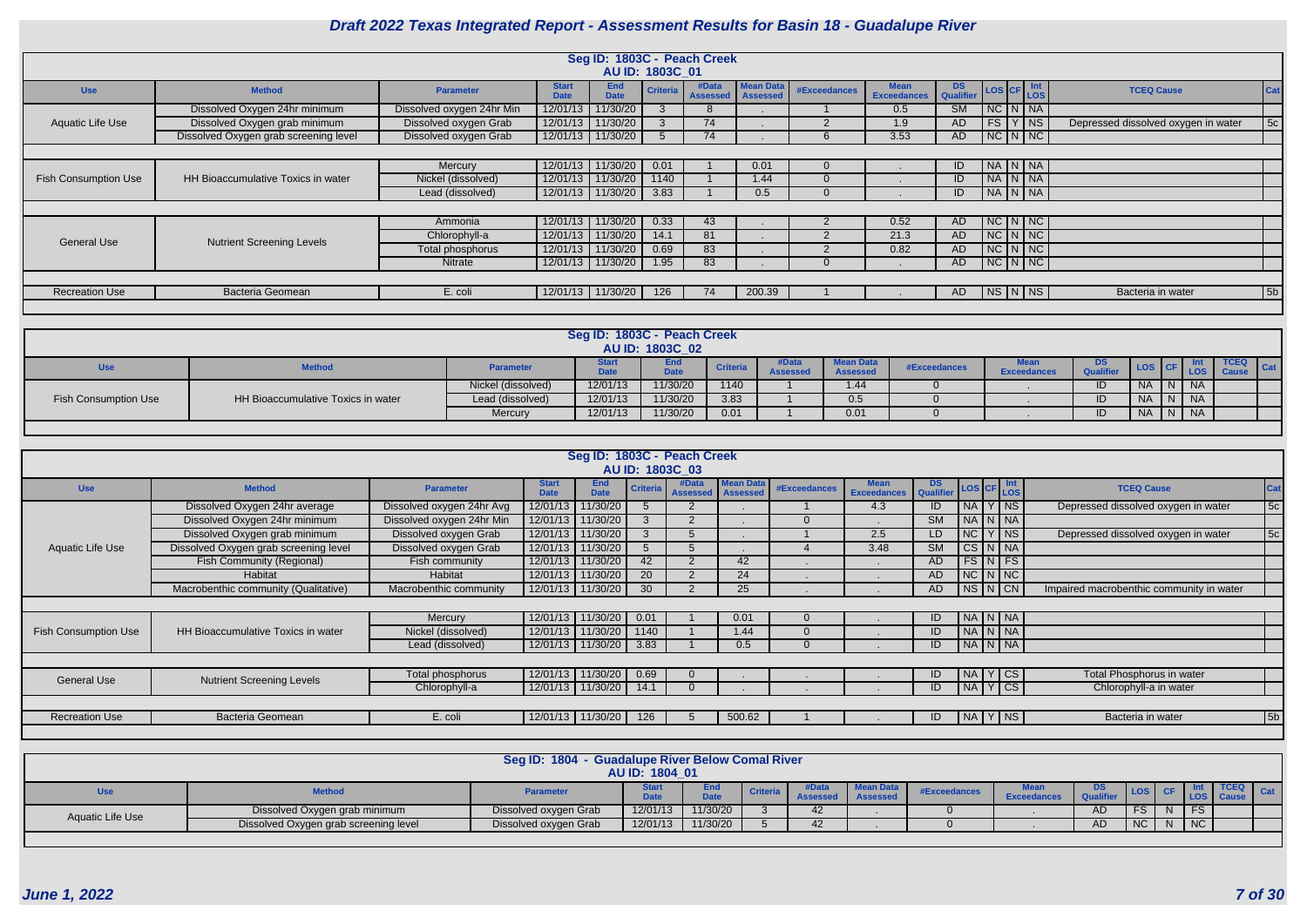|                             |                                       |                           |                             |                           |                 | Seg ID: 1803C - Peach Creek |                                     |                     |                                   |               |         |                          |                                     |            |
|-----------------------------|---------------------------------------|---------------------------|-----------------------------|---------------------------|-----------------|-----------------------------|-------------------------------------|---------------------|-----------------------------------|---------------|---------|--------------------------|-------------------------------------|------------|
|                             |                                       |                           |                             |                           | AU ID: 1803C 01 |                             |                                     |                     |                                   |               |         |                          |                                     |            |
| <b>Use</b>                  | <b>Method</b>                         | <b>Parameter</b>          | <b>Start</b><br><b>Date</b> | <b>End</b><br><b>Date</b> | <b>Criteria</b> | #Data<br>Assessed           | <b>Mean Data</b><br><b>Assessed</b> | <b>#Exceedances</b> | <b>Mean</b><br><b>Exceedances</b> | DS LOS CF Int |         |                          | <b>TCEQ Cause</b>                   | <b>Cat</b> |
|                             | Dissolved Oxygen 24hr minimum         | Dissolved oxygen 24hr Min |                             | 12/01/13 11/30/20         |                 |                             |                                     |                     | $0.5^{\circ}$                     | SM            | NCININA |                          |                                     |            |
| Aquatic Life Use            | Dissolved Oxygen grab minimum         | Dissolved oxygen Grab     | 12/01/13 11/30/20           |                           |                 | 74                          |                                     |                     | 1.9                               | <b>AD</b>     | FS      | $Y$ NS                   | Depressed dissolved oxygen in water | 5c         |
|                             | Dissolved Oxygen grab screening level | Dissolved oxygen Grab     |                             | 12/01/13 11/30/20         |                 | 74                          |                                     |                     | 3.53                              | <b>AD</b>     |         | $NC\ N\nc$               |                                     |            |
|                             |                                       |                           |                             |                           |                 |                             |                                     |                     |                                   |               |         |                          |                                     |            |
|                             |                                       | Mercury                   |                             | 12/01/13 11/30/20         | 0.01            |                             | 0.01                                |                     |                                   | ID            |         | $N_A N_N$                |                                     |            |
| <b>Fish Consumption Use</b> | HH Bioaccumulative Toxics in water    | Nickel (dissolved)        |                             | 12/01/13 11/30/20         | 1140            |                             | 1.44                                |                     |                                   | ID            | NA N NA |                          |                                     |            |
|                             |                                       | Lead (dissolved)          |                             | 12/01/13 11/30/20         | 3.83            |                             | 0.5                                 |                     |                                   | ID            |         | $NAP$ $NAR$              |                                     |            |
|                             |                                       |                           |                             |                           |                 |                             |                                     |                     |                                   |               |         |                          |                                     |            |
|                             |                                       | Ammonia                   |                             | 12/01/13 11/30/20         | 0.33            | 43                          |                                     |                     | 0.52                              | AD            |         | $NC\ N\ N$               |                                     |            |
| <b>General Use</b>          | <b>Nutrient Screening Levels</b>      | Chlorophyll-a             |                             | 12/01/13 11/30/20         | 14.1            | 81                          |                                     |                     | 21.3                              | <b>AD</b>     |         | $NC\vert N\vert NC\vert$ |                                     |            |
|                             |                                       | Total phosphorus          | 12/01/13 11/30/20           |                           | 0.69            | 83                          |                                     |                     | 0.82                              | <b>AD</b>     |         | $NC\vert N\vert NC\vert$ |                                     |            |
|                             |                                       | <b>Nitrate</b>            |                             | 12/01/13 11/30/20         | 1.95            | 83                          |                                     |                     |                                   | AD            |         | $NC\ N\ NC$              |                                     |            |
|                             |                                       |                           |                             |                           |                 |                             |                                     |                     |                                   |               |         |                          |                                     |            |
| <b>Recreation Use</b>       | Bacteria Geomean                      | E. coli                   |                             | 12/01/13 11/30/20         | 126             | 74                          | 200.39                              |                     |                                   | AD            |         | NS N NS                  | Bacteria in water                   | 5b         |
|                             |                                       |                           |                             |                           |                 |                             |                                     |                     |                                   |               |         |                          |                                     |            |

|                      |                                    |                    | Seg ID: 1803C - Peach Creek       | AU ID: 1803C 02    |                 |                          |                                     |              |                                   |                               |           |           |                                    |
|----------------------|------------------------------------|--------------------|-----------------------------------|--------------------|-----------------|--------------------------|-------------------------------------|--------------|-----------------------------------|-------------------------------|-----------|-----------|------------------------------------|
| <b>Use</b>           | <b>Method</b>                      | Parameter          | Start <sup>*</sup><br><b>Date</b> | End<br><b>Date</b> | <b>Criteria</b> | #Data<br><b>Assessed</b> | <b>Mean Data</b><br><b>Assessed</b> | #Exceedances | <b>Mean</b><br><b>Exceedances</b> | <b>DS</b><br><b>Qualifier</b> |           | LOS       | <b>TCEQ</b><br>Cat<br><b>Cause</b> |
|                      |                                    | Nickel (dissolved) | 12/01/13                          | 11/30/20           | 1140            |                          | 1.44                                |              |                                   | ID                            | <b>NA</b> | <b>NA</b> |                                    |
| Fish Consumption Use | HH Bioaccumulative Toxics in water | Lead (dissolved)   | 12/01/13                          | 11/30/20           | 3.83            |                          | 0.5                                 |              |                                   | ID                            | <b>NA</b> | <b>NA</b> |                                    |
|                      |                                    | Mercury            | 12/01/13                          | 11/30/20           | 0.01            |                          | 0.01                                |              |                                   | ID                            | <b>NA</b> | <b>NA</b> |                                    |

|                             |                                       |                           |                             | Seg ID: 1803C - Peach Creek |                 | AU ID: 1803C 03          |                                     |                     |                                   |                             |                     |                      |                                          |     |
|-----------------------------|---------------------------------------|---------------------------|-----------------------------|-----------------------------|-----------------|--------------------------|-------------------------------------|---------------------|-----------------------------------|-----------------------------|---------------------|----------------------|------------------------------------------|-----|
| <b>Use</b>                  | <b>Method</b>                         | <b>Parameter</b>          | <b>Start</b><br><b>Date</b> | <b>End</b><br><b>Date</b>   |                 | #Data<br><b>Assessed</b> | <b>Mean Data</b><br><b>Assessed</b> | <b>#Exceedances</b> | <b>Mean</b><br><b>Exceedances</b> | DS LOS CF Int Qualifier LOS |                     |                      | <b>TCEQ Cause</b>                        | Cat |
|                             | Dissolved Oxygen 24hr average         | Dissolved oxygen 24hr Avg |                             | 12/01/13   11/30/20         |                 |                          |                                     |                     | 4.3                               | ID                          |                     | NA Y NS              | Depressed dissolved oxygen in water      | 5c  |
|                             | Dissolved Oxygen 24hr minimum         | Dissolved oxygen 24hr Min |                             | 12/01/13 11/30/20           |                 |                          |                                     |                     |                                   | <b>SM</b>                   | NA N NA             |                      |                                          |     |
|                             | Dissolved Oxygen grab minimum         | Dissolved oxygen Grab     |                             | 12/01/13 11/30/20           |                 |                          |                                     |                     | 2.5                               | LD.                         | NC Y                | $ $ NS               | Depressed dissolved oxygen in water      | 5c  |
| <b>Aquatic Life Use</b>     | Dissolved Oxygen grab screening level | Dissolved oxygen Grab     |                             | 12/01/13 11/30/20           |                 |                          |                                     |                     | 3.48                              | SM                          | $CS$ $N$ $NA$       |                      |                                          |     |
|                             | Fish Community (Regional)             | Fish community            | 12/01/13                    | 11/30/20                    | 42              |                          | 42                                  |                     |                                   | AD.                         |                     | $FS\vert N \vert FS$ |                                          |     |
|                             | Habitat                               | Habitat                   |                             | 12/01/13 11/30/20           | 20              |                          | 24                                  |                     |                                   | AD                          |                     | NC N NC              |                                          |     |
|                             | Macrobenthic community (Qualitative)  | Macrobenthic community    |                             | 12/01/13 11/30/20           | 30 <sup>°</sup> |                          | 25                                  |                     |                                   | AD                          | $NS\vert N\vert CN$ |                      | Impaired macrobenthic community in water |     |
|                             |                                       |                           |                             |                             |                 |                          |                                     |                     |                                   |                             |                     |                      |                                          |     |
|                             |                                       | Mercury                   |                             | 12/01/13 11/30/20           | 0.01            |                          | 0.01                                |                     |                                   | ID                          | NA   N   NA         |                      |                                          |     |
| <b>Fish Consumption Use</b> | HH Bioaccumulative Toxics in water    | Nickel (dissolved)        |                             | 12/01/13 11/30/20           | 1140            |                          | 1.44                                |                     |                                   | ID                          | NA N NA             |                      |                                          |     |
|                             |                                       | Lead (dissolved)          |                             | 12/01/13   11/30/20         | 3.83            |                          | 0.5                                 |                     |                                   | ID                          | $N_A N_N$           |                      |                                          |     |
|                             |                                       |                           |                             |                             |                 |                          |                                     |                     |                                   |                             |                     |                      |                                          |     |
|                             |                                       | Total phosphorus          |                             | 12/01/13 11/30/20           | 0.69            |                          |                                     |                     |                                   | ID                          | $N_A$ $Y$ $CS$      |                      | Total Phosphorus in water                |     |
| <b>General Use</b>          | <b>Nutrient Screening Levels</b>      | Chlorophyll-a             |                             | 12/01/13 11/30/20           | 14.1            |                          |                                     |                     |                                   | ID                          | $N_A Y CS$          |                      | Chlorophyll-a in water                   |     |
|                             |                                       |                           |                             |                             |                 |                          |                                     |                     |                                   |                             |                     |                      |                                          |     |
| <b>Recreation Use</b>       | Bacteria Geomean                      | E. coli                   |                             | 12/01/13 11/30/20           | 126             |                          | 500.62                              |                     |                                   | ID                          | $N_A$ $Y$ $N_S$     |                      | Bacteria in water                        | 5b  |
|                             |                                       |                           |                             |                             |                 |                          |                                     |                     |                                   |                             |                     |                      |                                          |     |

|                  |                                       | <b>Seg ID: 1804</b>   | - Guadalupe River Below Comal River<br>AU ID: 1804 01 |               |                 |            |                                    |              |                    |           |           |           |  |
|------------------|---------------------------------------|-----------------------|-------------------------------------------------------|---------------|-----------------|------------|------------------------------------|--------------|--------------------|-----------|-----------|-----------|--|
|                  | <b>Method</b>                         | <b>Parameter</b>      | <b>Date</b>                                           | End<br>$-1 -$ | <b>Criteria</b> |            | <b>Mean Day</b><br><b>Assessed</b> | #Exceedances | <b>Exceedances</b> | DS.       |           |           |  |
| Aquatic Life Use | Dissolved Oxygen grab minimum         | Dissolved oxygen Grab | 12/01/13                                              | 11/30/20      |                 | 42.        |                                    |              |                    | <b>AD</b> |           | <b>FS</b> |  |
|                  | Dissolved Oxygen grab screening level | Dissolved oxygen Grab | 12/01/13                                              | 11/30/20      |                 | $\sqrt{2}$ |                                    |              |                    | AD.       | <b>NC</b> | <b>NC</b> |  |
|                  |                                       |                       |                                                       |               |                 |            |                                    |              |                    |           |           |           |  |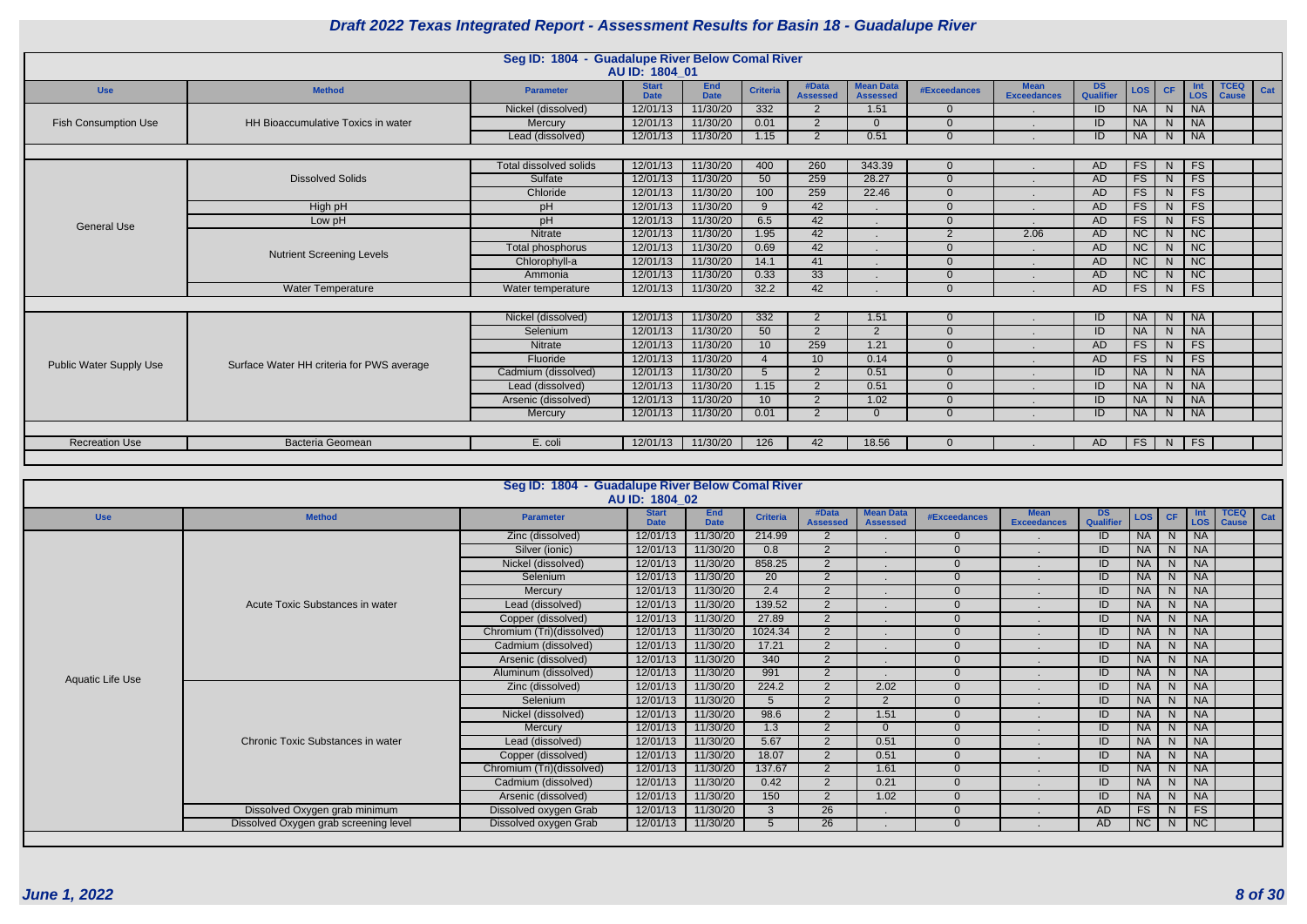|                             |                                           | Seg ID: 1804 - Guadalupe River Below Comal River | AU ID: 1804 01              |                           |                  |                          |                                     |                     |                                   |                        |            |           |                             |                             |     |
|-----------------------------|-------------------------------------------|--------------------------------------------------|-----------------------------|---------------------------|------------------|--------------------------|-------------------------------------|---------------------|-----------------------------------|------------------------|------------|-----------|-----------------------------|-----------------------------|-----|
| <b>Use</b>                  | <b>Method</b>                             | <b>Parameter</b>                                 | <b>Start</b><br><b>Date</b> | <b>End</b><br><b>Date</b> | <b>Criteria</b>  | #Data<br><b>Assessed</b> | <b>Mean Data</b><br><b>Assessed</b> | <b>#Exceedances</b> | <b>Mean</b><br><b>Exceedances</b> | <b>DS</b><br>Qualifier | <b>LOS</b> | <b>CF</b> | <b>Int</b><br>LOS           | <b>TCEQ</b><br><b>Cause</b> | Cat |
|                             |                                           | Nickel (dissolved)                               | 12/01/13                    | 11/30/20                  | $\overline{332}$ | 2                        | 1.51                                | $\Omega$            |                                   | ID                     | <b>NA</b>  | N         | $\overline{\big }$ NA       |                             |     |
| <b>Fish Consumption Use</b> | HH Bioaccumulative Toxics in water        | Mercury                                          | 12/01/13                    | 11/30/20                  | 0.01             | 2                        |                                     |                     |                                   | ID                     | <b>NA</b>  | N         | <b>NA</b>                   |                             |     |
|                             |                                           | Lead (dissolved)                                 | 12/01/13                    | 11/30/20                  | 1.15             | 2                        | 0.51                                |                     |                                   | ID                     | <b>NA</b>  | N         | $\overline{\big }$ NA       |                             |     |
|                             |                                           |                                                  |                             |                           |                  |                          |                                     |                     |                                   |                        |            |           |                             |                             |     |
|                             |                                           | Total dissolved solids                           | 12/01/13                    | 11/30/20                  | 400              | 260                      | 343.39                              |                     |                                   | AD                     | FS         | N.        | FS                          |                             |     |
|                             | <b>Dissolved Solids</b>                   | Sulfate                                          | 12/01/13                    | 11/30/20                  | 50               | 259                      | 28.27                               | $\Omega$            |                                   | AD                     | FS         | N         | FS                          |                             |     |
|                             |                                           | Chloride                                         | 12/01/13                    | 11/30/20                  | 100              | 259                      | 22.46                               | $\Omega$            |                                   | <b>AD</b>              | FS         | N.        | FS                          |                             |     |
|                             | High pH                                   | pH                                               | 12/01/13                    | 11/30/20                  | 9                | 42                       |                                     | $\Omega$            |                                   | <b>AD</b>              | FS         | N.        | FS                          |                             |     |
| <b>General Use</b>          | Low pH                                    | pH                                               | 12/01/13                    | 11/30/20                  | 6.5              | 42                       |                                     | $\Omega$            |                                   | AD                     | FS         | N         | FS                          |                             |     |
|                             |                                           | Nitrate                                          | 12/01/13                    | 11/30/20                  | 1.95             | 42                       |                                     | $\Omega$            | 2.06                              | <b>AD</b>              | NC         | N         | $\overline{\phantom{a}}$ NC |                             |     |
|                             | <b>Nutrient Screening Levels</b>          | Total phosphorus                                 | 12/01/13                    | 11/30/20                  | 0.69             | 42                       |                                     |                     |                                   | <b>AD</b>              | NC         | N         | NC                          |                             |     |
|                             |                                           | Chlorophyll-a                                    | 12/01/13                    | 11/30/20                  | 14.1             | 41                       |                                     | <sup>n</sup>        |                                   | <b>AD</b>              | NC         | N.        | NC                          |                             |     |
|                             |                                           | Ammonia                                          | 12/01/13                    | 11/30/20                  | 0.33             | 33                       |                                     | $\Omega$            |                                   | <b>AD</b>              | NC         | N.        | $\overline{\phantom{a}}$ NC |                             |     |
|                             | <b>Water Temperature</b>                  | Water temperature                                | 12/01/13                    | 11/30/20                  | 32.2             | 42                       |                                     | $\Omega$            |                                   | <b>AD</b>              | FS         | N         | FS                          |                             |     |
|                             |                                           |                                                  |                             |                           |                  |                          |                                     |                     |                                   |                        |            |           |                             |                             |     |
|                             |                                           | Nickel (dissolved)                               | 12/01/13                    | 11/30/20                  | $\overline{332}$ | 2                        | 1.51                                |                     |                                   | ID.                    | <b>NA</b>  | N         | $\overline{\big }$ NA       |                             |     |
|                             |                                           | Selenium                                         | 12/01/13                    | 11/30/20                  | 50               | 2                        | $\overline{2}$                      |                     |                                   | ID                     | <b>NA</b>  | N         | $\overline{\phantom{a}}$ NA |                             |     |
|                             |                                           | Nitrate                                          | 12/01/13                    | 11/30/20                  | 10 <sup>°</sup>  | 259                      | 1.21                                |                     |                                   | <b>AD</b>              | FS         | N.        | FS                          |                             |     |
| Public Water Supply Use     | Surface Water HH criteria for PWS average | Fluoride                                         | 12/01/13                    | 11/30/20                  |                  | 10 <sup>°</sup>          | 0.14                                |                     |                                   | AD                     | FS         | N.        | FS                          |                             |     |
|                             |                                           | Cadmium (dissolved)                              | 12/01/13                    | 11/30/20                  | 5 <sup>5</sup>   | 2                        | 0.51                                | $\Omega$            |                                   | ID                     | <b>NA</b>  | N.        | $\overline{\phantom{a}}$ NA |                             |     |
|                             |                                           | Lead (dissolved)                                 | 12/01/13                    | 11/30/20                  | 1.15             | 2                        | 0.51                                |                     |                                   | ID                     | <b>NA</b>  | N.        | $\overline{\big }$ NA       |                             |     |
|                             |                                           | Arsenic (dissolved)                              | 12/01/13                    | 11/30/20                  | 10 <sup>°</sup>  | 2                        | 1.02                                |                     |                                   | ID                     | <b>NA</b>  | N.        | $\overline{\big }$ NA       |                             |     |
|                             |                                           | Mercury                                          | 12/01/13                    | 11/30/20                  | 0.01             | 2                        | $\Omega$                            | $\Omega$            |                                   | ID                     | <b>NA</b>  | N         | $\overline{\big }$ NA       |                             |     |
|                             |                                           |                                                  |                             |                           |                  |                          |                                     |                     |                                   |                        |            |           |                             |                             |     |
| <b>Recreation Use</b>       | <b>Bacteria Geomean</b>                   | E. coli                                          | 12/01/13                    | 11/30/20                  | 126              | 42                       | 18.56                               |                     |                                   | AD.                    | FS         | N.        | FS                          |                             |     |
|                             |                                           |                                                  |                             |                           |                  |                          |                                     |                     |                                   |                        |            |           |                             |                             |     |

|                  |                                       | Seg ID: 1804 - Guadalupe River Below Comal River | AU ID: 1804 02              |                           |                 |                          |                                     |                     |                                   |                 |            |    |                             |                                    |
|------------------|---------------------------------------|--------------------------------------------------|-----------------------------|---------------------------|-----------------|--------------------------|-------------------------------------|---------------------|-----------------------------------|-----------------|------------|----|-----------------------------|------------------------------------|
| <b>Use</b>       | <b>Method</b>                         | <b>Parameter</b>                                 | <b>Start</b><br><b>Date</b> | <b>End</b><br><b>Date</b> | <b>Criteria</b> | #Data<br><b>Assessed</b> | <b>Mean Data</b><br><b>Assessed</b> | <b>#Exceedances</b> | <b>Mean</b><br><b>Exceedances</b> | DS<br>Qualifier | <b>LOS</b> | CF | <b>LOS</b>                  | <b>TCEQ</b><br>Cat<br><b>Cause</b> |
|                  |                                       | Zinc (dissolved)                                 | 12/01/13                    | 11/30/20                  | 214.99          | 2                        |                                     | $\Omega$            |                                   | ID              | <b>NA</b>  |    | N NA                        |                                    |
|                  |                                       | Silver (ionic)                                   | 12/01/13                    | 11/30/20                  | 0.8             | $\overline{2}$           |                                     | $\overline{0}$      | $\sim$                            | ID              | <b>NA</b>  | N  | <b>NA</b>                   |                                    |
|                  |                                       | Nickel (dissolved)                               | 12/01/13                    | 11/30/20                  | 858.25          | $\overline{2}$           |                                     | $\Omega$            |                                   | ID              | <b>NA</b>  | N  | $\overline{\big }$ NA       |                                    |
|                  |                                       | Selenium                                         | 12/01/13                    | 11/30/20                  | 20              | 2                        |                                     | $\Omega$            | $\mathbf{r}$                      | ID              | <b>NA</b>  |    | $N$   $NA$                  |                                    |
|                  |                                       | Mercury                                          | 12/01/13                    | 11/30/20                  | 2.4             | റ                        |                                     | $\Omega$            | $\sim$                            | ID              | <b>NA</b>  |    | N   NA                      |                                    |
|                  | Acute Toxic Substances in water       | Lead (dissolved)                                 | 12/01/13                    | 11/30/20                  | 139.52          | $\overline{2}$           |                                     | $\Omega$            |                                   | ID              | <b>NA</b>  |    | N   NA                      |                                    |
|                  |                                       | Copper (dissolved)                               | 12/01/13                    | 11/30/20                  | 27.89           | $\overline{2}$           |                                     | $\Omega$            |                                   | ID              | <b>NA</b>  |    | $N$   $NA$                  |                                    |
|                  |                                       | Chromium (Tri)(dissolved)                        | 12/01/13                    | 11/30/20                  | 1024.34         | $\overline{2}$           |                                     | $\overline{0}$      |                                   | ID              | <b>NA</b>  | N. | $\overline{\big }$ NA       |                                    |
|                  |                                       | Cadmium (dissolved)                              | 12/01/13                    | 11/30/20                  | 17.21           | 2                        |                                     | $\Omega$            |                                   | ID              | NA         | N  | $\overline{\phantom{a}}$ NA |                                    |
|                  |                                       | Arsenic (dissolved)                              | 12/01/13                    | 11/30/20                  | 340             | $\overline{2}$           |                                     | $\Omega$            |                                   | ID              | <b>NA</b>  | N  | $\overline{\big }$ NA       |                                    |
| Aquatic Life Use |                                       | Aluminum (dissolved)                             | 12/01/13                    | 11/30/20                  | 991             | $\overline{2}$           |                                     | $\Omega$            |                                   | ID              | <b>NA</b>  |    | N   NA                      |                                    |
|                  |                                       | Zinc (dissolved)                                 | 12/01/13                    | 11/30/20                  | 224.2           | $\overline{2}$           | 2.02                                | $\Omega$            |                                   | ID              | <b>NA</b>  | N  | $\overline{\phantom{a}}$ NA |                                    |
|                  |                                       | Selenium                                         | 12/01/13                    | 11/30/20                  | 5               | $\overline{2}$           | 2                                   | $\overline{0}$      |                                   | ID              | NA         | N  | NA                          |                                    |
|                  |                                       | Nickel (dissolved)                               | 12/01/13                    | 11/30/20                  | 98.6            | $\overline{2}$           | 1.51                                | $\Omega$            |                                   | ID              | <b>NA</b>  | N  | $\overline{\big }$ NA       |                                    |
|                  |                                       | Mercury                                          | 12/01/13                    | 11/30/20                  | 1.3             | $\overline{2}$           | $\Omega$                            | $\Omega$            |                                   | ID              | <b>NA</b>  | N  | $\overline{\phantom{a}}$ NA |                                    |
|                  | Chronic Toxic Substances in water     | Lead (dissolved)                                 | 12/01/13                    | 11/30/20                  | 5.67            | $\overline{2}$           | 0.51                                | $\Omega$            |                                   | ID              | NA         | N  | $\overline{\phantom{a}}$ NA |                                    |
|                  |                                       | Copper (dissolved)                               | 12/01/13                    | 11/30/20                  | 18.07           | 2                        | 0.51                                | $\Omega$            |                                   | ID              | <b>NA</b>  |    | N NA                        |                                    |
|                  |                                       | Chromium (Tri)(dissolved)                        | 12/01/13                    | 11/30/20                  | 137.67          | $\overline{2}$           | 1.61                                | $\Omega$            | $\sim$                            | ID              | <b>NA</b>  | N  | $\overline{\phantom{a}}$ NA |                                    |
|                  |                                       | Cadmium (dissolved)                              | 12/01/13                    | 11/30/20                  | 0.42            | $\overline{2}$           | 0.21                                | $\Omega$            | $\sim$                            | ID              | NA         | N  | $\overline{\phantom{a}}$ NA |                                    |
|                  |                                       | Arsenic (dissolved)                              | 12/01/13                    | 11/30/20                  | 150             | $\overline{2}$           | 1.02                                | $\Omega$            |                                   | ID              | NA         | N  | $\overline{\big }$ NA       |                                    |
|                  | Dissolved Oxygen grab minimum         | Dissolved oxygen Grab                            | 12/01/13                    | 11/30/20                  | $\mathbf{3}$    | 26                       |                                     | $\Omega$            | $\sim$                            | AD              | <b>FS</b>  | N. | <b>FS</b>                   |                                    |
|                  | Dissolved Oxygen grab screening level | Dissolved oxygen Grab                            | 12/01/13                    | 11/30/20                  | 5               | 26                       |                                     | $\Omega$            |                                   | AD              | NC         |    | $N$   NC                    |                                    |
|                  |                                       |                                                  |                             |                           |                 |                          |                                     |                     |                                   |                 |            |    |                             |                                    |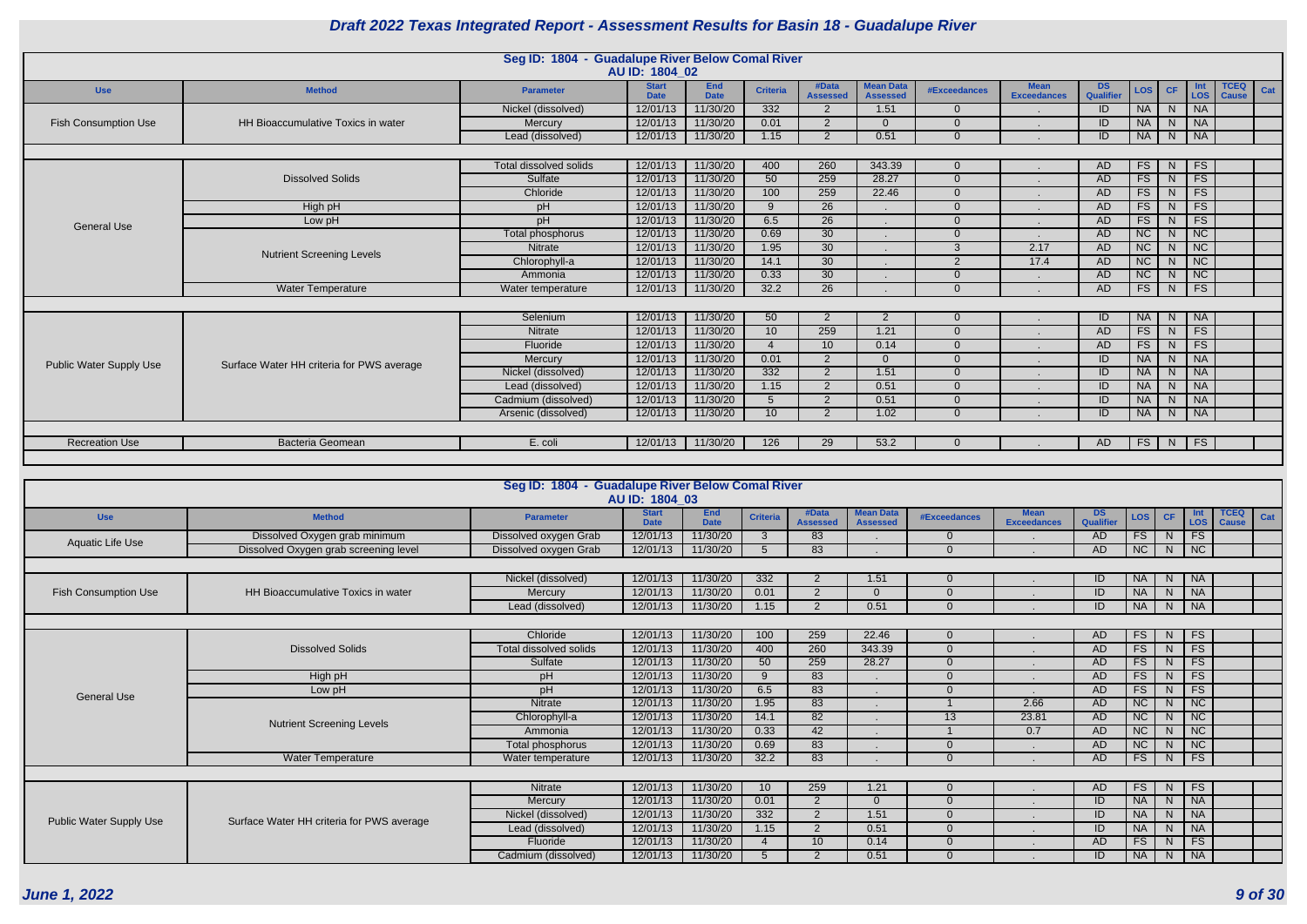|                                                                                                                                                                                                                                                                                                                                                                                         |                                           | Seg ID: 1804 - Guadalupe River Below Comal River |                             |                           |                 |                          |                                     |                     |                                   |                        |                        |                |                 |                             |     |
|-----------------------------------------------------------------------------------------------------------------------------------------------------------------------------------------------------------------------------------------------------------------------------------------------------------------------------------------------------------------------------------------|-------------------------------------------|--------------------------------------------------|-----------------------------|---------------------------|-----------------|--------------------------|-------------------------------------|---------------------|-----------------------------------|------------------------|------------------------|----------------|-----------------|-----------------------------|-----|
|                                                                                                                                                                                                                                                                                                                                                                                         |                                           |                                                  | AU ID: 1804 02              |                           |                 |                          |                                     |                     |                                   |                        |                        |                |                 |                             |     |
| <b>Use</b>                                                                                                                                                                                                                                                                                                                                                                              | <b>Method</b>                             | <b>Parameter</b>                                 | <b>Start</b><br><b>Date</b> | <b>End</b><br><b>Date</b> | <b>Criteria</b> | #Data<br><b>Assessed</b> | <b>Mean Data</b><br><b>Assessed</b> | <b>#Exceedances</b> | <b>Mean</b><br><b>Exceedances</b> | DS<br><b>Qualifier</b> | <b>LOS</b>             | <b>CF</b>      | LOS             | <b>TCEQ</b><br><b>Cause</b> | Cat |
|                                                                                                                                                                                                                                                                                                                                                                                         |                                           | Nickel (dissolved)                               | 12/01/13                    | 11/30/20                  | 332             | 2                        | 1.51                                | $\overline{0}$      |                                   | ID                     | <b>NA</b>              | N              | <b>NA</b>       |                             |     |
| <b>Fish Consumption Use</b>                                                                                                                                                                                                                                                                                                                                                             | HH Bioaccumulative Toxics in water        | Mercury                                          | 12/01/13                    | 11/30/20                  | 0.01            | $\overline{2}$           | $\Omega$                            | $\Omega$            |                                   | ID                     | <b>NA</b>              | N.             | <b>NA</b>       |                             |     |
|                                                                                                                                                                                                                                                                                                                                                                                         |                                           | Lead (dissolved)                                 | 12/01/13                    | 11/30/20                  | 1.15            | $\mathcal{D}$            | 0.51                                | $\Omega$            |                                   | ID                     | <b>NA</b>              | N              | <b>NA</b>       |                             |     |
|                                                                                                                                                                                                                                                                                                                                                                                         |                                           |                                                  |                             |                           |                 |                          |                                     |                     |                                   |                        |                        |                |                 |                             |     |
|                                                                                                                                                                                                                                                                                                                                                                                         |                                           | Total dissolved solids                           | 12/01/13                    | 11/30/20                  | 400             | 260                      | 343.39                              | $\overline{0}$      |                                   | AD                     | <b>FS</b>              | <sup>N</sup>   | <b>FS</b>       |                             |     |
|                                                                                                                                                                                                                                                                                                                                                                                         | <b>Dissolved Solids</b>                   | Sulfate                                          | 12/01/13                    | 11/30/20                  | 50              | 259                      | 28.27                               | $\Omega$            |                                   | AD                     | FS                     | N              | FS              |                             |     |
| FS<br>Chloride<br>12/01/13<br>11/30/20<br>100<br>259<br>AD<br>22.46<br>$\Omega$<br>11/30/20<br>26<br><b>FS</b><br>High pH<br>12/01/13<br>AD<br>pH<br>9<br>$\Omega$<br>6.5<br>$\overline{26}$<br>FS<br>pH<br>12/01/13<br>11/30/20<br><b>AD</b><br>Low pH<br>$\Omega$<br><b>General Use</b><br>11/30/20<br>0.69<br>30<br><b>NC</b><br>12/01/13<br>AD<br>Total phosphorus<br>$\Omega$<br>3 |                                           | N                                                | FS                          |                           |                 |                          |                                     |                     |                                   |                        |                        |                |                 |                             |     |
|                                                                                                                                                                                                                                                                                                                                                                                         |                                           |                                                  |                             |                           |                 |                          |                                     |                     |                                   |                        |                        | N              | FS              |                             |     |
|                                                                                                                                                                                                                                                                                                                                                                                         |                                           |                                                  |                             |                           |                 |                          |                                     |                     |                                   |                        |                        | N              | FS              |                             |     |
|                                                                                                                                                                                                                                                                                                                                                                                         |                                           |                                                  |                             |                           |                 |                          |                                     |                     |                                   |                        |                        | N              | <b>NC</b>       |                             |     |
|                                                                                                                                                                                                                                                                                                                                                                                         | <b>Nutrient Screening Levels</b>          | Nitrate                                          | 12/01/13                    | 11/30/20                  | 1.95            | $\overline{30}$          |                                     |                     | 2.17                              | <b>AD</b>              | $\overline{\text{NC}}$ | N.             | $\overline{NC}$ |                             |     |
|                                                                                                                                                                                                                                                                                                                                                                                         |                                           | Chlorophyll-a                                    | 12/01/13                    | 11/30/20                  | 14.1            | 30                       |                                     | 2                   | 17.4                              | AD                     | <b>NC</b>              | <sup>N</sup>   | NC              |                             |     |
|                                                                                                                                                                                                                                                                                                                                                                                         |                                           | Ammonia                                          | 12/01/13                    | 11/30/20                  | 0.33            | 30                       |                                     | $\Omega$            |                                   | AD                     | <b>NC</b>              | N.             | NC              |                             |     |
|                                                                                                                                                                                                                                                                                                                                                                                         | <b>Water Temperature</b>                  | Water temperature                                | 12/01/13                    | 11/30/20                  | 32.2            | $\overline{26}$          |                                     | $\Omega$            |                                   | <b>AD</b>              | FS                     | N.             | FS              |                             |     |
|                                                                                                                                                                                                                                                                                                                                                                                         |                                           |                                                  |                             |                           |                 |                          |                                     |                     |                                   |                        |                        |                |                 |                             |     |
|                                                                                                                                                                                                                                                                                                                                                                                         |                                           | Selenium                                         | 12/01/13                    | 11/30/20                  | 50              | $\overline{2}$           | 2                                   | $\overline{0}$      |                                   | ID                     | <b>NA</b>              | N              | <b>NA</b>       |                             |     |
|                                                                                                                                                                                                                                                                                                                                                                                         |                                           | Nitrate                                          | 12/01/13                    | 11/30/20                  | 10 <sup>°</sup> | 259                      | 1.21                                | $\overline{0}$      |                                   | AD                     | <b>FS</b>              | N              | FS              |                             |     |
|                                                                                                                                                                                                                                                                                                                                                                                         |                                           | Fluoride                                         | 12/01/13                    | 11/30/20                  | $\overline{4}$  | 10 <sup>°</sup>          | 0.14                                | $\Omega$            |                                   | AD                     | FS                     | N              | FS              |                             |     |
| <b>Public Water Supply Use</b>                                                                                                                                                                                                                                                                                                                                                          | Surface Water HH criteria for PWS average | Mercury                                          | 12/01/13                    | 11/30/20                  | 0.01            | $\overline{2}$           | $\Omega$                            | $\overline{0}$      |                                   | ID                     | <b>NA</b>              | N <sub>1</sub> | <b>NA</b>       |                             |     |
|                                                                                                                                                                                                                                                                                                                                                                                         |                                           | Nickel (dissolved)                               | 12/01/13                    | 11/30/20                  | 332             | 2                        | 1.51                                | $\overline{0}$      |                                   | ID                     | <b>NA</b>              | N              | <b>NA</b>       |                             |     |
|                                                                                                                                                                                                                                                                                                                                                                                         |                                           | Lead (dissolved)                                 | 12/01/13                    | 11/30/20                  | 1.15            | $\overline{2}$           | 0.51                                | $\Omega$            |                                   | ID                     | <b>NA</b>              | N.             | <b>NA</b>       |                             |     |
|                                                                                                                                                                                                                                                                                                                                                                                         |                                           | Cadmium (dissolved)                              | 12/01/13                    | 11/30/20                  | $5^{\circ}$     | $\overline{2}$           | 0.51                                | $\Omega$            |                                   | ID                     | <b>NA</b>              | N              | <b>NA</b>       |                             |     |
|                                                                                                                                                                                                                                                                                                                                                                                         |                                           | Arsenic (dissolved)                              | 12/01/13                    | 11/30/20                  | 10 <sup>°</sup> | $\overline{2}$           | 1.02                                | $\overline{0}$      |                                   | ID                     | <b>NA</b>              | N              | <b>NA</b>       |                             |     |
|                                                                                                                                                                                                                                                                                                                                                                                         |                                           |                                                  |                             |                           |                 |                          |                                     |                     |                                   |                        |                        |                |                 |                             |     |
| <b>Recreation Use</b>                                                                                                                                                                                                                                                                                                                                                                   | <b>Bacteria Geomean</b>                   | E. coli                                          | 12/01/13                    | 11/30/20                  | 126             | 29                       | 53.2                                | $\Omega$            |                                   | AD.                    | FS                     | N              | <b>FS</b>       |                             |     |
|                                                                                                                                                                                                                                                                                                                                                                                         |                                           |                                                  |                             |                           |                 |                          |                                     |                     |                                   |                        |                        |                |                 |                             |     |

|                                |                                           | Seg ID: 1804 - Guadalupe River Below Comal River | AU ID: 1804 03              |                           |                  |                          |                                     |              |                                   |                  |            |           |                   |                             |     |
|--------------------------------|-------------------------------------------|--------------------------------------------------|-----------------------------|---------------------------|------------------|--------------------------|-------------------------------------|--------------|-----------------------------------|------------------|------------|-----------|-------------------|-----------------------------|-----|
| <b>Use</b>                     | <b>Method</b>                             | <b>Parameter</b>                                 | <b>Start</b><br><b>Date</b> | <b>End</b><br><b>Date</b> | <b>Criteria</b>  | #Data<br><b>Assessed</b> | <b>Mean Data</b><br><b>Assessed</b> | #Exceedances | <b>Mean</b><br><b>Exceedances</b> | DS.<br>Qualifier | <b>LOS</b> | <b>CF</b> | <b>Int</b><br>LOS | <b>TCEQ</b><br><b>Cause</b> | Cat |
| <b>Aquatic Life Use</b>        | Dissolved Oxygen grab minimum             | Dissolved oxygen Grab                            | 12/01/13                    | 11/30/20                  | $\mathcal{B}$    | 83                       |                                     |              |                                   | AD               | <b>FS</b>  | N.        | <b>FS</b>         |                             |     |
|                                | Dissolved Oxygen grab screening level     | Dissolved oxygen Grab                            | 12/01/13                    | 11/30/20                  |                  | 83                       |                                     |              |                                   | AD               | NC         | N         | NC                |                             |     |
|                                |                                           |                                                  |                             |                           |                  |                          |                                     |              |                                   |                  |            |           |                   |                             |     |
|                                |                                           | Nickel (dissolved)                               | 12/01/13                    | 11/30/20                  | $\overline{332}$ | 2                        | 1.51                                |              |                                   |                  | <b>NA</b>  | N         | <b>NA</b>         |                             |     |
| <b>Fish Consumption Use</b>    | <b>HH Bioaccumulative Toxics in water</b> | Mercury                                          | 12/01/13                    | 11/30/20                  | 0.01             | 2                        |                                     |              |                                   | ID               | <b>NA</b>  | N.        | <b>NA</b>         |                             |     |
|                                |                                           | Lead (dissolved)                                 | 12/01/13                    | 11/30/20                  | 1.15             | 2                        | 0.51                                |              |                                   | ID               | <b>NA</b>  | N         | <b>NA</b>         |                             |     |
|                                |                                           |                                                  |                             |                           |                  |                          |                                     |              |                                   |                  |            |           |                   |                             |     |
|                                |                                           | Chloride                                         | 12/01/13                    | 11/30/20                  | 100              | 259                      | 22.46                               |              |                                   | AD.              | <b>FS</b>  | N         | <b>FS</b>         |                             |     |
|                                | <b>Dissolved Solids</b>                   | Total dissolved solids                           | 12/01/13                    | 11/30/20                  | 400              | 260                      | 343.39                              |              |                                   | <b>AD</b>        | FS         | N         | <b>FS</b>         |                             |     |
|                                |                                           | Sulfate                                          | 12/01/13                    | 11/30/20                  | 50               | 259                      | 28.27                               |              |                                   | AD               | FS         | N         | FS                |                             |     |
|                                | High pH                                   | pH                                               | 12/01/13                    | 11/30/20                  | 9                | 83                       |                                     |              |                                   | AD               | <b>FS</b>  | N.        | <b>FS</b>         |                             |     |
| <b>General Use</b>             | Low pH                                    | pH                                               | 12/01/13                    | 11/30/20                  | 6.5              | 83                       |                                     |              |                                   | <b>AD</b>        | FS         | N.        | FS                |                             |     |
|                                |                                           | <b>Nitrate</b>                                   | 12/01/13                    | 11/30/20                  | 1.95             | 83                       |                                     |              | 2.66                              | AD               | NC         | N         | N                 |                             |     |
|                                | <b>Nutrient Screening Levels</b>          | Chlorophyll-a                                    | 12/01/13                    | 11/30/20                  | 14.1             | 82                       |                                     | 13           | 23.81                             | AD               | NC         | N.        | NC                |                             |     |
|                                |                                           | Ammonia                                          | 12/01/13                    | 11/30/20                  | 0.33             | 42                       |                                     |              | 0.7                               | <b>AD</b>        | NC         | N.        | NC                |                             |     |
|                                |                                           | Total phosphorus                                 | 12/01/13                    | 11/30/20                  | 0.69             | 83                       |                                     |              |                                   | <b>AD</b>        | NC         | N.        | NC                |                             |     |
|                                | <b>Water Temperature</b>                  | Water temperature                                | 12/01/13                    | 11/30/20                  | 32.2             | 83                       |                                     |              |                                   | <b>AD</b>        | FS         | N         | FS                |                             |     |
|                                |                                           |                                                  |                             |                           |                  |                          |                                     |              |                                   |                  |            |           |                   |                             |     |
|                                |                                           | <b>Nitrate</b>                                   | 12/01/13                    | 11/30/20                  | 10 <sup>°</sup>  | 259                      | 1.21                                |              |                                   | <b>AD</b>        | FS         | N         | <b>FS</b>         |                             |     |
|                                |                                           | Mercury                                          | 12/01/13                    | 11/30/20                  | 0.01             | 2                        | $\Omega$                            |              |                                   | ID               | <b>NA</b>  | N         | <b>NA</b>         |                             |     |
| <b>Public Water Supply Use</b> | Surface Water HH criteria for PWS average | Nickel (dissolved)                               | 12/01/13                    | 11/30/20                  | $\overline{332}$ | $\overline{2}$           | 1.51                                |              |                                   | ID               | NA         | N         | NA                |                             |     |
|                                |                                           | Lead (dissolved)                                 | 12/01/13                    | 11/30/20                  | 1.15             | $2^{\circ}$              | 0.51                                |              |                                   | ID               | <b>NA</b>  |           | N NA              |                             |     |
|                                |                                           | Fluoride                                         | 12/01/13                    | 11/30/20                  |                  | 10 <sup>°</sup>          | 0.14                                |              |                                   | <b>AD</b>        | <b>FS</b>  | N.        | <b>FS</b>         |                             |     |
|                                |                                           | Cadmium (dissolved)                              | 12/01/13                    | 11/30/20                  |                  | 2                        | 0.51                                |              |                                   | ID               | <b>NA</b>  | N.        | <b>NA</b>         |                             |     |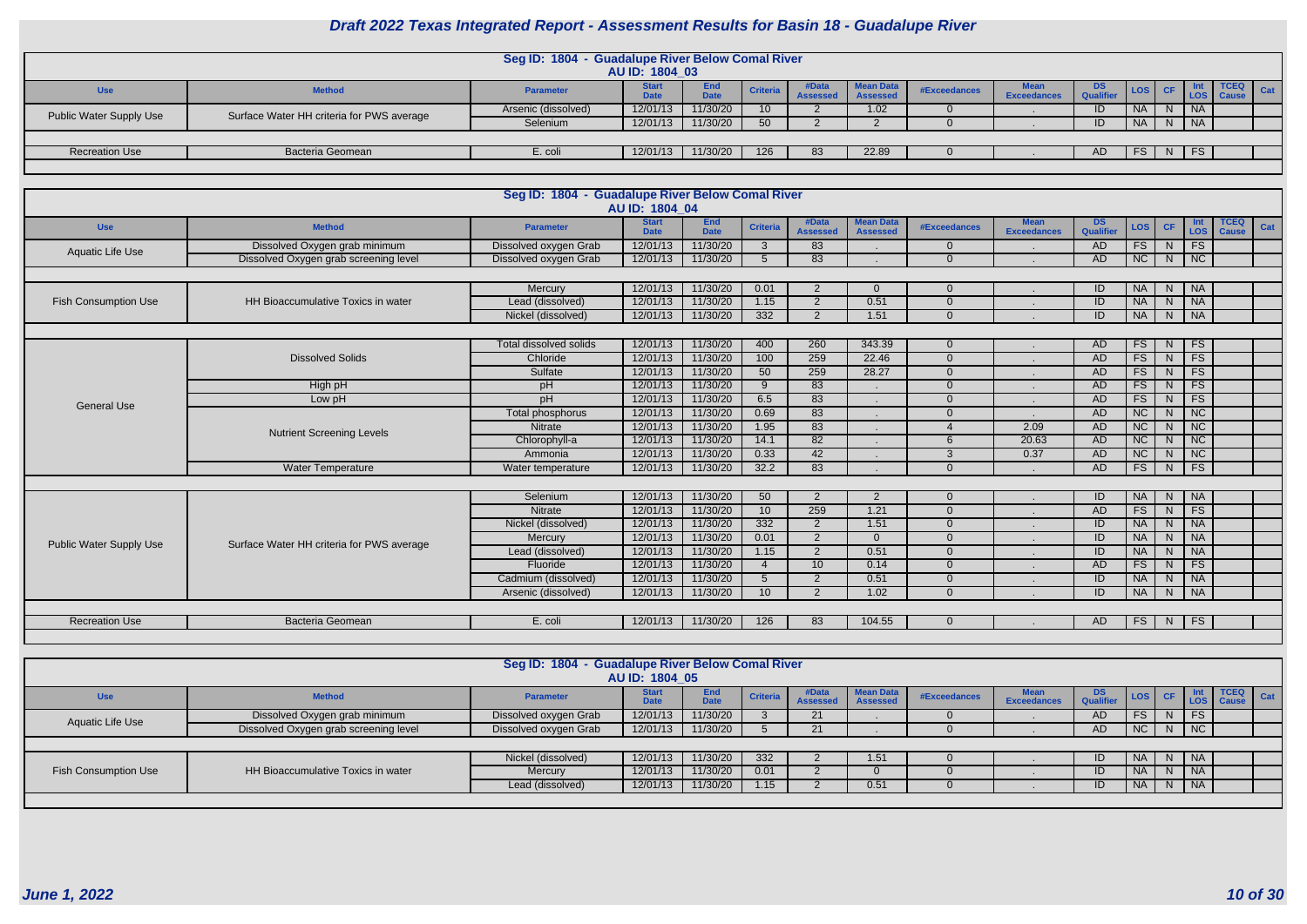|                                |                                           | Seg ID: 1804 - Guadalupe River Below Comal River | <b>AU ID: 1804 03</b>       |                    |                 |                          |                                |              |                     |                 |           |                |           |              |  |
|--------------------------------|-------------------------------------------|--------------------------------------------------|-----------------------------|--------------------|-----------------|--------------------------|--------------------------------|--------------|---------------------|-----------------|-----------|----------------|-----------|--------------|--|
| <b>Use</b>                     | <b>Method</b>                             | <b>Parameter</b>                                 | <b>Start</b><br><b>Date</b> | End<br><b>Date</b> | <b>Criteria</b> | #Data<br><b>Assessed</b> | 1 Mean Data<br><b>Assessed</b> | #Exceedances | Mean<br>Exceedances | DS<br>Qualifier | LOS       | CF             |           | $TCEQ$ $Cat$ |  |
| <b>Public Water Supply Use</b> | Surface Water HH criteria for PWS average | Arsenic (dissolved)                              | 12/01/13                    | 11/30/20           |                 |                          | 1.02                           |              |                     |                 | <b>NA</b> | <sup>N</sup>   | <b>NA</b> |              |  |
|                                |                                           | Selenium                                         | 12/01/13                    | 11/30/20           | 50 <sub>1</sub> |                          |                                |              |                     | ID              | <b>NA</b> | N <sub>1</sub> | <b>NA</b> |              |  |
|                                |                                           |                                                  |                             |                    |                 |                          |                                |              |                     |                 |           |                |           |              |  |
| <b>Recreation Use</b>          | <b>Bacteria Geomean</b>                   | E. coli                                          | 12/01/13                    | 11/30/20           | 126             |                          | 22.89                          |              |                     | AD              | FS        |                | $N$   FS  |              |  |
|                                |                                           |                                                  |                             |                    |                 |                          |                                |              |                     |                 |           |                |           |              |  |

|                                |                                           | Seg ID: 1804 - Guadalupe River Below Comal River | AU ID: 1804 04              |                           |                          |                          |                                     |              |                                   |                        |                 |                |                             |                             |     |
|--------------------------------|-------------------------------------------|--------------------------------------------------|-----------------------------|---------------------------|--------------------------|--------------------------|-------------------------------------|--------------|-----------------------------------|------------------------|-----------------|----------------|-----------------------------|-----------------------------|-----|
| <b>Use</b>                     | <b>Method</b>                             | <b>Parameter</b>                                 | <b>Start</b><br><b>Date</b> | <b>End</b><br><b>Date</b> | <b>Criteria</b>          | #Data<br><b>Assessed</b> | <b>Mean Data</b><br><b>Assessed</b> | #Exceedances | <b>Mean</b><br><b>Exceedances</b> | <b>DS</b><br>Qualifier | LOS             | <b>CF</b>      | <b>Int</b><br>LOS           | <b>TCEQ</b><br><b>Cause</b> | Cat |
| <b>Aquatic Life Use</b>        | Dissolved Oxygen grab minimum             | Dissolved oxygen Grab                            | 12/01/13                    | 11/30/20                  | $\mathbf{3}$             | 83                       |                                     | $\Omega$     |                                   | <b>AD</b>              | FS              | N.             | <b>FS</b>                   |                             |     |
|                                | Dissolved Oxygen grab screening level     | Dissolved oxygen Grab                            | 12/01/13                    | 11/30/20                  | $5^{\circ}$              | 83                       |                                     | $\Omega$     |                                   | AD                     | NC              | N              | NC                          |                             |     |
|                                |                                           |                                                  |                             |                           |                          |                          |                                     |              |                                   |                        |                 |                |                             |                             |     |
|                                |                                           | Mercury                                          | 12/01/13                    | 11/30/20                  | 0.01                     | 2                        | $\Omega$                            | $\Omega$     |                                   | ID                     | <b>NA</b>       | N              | <b>NA</b>                   |                             |     |
| <b>Fish Consumption Use</b>    | HH Bioaccumulative Toxics in water        | Lead (dissolved)                                 | 12/01/13                    | 11/30/20                  | 1.15                     | 2                        | 0.51                                | $\Omega$     |                                   | ID                     | <b>NA</b>       | N              | <b>NA</b>                   |                             |     |
|                                |                                           | Nickel (dissolved)                               | 12/01/13                    | 11/30/20                  | $\overline{332}$         | $\overline{2}$           | 1.51                                | $\Omega$     |                                   | ID                     | <b>NA</b>       | N              | $\overline{\phantom{a}}$ NA |                             |     |
|                                |                                           |                                                  |                             |                           |                          |                          |                                     |              |                                   |                        |                 |                |                             |                             |     |
|                                |                                           | <b>Total dissolved solids</b>                    | 12/01/13                    | 11/30/20                  | 400                      | 260                      | 343.39                              | $\Omega$     |                                   | <b>AD</b>              | FS              | N              | <b>FS</b>                   |                             |     |
|                                | <b>Dissolved Solids</b>                   | Chloride                                         | 12/01/13                    | 11/30/20                  | 100                      | 259                      | 22.46                               | $\Omega$     |                                   | <b>AD</b>              | FS              | N              | FS                          |                             |     |
|                                |                                           | Sulfate                                          | 12/01/13                    | 11/30/20                  | 50                       | 259                      | 28.27                               | $\Omega$     |                                   | <b>AD</b>              | FS              | $\overline{N}$ | FS                          |                             |     |
|                                | High pH                                   | pH                                               | 12/01/13                    | 11/30/20                  | 9                        | 83                       |                                     | $\Omega$     |                                   | <b>AD</b>              | FS              | N              | FS                          |                             |     |
| <b>General Use</b>             | Low pH                                    | pH                                               | 12/01/13                    | 11/30/20                  | 6.5                      | 83                       |                                     | $\Omega$     |                                   | <b>AD</b>              | FS              | N.             | FS                          |                             |     |
|                                |                                           | Total phosphorus                                 | 12/01/13                    | 11/30/20                  | 0.69                     | 83                       |                                     | $\Omega$     |                                   | <b>AD</b>              | NC              | N.             | NC                          |                             |     |
|                                | <b>Nutrient Screening Levels</b>          | Nitrate                                          | 12/01/13                    | 11/30/20                  | 1.95                     | 83                       |                                     |              | 2.09                              | <b>AD</b>              | $\overline{NC}$ | N              | $\overline{NC}$             |                             |     |
|                                |                                           | Chlorophyll-a                                    | 12/01/13                    | 11/30/20                  | 14.1                     | 82                       |                                     | 6            | 20.63                             | AD                     | NC              | N.             | NC                          |                             |     |
|                                |                                           | Ammonia                                          | 12/01/13                    | 11/30/20                  | 0.33                     | 42                       |                                     | 3            | 0.37                              | <b>AD</b>              | NC              | N              | $\overline{\text{NC}}$      |                             |     |
|                                | <b>Water Temperature</b>                  | Water temperature                                | 12/01/13                    | 11/30/20                  | 32.2                     | 83                       |                                     | $\Omega$     |                                   | AD                     | FS              | N              | FS                          |                             |     |
|                                |                                           |                                                  |                             |                           |                          |                          |                                     |              |                                   |                        |                 |                |                             |                             |     |
|                                |                                           | Selenium                                         | 12/01/13                    | 11/30/20                  | 50                       | $\overline{2}$           | $\overline{2}$                      | $\Omega$     |                                   | ID                     | <b>NA</b>       | N              | <b>NA</b>                   |                             |     |
|                                |                                           | <b>Nitrate</b>                                   | 12/01/13                    | 11/30/20                  | 10                       | 259                      | 1.21                                | $\Omega$     |                                   | <b>AD</b>              | FS              | N              | FS                          |                             |     |
|                                |                                           | Nickel (dissolved)                               | 12/01/13                    | 11/30/20                  | $\overline{332}$         | $\overline{2}$           | 1.51                                | $\Omega$     |                                   | ID                     | <b>NA</b>       | $\overline{N}$ | <b>NA</b>                   |                             |     |
| <b>Public Water Supply Use</b> | Surface Water HH criteria for PWS average | Mercury                                          | 12/01/13                    | 11/30/20                  | 0.01                     | 2                        | $\Omega$                            | $\Omega$     |                                   | ID                     | <b>NA</b>       | N.             | <b>NA</b>                   |                             |     |
|                                |                                           | Lead (dissolved)                                 | 12/01/13                    | 11/30/20                  | 1.15                     | 2                        | 0.51                                | $\Omega$     |                                   | ID                     | <b>NA</b>       | N              | <b>NA</b>                   |                             |     |
|                                |                                           | Fluoride                                         | 12/01/13                    | 11/30/20                  | $\boldsymbol{\varDelta}$ | 10                       | 0.14                                | $\Omega$     |                                   | <b>AD</b>              | FS              | N.             | FS                          |                             |     |
|                                |                                           | Cadmium (dissolved)                              | 12/01/13                    | 11/30/20                  | 5                        | 2                        | 0.51                                | $\Omega$     |                                   | ID                     | <b>NA</b>       | N              | <b>NA</b>                   |                             |     |
|                                |                                           | Arsenic (dissolved)                              | 12/01/13                    | 11/30/20                  | 10                       | 2                        | 1.02                                | $\Omega$     |                                   | ID                     | <b>NA</b>       | N.             | <b>NA</b>                   |                             |     |
|                                |                                           |                                                  |                             |                           |                          |                          |                                     |              |                                   |                        |                 |                |                             |                             |     |
| <b>Recreation Use</b>          | <b>Bacteria Geomean</b>                   | E. coli                                          | 12/01/13                    | 11/30/20                  | 126                      | 83                       | 104.55                              | $\Omega$     |                                   | AD                     | FS              | N              | <b>FS</b>                   |                             |     |
|                                |                                           |                                                  |                             |                           |                          |                          |                                     |              |                                   |                        |                 |                |                             |                             |     |

|                      |                                       | Seg ID: 1804 - Guadalupe River Below Comal River | AU ID: 1804 05              |                    |                 |                          |                                     |              |                                   |                 |           |    |                             |                                 |     |
|----------------------|---------------------------------------|--------------------------------------------------|-----------------------------|--------------------|-----------------|--------------------------|-------------------------------------|--------------|-----------------------------------|-----------------|-----------|----|-----------------------------|---------------------------------|-----|
| <b>Use</b>           | <b>Method</b>                         | <b>Parameter</b>                                 | <b>Start</b><br><b>Date</b> | End<br><b>Date</b> | <b>Criteria</b> | #Data<br><b>Assessed</b> | <b>Mean Data</b><br><b>Assessed</b> | #Exceedances | <b>Mean</b><br><b>Exceedances</b> | DS<br>Qualifier |           |    |                             | <b>TCEQ</b><br>LOS CF LOS Cause | Cat |
| Aquatic Life Use     | Dissolved Oxygen grab minimum         | Dissolved oxygen Grab                            | 12/01/13                    | 11/30/20           |                 | 21                       |                                     |              |                                   | AD              | FS        | N  | <b>FS</b>                   |                                 |     |
|                      | Dissolved Oxygen grab screening level | Dissolved oxygen Grab                            | 12/01/13                    | 11/30/20           |                 |                          |                                     |              |                                   | AD              | NC        |    | N   NC                      |                                 |     |
|                      |                                       |                                                  |                             |                    |                 |                          |                                     |              |                                   |                 |           |    |                             |                                 |     |
|                      |                                       | Nickel (dissolved)                               | 12/01/13                    | 11/30/20           | 332             |                          | 1.51                                |              |                                   | ID              | <b>NA</b> |    | N   NA                      |                                 |     |
| Fish Consumption Use | HH Bioaccumulative Toxics in water    | Mercury                                          | 12/01/13                    | 11/30/20           | 0.01            |                          |                                     |              |                                   | ID              | <b>NA</b> | N. | $\overline{\phantom{a}}$ NA |                                 |     |
|                      |                                       | Lead (dissolved)                                 | 12/01/13                    | 11/30/20           | .15             |                          | 0.51                                |              |                                   | ID              | <b>NA</b> |    | N   NA                      |                                 |     |
|                      |                                       |                                                  |                             |                    |                 |                          |                                     |              |                                   |                 |           |    |                             |                                 |     |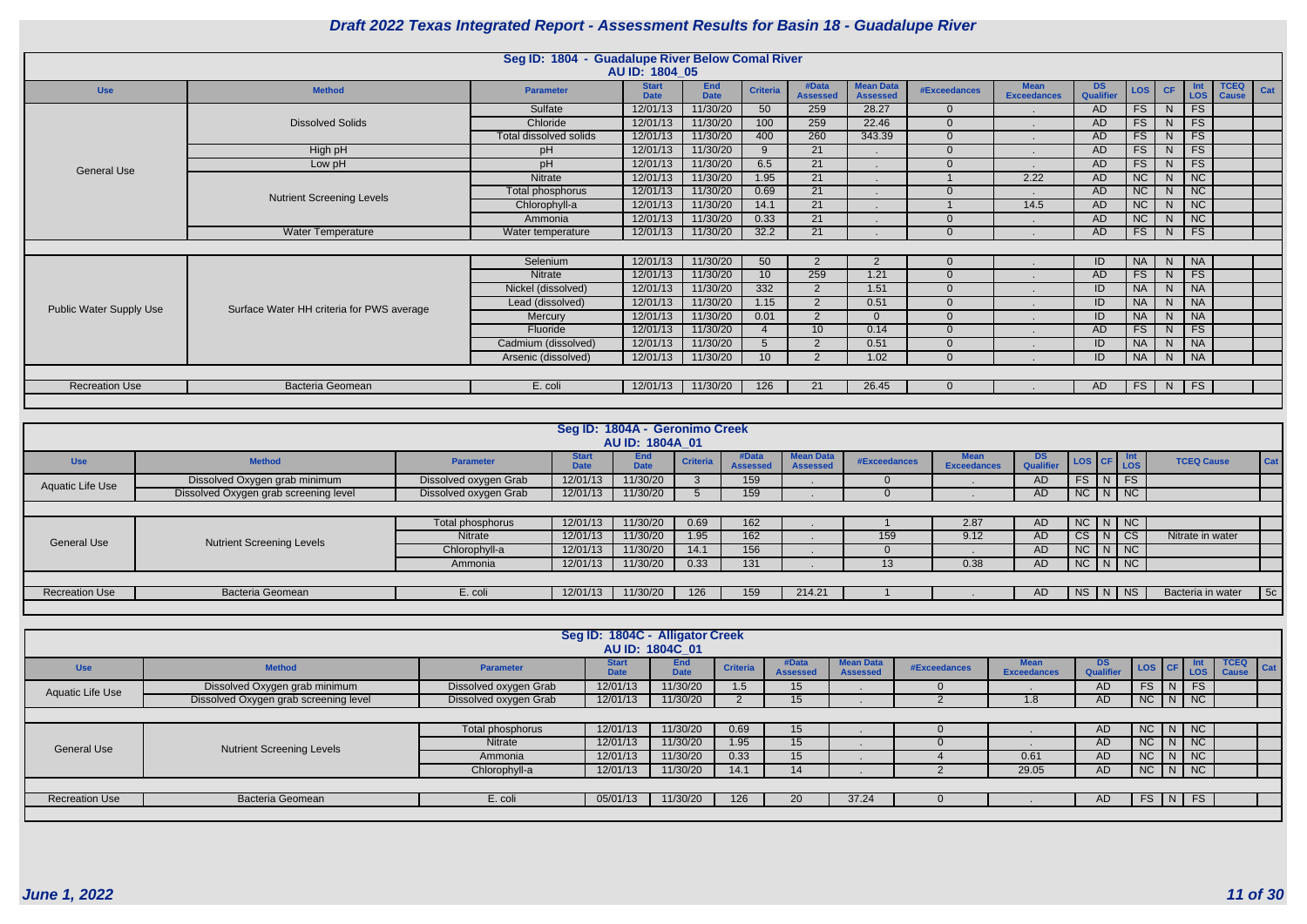|                                |                                           | Seg ID: 1804 - Guadalupe River Below Comal River | AU ID: 1804 05              |                           |                 |                          |                                     |                     |                                   |                               |            |           |                             |                             |     |
|--------------------------------|-------------------------------------------|--------------------------------------------------|-----------------------------|---------------------------|-----------------|--------------------------|-------------------------------------|---------------------|-----------------------------------|-------------------------------|------------|-----------|-----------------------------|-----------------------------|-----|
| <b>Use</b>                     | <b>Method</b>                             | <b>Parameter</b>                                 | <b>Start</b><br><b>Date</b> | <b>End</b><br><b>Date</b> | <b>Criteria</b> | #Data<br><b>Assessed</b> | <b>Mean Data</b><br><b>Assessed</b> | <b>#Exceedances</b> | <b>Mean</b><br><b>Exceedances</b> | <b>DS</b><br><b>Qualifier</b> | <b>LOS</b> | <b>CF</b> | <b>Int</b><br><b>LOS</b>    | <b>TCEQ</b><br><b>Cause</b> | Cat |
|                                |                                           | Sulfate                                          | 12/01/13                    | 11/30/20                  | 50              | 259                      | 28.27                               | $\Omega$            |                                   | AD                            | FS         | N         | FS                          |                             |     |
|                                | <b>Dissolved Solids</b>                   | Chloride                                         | 12/01/13                    | 11/30/20                  | 100             | 259                      | 22.46                               |                     |                                   | <b>AD</b>                     | <b>FS</b>  | N.        | <b>FS</b>                   |                             |     |
|                                |                                           | Total dissolved solids                           | 12/01/13                    | 11/30/20                  | 400             | 260                      | 343.39                              | $\Omega$            |                                   | AD                            | FS         | N.        | FS                          |                             |     |
|                                | High pH                                   | pH                                               | 12/01/13                    | 11/30/20                  | 9               | 21                       |                                     |                     |                                   | AD                            | FS         | N         | <b>FS</b>                   |                             |     |
| <b>General Use</b>             | Low pH                                    | pH                                               | 12/01/13                    | 11/30/20                  | 6.5             | $\overline{21}$          |                                     |                     |                                   | <b>AD</b>                     | FS         | N         | FS                          |                             |     |
|                                |                                           | Nitrate                                          | 12/01/13                    | 11/30/20                  | 1.95            | 21                       |                                     |                     | 2.22                              | <b>AD</b>                     | NC         | N         | $\overline{\big }$ NC       |                             |     |
|                                | <b>Nutrient Screening Levels</b>          | Total phosphorus                                 | 12/01/13                    | 11/30/20                  | 0.69            | $\overline{21}$          |                                     |                     |                                   | AD                            | NC         | N         | $\overline{\big }$ NC       |                             |     |
|                                |                                           | Chlorophyll-a                                    | 12/01/13                    | 11/30/20                  | 14.1            | 21                       | . .                                 |                     | 14.5                              | <b>AD</b>                     | NC         | N.        | $\overline{\phantom{a}}$ NC |                             |     |
|                                |                                           | Ammonia                                          | 12/01/13                    | 11/30/20                  | 0.33            | 21                       |                                     |                     |                                   | AD                            | <b>NC</b>  | N         | $\overline{\phantom{a}}$ NC |                             |     |
|                                | <b>Water Temperature</b>                  | Water temperature                                | 12/01/13                    | 11/30/20                  | 32.2            | 21                       |                                     |                     |                                   | AD                            | FS         | N         | FS                          |                             |     |
|                                |                                           |                                                  |                             |                           |                 |                          |                                     |                     |                                   |                               |            |           |                             |                             |     |
|                                |                                           | Selenium                                         | 12/01/13                    | 11/30/20                  | 50              | 2                        | 2                                   | $\Omega$            |                                   | ID                            | <b>NA</b>  | N.        | $\vert$ NA                  |                             |     |
|                                |                                           | Nitrate                                          | 12/01/13                    | 11/30/20                  | 10 <sup>°</sup> | 259                      | 1.21                                |                     |                                   | AD                            | FS         | N.        | FS                          |                             |     |
|                                |                                           | Nickel (dissolved)                               | 12/01/13                    | 11/30/20                  | 332             | 2                        | 1.51                                |                     |                                   | ID                            | <b>NA</b>  | N         | $\overline{NA}$             |                             |     |
|                                | Surface Water HH criteria for PWS average | Lead (dissolved)                                 | 12/01/13                    | 11/30/20                  | 1.15            | 2                        | 0.51                                | $\Omega$            |                                   | ID                            | <b>NA</b>  | N.        | $\overline{\big }$ NA       |                             |     |
| <b>Public Water Supply Use</b> |                                           | Mercury                                          | 12/01/13                    | 11/30/20                  | 0.01            | 2                        | $\Omega$                            | $\Omega$            |                                   | ID                            | <b>NA</b>  | N.        | $\overline{\big }$ NA       |                             |     |
|                                |                                           | Fluoride                                         | 12/01/13                    | 11/30/20                  |                 | 10 <sup>°</sup>          | 0.14                                | $\Omega$            |                                   | <b>AD</b>                     | FS         | N         | FS                          |                             |     |
|                                |                                           | Cadmium (dissolved)                              | 12/01/13                    | 11/30/20                  |                 | 2                        | 0.51                                |                     |                                   | ID                            | <b>NA</b>  | N.        | $\overline{\phantom{a}}$ NA |                             |     |
|                                |                                           | Arsenic (dissolved)                              | 12/01/13                    | 11/30/20                  | 10 <sup>°</sup> | 2                        | 1.02                                |                     |                                   | ID                            | <b>NA</b>  | N         | $\overline{\big }$ NA       |                             |     |
|                                |                                           |                                                  |                             |                           |                 |                          |                                     |                     |                                   |                               |            |           |                             |                             |     |
| <b>Recreation Use</b>          | <b>Bacteria Geomean</b>                   | E. coli                                          | 12/01/13                    | 11/30/20                  | 126             | 21                       | 26.45                               |                     |                                   | AD.                           | FS         | N         | FS                          |                             |     |
|                                |                                           |                                                  |                             |                           |                 |                          |                                     |                     |                                   |                               |            |           |                             |                             |     |

|                       |                                       |                       |                             | Seg ID: 1804A - Geronimo Creek |                 |                          |                                     |              |                                   |                               |                                                            |                       |                   |     |
|-----------------------|---------------------------------------|-----------------------|-----------------------------|--------------------------------|-----------------|--------------------------|-------------------------------------|--------------|-----------------------------------|-------------------------------|------------------------------------------------------------|-----------------------|-------------------|-----|
|                       |                                       |                       |                             | AU ID: 1804A 01                |                 |                          |                                     |              |                                   |                               |                                                            |                       |                   |     |
| <b>Use</b>            | <b>Method</b>                         | <b>Parameter</b>      | <b>Start</b><br><b>Date</b> | End<br><b>Date</b>             | <b>Criteria</b> | #Data<br><b>Assessed</b> | <b>Mean Data</b><br><b>Assessed</b> | #Exceedances | <b>Mean</b><br><b>Exceedances</b> | <b>DS</b><br><b>Qualifier</b> | $\left  \text{Los} \right $ CF $\left  \text{Los} \right $ | Int                   | <b>TCEQ Cause</b> | Cat |
| Aquatic Life Use      | Dissolved Oxygen grab minimum         | Dissolved oxygen Grab | 12/01/13                    | 11/30/20                       |                 | 159                      |                                     | $\Omega$     |                                   | <b>AD</b>                     | $FS$ $N$ $FS$                                              |                       |                   |     |
|                       | Dissolved Oxygen grab screening level | Dissolved oxygen Grab | 12/01/13                    | 11/30/20                       |                 | 159                      |                                     |              |                                   | <b>AD</b>                     | $NC$ $N$ $NC$                                              |                       |                   |     |
|                       |                                       |                       |                             |                                |                 |                          |                                     |              |                                   |                               |                                                            |                       |                   |     |
|                       |                                       | Total phosphorus      | 12/01/13                    | 11/30/20                       | 0.69            | 162                      |                                     |              | 2.87                              | <b>AD</b>                     | $NC$ $N$ $NC$                                              |                       |                   |     |
| <b>General Use</b>    | <b>Nutrient Screening Levels</b>      | <b>Nitrate</b>        | 12/01/13                    | 11/30/20                       | 1.95            | 162                      |                                     | 159          | 9.12                              | <b>AD</b>                     | <b>CS</b>                                                  | CS<br> N              | Nitrate in water  |     |
|                       |                                       | Chlorophyll-a         | 12/01/13                    | 11/30/20                       | 14.1            | 156                      |                                     |              |                                   | AD                            | $NC$ $N$ $NC$                                              |                       |                   |     |
|                       |                                       | Ammonia               | 12/01/13                    | 11/30/20                       | 0.33            | 131                      |                                     | 13           | 0.38                              | AD                            | $N$ C $N$ $N$                                              |                       |                   |     |
|                       |                                       |                       |                             |                                |                 |                          |                                     |              |                                   |                               |                                                            |                       |                   |     |
| <b>Recreation Use</b> | <b>Bacteria Geomean</b>               | E. coli               | 12/01/13                    | 11/30/20                       | 126             | 159                      | 214.21                              |              |                                   | AD                            | $ $ NS                                                     | $\overline{N}$<br>NS. | Bacteria in water | 5c  |
|                       |                                       |                       |                             |                                |                 |                          |                                     |              |                                   |                               |                                                            |                       |                   |     |

|                       |                                       |                       | Seg ID: 1804C - Alligator Creek | AU ID: 1804C 01           |                 |                          |                              |              |                            |                               |           |   |                    |                             |         |
|-----------------------|---------------------------------------|-----------------------|---------------------------------|---------------------------|-----------------|--------------------------|------------------------------|--------------|----------------------------|-------------------------------|-----------|---|--------------------|-----------------------------|---------|
| <b>Use</b>            | <b>Method</b>                         | <b>Parameter</b>      | <b>Start</b><br>Date            | <b>End</b><br><b>Date</b> | <b>Criteria</b> | #Data<br><b>Assessed</b> | lean Data<br><b>Assessed</b> | #Exceedances | Mean<br><b>Exceedances</b> | <b>DS</b><br><b>Qualifier</b> |           |   | LOS CF LOS         | <b>TCEQ</b><br><b>Cause</b> | $ $ Cat |
| Aquatic Life Use      | Dissolved Oxygen grab minimum         | Dissolved oxygen Grab | 12/01/13                        | 11/30/20                  | 1.5             | 15                       |                              |              |                            | AD.                           | <b>FS</b> | N | <b>FS</b>          |                             |         |
|                       | Dissolved Oxygen grab screening level | Dissolved oxygen Grab | 12/01/13                        | 11/30/20                  |                 | 15                       |                              |              | 1.8                        | AD                            |           |   | $N$ C $N$ $N$ $C$  |                             |         |
|                       |                                       |                       |                                 |                           |                 |                          |                              |              |                            |                               |           |   |                    |                             |         |
|                       |                                       | Total phosphorus      | 12/01/13                        | 11/30/20                  | 0.69            | 15                       |                              |              |                            | AD                            |           |   | $NC$ $N$ $NC$      |                             |         |
| <b>General Use</b>    | <b>Nutrient Screening Levels</b>      | Nitrate               | 12/01/13                        | 11/30/20                  | 1.95            | 15 <sup>15</sup>         |                              |              |                            | AD                            |           |   | NC N NC            |                             |         |
|                       |                                       | Ammonia               | 12/01/13                        | 11/30/20                  | 0.33            | 15                       |                              |              | 0.61                       | AD                            |           |   | $NC$ $N$ $NC$      |                             |         |
|                       |                                       | Chlorophyll-a         | 12/01/13                        | 11/30/20                  | 14.1            | 14                       |                              |              | 29.05                      | AD                            |           |   | $NC$ $N$ $NC$      |                             |         |
|                       |                                       |                       |                                 |                           |                 |                          |                              |              |                            |                               |           |   |                    |                             |         |
| <b>Recreation Use</b> | <b>Bacteria Geomean</b>               | E. coli               | 05/01/13                        | 11/30/20                  | 126             | 20                       | 37.24                        |              |                            | AD                            | FS.       |   | $\vert N \vert$ FS |                             |         |
|                       |                                       |                       |                                 |                           |                 |                          |                              |              |                            |                               |           |   |                    |                             |         |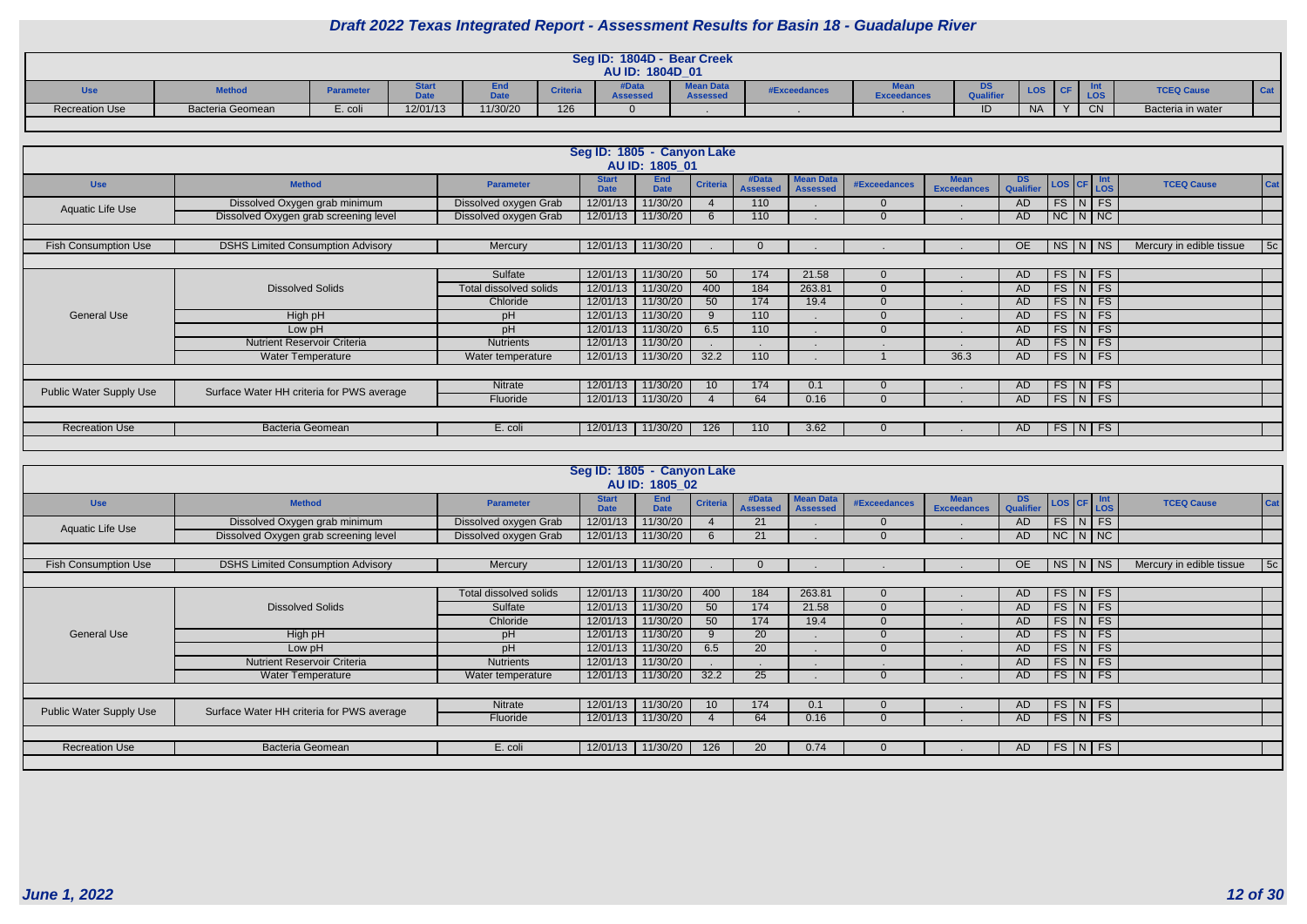|                       |                  |                  |          |                             |                 | Seg ID: 1804D - Bear Creek |                                     |              |                                    |                        |            |           |    |                   |                 |
|-----------------------|------------------|------------------|----------|-----------------------------|-----------------|----------------------------|-------------------------------------|--------------|------------------------------------|------------------------|------------|-----------|----|-------------------|-----------------|
|                       |                  |                  |          |                             |                 | AU ID: 1804D_01            |                                     |              |                                    |                        |            |           |    |                   |                 |
| <b>Use</b>            | <b>Method</b>    | <b>Parameter</b> | itart    | <u>End</u><br>ستعبث<br>pale | <b>Criteria</b> | #Data<br><b>\ssessed</b>   | <b>Mean Data</b><br><b>Assessed</b> | #Exceedances | <b>Meal.</b><br><b>Exceedances</b> | <b>DS</b><br>Qualifier | <b>LOS</b> |           |    | <b>TCEQ Cause</b> | <sup>1</sup> Ca |
| <b>Recreation Use</b> | Bacteria Geomean | $\bar{c}$ . coli | 12/01/13 | 11/30/20                    | 126             |                            |                                     |              |                                    | ID                     | <b>NA</b>  | $\lambda$ | CN | Bacteria in water |                 |

|                                |                                           |                        | Seg ID: 1805 - Canyon Lake  | AU ID: 1805 01            |                 |                          |                                     |              |                                   |                        |                         |            |                          |     |
|--------------------------------|-------------------------------------------|------------------------|-----------------------------|---------------------------|-----------------|--------------------------|-------------------------------------|--------------|-----------------------------------|------------------------|-------------------------|------------|--------------------------|-----|
| <b>Use</b>                     | <b>Method</b>                             | <b>Parameter</b>       | <b>Start</b><br><b>Date</b> | <b>End</b><br><b>Date</b> | <b>Criteria</b> | #Data<br><b>Assessed</b> | <b>Mean Data</b><br><b>Assessed</b> | #Exceedances | <b>Mean</b><br><b>Exceedances</b> | <b>DS</b><br>Qualifier | LOS CF                  | Int<br>LOS | <b>TCEQ Cause</b>        | Cat |
|                                | Dissolved Oxygen grab minimum             | Dissolved oxygen Grab  | 12/01/13                    | 11/30/20                  |                 | 110                      |                                     |              |                                   | <b>AD</b>              | $FS\mid N \mid FS$      |            |                          |     |
| Aquatic Life Use               | Dissolved Oxygen grab screening level     | Dissolved oxygen Grab  | 12/01/13                    | 11/30/20                  |                 | 110                      |                                     |              |                                   | AD                     | $NC$ $N$ $NC$           |            |                          |     |
|                                |                                           |                        |                             |                           |                 |                          |                                     |              |                                   |                        |                         |            |                          |     |
| <b>Fish Consumption Use</b>    | <b>DSHS Limited Consumption Advisory</b>  | Mercury                | 12/01/13                    | 11/30/20                  |                 | $\Omega$                 |                                     |              |                                   | OE                     | NS N NS                 |            | Mercury in edible tissue | 5c  |
|                                |                                           |                        |                             |                           |                 |                          |                                     |              |                                   |                        |                         |            |                          |     |
|                                |                                           | Sulfate                | 12/01/13                    | 11/30/20                  | 50              | 174                      | 21.58                               |              |                                   | AD                     | FS N FS                 |            |                          |     |
|                                | <b>Dissolved Solids</b>                   | Total dissolved solids | 12/01/13                    | 11/30/20                  | 400             | 184                      | 263.81                              |              |                                   | <b>AD</b>              | FS N FS                 |            |                          |     |
|                                |                                           | Chloride               | 12/01/13                    | 11/30/20                  | 50              | 174                      | 19.4                                |              |                                   | <b>AD</b>              | $FS\vert N \vert FS$    |            |                          |     |
| <b>General Use</b>             | High pH                                   | pH                     | 12/01/13                    | 11/30/20                  | $\mathbf{Q}$    | 110                      |                                     |              |                                   | <b>AD</b>              | $FS$ $N$ $FS$           |            |                          |     |
|                                | Low pH                                    | pH                     | 12/01/13                    | 11/30/20                  | 6.5             | 110                      |                                     |              |                                   | <b>AD</b>              | $FS\vert N \vert FS$    |            |                          |     |
|                                | <b>Nutrient Reservoir Criteria</b>        | <b>Nutrients</b>       | 12/01/13                    | 11/30/20                  |                 |                          |                                     |              |                                   | <b>AD</b>              | FS N FS                 |            |                          |     |
|                                | <b>Water Temperature</b>                  | Water temperature      | 12/01/13                    | 11/30/20                  | 32.2            | 110                      |                                     |              | 36.3                              | AD                     | $FS\vert N \vert FS$    |            |                          |     |
|                                |                                           |                        |                             |                           |                 |                          |                                     |              |                                   |                        |                         |            |                          |     |
|                                |                                           | Nitrate                | 12/01/13                    | 11/30/20                  | 10              | 174                      | 0.1                                 |              |                                   | AD                     | FS N FS                 |            |                          |     |
| <b>Public Water Supply Use</b> | Surface Water HH criteria for PWS average | Fluoride               | 12/01/13                    | 11/30/20                  |                 | 64                       | 0.16                                |              |                                   | AD                     | $FS\mid N \mid FS \mid$ |            |                          |     |
|                                |                                           |                        |                             |                           |                 |                          |                                     |              |                                   |                        |                         |            |                          |     |
| <b>Recreation Use</b>          | <b>Bacteria Geomean</b>                   | E. coli                | 12/01/13                    | 11/30/20                  | 126             | 110                      | 3.62                                |              |                                   | AD                     | $FS\mid N \mid FS$      |            |                          |     |
|                                |                                           |                        |                             |                           |                 |                          |                                     |              |                                   |                        |                         |            |                          |     |

|                             |                                           |                        | Seg ID: 1805 - Canyon Lake  |                           |                 |                          |                                     |                |                                   |                  |                            |                          |     |
|-----------------------------|-------------------------------------------|------------------------|-----------------------------|---------------------------|-----------------|--------------------------|-------------------------------------|----------------|-----------------------------------|------------------|----------------------------|--------------------------|-----|
|                             |                                           |                        |                             | AU ID: 1805 02            |                 |                          |                                     |                |                                   |                  |                            |                          |     |
| <b>Use</b>                  | <b>Method</b>                             | <b>Parameter</b>       | <b>Start</b><br><b>Date</b> | <b>End</b><br><b>Date</b> | <b>Criteria</b> | #Data<br><b>Assessed</b> | <b>Mean Data</b><br><b>Assessed</b> | #Exceedances   | <b>Mean</b><br><b>Exceedances</b> | DS.<br>Qualifier | LOS CF Int                 | <b>TCEQ Cause</b>        | Cat |
| Aquatic Life Use            | Dissolved Oxygen grab minimum             | Dissolved oxygen Grab  | 12/01/13                    | 11/30/20                  |                 | 21                       |                                     | $\Omega$       |                                   | AD               | $FS$ $N$ $FS$              |                          |     |
|                             | Dissolved Oxygen grab screening level     | Dissolved oxygen Grab  | 12/01/13                    | 11/30/20                  |                 | 21                       |                                     | $\Omega$       |                                   | AD               | $NC$ $N$ $NC$              |                          |     |
|                             |                                           |                        |                             |                           |                 |                          |                                     |                |                                   |                  |                            |                          |     |
| <b>Fish Consumption Use</b> | <b>DSHS Limited Consumption Advisory</b>  | Mercury                |                             | 12/01/13 11/30/20         |                 |                          |                                     |                |                                   | <b>OE</b>        | NS   N   NS                | Mercury in edible tissue | 5c  |
|                             |                                           |                        |                             |                           |                 |                          |                                     |                |                                   |                  |                            |                          |     |
|                             |                                           | Total dissolved solids | 12/01/13                    | 11/30/20                  | 400             | 184                      | 263.81                              | $\Omega$       |                                   | AD               | $FS\vert N \vert FS \vert$ |                          |     |
|                             | <b>Dissolved Solids</b>                   | Sulfate                | 12/01/13                    | 11/30/20                  | 50              | 174                      | 21.58                               | $\Omega$       |                                   | AD               | $FS\vert N \vert FS \vert$ |                          |     |
|                             |                                           | Chloride               | 12/01/13                    | 11/30/20                  | 50              | 174                      | 19.4                                | $\Omega$       |                                   | AD               | $FS\vert N \vert FS \vert$ |                          |     |
| <b>General Use</b>          | High pH                                   | pH                     | 12/01/13                    | 11/30/20                  |                 | 20                       |                                     | $\Omega$       |                                   | AD               | $FS$ N FS                  |                          |     |
|                             | Low pH                                    | pH                     | 12/01/13                    | 11/30/20                  | 6.5             | 20                       |                                     | $\Omega$       |                                   | <b>AD</b>        | $FS\vert N \vert FS$       |                          |     |
|                             | <b>Nutrient Reservoir Criteria</b>        | <b>Nutrients</b>       | 12/01/13                    | 11/30/20                  |                 |                          |                                     |                |                                   | AD               | $FS\vert N \vert FS \vert$ |                          |     |
|                             | <b>Water Temperature</b>                  | Water temperature      | 12/01/13                    | 11/30/20                  | 32.2            | 25                       |                                     | $\Omega$       |                                   | AD               | $FS\mid N \mid FS \mid$    |                          |     |
|                             |                                           |                        |                             |                           |                 |                          |                                     |                |                                   |                  |                            |                          |     |
| Public Water Supply Use     | Surface Water HH criteria for PWS average | Nitrate                | 12/01/13                    | 11/30/20                  | 10 <sup>°</sup> | 174                      | 0.1                                 | $\overline{0}$ |                                   | AD               | $FS\vert N \vert FS$       |                          |     |
|                             |                                           | Fluoride               | 12/01/13                    | 11/30/20                  |                 | 64                       | 0.16                                | $\Omega$       |                                   | AD               | $FS\vert N \vert FS$       |                          |     |
|                             |                                           |                        |                             |                           |                 |                          |                                     |                |                                   |                  |                            |                          |     |
| <b>Recreation Use</b>       | Bacteria Geomean                          | E. coli                | 12/01/13                    | 11/30/20                  | 126             | 20                       | 0.74                                | $\Omega$       |                                   | AD               | $FS\mid N \mid FS \mid$    |                          |     |
|                             |                                           |                        |                             |                           |                 |                          |                                     |                |                                   |                  |                            |                          |     |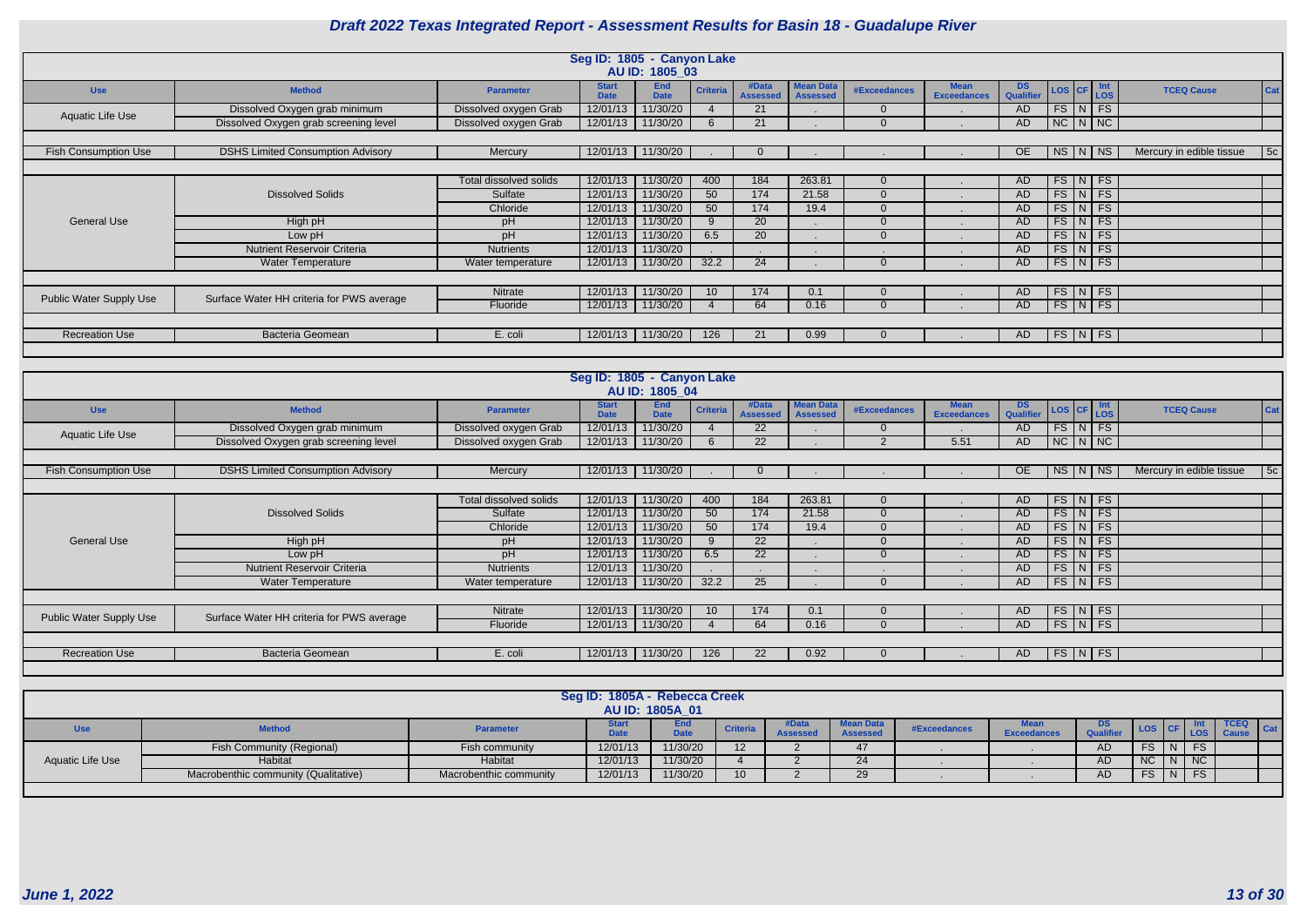|                                |                                           |                        | Seg ID: 1805 - Canyon Lake  |                           |                 |                          |                                     |              |                                   |                         |                                                                |                          |     |
|--------------------------------|-------------------------------------------|------------------------|-----------------------------|---------------------------|-----------------|--------------------------|-------------------------------------|--------------|-----------------------------------|-------------------------|----------------------------------------------------------------|--------------------------|-----|
|                                |                                           |                        |                             | AU ID: 1805_03            |                 |                          |                                     |              |                                   |                         |                                                                |                          |     |
| <b>Use</b>                     | <b>Method</b>                             | <b>Parameter</b>       | <b>Start</b><br><b>Date</b> | <b>End</b><br><b>Date</b> | <b>Criteria</b> | #Data<br><b>Assessed</b> | <b>Mean Data</b><br><b>Assessed</b> | #Exceedances | <b>Mean</b><br><b>Exceedances</b> | DS.<br><b>Qualifier</b> | $\vert$ Int<br>$\vert$ LOS<br>$\vert$ LOS $\vert$ CF $\vert$ , | <b>TCEQ Cause</b>        | Cat |
| Aquatic Life Use               | Dissolved Oxygen grab minimum             | Dissolved oxygen Grab  | 12/01/13                    | 11/30/20                  |                 | 21                       |                                     | $\Omega$     |                                   | <b>AD</b>               | $FS\vert N \vert FS$                                           |                          |     |
|                                | Dissolved Oxygen grab screening level     | Dissolved oxygen Grab  | 12/01/13                    | 11/30/20                  | 6               | 21                       |                                     | $\Omega$     |                                   | <b>AD</b>               | $NC$ $N$ $NC$                                                  |                          |     |
|                                |                                           |                        |                             |                           |                 |                          |                                     |              |                                   |                         |                                                                |                          |     |
| <b>Fish Consumption Use</b>    | <b>DSHS Limited Consumption Advisory</b>  | Mercury                | 12/01/13                    | 11/30/20                  |                 |                          |                                     |              |                                   | <b>OE</b>               | <b>NS</b><br>NS   N                                            | Mercury in edible tissue | 5c  |
|                                |                                           |                        |                             |                           |                 |                          |                                     |              |                                   |                         |                                                                |                          |     |
|                                |                                           | Total dissolved solids | 12/01/13                    | 11/30/20                  | 400             | 184                      | 263.81                              | $\Omega$     |                                   | AD                      | $FS\vert N \vert FS$                                           |                          |     |
|                                | <b>Dissolved Solids</b>                   | Sulfate                | 12/01/13                    | 11/30/20                  | 50              | 174                      | 21.58                               | $\Omega$     |                                   | AD                      | $FS\mid N \mid FS$                                             |                          |     |
|                                |                                           | Chloride               | 12/01/13                    | 11/30/20                  | 50              | 174                      | 19.4                                | $\Omega$     |                                   | <b>AD</b>               | $FS$ $N$ $FS$                                                  |                          |     |
| General Use                    | High pH                                   | pH                     | 12/01/13                    | 11/30/20                  | $\mathbf{Q}$    | 20                       |                                     | $\Omega$     |                                   | <b>AD</b>               | $FS\vert N \vert FS$                                           |                          |     |
|                                | Low pH                                    | pH                     | 12/01/13                    | 11/30/20                  | 6.5             | 20                       |                                     | $\Omega$     |                                   | AD                      | $FS\vert N \vert FS$                                           |                          |     |
|                                | <b>Nutrient Reservoir Criteria</b>        | <b>Nutrients</b>       | 12/01/13                    | 11/30/20                  |                 |                          |                                     |              |                                   | <b>AD</b>               | $FS\mid N \mid FS$                                             |                          |     |
|                                | <b>Water Temperature</b>                  | Water temperature      | 12/01/13                    | 11/30/20                  | 32.2            | 24                       |                                     | $\Omega$     |                                   | <b>AD</b>               | $FS$ $N$ $FS$                                                  |                          |     |
|                                |                                           |                        |                             |                           |                 |                          |                                     |              |                                   |                         |                                                                |                          |     |
| <b>Public Water Supply Use</b> | Surface Water HH criteria for PWS average | Nitrate                | 12/01/13                    | 11/30/20                  | 10              | 174                      | 0.1                                 | $\Omega$     |                                   | AD                      | FS N FS                                                        |                          |     |
|                                |                                           | Fluoride               | 12/01/13                    | 11/30/20                  |                 | 64                       | 0.16                                | $\Omega$     |                                   | <b>AD</b>               | $FS\vert N \vert FS$                                           |                          |     |
|                                |                                           |                        |                             |                           |                 |                          |                                     |              |                                   |                         |                                                                |                          |     |
| <b>Recreation Use</b>          | <b>Bacteria Geomean</b>                   | E. coli                | 12/01/13                    | 11/30/20                  | 126             | 21                       | 0.99                                | $\Omega$     |                                   | AD.                     | FS N FS                                                        |                          |     |
|                                |                                           |                        |                             |                           |                 |                          |                                     |              |                                   |                         |                                                                |                          |     |

|                                |                                           |                        | Seg ID: 1805 - Canyon Lake  |                           |                 |                          |                                     |                     |                                   |                 |                                                                                                                       |           |                          |     |
|--------------------------------|-------------------------------------------|------------------------|-----------------------------|---------------------------|-----------------|--------------------------|-------------------------------------|---------------------|-----------------------------------|-----------------|-----------------------------------------------------------------------------------------------------------------------|-----------|--------------------------|-----|
|                                |                                           |                        |                             | AU ID: 1805 04            |                 |                          |                                     |                     |                                   |                 |                                                                                                                       |           |                          |     |
| <b>Use</b>                     | <b>Method</b>                             | <b>Parameter</b>       | <b>Start</b><br><b>Date</b> | <b>End</b><br><b>Date</b> | <b>Criteria</b> | #Data<br><b>Assessed</b> | <b>Mean Data</b><br><b>Assessed</b> | <b>#Exceedances</b> | <b>Mean</b><br><b>Exceedances</b> | DS<br>Qualifier | $\begin{array}{ c c c }\n\hline\n\text{LOS} & \text{CF} & \text{Int} \\ \hline\n\text{LOS} & \text{LOS}\n\end{array}$ |           | <b>TCEQ Cause</b>        | Cat |
| Aquatic Life Use               | Dissolved Oxygen grab minimum             | Dissolved oxygen Grab  | 12/01/13                    | 11/30/20                  |                 | <b>22</b>                |                                     | $\Omega$            |                                   | AD              | $FS$ $N$                                                                                                              | FS        |                          |     |
|                                | Dissolved Oxygen grab screening level     | Dissolved oxygen Grab  | 12/01/13                    | 11/30/20                  |                 | 22                       |                                     |                     | 5.51                              | <b>AD</b>       | $NC$ $N$ $NC$                                                                                                         |           |                          |     |
|                                |                                           |                        |                             |                           |                 |                          |                                     |                     |                                   |                 |                                                                                                                       |           |                          |     |
| <b>Fish Consumption Use</b>    | <b>DSHS Limited Consumption Advisory</b>  | Mercury                | 12/01/13                    | 11/30/20                  |                 |                          |                                     |                     |                                   | <b>OE</b>       | <b>NS</b><br>N                                                                                                        | <b>NS</b> | Mercury in edible tissue | 5c  |
|                                |                                           |                        |                             |                           |                 |                          |                                     |                     |                                   |                 |                                                                                                                       |           |                          |     |
|                                |                                           | Total dissolved solids | 12/01/13                    | 11/30/20                  | 400             | 184                      | 263.81                              | $\overline{0}$      |                                   | AD              | $FS\mid N \mid FS$                                                                                                    |           |                          |     |
|                                | <b>Dissolved Solids</b>                   | Sulfate                | 12/01/13                    | 11/30/20                  | 50              | 174                      | 21.58                               | $\Omega$            |                                   | <b>AD</b>       | $FS$ $N$                                                                                                              | <b>FS</b> |                          |     |
|                                |                                           | Chloride               | 12/01/13                    | 11/30/20                  | 50              | 174                      | 19.4                                | $\Omega$            |                                   | <b>AD</b>       | FS<br>N                                                                                                               | FS        |                          |     |
| <b>General Use</b>             | High pH                                   | pH                     | 12/01/13                    | 11/30/20                  |                 | 22                       |                                     | $\Omega$            |                                   | <b>AD</b>       | $FS$ $N$ $FS$                                                                                                         |           |                          |     |
|                                | Low pH                                    | pH                     | 12/01/13                    | 11/30/20                  | 6.5             | 22                       |                                     | $\Omega$            |                                   | <b>AD</b>       | FS N                                                                                                                  | FS        |                          |     |
|                                | <b>Nutrient Reservoir Criteria</b>        | <b>Nutrients</b>       | 12/01/13                    | 11/30/20                  |                 |                          |                                     |                     |                                   | <b>AD</b>       | FS<br>N                                                                                                               | FS        |                          |     |
|                                | <b>Water Temperature</b>                  | Water temperature      | 12/01/13                    | 11/30/20                  | 32.2            | 25                       |                                     | $\Omega$            |                                   | <b>AD</b>       | $FS$ $N$ $FS$                                                                                                         |           |                          |     |
|                                |                                           |                        |                             |                           |                 |                          |                                     |                     |                                   |                 |                                                                                                                       |           |                          |     |
| <b>Public Water Supply Use</b> | Surface Water HH criteria for PWS average | Nitrate                | 12/01/13                    | 11/30/20                  | 10 <sup>°</sup> | 174                      | 0.1                                 | $\Omega$            |                                   | AD              | $FS\vert N \vert FS$                                                                                                  |           |                          |     |
|                                |                                           | Fluoride               | 12/01/13                    | 11/30/20                  |                 | 64                       | 0.16                                |                     |                                   | <b>AD</b>       | $FS\vert N \vert$                                                                                                     | FS        |                          |     |
|                                |                                           |                        |                             |                           |                 |                          |                                     |                     |                                   |                 |                                                                                                                       |           |                          |     |
| <b>Recreation Use</b>          | Bacteria Geomean                          | E. coli                | 12/01/13                    | 11/30/20                  | 126             | <b>22</b>                | 0.92                                | $\Omega$            |                                   | AD.             | FS N                                                                                                                  | <b>FS</b> |                          |     |
|                                |                                           |                        |                             |                           |                 |                          |                                     |                     |                                   |                 |                                                                                                                       |           |                          |     |

|                  |                                      |                        | Seg ID: 1805A - Rebecca Creek |                    |                 |                         |                                     |              |                    |    |                   |  |     |
|------------------|--------------------------------------|------------------------|-------------------------------|--------------------|-----------------|-------------------------|-------------------------------------|--------------|--------------------|----|-------------------|--|-----|
|                  |                                      |                        |                               | AU ID: 1805A 01    |                 |                         |                                     |              |                    |    |                   |  |     |
| <b>Jse</b>       | <b>Method</b>                        | <b>Parameter</b>       | 7.4.                          | End<br><b>Data</b> | <b>Criteria</b> | #Data<br><b>Assesse</b> | <b>Mean Data</b><br><b>Assessed</b> | #Exceedances | <b>Exceedances</b> | DS |                   |  | Cat |
|                  | <b>Fish Community (Regional)</b>     | Fish community         | 12/01/13                      | 11/30/20           |                 |                         | 47                                  |              |                    | AD | $\sqrt{N}$ FS     |  |     |
| Aquatic Life Use | Habitat                              | Habitat                | 12/01/13                      | 11/30/20           |                 |                         | 24                                  |              |                    | AD | $NC$   $N$   $NC$ |  |     |
|                  | Macrobenthic community (Qualitative) | Macrobenthic community | 12/01/13                      | 11/30/20           |                 |                         | 20<br>20                            |              |                    | AD | $\sqrt{N}$ FS     |  |     |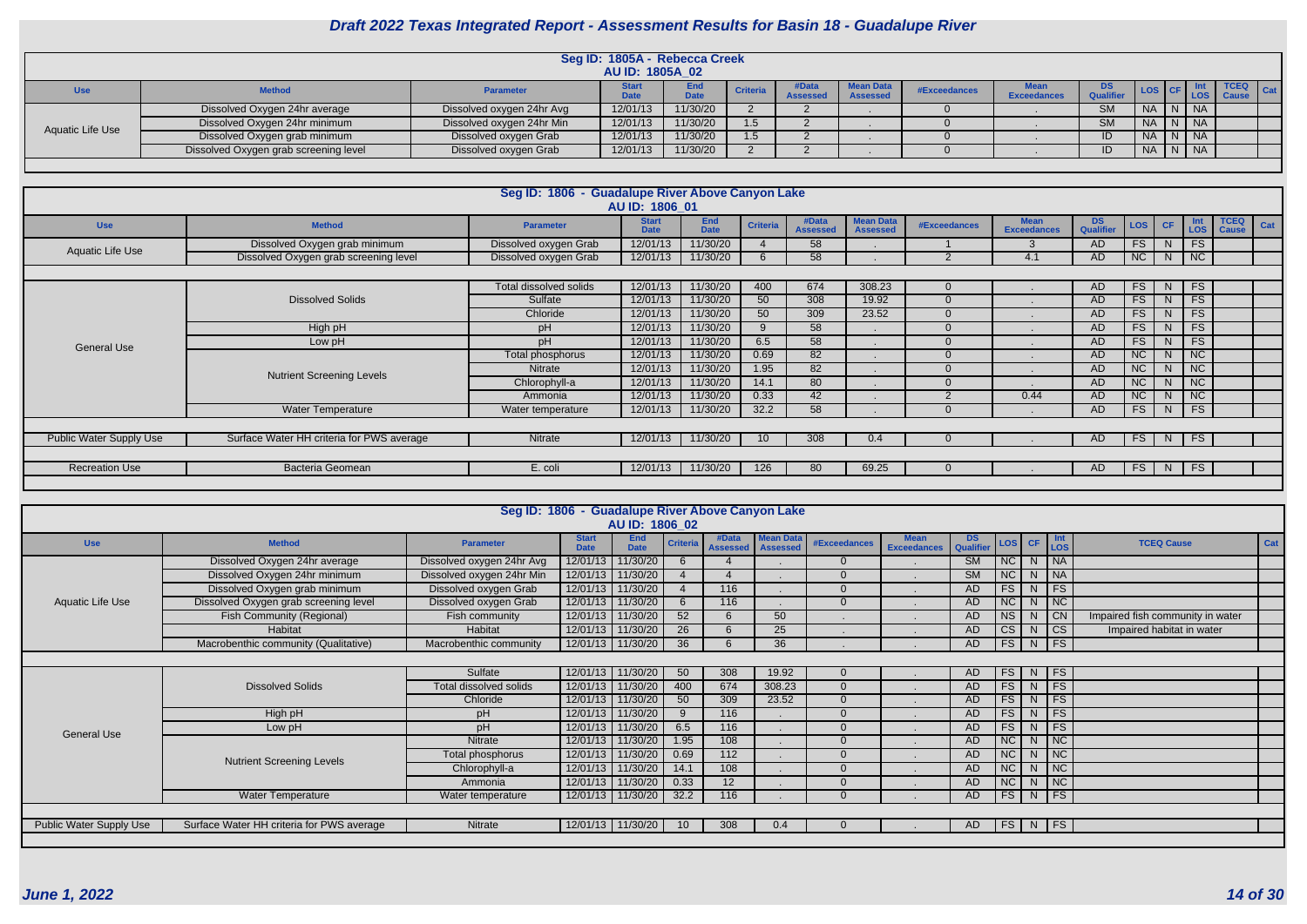| <b>Use</b>                                                                                                                                                                                                                                                                                                                                                                                   | <b>Method</b>                 | <b>Parameter</b>          |          | End<br>Date | <b>Criteria</b> | #Data<br><b>Assessed</b> | <b>Mean Data</b><br><b>Assessed</b> | #Exceedances | <b>Exceedances</b> | DS.<br><b>Qualifie</b> |        | <b>LOS</b> | <b>TCEQ</b> | $\vert$ Cat |
|----------------------------------------------------------------------------------------------------------------------------------------------------------------------------------------------------------------------------------------------------------------------------------------------------------------------------------------------------------------------------------------------|-------------------------------|---------------------------|----------|-------------|-----------------|--------------------------|-------------------------------------|--------------|--------------------|------------------------|--------|------------|-------------|-------------|
|                                                                                                                                                                                                                                                                                                                                                                                              | Dissolved Oxygen 24hr average | Dissolved oxygen 24hr Avg | 12/01/13 | 11/30/20    |                 |                          |                                     |              |                    | <b>SM</b>              |        |            |             |             |
| <b>AU ID: 1805A 02</b><br><b>LOS CF</b><br>NA N NA<br>11/30/20<br>12/01/13<br>$N_A N_N$<br>Dissolved Oxygen 24hr minimum<br><b>SM</b><br>Dissolved oxygen 24hr Min<br>1.5<br>Aquatic Life Use<br>11/30/20<br>Dissolved Oxygen grab minimum<br>12/01/13<br>Dissolved oxygen Grab<br>1.5<br>ID<br>11/30/20<br>12/01/13<br>Dissolved Oxygen grab screening level<br>Dissolved oxygen Grab<br>ID |                               |                           |          |             |                 |                          |                                     |              |                    |                        |        |            |             |             |
|                                                                                                                                                                                                                                                                                                                                                                                              | Seg ID: 1805A - Rebecca Creek |                           |          |             | NA N NA         |                          |                                     |              |                    |                        |        |            |             |             |
|                                                                                                                                                                                                                                                                                                                                                                                              |                               |                           |          |             |                 |                          |                                     |              |                    |                        | NAN NA |            |             |             |
|                                                                                                                                                                                                                                                                                                                                                                                              |                               |                           |          |             |                 |                          |                                     |              |                    |                        |        |            |             |             |

|                                                                                                                                                     |                                           | Seg ID: 1806 - Guadalupe River Above Canyon Lake |                             |                           |                 |                          |                                     |              |                                   |                 |           |           |                   |                             |     |
|-----------------------------------------------------------------------------------------------------------------------------------------------------|-------------------------------------------|--------------------------------------------------|-----------------------------|---------------------------|-----------------|--------------------------|-------------------------------------|--------------|-----------------------------------|-----------------|-----------|-----------|-------------------|-----------------------------|-----|
|                                                                                                                                                     |                                           |                                                  | AU ID: 1806 01              |                           |                 |                          |                                     |              |                                   |                 |           |           |                   |                             |     |
| <b>Use</b>                                                                                                                                          | <b>Method</b>                             | <b>Parameter</b>                                 | <b>Start</b><br><b>Date</b> | <b>End</b><br><b>Date</b> | <b>Criteria</b> | #Data<br><b>Assessed</b> | <b>Mean Data</b><br><b>Assessed</b> | #Exceedances | <b>Mean</b><br><b>Exceedances</b> | DS<br>Qualifier | LOS       | <b>CF</b> | <b>Int</b><br>LOS | <b>TCEQ</b><br><b>Cause</b> | Cat |
| Aquatic Life Use                                                                                                                                    | Dissolved Oxygen grab minimum             | Dissolved oxygen Grab                            | 12/01/13                    | 11/30/20                  |                 | 58                       |                                     |              |                                   | AD              | <b>FS</b> | N         | <b>FS</b>         |                             |     |
|                                                                                                                                                     | Dissolved Oxygen grab screening level     | Dissolved oxygen Grab                            | 12/01/13                    | 11/30/20                  | 6               | 58                       |                                     |              | 4.1                               | AD.             | NC        | N         | NC                |                             |     |
|                                                                                                                                                     |                                           |                                                  |                             |                           |                 |                          |                                     |              |                                   |                 |           |           |                   |                             |     |
|                                                                                                                                                     |                                           | Total dissolved solids                           | 12/01/13                    | 11/30/20                  | 400             | 674                      | 308.23                              |              |                                   | AD.             | FS        | N         | FS.               |                             |     |
|                                                                                                                                                     | <b>Dissolved Solids</b>                   | Sulfate                                          | 12/01/13                    | 11/30/20                  | 50              | 308                      | 19.92                               |              |                                   | <b>AD</b>       | FS        | N         | <b>FS</b>         |                             |     |
|                                                                                                                                                     |                                           | Chloride                                         | 12/01/13                    | 11/30/20                  | 50              | 309                      | 23.52                               |              |                                   | AD.             | <b>FS</b> | N         | <b>FS</b>         |                             |     |
|                                                                                                                                                     | High pH                                   | pH                                               | 12/01/13                    | 11/30/20                  |                 | 58                       |                                     |              |                                   | AD.             | FS        | N         | FS.               |                             |     |
|                                                                                                                                                     | Low pH                                    | pH                                               | 12/01/13                    | 11/30/20                  | 6.5             | 58                       |                                     |              |                                   | AD.             | FS        | N.        | <b>FS</b>         |                             |     |
|                                                                                                                                                     |                                           | Total phosphorus                                 | 12/01/13                    | 11/30/20                  | 0.69            | 82                       |                                     |              |                                   | AD.             | <b>NC</b> | N.        | $\overline{NC}$   |                             |     |
|                                                                                                                                                     |                                           | <b>Nitrate</b>                                   | 12/01/13                    | 11/30/20                  | 1.95            | 82                       |                                     |              |                                   | AD.             | NC        | N         | NC                |                             |     |
|                                                                                                                                                     |                                           | Chlorophyll-a                                    | 12/01/13                    | 11/30/20                  | 14.1            | 80                       |                                     |              |                                   | AD.             | NC        | N         | NC                |                             |     |
|                                                                                                                                                     |                                           | Ammonia                                          | 12/01/13                    | 11/30/20                  | 0.33            | 42                       |                                     |              | 0.44                              | <b>AD</b>       | NC        | N.        | NC                |                             |     |
|                                                                                                                                                     | <b>Water Temperature</b>                  | Water temperature                                | 12/01/13                    | 11/30/20                  | 32.2            | 58                       |                                     |              |                                   | AD.             | <b>FS</b> | N.        | <b>FS</b>         |                             |     |
|                                                                                                                                                     |                                           |                                                  |                             |                           |                 |                          |                                     |              |                                   |                 |           |           |                   |                             |     |
| Public Water Supply Use                                                                                                                             | Surface Water HH criteria for PWS average | Nitrate                                          | 12/01/13                    | 11/30/20                  | 10 <sup>°</sup> | 308                      | 0.4                                 |              |                                   | AD.             | <b>FS</b> | N         | <b>FS</b>         |                             |     |
| <b>General Use</b><br><b>Nutrient Screening Levels</b><br>Bacteria Geomean<br><b>Recreation Use</b><br>E. coli<br>12/01/13<br>11/30/20<br>126<br>80 |                                           |                                                  |                             |                           |                 |                          |                                     |              |                                   |                 |           |           |                   |                             |     |
|                                                                                                                                                     |                                           |                                                  |                             |                           |                 |                          | 69.25                               |              |                                   | AD.             | <b>FS</b> | N.        | <b>FS</b>         |                             |     |
|                                                                                                                                                     |                                           |                                                  |                             |                           |                 |                          |                                     |              |                                   |                 |           |           |                   |                             |     |

| AU ID: 1806 02<br>#Data<br><b>Mean Data</b><br><b>End</b><br><b>Start</b><br><b>Mean</b><br>DS.<br>Int<br>LOS CF<br><b>Criteria</b><br><b>Method</b><br><b>TCEQ Cause</b><br><b>Use</b><br><b>#Exceedances</b><br><b>Parameter</b><br>Qualifier<br><b>LOS</b><br><b>Date</b><br><b>Exceedances</b><br><b>Date</b><br><b>Assessed</b><br><b>Assessed</b><br>NC<br>11/30/20<br>$\overline{\big \mathsf{NA}}$<br>Dissolved Oxygen 24hr average<br>Dissolved oxygen 24hr Avg<br>12/01/13<br>$\overline{\text{SM}}$<br>N<br>6<br>$\overline{NC}$<br>12/01/13 11/30/20<br>$\overline{\text{SM}}$<br>$\overline{\big }$ NA<br>Dissolved Oxygen 24hr minimum<br>Dissolved oxygen 24hr Min<br>N<br>FS<br>FS<br>12/01/13 11/30/20<br>Dissolved Oxygen grab minimum<br>Dissolved oxygen Grab<br>116<br><b>AD</b><br>N <sub>1</sub><br>$\overline{4}$<br>$\overline{\text{NC}}$<br>NC<br>Dissolved Oxygen grab screening level<br>12/01/13 11/30/20<br>Dissolved oxygen Grab<br>AD<br>6<br>116<br>Aquatic Life Use<br>N<br>52<br>NS<br>12/01/13 11/30/20<br>50<br>$\overline{C}N$<br>Fish Community (Regional)<br>AD<br>Impaired fish community in water<br>Fish community<br>N.<br>$\overline{\text{CS}}$<br>12/01/13 11/30/20<br>$\overline{\text{CS}}$<br>26<br>Habitat<br>25<br>AD<br>Impaired habitat in water<br>Habitat<br>N<br>FS<br>$\overline{\mathsf{FS}}$<br>12/01/13 11/30/20<br>36<br>Macrobenthic community (Qualitative)<br>36<br>Macrobenthic community<br>AD<br>N<br>12/01/13 11/30/20<br>Sulfate<br>308<br>FS<br>FS<br>50<br>19.92<br>N<br>AD<br>FS<br>FS<br>12/01/13 11/30/20<br>674<br><b>Dissolved Solids</b><br>Total dissolved solids<br>400<br>308.23<br>N<br>AD<br>$\Omega$<br>FS<br>FS<br>309<br>12/01/13 11/30/20<br>Chloride<br>50<br>23.52<br>AD<br>N <sub>1</sub><br>FS<br>FS<br>High pH<br>12/01/13 11/30/20<br>116<br>AD<br>pH<br>9<br>N<br>FS<br>FS<br>12/01/13 11/30/20<br>pH<br>6.5<br>116<br>AD<br>N<br>Low pH<br><b>General Use</b><br>NC<br>12/01/13 11/30/20<br>NC<br>Nitrate<br>1.95<br>108<br><b>AD</b><br>N.<br>$\overline{\text{NC}}$<br>12/01/13 11/30/20<br>NC<br>0.69<br>$\overline{112}$<br><b>AD</b><br>Total phosphorus<br>N.<br><b>Nutrient Screening Levels</b><br>108<br>NC<br>$\overline{\mathsf{NC}}$<br>12/01/13 11/30/20<br>Chlorophyll-a<br><b>AD</b><br>14.1<br>N.<br>$\overline{\text{NC}}$<br>12/01/13 11/30/20<br>NC<br>0.33<br>12 <sup>2</sup><br>AD<br>Ammonia<br>N.<br>FS<br>FS<br><b>Water Temperature</b><br>12/01/13 11/30/20<br>32.2<br>116<br><b>AD</b><br>N<br>Water temperature<br>$FS$ N<br>$\overline{\phantom{a}}$ FS<br><b>Public Water Supply Use</b><br>Surface Water HH criteria for PWS average<br>12/01/13 11/30/20<br>308<br>Nitrate<br>10 <sup>°</sup><br>0.4<br>AD. |  |  |  | Cat |  |  |  |  |  |  |
|---------------------------------------------------------------------------------------------------------------------------------------------------------------------------------------------------------------------------------------------------------------------------------------------------------------------------------------------------------------------------------------------------------------------------------------------------------------------------------------------------------------------------------------------------------------------------------------------------------------------------------------------------------------------------------------------------------------------------------------------------------------------------------------------------------------------------------------------------------------------------------------------------------------------------------------------------------------------------------------------------------------------------------------------------------------------------------------------------------------------------------------------------------------------------------------------------------------------------------------------------------------------------------------------------------------------------------------------------------------------------------------------------------------------------------------------------------------------------------------------------------------------------------------------------------------------------------------------------------------------------------------------------------------------------------------------------------------------------------------------------------------------------------------------------------------------------------------------------------------------------------------------------------------------------------------------------------------------------------------------------------------------------------------------------------------------------------------------------------------------------------------------------------------------------------------------------------------------------------------------------------------------------------------------------------------------------------------------------------------------------------------------------------------------------------------------------------------------------------------------------------------------------------------------------------------------------------------------------------------------------------------------------------------------------------------------------------------------------------------------|--|--|--|-----|--|--|--|--|--|--|
|                                                                                                                                                                                                                                                                                                                                                                                                                                                                                                                                                                                                                                                                                                                                                                                                                                                                                                                                                                                                                                                                                                                                                                                                                                                                                                                                                                                                                                                                                                                                                                                                                                                                                                                                                                                                                                                                                                                                                                                                                                                                                                                                                                                                                                                                                                                                                                                                                                                                                                                                                                                                                                                                                                                                             |  |  |  |     |  |  |  |  |  |  |
|                                                                                                                                                                                                                                                                                                                                                                                                                                                                                                                                                                                                                                                                                                                                                                                                                                                                                                                                                                                                                                                                                                                                                                                                                                                                                                                                                                                                                                                                                                                                                                                                                                                                                                                                                                                                                                                                                                                                                                                                                                                                                                                                                                                                                                                                                                                                                                                                                                                                                                                                                                                                                                                                                                                                             |  |  |  |     |  |  |  |  |  |  |
| Seg ID: 1806 - Guadalupe River Above Canyon Lake                                                                                                                                                                                                                                                                                                                                                                                                                                                                                                                                                                                                                                                                                                                                                                                                                                                                                                                                                                                                                                                                                                                                                                                                                                                                                                                                                                                                                                                                                                                                                                                                                                                                                                                                                                                                                                                                                                                                                                                                                                                                                                                                                                                                                                                                                                                                                                                                                                                                                                                                                                                                                                                                                            |  |  |  |     |  |  |  |  |  |  |
|                                                                                                                                                                                                                                                                                                                                                                                                                                                                                                                                                                                                                                                                                                                                                                                                                                                                                                                                                                                                                                                                                                                                                                                                                                                                                                                                                                                                                                                                                                                                                                                                                                                                                                                                                                                                                                                                                                                                                                                                                                                                                                                                                                                                                                                                                                                                                                                                                                                                                                                                                                                                                                                                                                                                             |  |  |  |     |  |  |  |  |  |  |
|                                                                                                                                                                                                                                                                                                                                                                                                                                                                                                                                                                                                                                                                                                                                                                                                                                                                                                                                                                                                                                                                                                                                                                                                                                                                                                                                                                                                                                                                                                                                                                                                                                                                                                                                                                                                                                                                                                                                                                                                                                                                                                                                                                                                                                                                                                                                                                                                                                                                                                                                                                                                                                                                                                                                             |  |  |  |     |  |  |  |  |  |  |
|                                                                                                                                                                                                                                                                                                                                                                                                                                                                                                                                                                                                                                                                                                                                                                                                                                                                                                                                                                                                                                                                                                                                                                                                                                                                                                                                                                                                                                                                                                                                                                                                                                                                                                                                                                                                                                                                                                                                                                                                                                                                                                                                                                                                                                                                                                                                                                                                                                                                                                                                                                                                                                                                                                                                             |  |  |  |     |  |  |  |  |  |  |
|                                                                                                                                                                                                                                                                                                                                                                                                                                                                                                                                                                                                                                                                                                                                                                                                                                                                                                                                                                                                                                                                                                                                                                                                                                                                                                                                                                                                                                                                                                                                                                                                                                                                                                                                                                                                                                                                                                                                                                                                                                                                                                                                                                                                                                                                                                                                                                                                                                                                                                                                                                                                                                                                                                                                             |  |  |  |     |  |  |  |  |  |  |
|                                                                                                                                                                                                                                                                                                                                                                                                                                                                                                                                                                                                                                                                                                                                                                                                                                                                                                                                                                                                                                                                                                                                                                                                                                                                                                                                                                                                                                                                                                                                                                                                                                                                                                                                                                                                                                                                                                                                                                                                                                                                                                                                                                                                                                                                                                                                                                                                                                                                                                                                                                                                                                                                                                                                             |  |  |  |     |  |  |  |  |  |  |
|                                                                                                                                                                                                                                                                                                                                                                                                                                                                                                                                                                                                                                                                                                                                                                                                                                                                                                                                                                                                                                                                                                                                                                                                                                                                                                                                                                                                                                                                                                                                                                                                                                                                                                                                                                                                                                                                                                                                                                                                                                                                                                                                                                                                                                                                                                                                                                                                                                                                                                                                                                                                                                                                                                                                             |  |  |  |     |  |  |  |  |  |  |
|                                                                                                                                                                                                                                                                                                                                                                                                                                                                                                                                                                                                                                                                                                                                                                                                                                                                                                                                                                                                                                                                                                                                                                                                                                                                                                                                                                                                                                                                                                                                                                                                                                                                                                                                                                                                                                                                                                                                                                                                                                                                                                                                                                                                                                                                                                                                                                                                                                                                                                                                                                                                                                                                                                                                             |  |  |  |     |  |  |  |  |  |  |
|                                                                                                                                                                                                                                                                                                                                                                                                                                                                                                                                                                                                                                                                                                                                                                                                                                                                                                                                                                                                                                                                                                                                                                                                                                                                                                                                                                                                                                                                                                                                                                                                                                                                                                                                                                                                                                                                                                                                                                                                                                                                                                                                                                                                                                                                                                                                                                                                                                                                                                                                                                                                                                                                                                                                             |  |  |  |     |  |  |  |  |  |  |
|                                                                                                                                                                                                                                                                                                                                                                                                                                                                                                                                                                                                                                                                                                                                                                                                                                                                                                                                                                                                                                                                                                                                                                                                                                                                                                                                                                                                                                                                                                                                                                                                                                                                                                                                                                                                                                                                                                                                                                                                                                                                                                                                                                                                                                                                                                                                                                                                                                                                                                                                                                                                                                                                                                                                             |  |  |  |     |  |  |  |  |  |  |
|                                                                                                                                                                                                                                                                                                                                                                                                                                                                                                                                                                                                                                                                                                                                                                                                                                                                                                                                                                                                                                                                                                                                                                                                                                                                                                                                                                                                                                                                                                                                                                                                                                                                                                                                                                                                                                                                                                                                                                                                                                                                                                                                                                                                                                                                                                                                                                                                                                                                                                                                                                                                                                                                                                                                             |  |  |  |     |  |  |  |  |  |  |
|                                                                                                                                                                                                                                                                                                                                                                                                                                                                                                                                                                                                                                                                                                                                                                                                                                                                                                                                                                                                                                                                                                                                                                                                                                                                                                                                                                                                                                                                                                                                                                                                                                                                                                                                                                                                                                                                                                                                                                                                                                                                                                                                                                                                                                                                                                                                                                                                                                                                                                                                                                                                                                                                                                                                             |  |  |  |     |  |  |  |  |  |  |
|                                                                                                                                                                                                                                                                                                                                                                                                                                                                                                                                                                                                                                                                                                                                                                                                                                                                                                                                                                                                                                                                                                                                                                                                                                                                                                                                                                                                                                                                                                                                                                                                                                                                                                                                                                                                                                                                                                                                                                                                                                                                                                                                                                                                                                                                                                                                                                                                                                                                                                                                                                                                                                                                                                                                             |  |  |  |     |  |  |  |  |  |  |
|                                                                                                                                                                                                                                                                                                                                                                                                                                                                                                                                                                                                                                                                                                                                                                                                                                                                                                                                                                                                                                                                                                                                                                                                                                                                                                                                                                                                                                                                                                                                                                                                                                                                                                                                                                                                                                                                                                                                                                                                                                                                                                                                                                                                                                                                                                                                                                                                                                                                                                                                                                                                                                                                                                                                             |  |  |  |     |  |  |  |  |  |  |
|                                                                                                                                                                                                                                                                                                                                                                                                                                                                                                                                                                                                                                                                                                                                                                                                                                                                                                                                                                                                                                                                                                                                                                                                                                                                                                                                                                                                                                                                                                                                                                                                                                                                                                                                                                                                                                                                                                                                                                                                                                                                                                                                                                                                                                                                                                                                                                                                                                                                                                                                                                                                                                                                                                                                             |  |  |  |     |  |  |  |  |  |  |
|                                                                                                                                                                                                                                                                                                                                                                                                                                                                                                                                                                                                                                                                                                                                                                                                                                                                                                                                                                                                                                                                                                                                                                                                                                                                                                                                                                                                                                                                                                                                                                                                                                                                                                                                                                                                                                                                                                                                                                                                                                                                                                                                                                                                                                                                                                                                                                                                                                                                                                                                                                                                                                                                                                                                             |  |  |  |     |  |  |  |  |  |  |
|                                                                                                                                                                                                                                                                                                                                                                                                                                                                                                                                                                                                                                                                                                                                                                                                                                                                                                                                                                                                                                                                                                                                                                                                                                                                                                                                                                                                                                                                                                                                                                                                                                                                                                                                                                                                                                                                                                                                                                                                                                                                                                                                                                                                                                                                                                                                                                                                                                                                                                                                                                                                                                                                                                                                             |  |  |  |     |  |  |  |  |  |  |
|                                                                                                                                                                                                                                                                                                                                                                                                                                                                                                                                                                                                                                                                                                                                                                                                                                                                                                                                                                                                                                                                                                                                                                                                                                                                                                                                                                                                                                                                                                                                                                                                                                                                                                                                                                                                                                                                                                                                                                                                                                                                                                                                                                                                                                                                                                                                                                                                                                                                                                                                                                                                                                                                                                                                             |  |  |  |     |  |  |  |  |  |  |
|                                                                                                                                                                                                                                                                                                                                                                                                                                                                                                                                                                                                                                                                                                                                                                                                                                                                                                                                                                                                                                                                                                                                                                                                                                                                                                                                                                                                                                                                                                                                                                                                                                                                                                                                                                                                                                                                                                                                                                                                                                                                                                                                                                                                                                                                                                                                                                                                                                                                                                                                                                                                                                                                                                                                             |  |  |  |     |  |  |  |  |  |  |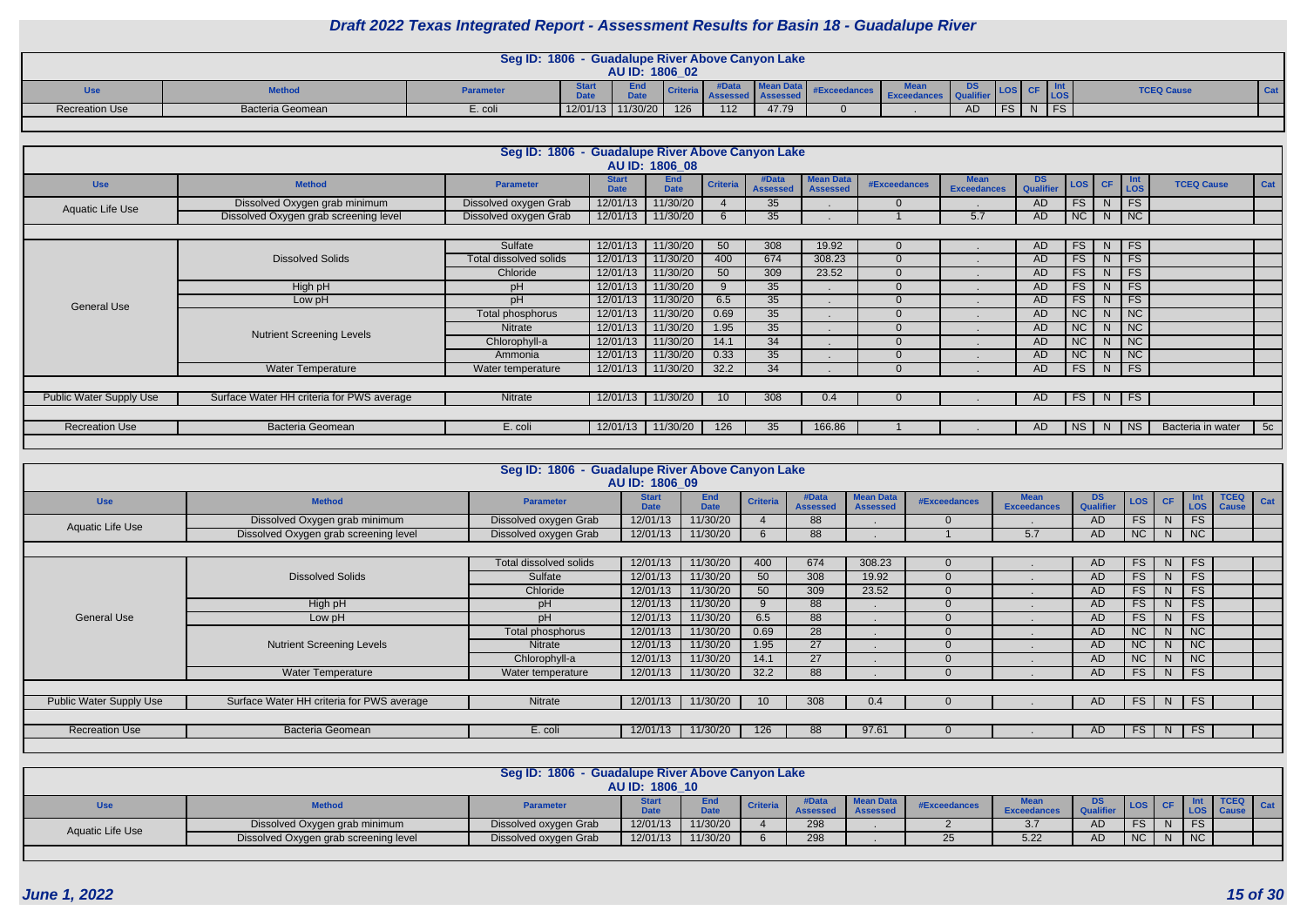|                       |                  | <b>Seg ID: 1806</b> | - Guadalupe River Above Canyon Lake<br>AU ID: 1806_02 |       |        |                       |             |           |    |            |                   |            |
|-----------------------|------------------|---------------------|-------------------------------------------------------|-------|--------|-----------------------|-------------|-----------|----|------------|-------------------|------------|
| Use                   | <b>Method</b>    | <b>Parameter</b>    | End<br><b>Deal</b>                                    | l Cri | nuuuuu | <b>EARLY ASSOCIAL</b> | <b>Exce</b> | <b>DS</b> |    | <b>LOS</b> | <b>TCEQ Cause</b> | <b>Cat</b> |
| <b>Recreation Use</b> | Bacteria Geomean | E. coli             | 12/01/13 11/30/20                                     | 126   | 112    | 47.79                 |             | <b>AD</b> | FS | 1 F.O      |                   |            |

|                         |                                           | Seg ID: 1806 - Guadalupe River Above Canyon Lake |                             |                           |                 |                          |                                     |                     |                                   |                  |                  |                |                   |                   |     |
|-------------------------|-------------------------------------------|--------------------------------------------------|-----------------------------|---------------------------|-----------------|--------------------------|-------------------------------------|---------------------|-----------------------------------|------------------|------------------|----------------|-------------------|-------------------|-----|
|                         |                                           |                                                  |                             | AU ID: 1806 08            |                 |                          |                                     |                     |                                   |                  |                  |                |                   |                   |     |
| <b>Use</b>              | <b>Method</b>                             | <b>Parameter</b>                                 | <b>Start</b><br><b>Date</b> | <b>End</b><br><b>Date</b> | <b>Criteria</b> | #Data<br><b>Assessed</b> | <b>Mean Data</b><br><b>Assessed</b> | <b>#Exceedances</b> | <b>Mean</b><br><b>Exceedances</b> | DS.<br>Qualifier | LOS <sup>1</sup> | <b>CF</b>      | Int<br><b>LOS</b> | <b>TCEQ Cause</b> | Cat |
| <b>Aquatic Life Use</b> | Dissolved Oxygen grab minimum             | Dissolved oxygen Grab                            | 12/01/13                    | 11/30/20                  |                 | 35                       |                                     |                     |                                   | <b>AD</b>        | <b>FS</b>        |                | FS <sub>1</sub>   |                   |     |
|                         | Dissolved Oxygen grab screening level     | Dissolved oxygen Grab                            | 12/01/13                    | 11/30/20                  | 6               | 35                       |                                     |                     | 5.7                               | <b>AD</b>        | NC               | N              | <b>NC</b>         |                   |     |
|                         |                                           |                                                  |                             |                           |                 |                          |                                     |                     |                                   |                  |                  |                |                   |                   |     |
|                         |                                           | Sulfate                                          | 12/01/13                    | 11/30/20                  | 50              | 308                      | 19.92                               |                     |                                   | AD               | <b>FS</b>        | N.             | F <sub>S</sub>    |                   |     |
|                         | <b>Dissolved Solids</b>                   | Total dissolved solids                           | 12/01/13                    | 11/30/20                  | 400             | 674                      | 308.23                              |                     |                                   | <b>AD</b>        | <b>FS</b>        | N              | <b>FS</b>         |                   |     |
|                         |                                           | Chloride                                         | 12/01/13                    | 11/30/20                  | 50              | 309                      | 23.52                               |                     |                                   | <b>AD</b>        | FS               | N              | <b>FS</b>         |                   |     |
|                         | High pH                                   | pH                                               | 12/01/13                    | 11/30/20                  | 9               | 35                       |                                     |                     | п.                                | AD               | FS               | N <sub>1</sub> | <b>FS</b>         |                   |     |
| <b>General Use</b>      | Low pH                                    | pH                                               | 12/01/13                    | 11/30/20                  | 6.5             | 35                       |                                     |                     |                                   | AD               | FS               | N.             | <b>FS</b>         |                   |     |
|                         |                                           | Total phosphorus                                 | 12/01/13                    | 11/30/20                  | 0.69            | 35                       |                                     |                     |                                   | <b>AD</b>        | <b>NC</b>        | N.             | <b>NC</b>         |                   |     |
|                         | <b>Nutrient Screening Levels</b>          | Nitrate                                          | 12/01/13                    | 11/30/20                  | 1.95            | 35                       |                                     |                     |                                   | <b>AD</b>        | <b>NC</b>        | N              | <b>NC</b>         |                   |     |
|                         |                                           | Chlorophyll-a                                    | 12/01/13                    | 11/30/20                  | 14.1            | 34                       |                                     |                     |                                   | <b>AD</b>        | NC               | N              | NC                |                   |     |
|                         |                                           | Ammonia                                          | 12/01/13                    | 11/30/20                  | 0.33            | 35                       |                                     |                     |                                   | AD               | <b>NC</b>        | N.             | NC                |                   |     |
|                         | <b>Water Temperature</b>                  | Water temperature                                | 12/01/13                    | 11/30/20                  | 32.2            | 34                       |                                     |                     |                                   | <b>AD</b>        | <b>FS</b>        | N.             | FS                |                   |     |
|                         |                                           |                                                  |                             |                           |                 |                          |                                     |                     |                                   |                  |                  |                |                   |                   |     |
| Public Water Supply Use | Surface Water HH criteria for PWS average | Nitrate                                          | 12/01/13                    | 11/30/20                  |                 | 308                      | 0.4                                 |                     |                                   | <b>AD</b>        | FS               | N              | F <sub>S</sub>    |                   |     |
|                         |                                           |                                                  |                             |                           |                 |                          |                                     |                     |                                   |                  |                  |                |                   |                   |     |
| <b>Recreation Use</b>   | Bacteria Geomean                          | E. coli                                          | 12/01/13                    | 11/30/20                  | 126             | 35                       | 166.86                              |                     |                                   | AD               | <b>NS</b>        | N.             | <b>NS</b>         | Bacteria in water | 5c  |
|                         |                                           |                                                  |                             |                           |                 |                          |                                     |                     |                                   |                  |                  |                |                   |                   |     |

|                                |                                           | Seg ID: 1806 - Guadalupe River Above Canyon Lake | AU ID: 1806 09              |                    |                 |                          |                                     |                     |                                   |                         |            |               |                             |                          |     |
|--------------------------------|-------------------------------------------|--------------------------------------------------|-----------------------------|--------------------|-----------------|--------------------------|-------------------------------------|---------------------|-----------------------------------|-------------------------|------------|---------------|-----------------------------|--------------------------|-----|
| <b>Use</b>                     | <b>Method</b>                             | <b>Parameter</b>                                 | <b>Start</b><br><b>Date</b> | End<br><b>Date</b> | <b>Criteria</b> | #Data<br><b>Assessed</b> | <b>Mean Data</b><br><b>Assessed</b> | <b>#Exceedances</b> | <b>Mean</b><br><b>Exceedances</b> | DS.<br><b>Qualifier</b> | <b>LOS</b> | <b>CF</b>     | Int                         | <b>TCEQ</b><br>LOS Cause | Cat |
| Aquatic Life Use               | Dissolved Oxygen grab minimum             | Dissolved oxygen Grab                            | 12/01/13                    | 11/30/20           |                 | 88                       |                                     |                     |                                   | AD.                     | <b>FS</b>  | N.            | <b>FS</b>                   |                          |     |
|                                | Dissolved Oxygen grab screening level     | Dissolved oxygen Grab                            | 12/01/13                    | 11/30/20           | 6               | 88                       |                                     |                     | 5.7                               | <b>AD</b>               | NC         | N.            | $\overline{\phantom{a}}$ NC |                          |     |
|                                |                                           |                                                  |                             |                    |                 |                          |                                     |                     |                                   |                         |            |               |                             |                          |     |
|                                |                                           | Total dissolved solids                           | 12/01/13                    | 11/30/20           | 400             | 674                      | 308.23                              |                     |                                   | AD.                     | FS         | $N_{\rm eff}$ | <b>FS</b>                   |                          |     |
|                                | <b>Dissolved Solids</b>                   | Sulfate                                          | 12/01/13                    | 11/30/20           | 50              | 308                      | 19.92                               |                     |                                   | AD                      | FS         | N.            | <b>FS</b>                   |                          |     |
|                                |                                           | Chloride                                         | 12/01/13                    | 11/30/20           | 50              | 309                      | 23.52                               |                     |                                   | AD.                     | FS         | N.            | FS                          |                          |     |
|                                | High pH                                   | pH                                               | 12/01/13                    | 11/30/20           | 9               | 88                       |                                     |                     |                                   | <b>AD</b>               | FS         | N             | <b>FS</b>                   |                          |     |
| <b>General Use</b>             | Low pH                                    | pH                                               | 12/01/13                    | 11/30/20           | 6.5             | 88                       |                                     |                     |                                   | AD.                     | <b>FS</b>  | N.            | FS                          |                          |     |
|                                |                                           | Total phosphorus                                 | 12/01/13                    | 11/30/20           | 0.69            | 28                       |                                     |                     |                                   | AD                      | NC         | N             | NC                          |                          |     |
|                                | <b>Nutrient Screening Levels</b>          | <b>Nitrate</b>                                   | 12/01/13                    | 11/30/20           | 1.95            | 27 <sup>°</sup>          |                                     |                     |                                   | AD.                     | NC         | N.            | $\overline{\phantom{a}}$ NC |                          |     |
|                                |                                           | Chlorophyll-a                                    | 12/01/13                    | 11/30/20           | 14.1            | 27                       |                                     |                     |                                   | <b>AD</b>               | NC         | IN.           | NC                          |                          |     |
|                                | <b>Water Temperature</b>                  | Water temperature                                | 12/01/13                    | 11/30/20           | 32.2            | 88                       |                                     |                     |                                   | AD.                     | FS         | N             | FS                          |                          |     |
|                                |                                           |                                                  |                             |                    |                 |                          |                                     |                     |                                   |                         |            |               |                             |                          |     |
| <b>Public Water Supply Use</b> | Surface Water HH criteria for PWS average | Nitrate                                          | 12/01/13                    | 11/30/20           | 10 <sup>°</sup> | 308                      | 0.4                                 |                     |                                   | AD                      | FS         | N             | <b>FS</b>                   |                          |     |
|                                |                                           |                                                  |                             |                    |                 |                          |                                     |                     |                                   |                         |            |               |                             |                          |     |
| <b>Recreation Use</b>          | Bacteria Geomean                          | E. coli                                          | 12/01/13                    | 11/30/20           | 126             | 88                       | 97.61                               |                     |                                   | AD.                     | FS         | N             | <b>FS</b>                   |                          |     |
|                                |                                           |                                                  |                             |                    |                 |                          |                                     |                     |                                   |                         |            |               |                             |                          |     |

|                  |                                       | Seg ID: 1806 - Guadalupe River Above Canyon Lake |                       |                    |          |         |              |                                      |            |                |           |  |
|------------------|---------------------------------------|--------------------------------------------------|-----------------------|--------------------|----------|---------|--------------|--------------------------------------|------------|----------------|-----------|--|
|                  |                                       |                                                  | <b>AU ID: 1806 10</b> |                    |          |         |              |                                      |            |                |           |  |
| <b>Use</b>       | <b>Method</b>                         | <b>Parameter</b>                                 |                       | End<br><b>Data</b> | Accaccad | Mean Da | #Exceedances | <b>Mean</b><br><b>Exceedance</b>     | <b>LOS</b> |                |           |  |
| Aquatic Life Use | Dissolved Oxygen grab minimum         | Dissolved oxygen Grab                            | 12/01/13              | 11/30/20           | 298      |         |              | $\sim$ $\rightarrow$<br>$\mathbf{v}$ | FS         | N.             | <b>FS</b> |  |
|                  | Dissolved Oxygen grab screening level | Dissolved oxygen Grab                            | 12/01/13              | 11/30/20           | 298      |         | 25           | 5.22                                 | <b>NC</b>  | N <sub>1</sub> | <b>NC</b> |  |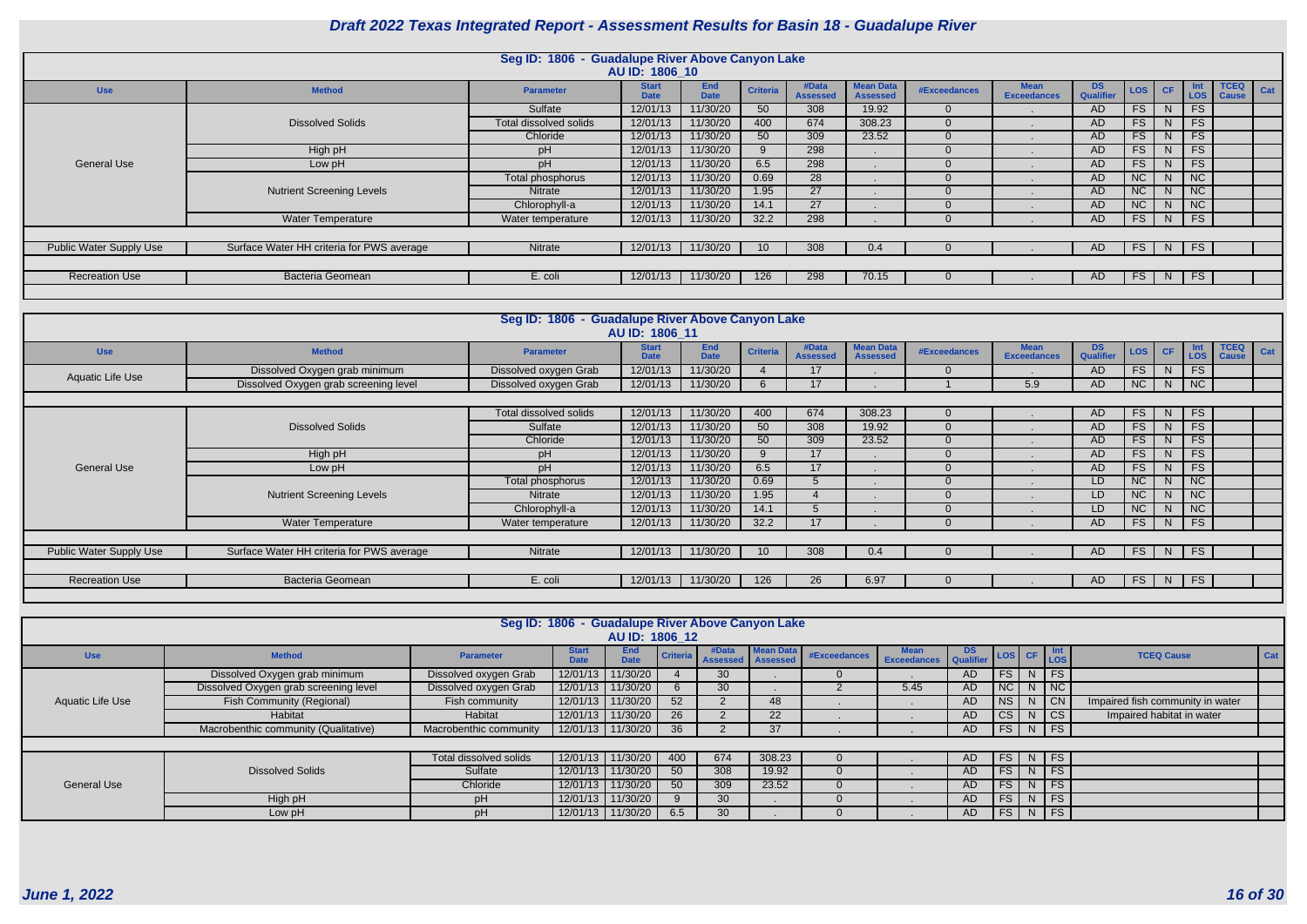|                                |                                           | Seg ID: 1806 - Guadalupe River Above Canyon Lake | AU ID: 1806 10              |                           |                 |                          |                                     |              |                                   |                  |            |           |           |                          |     |
|--------------------------------|-------------------------------------------|--------------------------------------------------|-----------------------------|---------------------------|-----------------|--------------------------|-------------------------------------|--------------|-----------------------------------|------------------|------------|-----------|-----------|--------------------------|-----|
| <b>Use</b>                     | <b>Method</b>                             | <b>Parameter</b>                                 | <b>Start</b><br><b>Date</b> | <b>End</b><br><b>Date</b> | <b>Criteria</b> | #Data<br><b>Assessed</b> | <b>Mean Data</b><br><b>Assessed</b> | #Exceedances | <b>Mean</b><br><b>Exceedances</b> | DS.<br>Qualifier | <b>LOS</b> | <b>CF</b> | Int       | <b>TCEQ</b><br>LOS Cause | Cat |
|                                |                                           | Sulfate                                          | 12/01/13                    | 11/30/20                  | 50              | 308                      | 19.92                               |              |                                   | AD.              | FS         | N.        | <b>FS</b> |                          |     |
|                                | <b>Dissolved Solids</b>                   | Total dissolved solids                           | 12/01/13                    | 11/30/20                  | 400             | 674                      | 308.23                              |              |                                   | AD               | <b>FS</b>  | N.        | <b>FS</b> |                          |     |
|                                |                                           | Chloride                                         | 12/01/13                    | 11/30/20                  | 50              | 309                      | 23.52                               |              |                                   | AD               | <b>FS</b>  | N.        | <b>FS</b> |                          |     |
|                                | High pH                                   | pH                                               | 12/01/13                    | 11/30/20                  |                 | 298                      |                                     |              |                                   | AD.              | <b>FS</b>  | N.        | <b>FS</b> |                          |     |
| <b>General Use</b>             | Low pH                                    | pH                                               | 12/01/13                    | 11/30/20                  | 6.5             | 298                      |                                     |              |                                   | AD.              | <b>FS</b>  | N         | <b>FS</b> |                          |     |
|                                |                                           | Total phosphorus                                 | 12/01/13                    | 11/30/20                  | 0.69            | 28                       |                                     |              |                                   | AD.              | NC         | N.        | <b>NC</b> |                          |     |
|                                | <b>Nutrient Screening Levels</b>          | <b>Nitrate</b>                                   | 12/01/13                    | 11/30/20                  | 1.95            | 27                       |                                     |              |                                   | AD.              | NC         | N.        | NC        |                          |     |
|                                |                                           | Chlorophyll-a                                    | 12/01/13                    | 11/30/20                  | 14.1            | 27                       |                                     |              |                                   | AD.              | <b>NC</b>  | N.        | NC        |                          |     |
|                                | <b>Water Temperature</b>                  | Water temperature                                | 12/01/13                    | 11/30/20                  | 32.2            | 298                      |                                     |              |                                   | AD.              | FS         | N I       | <b>FS</b> |                          |     |
|                                |                                           |                                                  |                             |                           |                 |                          |                                     |              |                                   |                  |            |           |           |                          |     |
| <b>Public Water Supply Use</b> | Surface Water HH criteria for PWS average | Nitrate                                          | 12/01/13                    | 11/30/20                  | 10 <sup>°</sup> | 308                      | 0.4                                 |              |                                   | AD.              | FS         | N         | <b>FS</b> |                          |     |
|                                |                                           |                                                  |                             |                           |                 |                          |                                     |              |                                   |                  |            |           |           |                          |     |
| <b>Recreation Use</b>          | <b>Bacteria Geomean</b>                   | E. coli                                          | 12/01/13                    | 11/30/20                  | 126             | 298                      | 70.15                               |              |                                   | AD.              | FS         | N.        | <b>FS</b> |                          |     |
|                                |                                           |                                                  |                             |                           |                 |                          |                                     |              |                                   |                  |            |           |           |                          |     |

|                         |                                           | Seg ID: 1806 - Guadalupe River Above Canyon Lake |                             |                           |                 |                          |                                     |              |                                   |                  |           |           |                                  |                             |     |
|-------------------------|-------------------------------------------|--------------------------------------------------|-----------------------------|---------------------------|-----------------|--------------------------|-------------------------------------|--------------|-----------------------------------|------------------|-----------|-----------|----------------------------------|-----------------------------|-----|
|                         |                                           |                                                  | AU ID: 1806 11              |                           |                 |                          |                                     |              |                                   |                  |           |           |                                  |                             |     |
| <b>Use</b>              | <b>Method</b>                             | <b>Parameter</b>                                 | <b>Start</b><br><b>Date</b> | <b>End</b><br><b>Date</b> | <b>Criteria</b> | #Data<br><b>Assessed</b> | <b>Mean Data</b><br><b>Assessed</b> | #Exceedances | <b>Mean</b><br><b>Exceedances</b> | DS.<br>Qualifier | LOS       | <b>CF</b> | <b>Int</b><br>LOS                | <b>TCEQ</b><br><b>Cause</b> | Cat |
| <b>Aquatic Life Use</b> | Dissolved Oxygen grab minimum             | Dissolved oxygen Grab                            | 12/01/13                    | 11/30/20                  |                 | 17                       |                                     |              |                                   | AD               | FS        | N.        | <b>FS</b>                        |                             |     |
|                         | Dissolved Oxygen grab screening level     | Dissolved oxygen Grab                            | 12/01/13                    | 11/30/20                  |                 | 17                       |                                     |              | 5.9                               | <b>AD</b>        | <b>NC</b> | N         | $-1$ NC $\Gamma$                 |                             |     |
|                         |                                           |                                                  |                             |                           |                 |                          |                                     |              |                                   |                  |           |           |                                  |                             |     |
|                         |                                           | Total dissolved solids                           | 12/01/13                    | 11/30/20                  | 400             | 674                      | 308.23                              |              |                                   | AD.              | FS        | N         | FS                               |                             |     |
|                         | <b>Dissolved Solids</b>                   | Sulfate                                          | 12/01/13                    | 11/30/20                  | 50              | 308                      | 19.92                               |              |                                   | AD               | FS        | N.        | <b>FS</b>                        |                             |     |
|                         |                                           | Chloride                                         | 12/01/13                    | 11/30/20                  | 50              | 309                      | 23.52                               |              |                                   | AD.              | <b>FS</b> | N.        | <b>FS</b>                        |                             |     |
|                         | High pH                                   | pH                                               | 12/01/13                    | 11/30/20                  | 9               | 17                       |                                     |              |                                   | <b>AD</b>        | FS        | N.        | <b>FS</b>                        |                             |     |
| <b>General Use</b>      | Low pH                                    | pH                                               | 12/01/13                    | 11/30/20                  | 6.5             | 17                       |                                     |              |                                   | <b>AD</b>        | FS        | N         | <b>FS</b>                        |                             |     |
|                         |                                           | Total phosphorus                                 | 12/01/13                    | 11/30/20                  | 0.69            | $\mathcal{D}$            |                                     |              |                                   | LD               | NC        | N.        | NC                               |                             |     |
|                         | <b>Nutrient Screening Levels</b>          | <b>Nitrate</b>                                   | 12/01/13                    | 11/30/20                  | 1.95            |                          |                                     |              |                                   | LD               | <b>NC</b> | N         | <b>NC</b>                        |                             |     |
|                         |                                           | Chlorophyll-a                                    | 12/01/13                    | 11/30/20                  | 14.1            |                          |                                     |              |                                   | LD               | NC        | N.        | $\overline{1}$ NC $\overline{1}$ |                             |     |
|                         | Water Temperature                         | Water temperature                                | 12/01/13                    | 11/30/20                  | 32.2            | 17                       |                                     |              |                                   | AD               | FS        | N,        | FS                               |                             |     |
|                         |                                           |                                                  |                             |                           |                 |                          |                                     |              |                                   |                  |           |           |                                  |                             |     |
| Public Water Supply Use | Surface Water HH criteria for PWS average | Nitrate                                          | 12/01/13                    | 11/30/20                  | 10              | 308                      | 0.4                                 |              |                                   | AD.              | FS        | N         | <b>FS</b>                        |                             |     |
|                         |                                           |                                                  |                             |                           |                 |                          |                                     |              |                                   |                  |           |           |                                  |                             |     |
| <b>Recreation Use</b>   | Bacteria Geomean                          | E. coli                                          | 12/01/13                    | 11/30/20                  | 126             | 26                       | 6.97                                |              |                                   | AD.              | FS        | N         | <b>FS</b>                        |                             |     |
|                         |                                           |                                                  |                             |                           |                 |                          |                                     |              |                                   |                  |           |           |                                  |                             |     |

|                    |                                       |                        |              | AU ID: 1806 12            |                 |                     | Seg ID: 1806 - Guadalupe River Above Canyon Lake |              |                                                        |     |                 |        |                                  |     |
|--------------------|---------------------------------------|------------------------|--------------|---------------------------|-----------------|---------------------|--------------------------------------------------|--------------|--------------------------------------------------------|-----|-----------------|--------|----------------------------------|-----|
| <b>Use</b>         | <b>Method</b>                         | <b>Parameter</b>       | <b>Start</b> | <b>End</b><br><b>Date</b> | <b>Criteria</b> | Assessed   Assessed | #Data   Mean Data                                | #Exceedances | Mean DS LOS CF Int<br>Exceedances Qualifier LOS CF LOS |     |                 |        | <b>TCEQ Cause</b>                | Cat |
|                    | Dissolved Oxygen grab minimum         | Dissolved oxygen Grab  |              | 12/01/13 11/30/20         |                 | 30                  |                                                  |              |                                                        | AD. | $FS$ N FS       |        |                                  |     |
|                    | Dissolved Oxygen grab screening level | Dissolved oxygen Grab  |              | 12/01/13 11/30/20         |                 | 30                  |                                                  |              | 5.45                                                   | AD. | $NC$ $N$ $NC$   |        |                                  |     |
| Aquatic Life Use   | <b>Fish Community (Regional)</b>      | Fish community         |              | 12/01/13 11/30/20         | 52              |                     | 48                                               |              |                                                        | AD. | $NS$ $N$ $ CN$  |        | Impaired fish community in water |     |
|                    | Habitat                               | Habitat                |              | 12/01/13 11/30/20         | 26              |                     | 22                                               |              |                                                        | AD. | $ CS $ N $ CS $ |        | Impaired habitat in water        |     |
|                    | Macrobenthic community (Qualitative)  | Macrobenthic community |              | 12/01/13 11/30/20         | 36              |                     | 37                                               |              |                                                        | AD  | FS N FS         |        |                                  |     |
|                    |                                       |                        |              |                           |                 |                     |                                                  |              |                                                        |     |                 |        |                                  |     |
|                    |                                       | Total dissolved solids |              | 12/01/13 11/30/20         | 400             | 674                 | 308.23                                           |              |                                                        | AD. | $FS$ N FS       |        |                                  |     |
|                    | <b>Dissolved Solids</b>               | Sulfate                |              | 12/01/13 11/30/20         | 50              | 308                 | 19.92                                            |              |                                                        | AD. | FS              | $N$ FS |                                  |     |
| <b>General Use</b> |                                       | Chloride               |              | 12/01/13 11/30/20         | 50              | 309                 | 23.52                                            |              |                                                        | AD. | $FS$ N FS       |        |                                  |     |
|                    | High pH                               | рH                     |              | 12/01/13 11/30/20         |                 | 30                  |                                                  |              |                                                        | AD. | $FS$ N FS       |        |                                  |     |
|                    | Low pH                                | рH                     |              | 12/01/13 11/30/20         | 6.5             | 30                  |                                                  |              |                                                        | AD. | FS N FS         |        |                                  |     |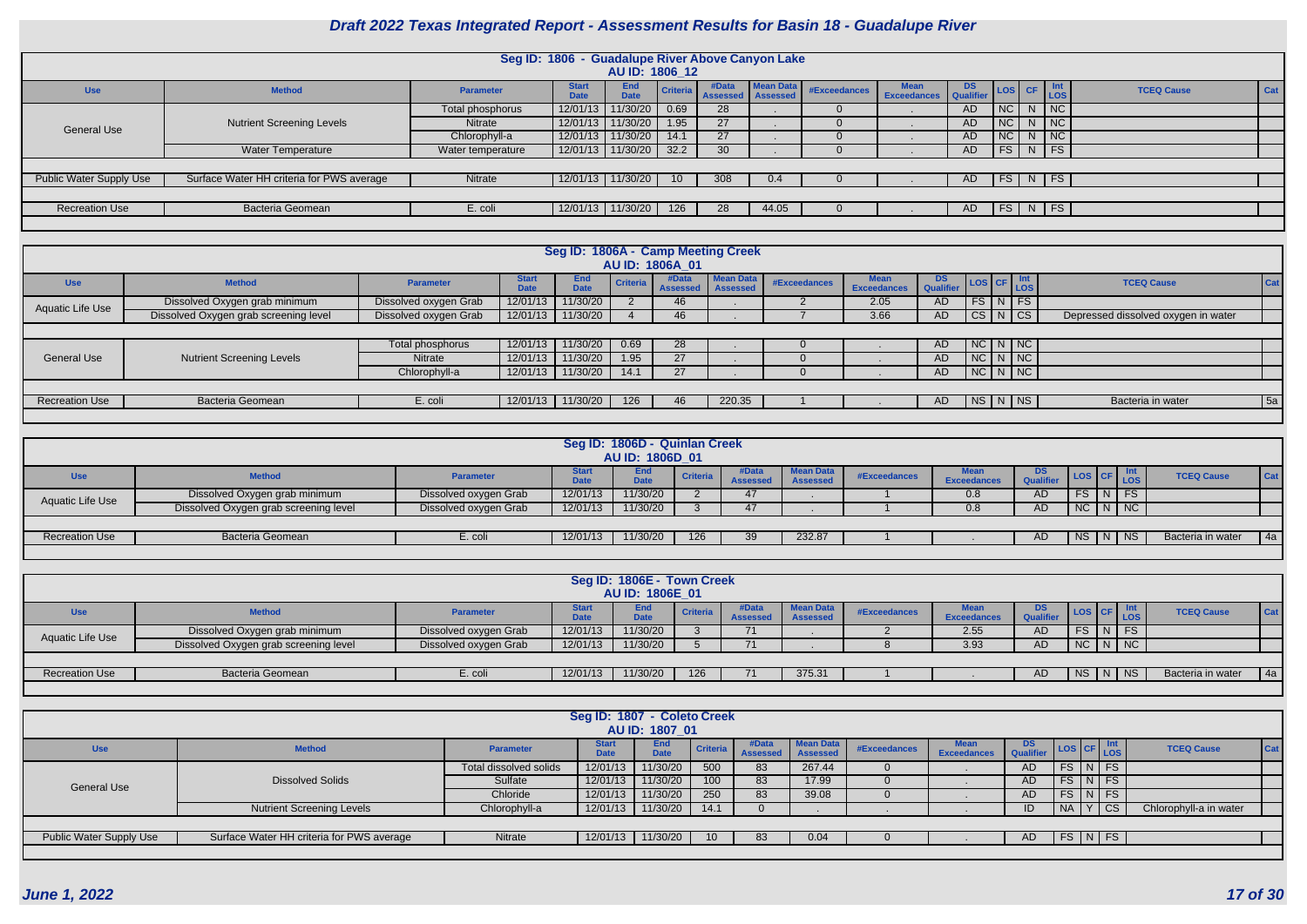|                         |                                           |                   | Seg ID: 1806 - Guadalupe River Above Canyon Lake | AU ID: 1806 12            |                 |                              |                  |              |                                         |     |                                                                                               |   |                             |                   |            |
|-------------------------|-------------------------------------------|-------------------|--------------------------------------------------|---------------------------|-----------------|------------------------------|------------------|--------------|-----------------------------------------|-----|-----------------------------------------------------------------------------------------------|---|-----------------------------|-------------------|------------|
| <b>Use</b>              | <b>Method</b>                             | <b>Parameter</b>  | <b>Start</b><br><b>Date</b>                      | <b>End</b><br><b>Date</b> | Criteria        | #Data<br>Assessed   Assessed | <b>Mean Data</b> | #Exceedances | <b>Mean</b> DS<br>Exceedances Qualifier |     | $\begin{array}{ c c c c c } \hline \text{LoS} & \text{CF} & \text{Int} \\ \hline \end{array}$ |   |                             | <b>TCEQ Cause</b> | <b>Cat</b> |
|                         |                                           | Total phosphorus  | 12/01/13                                         | 11/30/20                  | 0.69            | 28                           |                  |              |                                         | AD. | NC                                                                                            |   | $N$ NC                      |                   |            |
| <b>General Use</b>      | <b>Nutrient Screening Levels</b>          | <b>Nitrate</b>    | 12/01/13                                         | 11/30/20                  | 1.95            | 27                           |                  |              |                                         | AD  | <b>NC</b>                                                                                     | N | $\overline{\phantom{a}}$ NC |                   |            |
|                         |                                           | Chlorophyll-a     |                                                  | 12/01/13 11/30/20         | 14.1            | 27                           |                  |              |                                         | AD  | NC                                                                                            |   | $N$ $NC$                    |                   |            |
|                         | <b>Water Temperature</b>                  | Water temperature |                                                  | 12/01/13 11/30/20         | 32.2            | 30                           |                  |              |                                         | AD  | FS N FS                                                                                       |   |                             |                   |            |
|                         |                                           |                   |                                                  |                           |                 |                              |                  |              |                                         |     |                                                                                               |   |                             |                   |            |
| Public Water Supply Use | Surface Water HH criteria for PWS average | Nitrate           |                                                  | 12/01/13 11/30/20         | 10 <sup>1</sup> | 308                          | 0.4              |              |                                         | AD  | FS N FS                                                                                       |   |                             |                   |            |
|                         |                                           |                   |                                                  |                           |                 |                              |                  |              |                                         |     |                                                                                               |   |                             |                   |            |
| <b>Recreation Use</b>   | Bacteria Geomean                          | E. coli           |                                                  | 12/01/13 11/30/20         | 126             | 28                           | 44.05            |              |                                         | AD. | FS N FS                                                                                       |   |                             |                   |            |
|                         |                                           |                   |                                                  |                           |                 |                              |                  |              |                                         |     |                                                                                               |   |                             |                   |            |

|                         |                                       |                       |                             |                           |                 | AU ID: 1806A 01            | Seg ID: 1806A - Camp Meeting Creek |              |                                   |                                       |                         |                                     |     |
|-------------------------|---------------------------------------|-----------------------|-----------------------------|---------------------------|-----------------|----------------------------|------------------------------------|--------------|-----------------------------------|---------------------------------------|-------------------------|-------------------------------------|-----|
| <b>Use</b>              | <b>Method</b>                         | <b>Parameter</b>      | <b>Start</b><br><b>Date</b> | <b>End</b><br><b>Date</b> | <b>Criteria</b> | #Data<br>Assessed Assessed | <b>Mean Data</b>                   | #Exceedances | <b>Mean</b><br><b>Exceedances</b> | DS LOS CF Int<br>Qualifier LOS CF LOS |                         | <b>TCEQ Cause</b>                   | Cat |
| <b>Aquatic Life Use</b> | Dissolved Oxygen grab minimum         | Dissolved oxygen Grab | 12/01/13                    | 11/30/20                  |                 | 46                         |                                    |              | 2.05                              | <b>AD</b>                             | $FS\mid N \mid FS \mid$ |                                     |     |
|                         | Dissolved Oxygen grab screening level | Dissolved oxygen Grab | 12/01/13                    | 11/30/20                  |                 | 46                         |                                    |              | 3.66                              | AD                                    | CS N CS                 | Depressed dissolved oxygen in water |     |
|                         |                                       |                       |                             |                           |                 |                            |                                    |              |                                   |                                       |                         |                                     |     |
|                         |                                       | Total phosphorus      | 12/01/13                    | 11/30/20                  | 0.69            | 28                         |                                    | 0            |                                   | AD                                    | NCI N/NC                |                                     |     |
| <b>General Use</b>      | <b>Nutrient Screening Levels</b>      | Nitrate               | 12/01/13                    | 11/30/20                  | 1.95            | 27                         |                                    |              |                                   | <b>AD</b>                             | NCI N/NC                |                                     |     |
|                         |                                       | Chlorophyll-a         | 12/01/13                    | 11/30/20                  | 14.1            | 27                         |                                    |              |                                   | <b>AD</b>                             | $NC\ N\ N$              |                                     |     |
|                         |                                       |                       |                             |                           |                 |                            |                                    |              |                                   |                                       |                         |                                     |     |
| <b>Recreation Use</b>   | <b>Bacteria Geomean</b>               | E. coli               | 12/01/13                    | 11/30/20                  | 126             | 46                         | 220.35                             |              |                                   | AD                                    | NS N NS                 | Bacteria in water                   | 5a  |
|                         |                                       |                       |                             |                           |                 |                            |                                    |              |                                   |                                       |                         |                                     |     |

|                       |                                       |                       |             | Seg ID: 1806D - Quinlan Creek<br>AU ID: 1806D 01 |                 |                   |                                     |              |                                   |                 |               |               |                   |            |
|-----------------------|---------------------------------------|-----------------------|-------------|--------------------------------------------------|-----------------|-------------------|-------------------------------------|--------------|-----------------------------------|-----------------|---------------|---------------|-------------------|------------|
| <b>Use</b>            | <b>Method</b>                         | <b>Parameter</b>      | <b>Date</b> | <b>End</b><br><b>Date</b>                        | <b>Criteria</b> | #Data<br>Assesser | <b>Mean Data</b><br><b>Assessed</b> | #Exceedances | <b>Mean</b><br><b>Exceedances</b> | DS.<br>Qualifie | LOS CF        | <b>LOS</b>    | <b>TCEQ Cause</b> | <b>Cat</b> |
| Aquatic Life Use      | Dissolved Oxygen grab minimum         | Dissolved oxygen Grab | 12/01/13    | 11/30/20                                         |                 |                   |                                     |              | 0.8                               | <b>AD</b>       | FS.           | $\sqrt{N}$ FS |                   |            |
|                       | Dissolved Oxygen grab screening level | Dissolved oxygen Grab | 12/01/13    | 11/30/20                                         |                 |                   |                                     |              | 0.8                               | AD              | $NC$ $N$ $NC$ |               |                   |            |
|                       |                                       |                       |             |                                                  |                 |                   |                                     |              |                                   |                 |               |               |                   |            |
| <b>Recreation Use</b> | <b>Bacteria Geomean</b>               | E. coli               | 12/01/13    | 11/30/20                                         | 126             | 39                | 232.87                              |              |                                   | AD.             | NS   N   NS   |               | Bacteria in water | 4a         |
|                       |                                       |                       |             |                                                  |                 |                   |                                     |              |                                   |                 |               |               |                   |            |

|                       |                                       |                       |           | Seg ID: 1806E - Town Creek |                 |                |                  |              |                    |     |                     |                   |     |
|-----------------------|---------------------------------------|-----------------------|-----------|----------------------------|-----------------|----------------|------------------|--------------|--------------------|-----|---------------------|-------------------|-----|
|                       |                                       |                       |           |                            |                 |                |                  |              |                    |     |                     |                   |     |
|                       |                                       |                       |           | AU ID: 1806E_01            |                 |                |                  |              |                    |     |                     |                   |     |
| <b>Use</b>            | <b>Method</b>                         | <b>Parameter</b>      |           | <b>End</b>                 | <b>Criteria</b> | #Data          | <b>Mean Data</b> | #Exceedances | Mean               | DS. | LOS CF              | <b>TCEQ Cause</b> | Cat |
|                       |                                       |                       | $\lambda$ | Data<br>יםנ                |                 | <b>Assesse</b> | <b>Assessed</b>  |              | <b>Exceedances</b> |     |                     |                   |     |
| Aquatic Life Use      | Dissolved Oxygen grab minimum         | Dissolved oxygen Grab | 12/01/13  | 11/30/20                   |                 |                |                  |              | 2.55               | AD  | $FS \mid N \mid FS$ |                   |     |
|                       | Dissolved Oxygen grab screening level | Dissolved oxygen Grab | 12/01/13  | 11/30/20                   |                 |                |                  |              | 3.93               | AD  | $NC$ $N$ $NC$       |                   |     |
|                       |                                       |                       |           |                            |                 |                |                  |              |                    |     |                     |                   |     |
| <b>Recreation Use</b> | <b>Bacteria Geomean</b>               | E. coli               | 12/01/13  | 11/30/20                   | 126             |                | 375.31           |              |                    | AD  | NS   N   NS         | Bacteria in water | 4a  |
|                       |                                       |                       |           |                            |                 |                |                  |              |                    |     |                     |                   |     |

|                         |                                           |                        | Seg ID: 1807 - Coleto Creek | AU ID: 1807 01     |          |                   |                              |              |                                   |                 |                                                                               |                    |                        |         |
|-------------------------|-------------------------------------------|------------------------|-----------------------------|--------------------|----------|-------------------|------------------------------|--------------|-----------------------------------|-----------------|-------------------------------------------------------------------------------|--------------------|------------------------|---------|
| <b>Use</b>              | <b>Method</b>                             | <b>Parameter</b>       | <b>Start</b><br><b>Date</b> | End<br><b>Date</b> | Criteria | #Data<br>Assessed | Mean Data<br><b>Assessed</b> | #Exceedances | <b>Mean</b><br><b>Exceedances</b> | DS<br>Qualifier | $\left  \text{Los} \right $ CF $\left  \frac{\text{Int}}{\text{LoS}} \right $ |                    | <b>TCEQ Cause</b>      | $ $ Cat |
|                         |                                           | Total dissolved solids | 12/01/13                    | 11/30/20           | 500      | 83                | 267.44                       |              |                                   | AD.             |                                                                               | $FS\mid N \mid FS$ |                        |         |
| General Use             | <b>Dissolved Solids</b>                   | Sulfate                | 12/01/13                    | 11/30/20           | 100      | 83                | 17.99                        |              |                                   | AD.             |                                                                               | $FS\ NFS$          |                        |         |
|                         |                                           | Chloride               | 12/01/13                    | 11/30/20           | 250      | 83                | 39.08                        |              |                                   | AD.             |                                                                               | $FS$ $N$ $FS$      |                        |         |
|                         | <b>Nutrient Screening Levels</b>          | Chlorophyll-a          | 12/01/13                    | 11/30/20           | 14.1     |                   |                              |              |                                   | ID              | NA 1                                                                          | Y   CS             | Chlorophyll-a in water |         |
|                         |                                           |                        |                             |                    |          |                   |                              |              |                                   |                 |                                                                               |                    |                        |         |
| Public Water Supply Use | Surface Water HH criteria for PWS average | Nitrate                | 12/01/13                    | 11/30/20           | 10       | 83                | 0.04                         |              |                                   | AD.             |                                                                               | FS N FS            |                        |         |
|                         |                                           |                        |                             |                    |          |                   |                              |              |                                   |                 |                                                                               |                    |                        |         |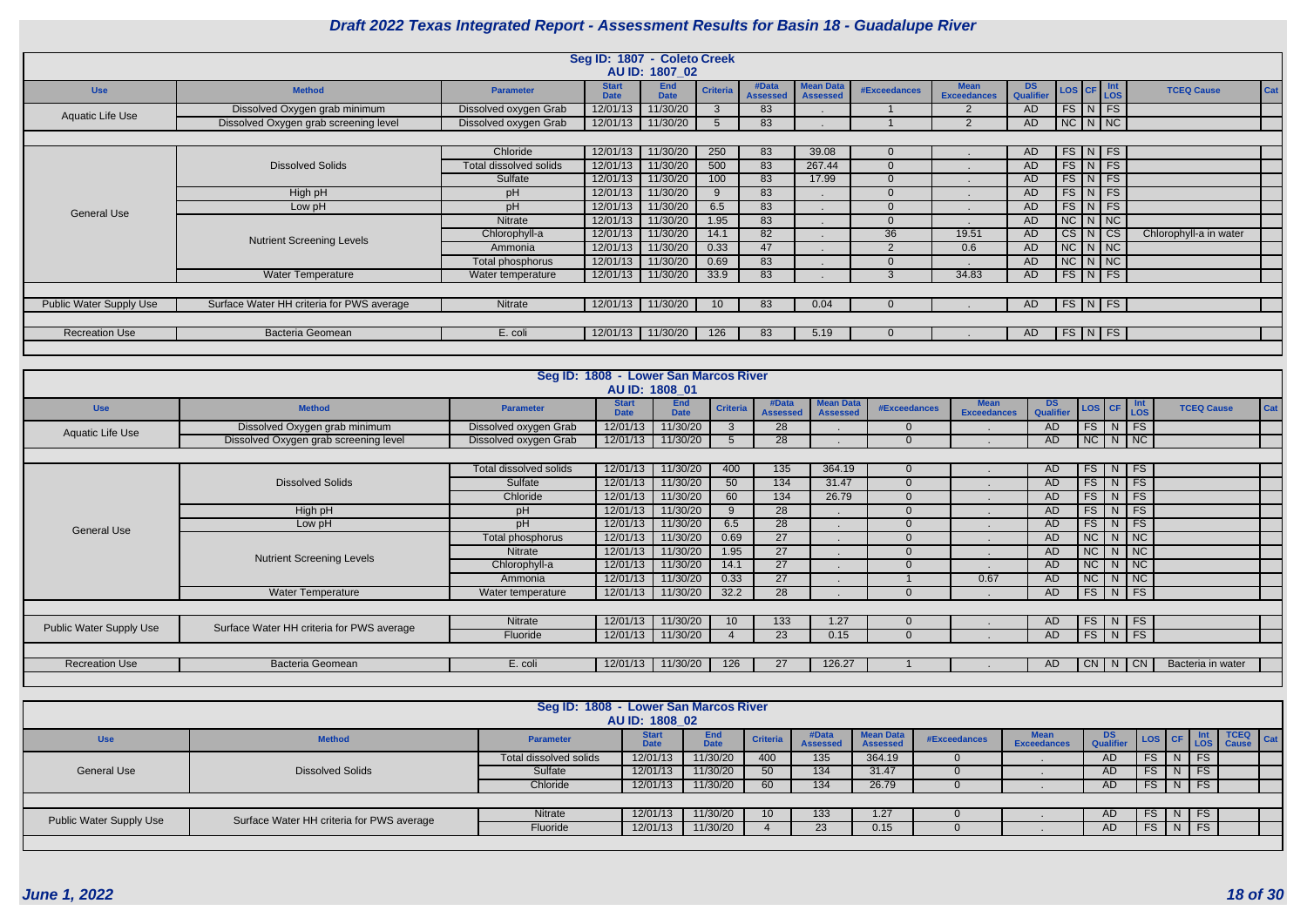|                                |                                           |                        | Seg ID: 1807 - Coleto Creek |                           |                 |                          |                                     |                     |                                   |                 |                                                                                                                           |                          |
|--------------------------------|-------------------------------------------|------------------------|-----------------------------|---------------------------|-----------------|--------------------------|-------------------------------------|---------------------|-----------------------------------|-----------------|---------------------------------------------------------------------------------------------------------------------------|--------------------------|
|                                |                                           |                        |                             | AU ID: 1807_02            |                 |                          |                                     |                     |                                   |                 |                                                                                                                           |                          |
| <b>Use</b>                     | <b>Method</b>                             | <b>Parameter</b>       | <b>Start</b><br><b>Date</b> | <b>End</b><br><b>Date</b> | <b>Criteria</b> | #Data<br><b>Assessed</b> | <b>Mean Data</b><br><b>Assessed</b> | <b>#Exceedances</b> | <b>Mean</b><br><b>Exceedances</b> | DS<br>Qualifier | $\begin{array}{ c c c c }\n\hline\n\text{LoS} & \text{CF} & \text{Int} \\ \hline\n\text{LoS} & & \text{LoS}\n\end{array}$ | Cat<br><b>TCEQ Cause</b> |
| Aquatic Life Use               | Dissolved Oxygen grab minimum             | Dissolved oxygen Grab  | 12/01/13                    | 11/30/20                  |                 | 83                       |                                     |                     | $\overline{2}$                    | AD              | $FS$ $N$ $FS$                                                                                                             |                          |
|                                | Dissolved Oxygen grab screening level     | Dissolved oxygen Grab  | 12/01/13                    | 11/30/20                  |                 | 83                       |                                     |                     | $\mathcal{P}$                     | AD.             | $NC$ $N$ $NC$                                                                                                             |                          |
|                                |                                           |                        |                             |                           |                 |                          |                                     |                     |                                   |                 |                                                                                                                           |                          |
|                                |                                           | Chloride               | 12/01/13                    | 11/30/20                  | 250             | 83                       | 39.08                               |                     |                                   | AD.             | $FS$ N FS                                                                                                                 |                          |
|                                | <b>Dissolved Solids</b>                   | Total dissolved solids | 12/01/13                    | 11/30/20                  | 500             | 83                       | 267.44                              |                     |                                   | AD.             | $FS\vert N \vert FS$                                                                                                      |                          |
|                                |                                           | Sulfate                | 12/01/13                    | 11/30/20                  | 100             | 83                       | 17.99                               |                     |                                   | AD              | $FS\mid N \mid FS \mid$                                                                                                   |                          |
|                                | High pH                                   | pH                     | 12/01/13                    | 11/30/20                  | 9               | 83                       |                                     |                     |                                   | AD              | $FS\mid N \mid FS \mid$                                                                                                   |                          |
| <b>General Use</b>             | Low pH                                    | pH                     | 12/01/13                    | 11/30/20                  | 6.5             | 83                       |                                     |                     |                                   | AD              | $FS$ $N$ $FS$                                                                                                             |                          |
|                                |                                           | Nitrate                | 12/01/13                    | 11/30/20                  | 1.95            | 83                       |                                     |                     |                                   | AD.             | $NC$ $N$ $NC$                                                                                                             |                          |
|                                | <b>Nutrient Screening Levels</b>          | Chlorophyll-a          | 12/01/13                    | 11/30/20                  | 14.1            | 82                       |                                     | 36                  | 19.51                             | AD              | $CS\vert N\vert CS$                                                                                                       | Chlorophyll-a in water   |
|                                |                                           | Ammonia                | 12/01/13                    | 11/30/20                  | 0.33            | 47                       |                                     | $\overline{2}$      | 0.6                               | AD              | $NC$ $N$ $NC$                                                                                                             |                          |
|                                |                                           | Total phosphorus       | 12/01/13                    | 11/30/20                  | 0.69            | 83                       |                                     |                     |                                   | AD.             | $NC$ $N$ $NC$                                                                                                             |                          |
|                                | <b>Water Temperature</b>                  | Water temperature      | 12/01/13                    | 11/30/20                  | 33.9            | 83                       |                                     |                     | 34.83                             | AD.             | $FS\mid N \mid FS \mid$                                                                                                   |                          |
|                                |                                           |                        |                             |                           |                 |                          |                                     |                     |                                   |                 |                                                                                                                           |                          |
| <b>Public Water Supply Use</b> | Surface Water HH criteria for PWS average | Nitrate                |                             | 12/01/13 11/30/20         | 10              | 83                       | 0.04                                |                     |                                   | AD.             | $\sqrt{FS\ N\ FS}$                                                                                                        |                          |
|                                |                                           |                        |                             |                           |                 |                          |                                     |                     |                                   |                 |                                                                                                                           |                          |
| <b>Recreation Use</b>          | <b>Bacteria Geomean</b>                   | E. coli                | 12/01/13                    | 11/30/20                  | 126             | 83                       | 5.19                                |                     |                                   | AD.             | FS N FS                                                                                                                   |                          |
|                                |                                           |                        |                             |                           |                 |                          |                                     |                     |                                   |                 |                                                                                                                           |                          |

|                                |                                           |                               | Seg ID: 1808 - Lower San Marcos River |                           |                 |                          |                                     |                     |                                   |                 |                   |   |                      |                   |     |
|--------------------------------|-------------------------------------------|-------------------------------|---------------------------------------|---------------------------|-----------------|--------------------------|-------------------------------------|---------------------|-----------------------------------|-----------------|-------------------|---|----------------------|-------------------|-----|
|                                |                                           |                               | AU ID: 1808 01                        |                           |                 |                          |                                     |                     |                                   |                 |                   |   |                      |                   |     |
| <b>Use</b>                     | <b>Method</b>                             | <b>Parameter</b>              | <b>Start</b><br><b>Date</b>           | <b>End</b><br><b>Date</b> | <b>Criteria</b> | #Data<br><b>Assessed</b> | <b>Mean Data</b><br><b>Assessed</b> | <b>#Exceedances</b> | <b>Mean</b><br><b>Exceedances</b> | DS<br>Qualifier | $\textsf{LOS}$ CF |   | $Int$ <sub>LOS</sub> | <b>TCEQ Cause</b> | Cat |
| Aquatic Life Use               | Dissolved Oxygen grab minimum             | Dissolved oxygen Grab         | 12/01/13                              | 11/30/20                  | 3               | 28                       |                                     | $\Omega$            |                                   | AD              | FS                |   | $N$ FS               |                   |     |
|                                | Dissolved Oxygen grab screening level     | Dissolved oxygen Grab         | 12/01/13                              | 11/30/20                  | .5              | 28                       |                                     | $\Omega$            |                                   | AD              | NC N NC           |   |                      |                   |     |
|                                |                                           |                               |                                       |                           |                 |                          |                                     |                     |                                   |                 |                   |   |                      |                   |     |
|                                |                                           | <b>Total dissolved solids</b> | 12/01/13                              | 11/30/20                  | 400             | 135                      | 364.19                              | $\Omega$            |                                   | AD.             | FS                |   | $N$ FS               |                   |     |
|                                | <b>Dissolved Solids</b>                   | Sulfate                       | 12/01/13                              | 11/30/20                  | 50              | 134                      | 31.47                               | $\overline{0}$      |                                   | AD.             | FS                |   | $N$ FS               |                   |     |
|                                |                                           | Chloride                      | 12/01/13                              | 11/30/20                  | 60              | 134                      | 26.79                               | $\overline{0}$      |                                   | AD              | FS                |   | $N$ FS               |                   |     |
|                                | High pH                                   | pH                            | 12/01/13                              | 11/30/20                  | 9               | 28                       |                                     | $\Omega$            |                                   | AD.             | FS                |   | $N$ FS               |                   |     |
| <b>General Use</b>             | Low pH                                    | pH                            | 12/01/13                              | 11/30/20                  | 6.5             | 28                       |                                     | $\Omega$            |                                   | AD.             | FS                |   | $N$ FS               |                   |     |
|                                |                                           | Total phosphorus              | 12/01/13                              | 11/30/20                  | 0.69            | $\overline{27}$          |                                     | $\Omega$            |                                   | AD              | NC                |   | $N$   NC             |                   |     |
|                                | <b>Nutrient Screening Levels</b>          | <b>Nitrate</b>                | 12/01/13                              | 11/30/20                  | 1.95            | 27                       |                                     | $\Omega$            |                                   | AD.             | NC                |   | $N$ NC               |                   |     |
|                                |                                           | Chlorophyll-a                 | 12/01/13                              | 11/30/20                  | 14.1            | 27                       |                                     | $\Omega$            |                                   | AD              | NC                |   | $N$ NC               |                   |     |
|                                |                                           | Ammonia                       | 12/01/13                              | 11/30/20                  | 0.33            | $\overline{27}$          |                                     |                     | 0.67                              | AD              | NC                |   | $N$ $NC$             |                   |     |
|                                | <b>Water Temperature</b>                  | Water temperature             | 12/01/13                              | 11/30/20                  | 32.2            | 28                       |                                     | $\Omega$            |                                   | AD              | $FS$ N FS         |   |                      |                   |     |
|                                |                                           |                               |                                       |                           |                 |                          |                                     |                     |                                   |                 |                   |   |                      |                   |     |
|                                |                                           | Nitrate                       | 12/01/13                              | 11/30/20                  | 10 <sup>°</sup> | 133                      | 1.27                                | $\overline{0}$      |                                   | AD.             | FS                |   | $N$ FS               |                   |     |
| <b>Public Water Supply Use</b> | Surface Water HH criteria for PWS average | Fluoride                      | 12/01/13                              | 11/30/20                  |                 | 23                       | 0.15                                | $\Omega$            |                                   | AD              | $FS$ N FS         |   |                      |                   |     |
|                                |                                           |                               |                                       |                           |                 |                          |                                     |                     |                                   |                 |                   |   |                      |                   |     |
| <b>Recreation Use</b>          | <b>Bacteria Geomean</b>                   | E. coli                       | 12/01/13                              | 11/30/20                  | 126             | 27                       | 126.27                              |                     |                                   | AD.             | <b>CN</b>         | N | CN                   | Bacteria in water |     |
|                                |                                           |                               |                                       |                           |                 |                          |                                     |                     |                                   |                 |                   |   |                      |                   |     |

|                                |                                           | Seg ID: 1808 - Lower San Marcos River | AU ID: 1808 02       |                           |                 |                          |                                     |              |                                   |                 |           |               |                                         |
|--------------------------------|-------------------------------------------|---------------------------------------|----------------------|---------------------------|-----------------|--------------------------|-------------------------------------|--------------|-----------------------------------|-----------------|-----------|---------------|-----------------------------------------|
| <b>Use</b>                     | <b>Method</b>                             | <b>Parameter</b>                      | Start<br><b>Date</b> | <b>End</b><br><b>Date</b> | <b>Criteria</b> | #Data<br><b>Assessed</b> | <b>Mean Data</b><br><b>Assessed</b> | #Exceedances | <b>Mear</b><br><b>Exceedances</b> | DS<br>Qualifier | LOS CF    |               | <b>TCEQ</b><br>$\vert$ Cat<br>LOS Cause |
|                                |                                           | Total dissolved solids                | 12/01/13             | 11/30/20                  | 400             | 135                      | 364.19                              |              |                                   | <b>AD</b>       | $FS$   N  | <b>FS</b>     |                                         |
| <b>General Use</b>             | <b>Dissolved Solids</b>                   |                                       | 12/01/13             | 11/30/20                  | 50 <sup>°</sup> | 134                      | 31.47                               |              |                                   | <b>AD</b>       | <b>FS</b> | FS.           |                                         |
|                                |                                           | Chloride                              | 12/01/13             | 11/30/20                  | 60              | 134                      | 26.79                               |              |                                   | AD              |           | $FS$ $N$ $FS$ |                                         |
|                                |                                           |                                       |                      |                           |                 |                          |                                     |              |                                   |                 |           |               |                                         |
| <b>Public Water Supply Use</b> | Surface Water HH criteria for PWS average | Nitrate                               | 12/01/13             | 11/30/20                  | 10 <sup>1</sup> | 133                      | 1.27                                |              |                                   | <b>AD</b>       | $FS$ N FS |               |                                         |
|                                |                                           | Fluoride                              | 12/01/13             | 11/30/20                  |                 | 23                       | 0.15                                |              |                                   | AD              | $FS$ N FS |               |                                         |
|                                |                                           |                                       |                      |                           |                 |                          |                                     |              |                                   |                 |           |               |                                         |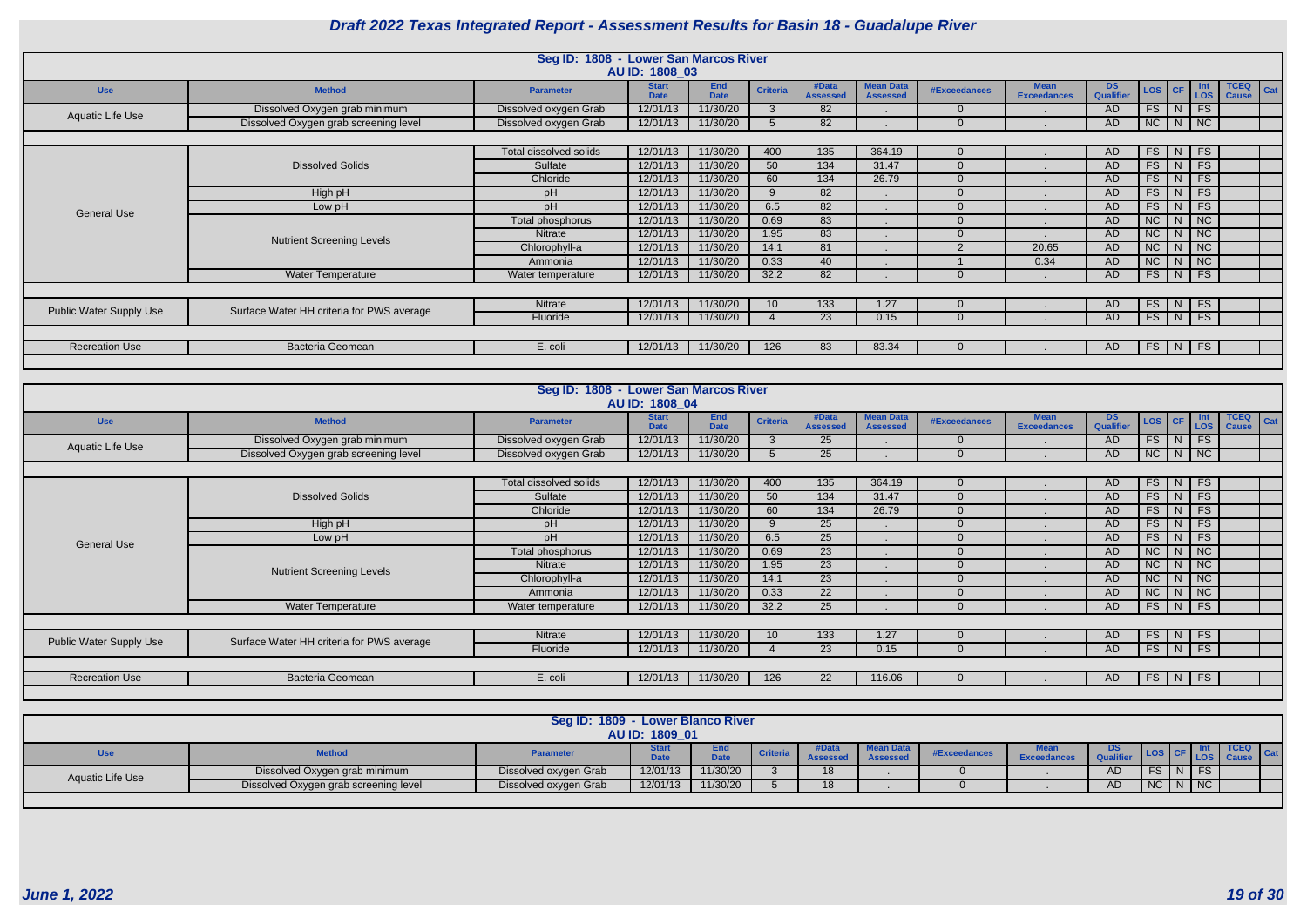|                                                                                                                                    |                                           | Seg ID: 1808 - Lower San Marcos River | AU ID: 1808 03              |                           |                 |                          |                                     |              |                                   |                        |        |               |                             |                                    |
|------------------------------------------------------------------------------------------------------------------------------------|-------------------------------------------|---------------------------------------|-----------------------------|---------------------------|-----------------|--------------------------|-------------------------------------|--------------|-----------------------------------|------------------------|--------|---------------|-----------------------------|------------------------------------|
| <b>Use</b>                                                                                                                         | <b>Method</b>                             | <b>Parameter</b>                      | <b>Start</b><br><b>Date</b> | <b>End</b><br><b>Date</b> | <b>Criteria</b> | #Data<br><b>Assessed</b> | <b>Mean Data</b><br><b>Assessed</b> | #Exceedances | <b>Mean</b><br><b>Exceedances</b> | <b>DS</b><br>Qualifier | LOS CF |               | Int<br><b>LOS</b>           | <b>TCEQ</b><br>Cat<br><b>Cause</b> |
| Aquatic Life Use                                                                                                                   | Dissolved Oxygen grab minimum             | Dissolved oxygen Grab                 | 12/01/13                    | 11/30/20                  | -3              | 82                       |                                     |              |                                   | <b>AD</b>              | FS     | N             | FS                          |                                    |
|                                                                                                                                    | Dissolved Oxygen grab screening level     | Dissolved oxygen Grab                 | 12/01/13                    | 11/30/20                  |                 | 82                       |                                     |              |                                   | AD                     | NC     | N             | $\sqrt{NC}$                 |                                    |
|                                                                                                                                    |                                           |                                       |                             |                           |                 |                          |                                     |              |                                   |                        |        |               |                             |                                    |
|                                                                                                                                    |                                           | Total dissolved solids                | 12/01/13                    | 11/30/20                  | 400             | 135                      | 364.19                              |              |                                   | AD.                    | FS     | N             | <b>FS</b>                   |                                    |
| 11/30/20<br>FS<br>12/01/13<br>50<br>$\overline{134}$<br><b>Dissolved Solids</b><br>Sulfate<br>31.47<br><b>AD</b><br>$\blacksquare$ |                                           |                                       |                             |                           |                 |                          |                                     |              |                                   |                        |        |               | FS                          |                                    |
|                                                                                                                                    |                                           | Chloride                              | 12/01/13                    | 11/30/20                  | 60              | 134                      | 26.79                               |              | $\blacksquare$                    | <b>AD</b>              | FS     | N             | <b>FS</b>                   |                                    |
|                                                                                                                                    | High pH                                   | pH                                    | 12/01/13                    | 11/30/20                  | -9              | 82                       |                                     |              | $\blacksquare$                    | <b>AD</b>              | FS     | N             | FS                          |                                    |
| <b>General Use</b>                                                                                                                 | Low pH                                    | pH                                    | 12/01/13                    | 11/30/20                  | 6.5             | 82                       |                                     |              | $\blacksquare$                    | <b>AD</b>              | FS     | N             | FS                          |                                    |
|                                                                                                                                    |                                           | Total phosphorus                      | 12/01/13                    | 11/30/20                  | 0.69            | 83                       |                                     |              |                                   | <b>AD</b>              | NC     | N             | NC                          |                                    |
|                                                                                                                                    | <b>Nutrient Screening Levels</b>          | Nitrate                               | 12/01/13                    | 11/30/20                  | 1.95            | 83                       |                                     |              |                                   | <b>AD</b>              | NC     | N             | $\overline{\phantom{a}}$ NC |                                    |
|                                                                                                                                    |                                           | Chlorophyll-a                         | 12/01/13                    | 11/30/20                  | 14.1            | 81                       |                                     | - 2          | 20.65                             | AD                     | NC     | N             | NC                          |                                    |
|                                                                                                                                    |                                           | Ammonia                               | 12/01/13                    | 11/30/20                  | 0.33            | 40                       |                                     |              | 0.34                              | <b>AD</b>              | NC     | N             | <b>NC</b>                   |                                    |
|                                                                                                                                    | Water Temperature                         | Water temperature                     | 12/01/13                    | 11/30/20                  | 32.2            | 82                       |                                     |              |                                   | <b>AD</b>              | FS     | N             | FS                          |                                    |
|                                                                                                                                    |                                           |                                       |                             |                           |                 |                          |                                     |              |                                   |                        |        |               |                             |                                    |
|                                                                                                                                    | Surface Water HH criteria for PWS average | Nitrate                               | 12/01/13                    | 11/30/20                  | 10              | 133                      | 1.27                                |              |                                   | AD.                    | FS     | N             | <b>FS</b>                   |                                    |
| Public Water Supply Use                                                                                                            |                                           | Fluoride                              | 12/01/13                    | 11/30/20                  |                 | 23                       | 0.15                                |              |                                   | <b>AD</b>              | FS     | N             | FS                          |                                    |
|                                                                                                                                    |                                           |                                       |                             |                           |                 |                          |                                     |              |                                   |                        |        |               |                             |                                    |
| <b>Recreation Use</b>                                                                                                              | Bacteria Geomean                          | E. coli                               | 12/01/13                    | 11/30/20                  | 126             | 83                       | 83.34                               |              |                                   | AD                     | FS     | $\mid N \mid$ | FS                          |                                    |
|                                                                                                                                    |                                           |                                       |                             |                           |                 |                          |                                     |              |                                   |                        |        |               |                             |                                    |

|                                |                                           | Seg ID: 1808 - Lower San Marcos River | AU ID: 1808 04              |                           |                 |                          |                                     |                     |                                   |                        |               |               |                             |                                    |
|--------------------------------|-------------------------------------------|---------------------------------------|-----------------------------|---------------------------|-----------------|--------------------------|-------------------------------------|---------------------|-----------------------------------|------------------------|---------------|---------------|-----------------------------|------------------------------------|
| <b>Use</b>                     | <b>Method</b>                             | <b>Parameter</b>                      | <b>Start</b><br><b>Date</b> | <b>End</b><br><b>Date</b> | <b>Criteria</b> | #Data<br><b>Assessed</b> | <b>Mean Data</b><br><b>Assessed</b> | <b>#Exceedances</b> | <b>Mean</b><br><b>Exceedances</b> | <b>DS</b><br>Qualifier | LOS CF        |               | Int<br>LOS                  | <b>TCEQ</b><br>Cat<br><b>Cause</b> |
| Aquatic Life Use               | Dissolved Oxygen grab minimum             | Dissolved oxygen Grab                 | 12/01/13                    | 11/30/20                  | $\mathbf{3}$    | 25                       | $\blacksquare$                      |                     | $\sim$                            | AD                     |               | $FS$ $N$ $FS$ |                             |                                    |
|                                | Dissolved Oxygen grab screening level     | Dissolved oxygen Grab                 | 12/01/13                    | 11/30/20                  |                 | 25                       |                                     |                     |                                   | AD                     | NC            | N             | $\overline{\phantom{a}}$ NC |                                    |
|                                |                                           |                                       |                             |                           |                 |                          |                                     |                     |                                   |                        |               |               |                             |                                    |
|                                |                                           | Total dissolved solids                | 12/01/13                    | 11/30/20                  | 400             | 135                      | 364.19                              |                     | $\blacksquare$                    | AD                     | $FS \mid N$   |               | $\vert$ FS                  |                                    |
|                                | <b>Dissolved Solids</b>                   | Sulfate                               | 12/01/13                    | 11/30/20                  | 50              | 134                      | 31.47                               |                     |                                   | <b>AD</b>              | FS            | N             | $\overline{\phantom{a}}$ FS |                                    |
|                                |                                           | Chloride                              | 12/01/13                    | 11/30/20                  | 60              | 134                      | 26.79                               | $\Omega$            |                                   | <b>AD</b>              | FS            | N             | <b>FS</b>                   |                                    |
|                                | High pH                                   | pH                                    | 12/01/13                    | 11/30/20                  | 9               | 25                       |                                     | $\Omega$            |                                   | <b>AD</b>              | FS            | N             | FS                          |                                    |
| <b>General Use</b>             | Low pH                                    | pH                                    | 12/01/13                    | 11/30/20                  | 6.5             | $\overline{25}$          |                                     |                     |                                   | <b>AD</b>              | FS            | N.            | FS                          |                                    |
|                                |                                           | Total phosphorus                      | 12/01/13                    | 11/30/20                  | 0.69            | 23                       |                                     | $\cap$              | $\overline{\phantom{a}}$          | <b>AD</b>              | NC            | N.            | $\overline{\phantom{a}}$ NC |                                    |
|                                | <b>Nutrient Screening Levels</b>          | Nitrate                               | 12/01/13                    | 11/30/20                  | 1.95            | 23                       |                                     |                     | $\blacksquare$                    | <b>AD</b>              | NC            | N             | NC                          |                                    |
|                                |                                           | Chlorophyll-a                         | 12/01/13                    | 11/30/20                  | 14.1            | 23                       |                                     |                     |                                   | <b>AD</b>              | NC            | N             | $\overline{\phantom{a}}$ NC |                                    |
|                                |                                           | Ammonia                               | 12/01/13                    | 11/30/20                  | 0.33            | 22                       |                                     |                     |                                   | <b>AD</b>              | <b>NC</b>     | N             | $\overline{\phantom{a}}$ NC |                                    |
|                                | Water Temperature                         | Water temperature                     | 12/01/13                    | 11/30/20                  | 32.2            | 25                       |                                     |                     |                                   | <b>AD</b>              | FS            | N.            | FS                          |                                    |
|                                |                                           |                                       |                             |                           |                 |                          |                                     |                     |                                   |                        |               |               |                             |                                    |
| <b>Public Water Supply Use</b> | Surface Water HH criteria for PWS average | Nitrate                               | 12/01/13                    | 11/30/20                  | 10 <sup>1</sup> | 133                      | 1.27                                |                     |                                   | AD                     | FS /          | N             | FS                          |                                    |
|                                |                                           | Fluoride                              | 12/01/13                    | 11/30/20                  |                 | 23                       | 0.15                                |                     |                                   | AD                     | $FS$ $N$ $FS$ |               |                             |                                    |
|                                |                                           |                                       |                             |                           |                 |                          |                                     |                     |                                   |                        |               |               |                             |                                    |
| <b>Recreation Use</b>          | <b>Bacteria Geomean</b>                   | E. coli                               | 12/01/13                    | 11/30/20                  | 126             | 22                       | 116.06                              |                     |                                   | AD                     |               | $FS$ N FS     |                             |                                    |
|                                |                                           |                                       |                             |                           |                 |                          |                                     |                     |                                   |                        |               |               |                             |                                    |

|                         |                                       | Seg ID: 1809 - Lower Blanco River | AU ID: 1809 01 |                    |                 |          |              |                                  |    |             |               |  |  |
|-------------------------|---------------------------------------|-----------------------------------|----------------|--------------------|-----------------|----------|--------------|----------------------------------|----|-------------|---------------|--|--|
| <b>Use</b>              | <b>Method</b>                         | <b>Parameter</b>                  | <b>Date</b>    | End<br><b>Date</b> | <b>Criteria</b> | Assessed | #Exceedances | <b>Mean</b><br><b>Exceedance</b> |    |             |               |  |  |
| <b>Aquatic Life Use</b> | Dissolved Oxygen grab minimum         | Dissolved oxygen Grab             | 12/01/13       | 11/30/20           |                 | 18       |              |                                  | AD |             | $FS$ $N$ $FS$ |  |  |
|                         | Dissolved Oxygen grab screening level | Dissolved oxygen Grab             | 12/01/13       | 11/30/20           |                 | 18       |              |                                  | AD | NC   N   NC |               |  |  |
|                         |                                       |                                   |                |                    |                 |          |              |                                  |    |             |               |  |  |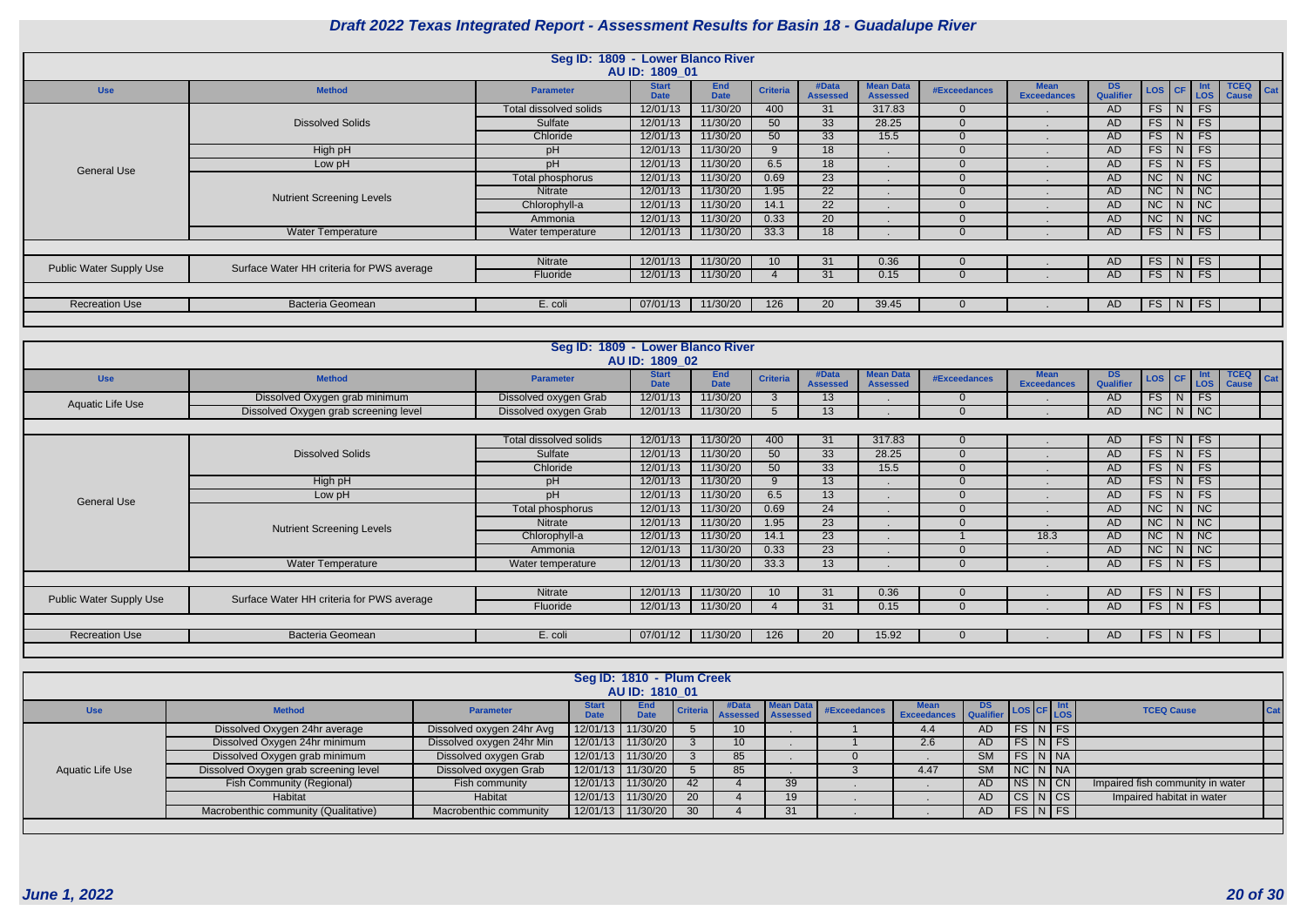|                                |                                           | Seg ID: 1809 - Lower Blanco River | AU ID: 1809 01              |                           |                 |                          |                                     |              |                                   |                        |                   |  |                             |             |
|--------------------------------|-------------------------------------------|-----------------------------------|-----------------------------|---------------------------|-----------------|--------------------------|-------------------------------------|--------------|-----------------------------------|------------------------|-------------------|--|-----------------------------|-------------|
| <b>Use</b>                     | <b>Method</b>                             | <b>Parameter</b>                  | <b>Start</b><br><b>Date</b> | <b>End</b><br><b>Date</b> | <b>Criteria</b> | #Data<br><b>Assessed</b> | <b>Mean Data</b><br><b>Assessed</b> | #Exceedances | <b>Mean</b><br><b>Exceedances</b> | DS<br><b>Qualifier</b> | LOS CF Int        |  | <b>TCEQ</b><br><b>Cause</b> | $\vert$ Cat |
|                                |                                           | Total dissolved solids            | 12/01/13                    | 11/30/20                  | 400             | 31                       | 317.83                              | $\Omega$     |                                   | AD.                    | FS N FS           |  |                             |             |
|                                | <b>Dissolved Solids</b>                   | Sulfate                           | 12/01/13                    | 11/30/20                  | 50              | 33                       | 28.25                               |              |                                   | <b>AD</b>              | $FS$ $N$ $FS$     |  |                             |             |
|                                |                                           | Chloride                          | 12/01/13                    | 11/30/20                  | 50              | 33                       | 15.5                                | $\Omega$     |                                   | <b>AD</b>              | $FS$ N FS         |  |                             |             |
|                                | High pH                                   | pH                                | 12/01/13                    | 11/30/20                  | 9               | 18                       |                                     |              |                                   | <b>AD</b>              | FS N FS           |  |                             |             |
| <b>General Use</b>             | Low pH                                    | pH                                | 12/01/13                    | 11/30/20                  | 6.5             | 18                       |                                     |              |                                   | <b>AD</b>              | $FS$ $N$ $FS$     |  |                             |             |
|                                |                                           | Total phosphorus                  | 12/01/13                    | 1/30/20                   | 0.69            | 23                       |                                     |              |                                   | <b>AD</b>              | $NC$ $N$ $NC$     |  |                             |             |
|                                | <b>Nutrient Screening Levels</b>          | Nitrate                           | 12/01/13                    | 11/30/20                  | 1.95            | 22                       |                                     |              |                                   | <b>AD</b>              | $NC$ $N$ $NC$     |  |                             |             |
|                                |                                           | Chlorophyll-a                     | 12/01/13                    | 11/30/20                  | 14.1            | 22                       |                                     |              |                                   | <b>AD</b>              | $NC$   $N$   $NC$ |  |                             |             |
|                                |                                           | Ammonia                           | 12/01/13                    | 11/30/20                  | 0.33            | <b>20</b>                |                                     |              |                                   | <b>AD</b>              | $NC$ $N$ $NC$     |  |                             |             |
|                                | <b>Water Temperature</b>                  | Water temperature                 | 12/01/13                    | 11/30/20                  | 33.3            | 18                       |                                     |              |                                   | <b>AD</b>              | $FS$ $N$ $FS$     |  |                             |             |
|                                |                                           |                                   |                             |                           |                 |                          |                                     |              |                                   |                        |                   |  |                             |             |
| <b>Public Water Supply Use</b> | Surface Water HH criteria for PWS average | Nitrate                           | 12/01/13                    | 11/30/20                  |                 | 31                       | 0.36                                |              |                                   | AD.                    | $FS$ $N$ $FS$     |  |                             |             |
|                                |                                           | Fluoride                          | 12/01/13                    | 11/30/20                  |                 | 31                       | 0.15                                |              |                                   | <b>AD</b>              | $FS$ N FS         |  |                             |             |
|                                |                                           |                                   |                             |                           |                 |                          |                                     |              |                                   |                        |                   |  |                             |             |
| <b>Recreation Use</b>          | <b>Bacteria Geomean</b>                   | E. coli                           | 07/01/13                    | 11/30/20                  | 126             | <b>20</b>                | 39.45                               |              |                                   | AD.                    | $FS$ $N$ $FS$     |  |                             |             |
|                                |                                           |                                   |                             |                           |                 |                          |                                     |              |                                   |                        |                   |  |                             |             |

|                         |                                           | Seg ID: 1809 - Lower Blanco River |                             |                           |                 |                          |                                     |                     |                                   |                        |          |                 |                                |                                    |
|-------------------------|-------------------------------------------|-----------------------------------|-----------------------------|---------------------------|-----------------|--------------------------|-------------------------------------|---------------------|-----------------------------------|------------------------|----------|-----------------|--------------------------------|------------------------------------|
|                         |                                           |                                   | AU ID: 1809 02              |                           |                 |                          |                                     |                     |                                   |                        |          |                 |                                |                                    |
| <b>Use</b>              | <b>Method</b>                             | <b>Parameter</b>                  | <b>Start</b><br><b>Date</b> | <b>End</b><br><b>Date</b> | <b>Criteria</b> | #Data<br><b>Assessed</b> | <b>Mean Data</b><br><b>Assessed</b> | <b>#Exceedances</b> | <b>Mean</b><br><b>Exceedances</b> | <b>DS</b><br>Qualifier | LOS   CF |                 | <b>Int</b><br>LOS <sup>1</sup> | <b>TCEQ</b><br>Cat<br><b>Cause</b> |
| Aquatic Life Use        | Dissolved Oxygen grab minimum             | Dissolved oxygen Grab             | 12/01/13                    | 11/30/20                  |                 | 13 <sup>°</sup>          |                                     | $\Omega$            |                                   | AD.                    | $FS$ $N$ |                 | FS                             |                                    |
|                         | Dissolved Oxygen grab screening level     | Dissolved oxygen Grab             | 12/01/13                    | 11/30/20                  |                 | 13 <sup>°</sup>          |                                     | $\Omega$            |                                   | AD                     | NC       | N               | NC                             |                                    |
|                         |                                           |                                   |                             |                           |                 |                          |                                     |                     |                                   |                        |          |                 |                                |                                    |
|                         |                                           | <b>Total dissolved solids</b>     | 12/01/13                    | 11/30/20                  | 400             | 31                       | 317.83                              | $\Omega$            |                                   | AD.                    | FS       | $\mid N \mid$   | <b>FS</b>                      |                                    |
|                         | $\Omega$                                  |                                   | <b>AD</b>                   | FS                        | N               | FS                       |                                     |                     |                                   |                        |          |                 |                                |                                    |
|                         |                                           | Chloride                          | 12/01/13                    | 11/30/20                  | 50              | 33                       | 15.5                                | $\Omega$            |                                   | <b>AD</b>              | FS       | N               | FS                             |                                    |
|                         | High pH                                   | pH                                | 12/01/13                    | 11/30/20                  | $\Omega$        | 13 <sup>°</sup>          |                                     | $\Omega$            |                                   | AD.                    | FS       | N               | FS                             |                                    |
| <b>General Use</b>      | Low pH                                    | pH                                | 12/01/13                    | 11/30/20                  | 6.5             | 13 <sup>°</sup>          |                                     | $\Omega$            |                                   | AD.                    | FS       | N               | FS                             |                                    |
|                         |                                           | Total phosphorus                  | 12/01/13                    | 11/30/20                  | 0.69            | 24                       |                                     | $\Omega$            |                                   | <b>AD</b>              | NC       | N               | NC                             |                                    |
|                         | <b>Nutrient Screening Levels</b>          | Nitrate                           | 12/01/13                    | 11/30/20                  | 1.95            | 23                       |                                     | $\overline{0}$      |                                   | <b>AD</b>              | NC       | N               | NC                             |                                    |
|                         |                                           | Chlorophyll-a                     | 12/01/13                    | 11/30/20                  | 14.1            | 23                       |                                     |                     | 18.3                              | AD                     | NC       | N               | $\overline{NC}$                |                                    |
|                         |                                           | Ammonia                           | 12/01/13                    | 11/30/20                  | 0.33            | 23                       |                                     | $\Omega$            |                                   | AD                     | NC       | N               | NC                             |                                    |
|                         | <b>Water Temperature</b>                  | Water temperature                 | 12/01/13                    | 11/30/20                  | 33.3            | 13 <sup>°</sup>          |                                     | $\overline{0}$      |                                   | AD                     | FS       | $\vert N \vert$ | FS                             |                                    |
|                         |                                           |                                   |                             |                           |                 |                          |                                     |                     |                                   |                        |          |                 |                                |                                    |
| Public Water Supply Use | Surface Water HH criteria for PWS average | Nitrate                           | 12/01/13                    | 11/30/20                  | 10 <sup>°</sup> | 31                       | 0.36                                | $\Omega$            |                                   | AD.                    | FS       | N               | <b>FS</b>                      |                                    |
|                         |                                           | Fluoride                          | 12/01/13                    | 11/30/20                  |                 | 31                       | 0.15                                | $\Omega$            |                                   | AD                     | $FS$ $N$ |                 | FS                             |                                    |
|                         |                                           |                                   |                             |                           |                 |                          |                                     |                     |                                   |                        |          |                 |                                |                                    |
| <b>Recreation Use</b>   | Bacteria Geomean                          | E. coli                           | 07/01/12                    | 11/30/20                  | 126             | 20                       | 15.92                               | $\Omega$            |                                   | AD.                    | FS       | N               | FS                             |                                    |
|                         |                                           |                                   |                             |                           |                 |                          |                                     |                     |                                   |                        |          |                 |                                |                                    |

|                  |                                       |                           |                   | Seg ID: 1810 - Plum Creek<br>AU ID: 1810 01 |    |                 |    |                                       |                                  |           |                                        |  |                                  |     |
|------------------|---------------------------------------|---------------------------|-------------------|---------------------------------------------|----|-----------------|----|---------------------------------------|----------------------------------|-----------|----------------------------------------|--|----------------------------------|-----|
| <b>Use</b>       | <b>Method</b>                         | <b>Parameter</b>          | <b>Start</b>      | End<br>Data                                 |    |                 |    | Criteria #Data Mean Data #Exceedances | Mean DS<br>Exceedances Qualifier |           | $\frac{1}{2}$ LOS CF $\frac{Int}{LOS}$ |  | <b>TCEQ Cause</b>                | Cat |
|                  | Dissolved Oxygen 24hr average         | Dissolved oxygen 24hr Avg | 12/01/13          | 11/30/20                                    |    | 10 <sup>°</sup> |    |                                       | 4.4                              | AD.       | $FS\ NFS$                              |  |                                  |     |
|                  | Dissolved Oxygen 24hr minimum         | Dissolved oxygen 24hr Min | 12/01/13 11/30/20 |                                             |    |                 |    |                                       | 2.6                              | AD        | $FS\vert N \vert FS$                   |  |                                  |     |
|                  | Dissolved Oxygen grab minimum         | Dissolved oxygen Grab     | 12/01/13          | 11/30/20                                    |    | 85              |    |                                       |                                  | <b>SM</b> | $FS\vert N\vert NA$                    |  |                                  |     |
| Aquatic Life Use | Dissolved Oxygen grab screening level | Dissolved oxygen Grab     | 12/01/13          | 11/30/20                                    |    | 85              |    |                                       | 4.47                             | <b>SM</b> | $NC\ N\ N$                             |  |                                  |     |
|                  | <b>Fish Community (Regional)</b>      | Fish community            | 12/01/13          | 11/30/20                                    | 42 |                 | 39 |                                       |                                  | AD.       | $NS$ $N$ $CN$                          |  | Impaired fish community in water |     |
|                  | Habitat                               | Habitat                   | 12/01/13          | 11/30/20                                    | 20 |                 |    |                                       |                                  | AD        | $CS\vert N\vert CS$                    |  | Impaired habitat in water        |     |
|                  | Macrobenthic community (Qualitative)  | Macrobenthic community    |                   | 12/01/13 11/30/20                           | 30 |                 | 31 |                                       |                                  | AD.       | $FS$ $N$ $FS$                          |  |                                  |     |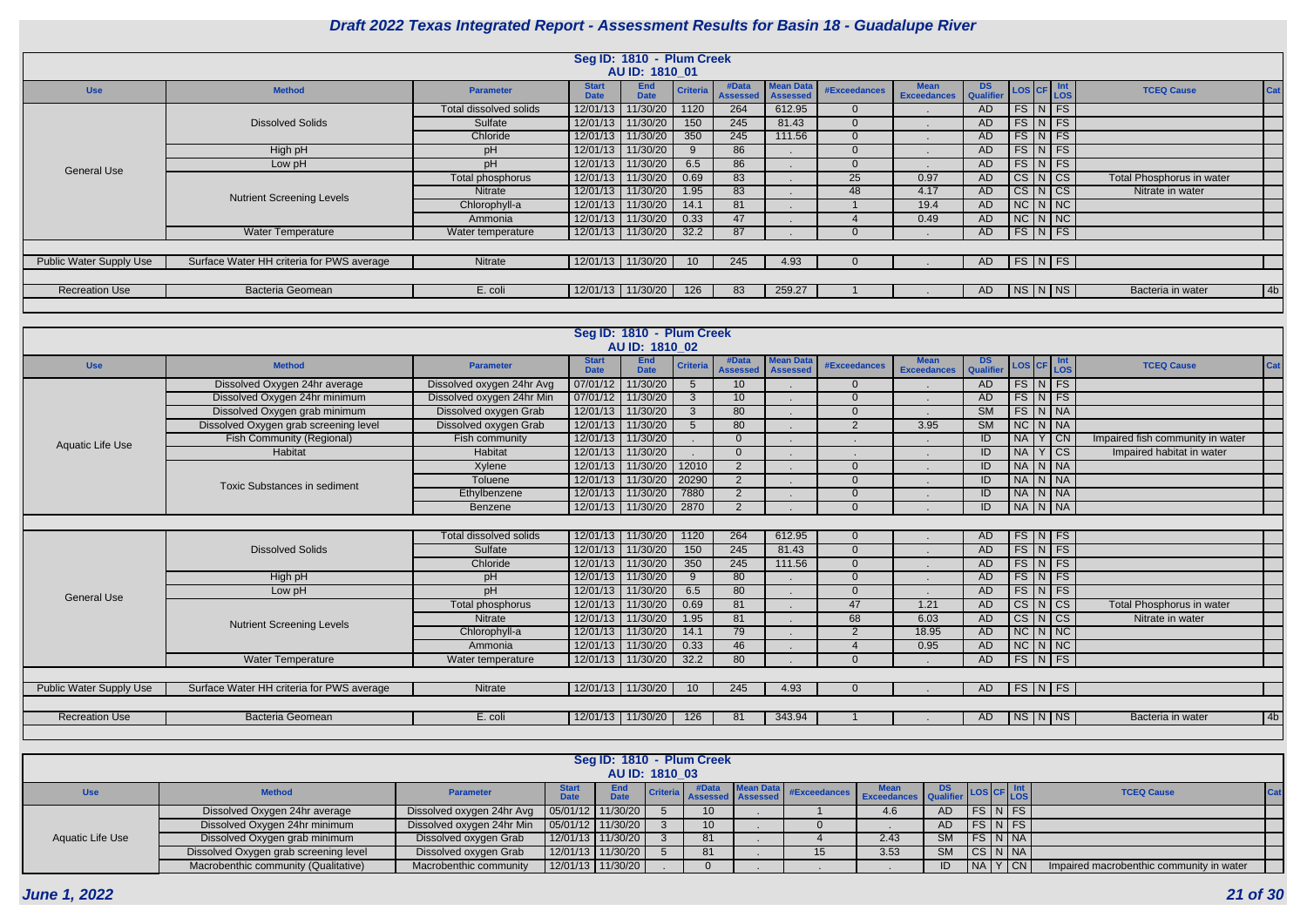|                                |                                           |                        |                             | Seg ID: 1810 - Plum Creek |                 |       |                                         |              |                    |     |  |                      |                           |     |
|--------------------------------|-------------------------------------------|------------------------|-----------------------------|---------------------------|-----------------|-------|-----------------------------------------|--------------|--------------------|-----|--|----------------------|---------------------------|-----|
|                                |                                           |                        |                             | AU ID: 1810 01            |                 |       |                                         |              |                    |     |  |                      |                           |     |
| <b>Use</b>                     | <b>Method</b>                             | <b>Parameter</b>       | <b>Start</b><br><b>Date</b> | <b>End</b><br><b>Date</b> | <b>Criteria</b> | #Data | <b>Mean Data</b><br>Assessed   Assessed | #Exceedances | Mean DS LOS CF Int |     |  |                      | <b>TCEQ Cause</b>         | Cat |
|                                |                                           | Total dissolved solids | 12/01/13                    | 11/30/20                  | 1120            | 264   | 612.95                                  |              |                    | AD. |  | $FS\vert N \vert FS$ |                           |     |
|                                | <b>Dissolved Solids</b>                   | Sulfate                |                             | 12/01/13 11/30/20         | 150             | 245   | 81.43                                   |              |                    | AD. |  | $FS\mid N \mid FS$   |                           |     |
|                                |                                           | Chloride               |                             | 12/01/13 11/30/20         | 350             | 245   | 111.56                                  |              |                    | AD  |  | $FS\vert N \vert FS$ |                           |     |
|                                | High pH                                   | pH                     |                             | 12/01/13 11/30/20         |                 | 86    |                                         |              |                    | AD  |  | $FS\vert N \vert FS$ |                           |     |
| <b>General Use</b>             | Low pH                                    | pH                     |                             | 12/01/13 11/30/20         | 6.5             | 86    |                                         |              |                    | AD  |  | $FS\vert N \vert FS$ |                           |     |
|                                |                                           | Total phosphorus       |                             | 12/01/13 11/30/20         | 0.69            | 83    |                                         | 25           | 0.97               | AD  |  | $CS\vert N\vert CS$  | Total Phosphorus in water |     |
|                                | <b>Nutrient Screening Levels</b>          | Nitrate                |                             | 12/01/13 11/30/20         | 1.95            | 83    |                                         | 48           | 4.17               | AD  |  | $CS\vert N\vert CS$  | Nitrate in water          |     |
|                                |                                           | Chlorophyll-a          |                             | 12/01/13 11/30/20         | 14.1            | 81    |                                         |              | 19.4               | AD. |  | $NC\ N\$             |                           |     |
|                                |                                           | Ammonia                |                             | 12/01/13 11/30/20         | 0.33            | 47    |                                         |              | 0.49               | AD  |  | $NC$ $N$ $NC$        |                           |     |
|                                | <b>Water Temperature</b>                  | Water temperature      |                             | 12/01/13 11/30/20         | 32.2            | 87    |                                         |              |                    | AD  |  | $FS\vert N \vert FS$ |                           |     |
|                                |                                           |                        |                             |                           |                 |       |                                         |              |                    |     |  |                      |                           |     |
| <b>Public Water Supply Use</b> | Surface Water HH criteria for PWS average | Nitrate                |                             | 12/01/13 11/30/20         | 10 <sup>1</sup> | 245   | 4.93                                    |              |                    | AD  |  | $FS\vert N \vert FS$ |                           |     |
|                                |                                           |                        |                             |                           |                 |       |                                         |              |                    |     |  |                      |                           |     |
| <b>Recreation Use</b>          | Bacteria Geomean                          | E. coli                |                             | 12/01/13 11/30/20         | 126             | 83    | 259.27                                  |              |                    | AD  |  | NS N NS              | Bacteria in water         | 4b  |
|                                |                                           |                        |                             |                           |                 |       |                                         |              |                    |     |  |                      |                           |     |

|                                |                                           |                           |                             | Seg ID: 1810 - Plum Creek |                 |                          |                                     |                     |                                   |                 |    |  |                                                                         |                                  |     |
|--------------------------------|-------------------------------------------|---------------------------|-----------------------------|---------------------------|-----------------|--------------------------|-------------------------------------|---------------------|-----------------------------------|-----------------|----|--|-------------------------------------------------------------------------|----------------------------------|-----|
|                                |                                           |                           |                             | AU ID: 1810_02            |                 |                          |                                     |                     |                                   |                 |    |  |                                                                         |                                  |     |
| <b>Use</b>                     | <b>Method</b>                             | <b>Parameter</b>          | <b>Start</b><br><b>Date</b> | <b>End</b><br><b>Date</b> | <b>Criteria</b> | #Data<br><b>Assessed</b> | <b>Mean Data</b><br><b>Assessed</b> | <b>#Exceedances</b> | <b>Mean</b><br><b>Exceedances</b> | DS<br>Qualifier |    |  | $\textsf{LOS}\left[\textsf{CF}\right]\frac{\textsf{Int}}{\textsf{LOS}}$ | <b>TCEQ Cause</b>                | Cat |
|                                | Dissolved Oxygen 24hr average             | Dissolved oxygen 24hr Avg |                             | 07/01/12 11/30/20         | $\overline{5}$  | 10                       |                                     | $\overline{0}$      |                                   | AD              |    |  | $FS\vert N \vert FS$                                                    |                                  |     |
|                                | Dissolved Oxygen 24hr minimum             | Dissolved oxygen 24hr Min |                             | 07/01/12 11/30/20         | $\mathcal{B}$   | 10                       |                                     | $\Omega$            |                                   | AD              |    |  | $FS\vert N \vert FS$                                                    |                                  |     |
|                                | Dissolved Oxygen grab minimum             | Dissolved oxygen Grab     |                             | 12/01/13 11/30/20         | $\cdot$ 3       | 80                       |                                     | $\Omega$            |                                   | SM              |    |  | FS N NA                                                                 |                                  |     |
|                                | Dissolved Oxygen grab screening level     | Dissolved oxygen Grab     |                             | 12/01/13 11/30/20         |                 | 80                       |                                     | $\overline{2}$      | 3.95                              | SM              |    |  | $NC$ $N$ $NA$                                                           |                                  |     |
| <b>Aquatic Life Use</b>        | Fish Community (Regional)                 | Fish community            |                             | 12/01/13 11/30/20         |                 |                          |                                     |                     |                                   | ID              | NA |  | $Y$ CN                                                                  | Impaired fish community in water |     |
|                                | Habitat                                   | Habitat                   |                             | 12/01/13 11/30/20         |                 |                          |                                     |                     |                                   | ID              | NA |  | $Y$ $CS$                                                                | Impaired habitat in water        |     |
|                                |                                           | Xylene                    |                             | 12/01/13 11/30/20         | 12010           | $\overline{2}$           |                                     | $\Omega$            |                                   | ID              |    |  | NA N NA                                                                 |                                  |     |
|                                | <b>Toxic Substances in sediment</b>       | Toluene                   |                             | 12/01/13 11/30/20         | 20290           | $\overline{2}$           |                                     | $\Omega$            |                                   | ID              |    |  | NA N NA                                                                 |                                  |     |
|                                |                                           | Ethylbenzene              |                             | 12/01/13 11/30/20         | 7880            | 2                        |                                     | $\Omega$            |                                   | ID              |    |  | NA N NA                                                                 |                                  |     |
|                                |                                           | Benzene                   |                             |                           | 2870            | $\overline{2}$           |                                     | $\Omega$            |                                   | ID              |    |  |                                                                         |                                  |     |
|                                | NA N NA<br>12/01/13 11/30/20              |                           |                             |                           |                 |                          |                                     |                     |                                   |                 |    |  |                                                                         |                                  |     |
|                                |                                           | Total dissolved solids    |                             | 12/01/13 11/30/20         | 1120            | 264                      | 612.95                              | $\Omega$            |                                   | AD.             |    |  | $FS\vert N \vert FS$                                                    |                                  |     |
|                                | <b>Dissolved Solids</b>                   | Sulfate                   |                             | 12/01/13 11/30/20         | 150             | 245                      | 81.43                               | $\Omega$            |                                   | AD.             |    |  | $FS\vert N \vert FS$                                                    |                                  |     |
|                                |                                           | Chloride                  |                             | 12/01/13 11/30/20         | 350             | $\overline{245}$         | 111.56                              | $\Omega$            |                                   | AD              |    |  | $FS$ $N$ $FS$                                                           |                                  |     |
|                                | High pH                                   | pH                        |                             | 12/01/13 11/30/20         | 9               | 80                       |                                     | $\Omega$            |                                   | <b>AD</b>       |    |  | $FS$ $N$ $FS$                                                           |                                  |     |
| <b>General Use</b>             | Low pH                                    | pH                        |                             | 12/01/13 11/30/20         | 6.5             | 80                       |                                     | $\Omega$            |                                   | AD              |    |  | $FS$ $N$ $FS$                                                           |                                  |     |
|                                |                                           | Total phosphorus          |                             | 12/01/13 11/30/20         | 0.69            | 81                       |                                     | 47                  | 1.21                              | AD              |    |  | $CS$ $N$ $CS$                                                           | Total Phosphorus in water        |     |
|                                | <b>Nutrient Screening Levels</b>          | Nitrate                   |                             | 12/01/13 11/30/20         | 1.95            | 81                       |                                     | 68                  | 6.03                              | <b>AD</b>       |    |  | CS N CS                                                                 | Nitrate in water                 |     |
|                                |                                           | Chlorophyll-a             |                             | 12/01/13 11/30/20         | 14.1            | 79                       |                                     | $\overline{2}$      | 18.95                             | <b>AD</b>       |    |  | $NC$ $N$ $NC$                                                           |                                  |     |
|                                |                                           | Ammonia                   |                             | 12/01/13 11/30/20         | 0.33            | 46                       |                                     |                     | 0.95                              | AD              |    |  | $NC$ $N$ $NC$                                                           |                                  |     |
|                                | <b>Water Temperature</b>                  | Water temperature         |                             | 12/01/13 11/30/20         | 32.2            | 80                       |                                     | $\Omega$            |                                   | AD              |    |  | $FS\mid N \mid FS$                                                      |                                  |     |
|                                |                                           |                           |                             |                           |                 |                          |                                     |                     |                                   |                 |    |  |                                                                         |                                  |     |
| <b>Public Water Supply Use</b> | Surface Water HH criteria for PWS average | <b>Nitrate</b>            |                             | 12/01/13 11/30/20         | 10 <sup>°</sup> | 245                      | 4.93                                |                     |                                   | AD              |    |  | $FS\ NFS$                                                               |                                  |     |
|                                |                                           |                           |                             |                           |                 |                          |                                     |                     |                                   |                 |    |  |                                                                         |                                  |     |
| <b>Recreation Use</b>          | <b>Bacteria Geomean</b>                   | E. coli                   |                             | 12/01/13 11/30/20         | 126             | 81                       | 343.94                              |                     |                                   | AD.             |    |  | $N_S/N$ $NS$                                                            | Bacteria in water                | 4b  |
|                                |                                           |                           |                             |                           |                 |                          |                                     |                     |                                   |                 |    |  |                                                                         |                                  |     |

|                  |                                       |                           |                             | AU ID: 1810 03     | Seg ID: 1810 - Plum Creek |                                                                                                                  |      |           |                |           |                                          |            |
|------------------|---------------------------------------|---------------------------|-----------------------------|--------------------|---------------------------|------------------------------------------------------------------------------------------------------------------|------|-----------|----------------|-----------|------------------------------------------|------------|
| <b>Use</b>       | <b>Method</b>                         | <b>Parameter</b>          | <b>Start</b><br><b>Date</b> | <b>End</b><br>Date |                           | Criteria #Data Mean Data #Exceedances Mean DS B<br>Criteria Assessed Assessed #Exceedances Exceedances Qualifier |      |           |                |           | <b>TCEQ Cause</b>                        | <b>Cat</b> |
|                  | Dissolved Oxygen 24hr average         | Dissolved oxygen 24hr Avg | $\vert$ 05/01/12 11/30/20   |                    | 10                        |                                                                                                                  | 4.6  | AD.       | <b>FSINIFS</b> |           |                                          |            |
|                  | Dissolved Oxygen 24hr minimum         | Dissolved oxygen 24hr Min | $\vert$ 05/01/12 11/30/20   |                    | -10                       |                                                                                                                  |      | AD.       |                |           |                                          |            |
| Aquatic Life Use | Dissolved Oxygen grab minimum         | Dissolved oxygen Grab     | 12/01/13 11/30/20           |                    | 81                        |                                                                                                                  | 2.43 | <b>SM</b> |                | IN NA     |                                          |            |
|                  | Dissolved Oxygen grab screening level | Dissolved oxygen Grab     | 12/01/13 11/30/20           |                    | 81                        |                                                                                                                  | 3.53 | SM        |                | CS IN INA |                                          |            |
|                  | Macrobenthic community (Qualitative)  | Macrobenthic community    | 12/01/13 11/30/20           |                    |                           |                                                                                                                  |      |           |                | $ Y $ CN  | Impaired macrobenthic community in water |            |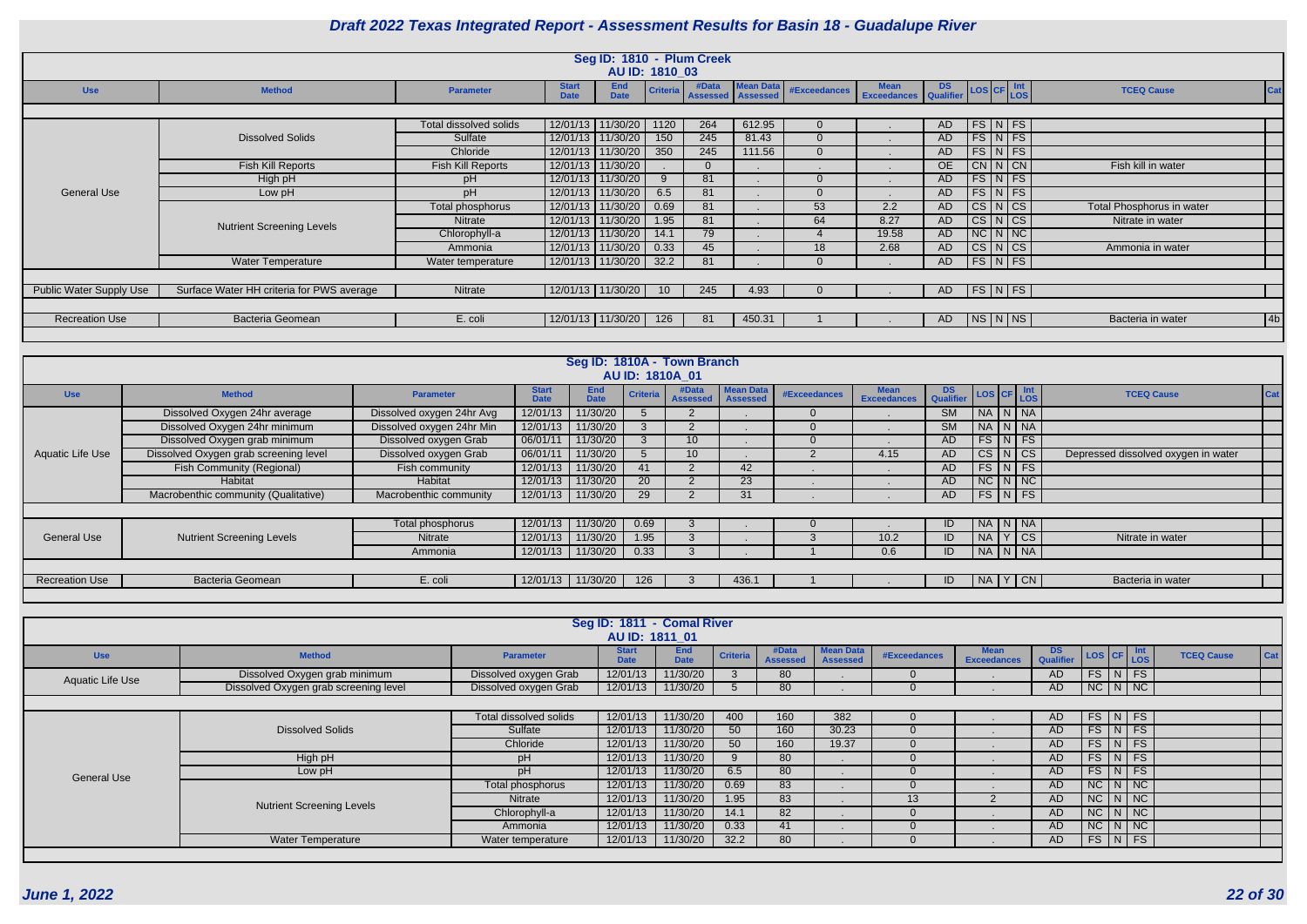|                         |                                           |                        |                             |                            | AU ID: 1810 03  | Seg ID: 1810 - Plum Creek |                                         |              |                                                     |     |                          |                      |                           |     |
|-------------------------|-------------------------------------------|------------------------|-----------------------------|----------------------------|-----------------|---------------------------|-----------------------------------------|--------------|-----------------------------------------------------|-----|--------------------------|----------------------|---------------------------|-----|
| <b>Use</b>              | <b>Method</b>                             | <b>Parameter</b>       | <b>Start</b><br><b>Date</b> | <b>End</b><br><b>Date</b>  | <b>Criteria</b> | #Data                     | <b>Mean Data</b><br>Assessed   Assessed | #Exceedances | Mean DS LOS CF Int Exceedances Qualifier LOS CF LOS |     |                          |                      | <b>TCEQ Cause</b>         | Cat |
|                         |                                           |                        |                             |                            |                 |                           |                                         |              |                                                     |     |                          |                      |                           |     |
|                         |                                           | Total dissolved solids |                             | 12/01/13   11/30/20   1120 |                 | 264                       | 612.95                                  |              |                                                     | AD  |                          | FS N FS              |                           |     |
|                         | <b>Dissolved Solids</b>                   | Sulfate                |                             | 12/01/13 11/30/20          | 150             | 245                       | 81.43                                   |              |                                                     | AD. | FS N FS                  |                      |                           |     |
|                         |                                           | Chloride               |                             | 12/01/13   11/30/20        | 350             | 245                       | 111.56                                  | $\Omega$     |                                                     | AD  |                          | $FS\ NFS$            |                           |     |
|                         | <b>Fish Kill Reports</b>                  | Fish Kill Reports      | 12/01/13 11/30/20           |                            |                 |                           |                                         |              |                                                     | OE  |                          | CN N CN              | Fish kill in water        |     |
|                         | High pH                                   | pH                     |                             | 12/01/13 11/30/20          | 9               | 81                        |                                         |              |                                                     | AD  | $FS\vert N \vert FS$     |                      |                           |     |
| General Use             | Low pH                                    | pH                     |                             | 12/01/13 11/30/20          | 6.5             | 81                        |                                         |              |                                                     | AD  |                          | $FS\vert N \vert FS$ |                           |     |
|                         |                                           | Total phosphorus       | 12/01/13                    | 11/30/20                   | 0.69            | 81                        |                                         | 53           | 2.2                                                 | AD  | CS N CS                  |                      | Total Phosphorus in water |     |
|                         | <b>Nutrient Screening Levels</b>          | Nitrate                | 12/01/13                    | 11/30/20                   | 1.95            | 81                        |                                         | 64           | 8.27                                                | AD  |                          | CS N CS              | Nitrate in water          |     |
|                         |                                           | Chlorophyll-a          | 12/01/13                    | 11/30/20                   | 14.1            | 79                        |                                         |              | 19.58                                               | AD  | $NC\vert N\vert NC\vert$ |                      |                           |     |
|                         |                                           | Ammonia                | 12/01/13 11/30/20           |                            | 0.33            | 45                        |                                         | 18           | 2.68                                                | AD  |                          | CS N CS              | Ammonia in water          |     |
|                         | <b>Water Temperature</b>                  | Water temperature      | 12/01/13 11/30/20           |                            | 32.2            | 81                        |                                         |              |                                                     | AD  |                          | FS N FS              |                           |     |
|                         |                                           |                        |                             |                            |                 |                           |                                         |              |                                                     |     |                          |                      |                           |     |
| Public Water Supply Use | Surface Water HH criteria for PWS average | Nitrate                | 12/01/13   11/30/20         |                            | 10              | 245                       | 4.93                                    |              |                                                     | AD. |                          | FS N FS              |                           |     |
|                         |                                           |                        |                             |                            |                 |                           |                                         |              |                                                     |     |                          |                      |                           |     |
| <b>Recreation Use</b>   | <b>Bacteria Geomean</b>                   | E. coli                | 12/01/13   11/30/20         |                            | 126             | -81                       | 450.31                                  |              |                                                     | AD. |                          | NS N NS              | Bacteria in water         | 4b  |
|                         |                                           |                        |                             |                            |                 |                           |                                         |              |                                                     |     |                          |                      |                           |     |

| <b>S</b>                | <b>CF</b> | Int<br><b>LOS</b>      | <b>TCEQ Cause</b>                   | Cat |
|-------------------------|-----------|------------------------|-------------------------------------|-----|
| A                       | N         | <b>NA</b>              |                                     |     |
| f.                      | N         | <b>NA</b>              |                                     |     |
| ζ                       | N         | <b>FS</b>              |                                     |     |
| $\bar{s}$               | N         | $\overline{\text{CS}}$ | Depressed dissolved oxygen in water |     |
| $\overline{\mathbf{z}}$ | N         | FS                     |                                     |     |
| $\overline{\cdot}$      | N         | $\overline{\text{NC}}$ |                                     |     |
| ⋾                       | Ν         | FS                     |                                     |     |
|                         |           |                        |                                     |     |
| A                       | N         | <b>NA</b>              |                                     |     |
| A                       | Y         | <b>CS</b>              | Nitrate in water                    |     |
| ſ                       | N         | <b>NA</b>              |                                     |     |
|                         |           |                        |                                     |     |
| A.                      | Y         | <b>CN</b>              | Bacteria in water                   |     |
|                         |           |                        |                                     |     |

|                       |                                       |                           |                             |                           | AU ID: 1810A_01 | Seg ID: 1810A - Town Branch |                                     |              |                                   |                                       |    |                         |                                     |
|-----------------------|---------------------------------------|---------------------------|-----------------------------|---------------------------|-----------------|-----------------------------|-------------------------------------|--------------|-----------------------------------|---------------------------------------|----|-------------------------|-------------------------------------|
| <b>Use</b>            | <b>Method</b>                         | <b>Parameter</b>          | <b>Start</b><br><b>Date</b> | <b>End</b><br><b>Date</b> | <b>Criteria</b> | #Data<br><b>Assessed</b>    | <b>Mean Data</b><br><b>Assessed</b> | #Exceedances | <b>Mean</b><br><b>Exceedances</b> | DS LOS CF Int<br>Qualifier LOS CF LOS |    |                         | <b>TCEQ Cause</b>                   |
|                       | Dissolved Oxygen 24hr average         | Dissolved oxygen 24hr Avg | 12/01/13                    | 11/30/20                  |                 |                             |                                     |              |                                   | <b>SM</b>                             |    | NA N NA                 |                                     |
|                       | Dissolved Oxygen 24hr minimum         | Dissolved oxygen 24hr Min | 12/01/13                    | 11/30/20                  |                 |                             |                                     |              |                                   | <b>SM</b>                             |    | NA N NA                 |                                     |
|                       | Dissolved Oxygen grab minimum         | Dissolved oxygen Grab     | 06/01/11                    | 11/30/20                  | 3               | 10                          |                                     |              |                                   | AD                                    |    | $FS\mid N \mid FS \mid$ |                                     |
| Aquatic Life Use      | Dissolved Oxygen grab screening level | Dissolved oxygen Grab     | 06/01/11                    | 11/30/20                  | $\mathcal{D}$   | 10 <sup>°</sup>             |                                     |              | 4.15                              | AD.                                   |    | $CS$ $N$ $CS$           | Depressed dissolved oxygen in water |
|                       | <b>Fish Community (Regional)</b>      | Fish community            | 12/01/13                    | 11/30/20                  | 41              |                             | 42                                  |              |                                   | AD                                    |    | $FS\vert N \vert FS$    |                                     |
|                       | Habitat                               | Habitat                   | 12/01/13                    | 11/30/20                  | <b>20</b>       |                             | 23                                  |              |                                   | AD                                    |    | NC N NC                 |                                     |
|                       | Macrobenthic community (Qualitative)  | Macrobenthic community    | 12/01/13                    | 11/30/20                  | 29              |                             | 31                                  |              |                                   | AD                                    |    | $FS\vert N \vert FS$    |                                     |
|                       |                                       |                           |                             |                           |                 |                             |                                     |              |                                   |                                       |    |                         |                                     |
|                       |                                       | Total phosphorus          | 12/01/13                    | 11/30/20                  | 0.69            | - 3                         |                                     |              |                                   | ID.                                   |    | NA N NA                 |                                     |
| <b>General Use</b>    | <b>Nutrient Screening Levels</b>      | <b>Nitrate</b>            | 12/01/13                    | 11/30/20                  | 1.95            | 3                           |                                     |              | 10.2                              | ID                                    | NA | Y CS                    | Nitrate in water                    |
|                       |                                       | Ammonia                   | 12/01/13                    | 11/30/20                  | 0.33            | 3                           |                                     |              | 0.6                               | ID                                    |    | NA N NA                 |                                     |
|                       |                                       |                           |                             |                           |                 |                             |                                     |              |                                   |                                       |    |                         |                                     |
| <b>Recreation Use</b> | <b>Bacteria Geomean</b>               | E. coli                   | 12/01/13                    | 11/30/20                  | 126             |                             | 436.1                               |              |                                   | ID                                    |    | NA Y CN                 | Bacteria in water                   |
|                       |                                       |                           |                             |                           |                 |                             |                                     |              |                                   |                                       |    |                         |                                     |

|                         |                                       |                        |                             | Seg ID: 1811 - Comal River |                 |                          |                                     |                 |                                   |                         |                                                            |  |                   |         |
|-------------------------|---------------------------------------|------------------------|-----------------------------|----------------------------|-----------------|--------------------------|-------------------------------------|-----------------|-----------------------------------|-------------------------|------------------------------------------------------------|--|-------------------|---------|
|                         |                                       |                        | AU ID: 1811 01              |                            |                 |                          |                                     |                 |                                   |                         |                                                            |  |                   |         |
| <b>Use</b>              | <b>Method</b>                         | <b>Parameter</b>       | <b>Start</b><br><b>Date</b> | <b>End</b><br><b>Date</b>  | <b>Criteria</b> | #Data<br><b>Assessed</b> | <b>Mean Data</b><br><b>Assessed</b> | #Exceedances    | <b>Mean</b><br><b>Exceedances</b> | DS.<br><b>Qualifier</b> | $\left  \text{LoS} \right $ CF $\left  \text{Int} \right $ |  | <b>TCEQ Cause</b> | $ $ Cat |
| <b>Aquatic Life Use</b> | Dissolved Oxygen grab minimum         | Dissolved oxygen Grab  | 12/01/13                    | 11/30/20                   | $\mathcal{S}$   | 80                       |                                     | $\Omega$        |                                   | AD                      | FSI NFS                                                    |  |                   |         |
|                         | Dissolved Oxygen grab screening level | Dissolved oxygen Grab  | 12/01/13                    | 11/30/20                   | $\mathcal{L}$   | 80                       |                                     | $\Omega$        |                                   | AD                      | $N$ C $N$ $N$                                              |  |                   |         |
|                         |                                       |                        |                             |                            |                 |                          |                                     |                 |                                   |                         |                                                            |  |                   |         |
|                         |                                       | Total dissolved solids | 12/01/13                    | 11/30/20                   | 400             | 160                      | 382                                 | $\Omega$        |                                   | AD.                     | $FS$ $N$ $FS$                                              |  |                   |         |
|                         | <b>Dissolved Solids</b>               | Sulfate                | 12/01/13                    | 11/30/20                   | 50              | 160                      | 30.23                               |                 |                                   | AD.                     | $FS$ $N$ $FS$                                              |  |                   |         |
|                         |                                       | Chloride               | 12/01/13                    | 11/30/20                   | 50              | 160                      | 19.37                               | $\Omega$        |                                   | AD.                     | $FS$ $N$ $FS$                                              |  |                   |         |
|                         | High pH                               | <b>DH</b>              | 12/01/13                    | 11/30/20                   | $\mathbf{Q}$    | 80                       |                                     |                 |                                   | AD.                     | $FS\vert N \vert FS$                                       |  |                   |         |
| <b>General Use</b>      | Low pH                                | pН                     | 12/01/13                    | 11/30/20                   | 6.5             | 80                       |                                     | $\Omega$        |                                   | AD                      | $FS$ $N$ $FS$                                              |  |                   |         |
|                         |                                       | Total phosphorus       | 12/01/13                    | 11/30/20                   | 0.69            | 83                       |                                     | $\Omega$        |                                   | AD                      | $NC\ N\ N$                                                 |  |                   |         |
|                         | <b>Nutrient Screening Levels</b>      | <b>Nitrate</b>         | 12/01/13                    | 11/30/20                   | 1.95            | 83                       |                                     | 13 <sup>°</sup> | ာ                                 | AD.                     | $NC$ $N$ $NC$                                              |  |                   |         |
|                         |                                       | Chlorophyll-a          | 12/01/13                    | 11/30/20                   | 14.1            | 82                       |                                     | $\Omega$        |                                   | AD                      | $NC$ $N$ $NC$                                              |  |                   |         |
|                         |                                       | Ammonia                | 12/01/13                    | 11/30/20                   | 0.33            | 41                       |                                     |                 |                                   | AD                      | $NC$ $N$ $NC$                                              |  |                   |         |
|                         | <b>Water Temperature</b>              | Water temperature      | 12/01/13                    | 11/30/20                   | 32.2            | 80                       |                                     | $\Omega$        |                                   | AD                      | FS N FS                                                    |  |                   |         |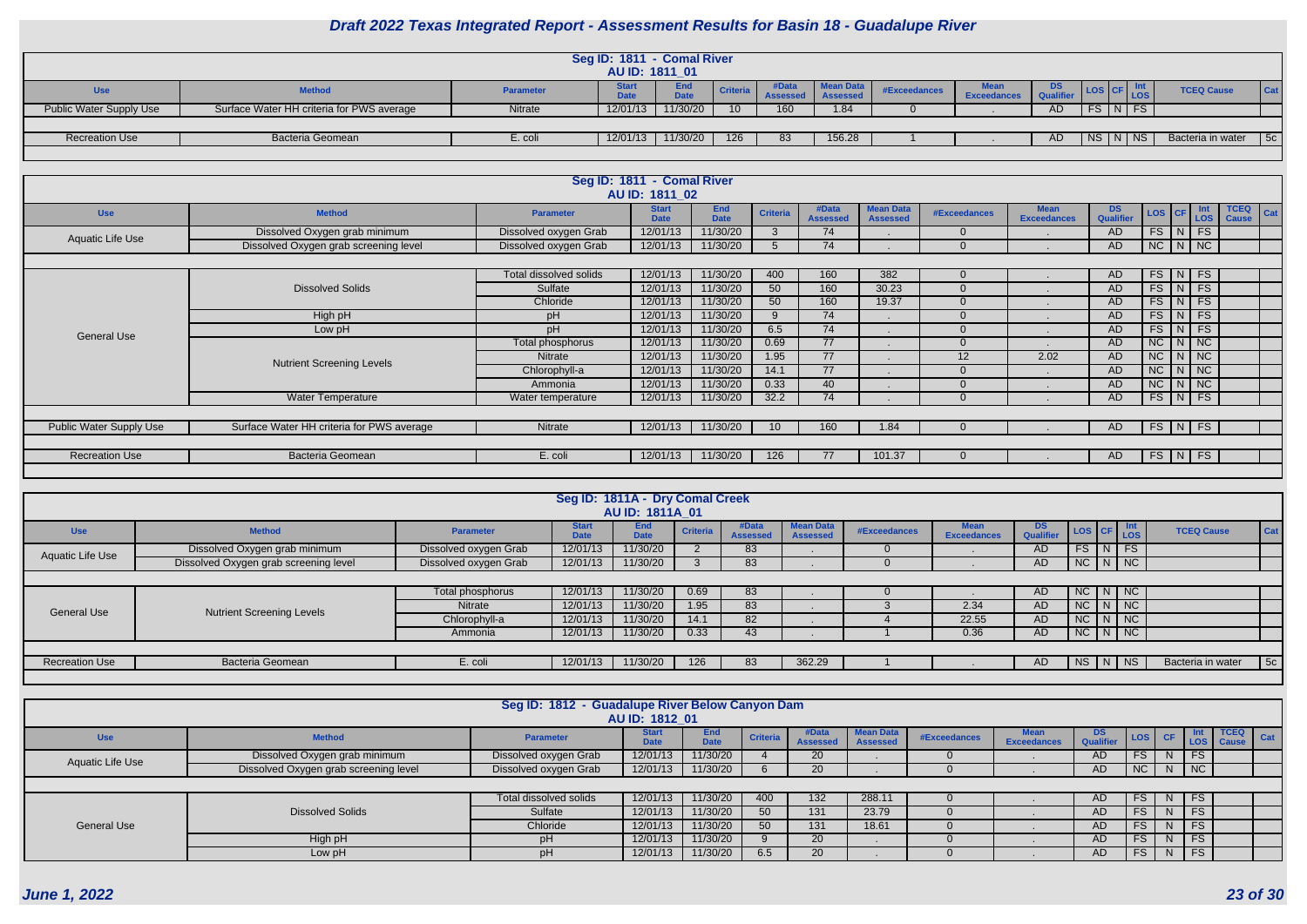|                         |                                           |                  | Seg ID: 1811 - Comal River<br>AU ID: 1811 01 |                    |                 |                          |                                     |              |                            |     |             |                         |                   |            |
|-------------------------|-------------------------------------------|------------------|----------------------------------------------|--------------------|-----------------|--------------------------|-------------------------------------|--------------|----------------------------|-----|-------------|-------------------------|-------------------|------------|
| <b>Use</b>              | <b>Method</b>                             | <b>Parameter</b> | <b>Start</b><br>Date<br>Dau                  | End<br><b>Data</b> | <b>Criteria</b> | #Data<br><b>Assessed</b> | <b>Mean Data</b><br><b>Assessed</b> | #Exceedances | Mean<br><b>Exceedances</b> | DS. | <b>TIOS</b> | $\sqrt{\frac{CF}{LOS}}$ | <b>TCEQ Cause</b> | <b>Cat</b> |
| Public Water Supply Use | Surface Water HH criteria for PWS average | Nitrate          | 12/01/13                                     | 11/30/20           | 10 <sup>1</sup> | 160                      | 1.84                                |              |                            | AD. |             | $FS$ $N$ $FS$           |                   |            |
|                         |                                           |                  |                                              |                    |                 |                          |                                     |              |                            |     |             |                         |                   |            |
| <b>Recreation Use</b>   | Bacteria Geomean                          | E. coli          | 12/01/13                                     | 11/30/20           | 126             | 83                       | 156.28                              |              |                            | AD  |             | NS N NS                 | Bacteria in water | 5c         |
|                         |                                           |                  |                                              |                    |                 |                          |                                     |              |                            |     |             |                         |                   |            |

|                                |                                           |                        | Seg ID: 1811 - Comal River<br>AU ID: 1811 02 |                           |                 |                          |                                     |                     |                                   |                        |                       |            |                                    |
|--------------------------------|-------------------------------------------|------------------------|----------------------------------------------|---------------------------|-----------------|--------------------------|-------------------------------------|---------------------|-----------------------------------|------------------------|-----------------------|------------|------------------------------------|
| <b>Use</b>                     | <b>Method</b>                             | <b>Parameter</b>       | <b>Start</b><br><b>Date</b>                  | <b>End</b><br><b>Date</b> | <b>Criteria</b> | #Data<br><b>Assessed</b> | <b>Mean Data</b><br><b>Assessed</b> | <b>#Exceedances</b> | <b>Mean</b><br><b>Exceedances</b> | <b>DS</b><br>Qualifier | LOS CF                | Int<br>LOS | <b>TCEQ</b><br>Cat<br><b>Cause</b> |
| <b>Aquatic Life Use</b>        | Dissolved Oxygen grab minimum             | Dissolved oxygen Grab  | 12/01/13                                     | 11/30/20                  |                 | 74                       |                                     | $\Omega$            |                                   | AD.                    | $FS$ $N$ $FS$         |            |                                    |
|                                | Dissolved Oxygen grab screening level     | Dissolved oxygen Grab  | 12/01/13                                     | 11/30/20                  |                 | 74                       |                                     | $\Omega$            |                                   | AD                     | $NC$ $N$ $NC$         |            |                                    |
|                                |                                           |                        |                                              |                           |                 |                          |                                     |                     |                                   |                        |                       |            |                                    |
|                                |                                           | Total dissolved solids | 12/01/13                                     | 11/30/20                  | 400             | 160                      | 382                                 | $\overline{0}$      |                                   | AD                     | $FS$ $N$              | FS         |                                    |
|                                | <b>Dissolved Solids</b>                   | Sulfate                | 12/01/13                                     | 11/30/20                  | 50              | 160                      | 30.23                               | $\Omega$            |                                   | AD                     | FS N FS               |            |                                    |
|                                |                                           | Chloride               | 12/01/13                                     | 11/30/20                  | 50              | 160                      | 19.37                               | $\Omega$            |                                   | AD.                    | FS<br>N               | FS         |                                    |
|                                | High pH                                   | pH                     | 12/01/13                                     | 11/30/20                  |                 | 74                       |                                     | $\Omega$            |                                   | AD                     | FS<br>$\vert N \vert$ | FS         |                                    |
| <b>General Use</b>             | Low pH                                    | pH                     | 12/01/13                                     | 11/30/20                  | 6.5             | 74                       |                                     | $\Omega$            |                                   | AD.                    | $FS$ $N$ $FS$         |            |                                    |
|                                |                                           | Total phosphorus       | 12/01/13                                     | 11/30/20                  | 0.69            | 77                       |                                     | $\Omega$            |                                   | AD.                    | NC                    | NNC        |                                    |
|                                | <b>Nutrient Screening Levels</b>          | <b>Nitrate</b>         | 12/01/13                                     | 11/30/20                  | 1.95            | 77                       |                                     | 12                  | 2.02                              | AD                     | $NC$ $N$ $NC$         |            |                                    |
|                                |                                           | Chlorophyll-a          | 12/01/13                                     | 11/30/20                  | 14.1            | 77                       |                                     | $\Omega$            |                                   | AD.                    | $NC$ $N$ $NC$         |            |                                    |
|                                |                                           | Ammonia                | 12/01/13                                     | 11/30/20                  | 0.33            | 40                       |                                     | $\Omega$            |                                   | AD.                    | NC                    | $N$   NC   |                                    |
|                                | <b>Water Temperature</b>                  | Water temperature      | 12/01/13                                     | 11/30/20                  | 32.2            | 74                       |                                     | $\Omega$            |                                   | AD.                    | $FS$ $N$              | FS         |                                    |
|                                |                                           |                        |                                              |                           |                 |                          |                                     |                     |                                   |                        |                       |            |                                    |
| <b>Public Water Supply Use</b> | Surface Water HH criteria for PWS average | Nitrate                | 12/01/13                                     | 11/30/20                  | 10 <sup>°</sup> | 160                      | 1.84                                | $\Omega$            |                                   | AD.                    | $FS \mid N \mid$      | <b>FS</b>  |                                    |
|                                |                                           |                        |                                              |                           |                 |                          |                                     |                     |                                   |                        |                       |            |                                    |
| <b>Recreation Use</b>          | Bacteria Geomean                          | E. coli                | 12/01/13                                     | 11/30/20                  | 126             | 77                       | 101.37                              | $\Omega$            |                                   | AD.                    | $FS$ $N$              | FS         |                                    |
|                                |                                           |                        |                                              |                           |                 |                          |                                     |                     |                                   |                        |                       |            |                                    |

|                       |                                       |                       |                             | Seg ID: 1811A - Dry Comal Creek<br><b>AU ID: 1811A 01</b> |                 |                          |                                     |              |                                   |                        |                     |  |                   |     |
|-----------------------|---------------------------------------|-----------------------|-----------------------------|-----------------------------------------------------------|-----------------|--------------------------|-------------------------------------|--------------|-----------------------------------|------------------------|---------------------|--|-------------------|-----|
| <b>Use</b>            | <b>Method</b>                         | <b>Parameter</b>      | <b>Start</b><br><b>Date</b> | End<br><b>Date</b>                                        | <b>Criteria</b> | #Data<br><b>Assessed</b> | <b>Mean Data</b><br><b>Assessed</b> | #Exceedances | <b>Mean</b><br><b>Exceedances</b> | <b>DS</b><br>Qualifier | LOS CF LOS          |  | <b>TCEQ Cause</b> | Cat |
| Aquatic Life Use      | Dissolved Oxygen grab minimum         | Dissolved oxygen Grab | 12/01/13                    | 11/30/20                                                  |                 | 83                       |                                     |              |                                   | <b>AD</b>              | $FS$ $N$ $FS$       |  |                   |     |
|                       | Dissolved Oxygen grab screening level | Dissolved oxygen Grab | 12/01/13                    | 11/30/20                                                  |                 | 83                       |                                     |              |                                   | <b>AD</b>              | $NC$ $N$ $NC$       |  |                   |     |
|                       |                                       |                       |                             |                                                           |                 |                          |                                     |              |                                   |                        |                     |  |                   |     |
|                       |                                       | Total phosphorus      | 12/01/13                    | 11/30/20                                                  | 0.69            | 83                       |                                     |              |                                   | <b>AD</b>              | $NC \mid N \mid NC$ |  |                   |     |
| <b>General Use</b>    | <b>Nutrient Screening Levels</b>      | <b>Nitrate</b>        | 12/01/13                    | 11/30/20                                                  | 1.95            | 83                       |                                     |              | 2.34                              | AD                     | $NC$ $N$ $NC$       |  |                   |     |
|                       |                                       | Chlorophyll-a         | 12/01/13                    | 11/30/20                                                  | 14.1            | 82                       |                                     |              | 22.55                             | AD                     | $NC$ $N$ $NC$       |  |                   |     |
|                       |                                       | Ammonia               | 12/01/13                    | 11/30/20                                                  | 0.33            | 43                       |                                     |              | 0.36                              | AD                     | $NC$ $N$ $NC$       |  |                   |     |
|                       |                                       |                       |                             |                                                           |                 |                          |                                     |              |                                   |                        |                     |  |                   |     |
| <b>Recreation Use</b> | <b>Bacteria Geomean</b>               | E. coli               | 12/01/13                    | 11/30/20                                                  | 126             | 83                       | 362.29                              |              |                                   | AD                     |                     |  | Bacteria in water | 5c  |
|                       |                                       |                       |                             |                                                           |                 |                          |                                     |              |                                   |                        |                     |  |                   |     |

|                    |                                       | Seg ID: 1812 - Guadalupe River Below Canyon Dam | AU ID: 1812 01              |                    |                 |                          |                                     |              |                            |                  |           |                                |           |                                     |                              |
|--------------------|---------------------------------------|-------------------------------------------------|-----------------------------|--------------------|-----------------|--------------------------|-------------------------------------|--------------|----------------------------|------------------|-----------|--------------------------------|-----------|-------------------------------------|------------------------------|
| <b>Use</b>         | <b>Method</b>                         | <b>Parameter</b>                                | <b>Start</b><br><b>Date</b> | End<br><b>Date</b> | <b>Criteria</b> | #Data<br><b>Assesser</b> | <b>Mean Data</b><br><b>Assessed</b> | #Exceedances | Mean<br><b>Exceedances</b> | DS.<br>Qualifier |           | $\vert$ LOS $\vert$ CF $\vert$ |           | TCEQ  <br>Int   TCEQ<br>LOS   Cause | $\overline{\phantom{a}}$ Cat |
| Aquatic Life Use   | Dissolved Oxygen grab minimum         | Dissolved oxygen Grab                           | 12/01/13                    | 11/30/20           |                 | 20                       |                                     |              |                            | <b>AD</b>        | <b>FS</b> |                                | <b>FS</b> |                                     |                              |
|                    | Dissolved Oxygen grab screening level | Dissolved oxygen Grab                           | 12/01/13                    | 11/30/20           |                 | 20                       |                                     |              |                            | AD.              | <b>NC</b> | N I                            | NC        |                                     |                              |
|                    |                                       |                                                 |                             |                    |                 |                          |                                     |              |                            |                  |           |                                |           |                                     |                              |
|                    |                                       | Total dissolved solids                          | 12/01/13                    | 11/30/20           | 400             | 132                      | 288.11                              |              |                            | AD.              | FS        | N.                             | <b>FS</b> |                                     |                              |
|                    | <b>Dissolved Solids</b>               | Sulfate                                         | 12/01/13                    | 11/30/20           | 50              | 131                      | 23.79                               |              |                            | AD.              | <b>FS</b> | N.                             | <b>FS</b> |                                     |                              |
| <b>General Use</b> |                                       | Chloride                                        | 12/01/13                    | 11/30/20           | 50              | 131                      | 18.61                               |              |                            | <b>AD</b>        | <b>FS</b> | N                              | <b>FS</b> |                                     |                              |
|                    | High pH                               | рH                                              | 12/01/13                    | 11/30/20           |                 | 20 <sub>2</sub>          |                                     |              |                            | <b>AD</b>        | <b>FS</b> | N                              | <b>FS</b> |                                     |                              |
|                    | Low pH                                | pH                                              | 12/01/13                    | 11/30/20           | 6.5             | 20                       |                                     |              |                            | <b>AD</b>        | <b>FS</b> | N                              | <b>FS</b> |                                     |                              |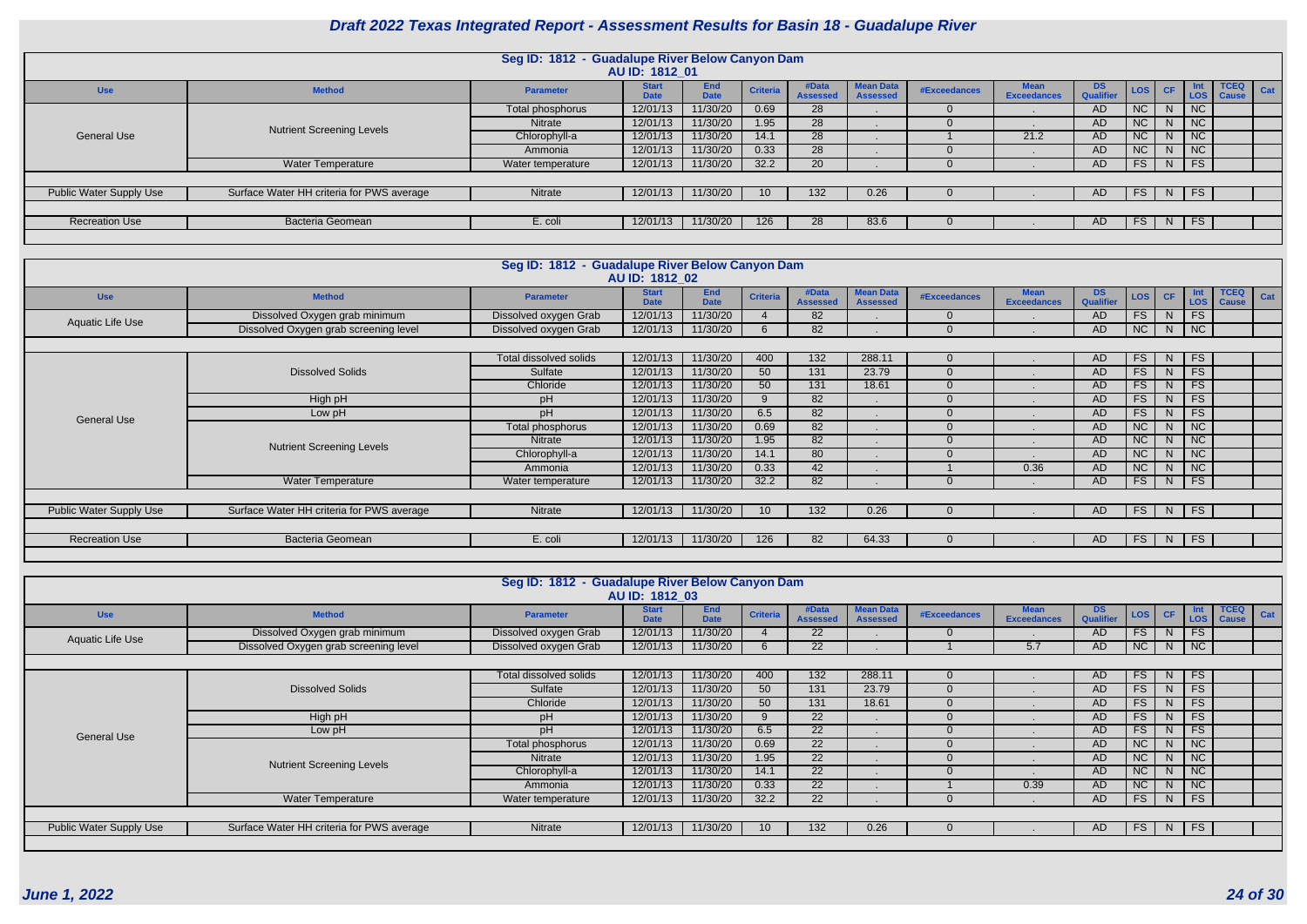|                                |                                           | Seg ID: 1812 - Guadalupe River Below Canyon Dam | AU ID: 1812 01              |                           |                 |                         |                                     |              |                                   |                               |           |    |           |                                                  |     |
|--------------------------------|-------------------------------------------|-------------------------------------------------|-----------------------------|---------------------------|-----------------|-------------------------|-------------------------------------|--------------|-----------------------------------|-------------------------------|-----------|----|-----------|--------------------------------------------------|-----|
| <b>Use</b>                     | <b>Method</b>                             | <b>Parameter</b>                                | <b>Start</b><br><b>Date</b> | <b>End</b><br><b>Date</b> | <b>Criteria</b> | #Data<br><b>Assesse</b> | <b>Mean Data</b><br><b>Assessed</b> | #Exceedances | <b>Mean</b><br><b>Exceedances</b> | <b>DS</b><br><b>Qualifier</b> | LOS CF    |    |           | <b>TCEQ</b><br><b>Int   TCEQ<br/>LOS   Cause</b> | Cat |
|                                |                                           | Total phosphorus                                | 12/01/13                    | 11/30/20                  | 0.69            | 28                      |                                     |              |                                   | AD.                           | NC        | N. | NC        |                                                  |     |
|                                | <b>Nutrient Screening Levels</b>          | Nitrate                                         | 12/01/13                    | 11/30/20                  | 1.95            | 28                      |                                     |              |                                   | AD.                           | <b>NC</b> | N  | NC        |                                                  |     |
| <b>General Use</b>             |                                           | Chlorophyll-a                                   | 12/01/13                    | 11/30/20                  | 14.1            | 28                      |                                     |              | 21.2                              | AD                            | NC        | N. | NC        |                                                  |     |
|                                |                                           | Ammonia                                         | 12/01/13                    | 11/30/20                  | 0.33            | 28                      |                                     |              |                                   | AD.                           | <b>NC</b> | N. | NC        |                                                  |     |
|                                | <b>Water Temperature</b>                  | Water temperature                               | 12/01/13                    | 11/30/20                  | 32.2            | 20                      |                                     |              |                                   | AD.                           | <b>FS</b> | N  | FS        |                                                  |     |
|                                |                                           |                                                 |                             |                           |                 |                         |                                     |              |                                   |                               |           |    |           |                                                  |     |
| <b>Public Water Supply Use</b> | Surface Water HH criteria for PWS average | Nitrate                                         | 12/01/13                    | 11/30/20                  | 10              | 132                     | 0.26                                |              |                                   | AD                            | <b>FS</b> | N  | <b>FS</b> |                                                  |     |
|                                |                                           |                                                 |                             |                           |                 |                         |                                     |              |                                   |                               |           |    |           |                                                  |     |
| <b>Recreation Use</b>          | Bacteria Geomean                          | E. coli                                         | 12/01/13                    | 11/30/20                  | 126             | 28                      | 83.6                                |              |                                   | AD                            | <b>FS</b> | N  | <b>FS</b> |                                                  |     |
|                                |                                           |                                                 |                             |                           |                 |                         |                                     |              |                                   |                               |           |    |           |                                                  |     |

|                         |                                           | Seg ID: 1812 - Guadalupe River Below Canyon Dam | AU ID: 1812 02              |                           |                 |                          |                                     |              |                                   |                 |            |           |                   |                      |     |
|-------------------------|-------------------------------------------|-------------------------------------------------|-----------------------------|---------------------------|-----------------|--------------------------|-------------------------------------|--------------|-----------------------------------|-----------------|------------|-----------|-------------------|----------------------|-----|
| <b>Use</b>              | <b>Method</b>                             | <b>Parameter</b>                                | <b>Start</b><br><b>Date</b> | <b>End</b><br><b>Date</b> | <b>Criteria</b> | #Data<br><b>Assessed</b> | <b>Mean Data</b><br><b>Assessed</b> | #Exceedances | <b>Mean</b><br><b>Exceedances</b> | DS<br>Qualifier | <b>LOS</b> | <b>CF</b> | Int<br><b>LOS</b> | <b>TCEQ</b><br>Cause | Cat |
| <b>Aquatic Life Use</b> | Dissolved Oxygen grab minimum             | Dissolved oxygen Grab                           | 12/01/13                    | 11/30/20                  |                 | 82                       |                                     |              |                                   | <b>AD</b>       | FS         | N.        | <b>FS</b>         |                      |     |
|                         | Dissolved Oxygen grab screening level     | Dissolved oxygen Grab                           | 12/01/13                    | 11/30/20                  |                 | 82                       |                                     |              |                                   | <b>AD</b>       | <b>NC</b>  | N         | NC                |                      |     |
|                         |                                           |                                                 |                             |                           |                 |                          |                                     |              |                                   |                 |            |           |                   |                      |     |
|                         |                                           | Total dissolved solids                          | 12/01/13                    | 11/30/20                  | 400             | $132$                    | 288.11                              |              |                                   | AD              | FS         | N         | <b>FS</b>         |                      |     |
|                         | <b>Dissolved Solids</b>                   | Sulfate                                         | 12/01/13                    | 11/30/20                  | 50              | 131                      | 23.79                               |              |                                   | AD              | <b>FS</b>  | N         | <b>FS</b>         |                      |     |
|                         |                                           | Chloride                                        | 12/01/13                    | 11/30/20                  | 50              | 131                      | 18.61                               |              |                                   | <b>AD</b>       | <b>FS</b>  | N.        | FS                |                      |     |
|                         | High pH                                   | pH                                              | 12/01/13                    | 11/30/20                  |                 | 82                       |                                     |              |                                   | AD              | <b>FS</b>  | N.        | <b>FS</b>         |                      |     |
| <b>General Use</b>      | Low pH                                    | pH                                              | 12/01/13                    | 11/30/20                  | 6.5             | 82                       |                                     |              |                                   | AD              | <b>FS</b>  | N         | <b>FS</b>         |                      |     |
|                         |                                           | Total phosphorus                                | 12/01/13                    | 11/30/20                  | 0.69            | 82                       |                                     |              |                                   | <b>AD</b>       | NC         | N         | NC                |                      |     |
|                         | <b>Nutrient Screening Levels</b>          | Nitrate                                         | 12/01/13                    | 11/30/20                  | 1.95            | 82                       |                                     |              |                                   | AD              | <b>NC</b>  | N.        | NC                |                      |     |
|                         |                                           | Chlorophyll-a                                   | 12/01/13                    | 11/30/20                  | 14.1            | 80                       |                                     |              |                                   | AD              | <b>NC</b>  | N         | <b>NC</b>         |                      |     |
|                         |                                           | Ammonia                                         | 12/01/13                    | 11/30/20                  | 0.33            | 42                       |                                     |              | 0.36                              | <b>AD</b>       | NC         | N.        | NC                |                      |     |
|                         | <b>Water Temperature</b>                  | Water temperature                               | 12/01/13                    | 11/30/20                  | 32.2            | 82                       |                                     |              |                                   | AD              | FS         | N         | FS                |                      |     |
|                         |                                           |                                                 |                             |                           |                 |                          |                                     |              |                                   |                 |            |           |                   |                      |     |
| Public Water Supply Use | Surface Water HH criteria for PWS average | Nitrate                                         | 12/01/13                    | 11/30/20                  | 10 <sup>°</sup> | 132                      | 0.26                                |              |                                   | AD.             | <b>FS</b>  | N         | FS                |                      |     |
|                         |                                           |                                                 |                             |                           |                 |                          |                                     |              |                                   |                 |            |           |                   |                      |     |
| <b>Recreation Use</b>   | Bacteria Geomean                          | E. coli                                         | 12/01/13                    | 11/30/20                  | 126             | 82                       | 64.33                               |              |                                   | AD.             | <b>FS</b>  | N         | <b>FS</b>         |                      |     |
|                         |                                           |                                                 |                             |                           |                 |                          |                                     |              |                                   |                 |            |           |                   |                      |     |

|                                           | Seg ID: 1812 - Guadalupe River Below Canyon Dam |                             |                           |                 |                          |                                     |              |                                   |                         |           |    |            |                             |     |
|-------------------------------------------|-------------------------------------------------|-----------------------------|---------------------------|-----------------|--------------------------|-------------------------------------|--------------|-----------------------------------|-------------------------|-----------|----|------------|-----------------------------|-----|
| <b>Method</b>                             | <b>Parameter</b>                                | <b>Start</b><br><b>Date</b> | <b>End</b><br><b>Date</b> | <b>Criteria</b> | #Data<br><b>Assessed</b> | <b>Mean Data</b><br><b>Assessed</b> | #Exceedances | <b>Mean</b><br><b>Exceedances</b> | DS.<br><b>Qualifier</b> |           | CF | Int<br>LOS | <b>TCEQ</b><br><b>Cause</b> | Cat |
| Dissolved Oxygen grab minimum             | Dissolved oxygen Grab                           | 12/01/13                    | 11/30/20                  |                 | 22                       |                                     |              |                                   | AD.                     | <b>FS</b> | N  | <b>FS</b>  |                             |     |
| Dissolved Oxygen grab screening level     | Dissolved oxygen Grab                           | 12/01/13                    | 11/30/20                  |                 | 22                       |                                     |              | 5.7                               | AD                      | <b>NC</b> | N  |            |                             |     |
|                                           |                                                 |                             |                           |                 |                          |                                     |              |                                   |                         |           |    |            |                             |     |
|                                           | Total dissolved solids                          | 12/01/13                    | 11/30/20                  | 400             | 132                      | 288.11                              |              |                                   | <b>AD</b>               | <b>FS</b> | N  | <b>FS</b>  |                             |     |
| <b>Dissolved Solids</b>                   | Sulfate                                         | 12/01/13                    | 11/30/20                  | 50              | 131                      | 23.79                               |              |                                   | AD.                     | <b>FS</b> | N  | <b>FS</b>  |                             |     |
|                                           | Chloride                                        | 12/01/13                    | 11/30/20                  | 50              | 131                      | 18.61                               |              |                                   | AD.                     | <b>FS</b> | N. | <b>FS</b>  |                             |     |
| High pH                                   | pH                                              | 12/01/13                    | 11/30/20                  |                 | 22 <sub>2</sub>          |                                     |              |                                   | AD                      | <b>FS</b> | N  | FS         |                             |     |
| Low pH                                    | pH                                              | 12/01/13                    | 11/30/20                  | 6.5             | 22                       |                                     |              |                                   | AD.                     | <b>FS</b> | N  | <b>FS</b>  |                             |     |
|                                           | Total phosphorus                                | 12/01/13                    | 11/30/20                  | 0.69            | 22                       |                                     |              |                                   | <b>AD</b>               | <b>NC</b> | N  |            |                             |     |
|                                           | Nitrate                                         | 12/01/13                    | 11/30/20                  | 1.95            | 22                       |                                     |              |                                   | AD.                     | <b>NC</b> | N  |            |                             |     |
|                                           | Chlorophyll-a                                   | 12/01/13                    | 11/30/20                  | 14.1            | 22                       |                                     |              |                                   | <b>AD</b>               | NC        | N  |            |                             |     |
|                                           | Ammonia                                         | 12/01/13                    | 11/30/20                  | 0.33            | 22                       |                                     |              | 0.39                              | AD                      | NC        | N  |            |                             |     |
| <b>Water Temperature</b>                  | Water temperature                               | 12/01/13                    | 11/30/20                  | 32.2            | 22                       |                                     |              |                                   | AD                      | <b>FS</b> | N  | <b>FS</b>  |                             |     |
|                                           |                                                 |                             |                           |                 |                          |                                     |              |                                   |                         |           |    |            |                             |     |
| Surface Water HH criteria for PWS average | Nitrate                                         | 12/01/13                    | 11/30/20                  | 10 <sup>1</sup> | 132                      | 0.26                                |              |                                   | AD.                     | FS        | N  | FS         |                             |     |
|                                           | <b>Nutrient Screening Levels</b>                |                             |                           | AU ID: 1812 03  |                          |                                     |              |                                   |                         |           |    | LOS        | NC<br>NC<br>NC<br>NC<br>NC  |     |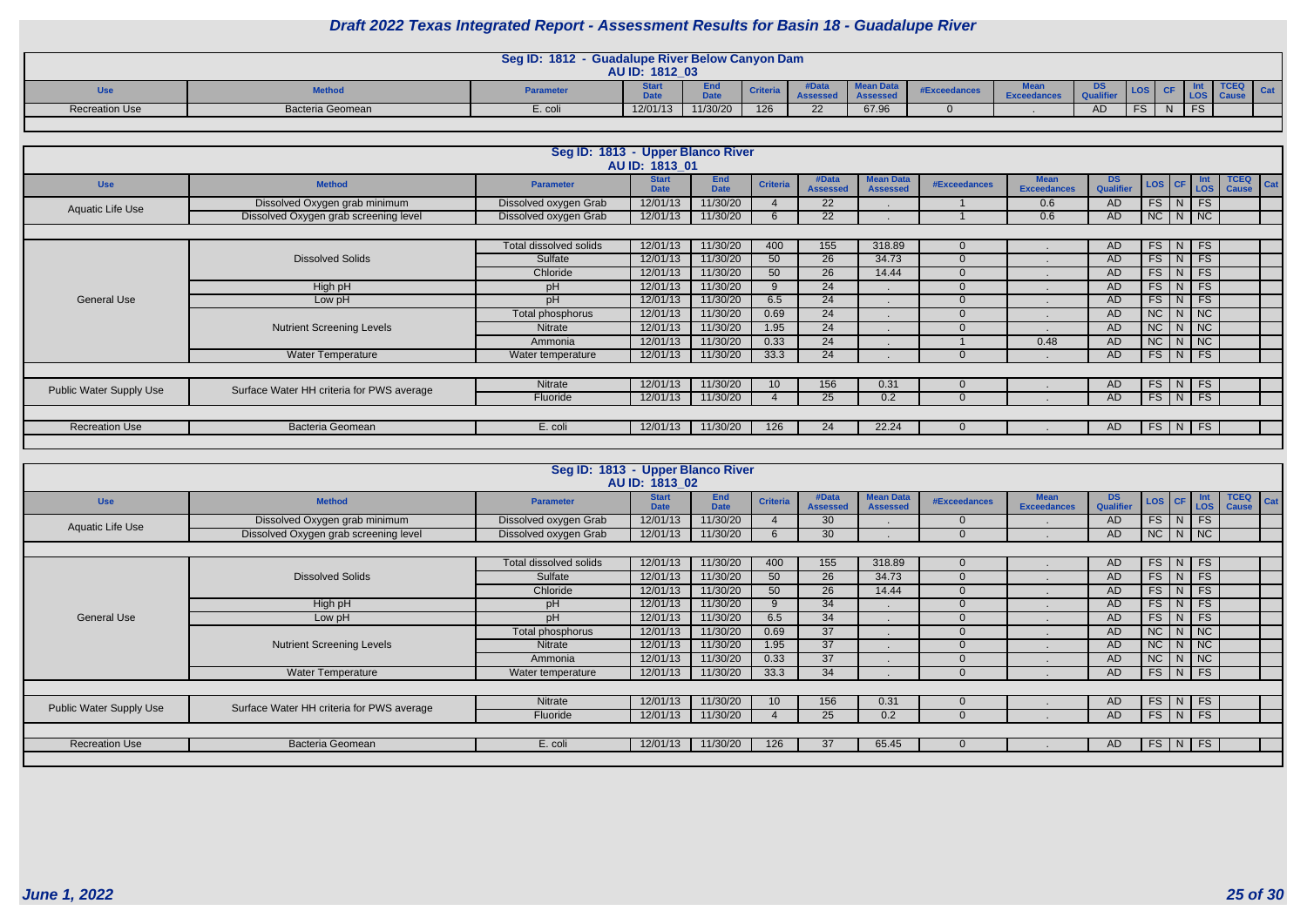|                       |                  | <b>Seg ID: 1812</b> | <b>Guadalupe River Below Canyon Dam</b><br>AU ID: 1812 03 |                          |                 |                                |                       |              |                               |                                    |              |    |           |  |
|-----------------------|------------------|---------------------|-----------------------------------------------------------|--------------------------|-----------------|--------------------------------|-----------------------|--------------|-------------------------------|------------------------------------|--------------|----|-----------|--|
| <b>Use</b>            | <b>Method</b>    | <b>Parameter</b>    | <b>Barbara</b>                                            | <b>EU</b><br><b>DALL</b> | <b>Criteria</b> | $\mathbf{P}$<br><b>ASSESSL</b> | Mean Data<br>noocoocc | #Exceedances | $M - -$<br><b>Exceedances</b> | ה ה<br>്ക<br>100,000<br><b>Ous</b> | <b>LOS</b>   |    |           |  |
| <b>Recreation Use</b> | Bacteria Geomean | E. coli             | 12/01/13                                                  | 11/30/20                 | 126             |                                | 67.96                 |              |                               | AD                                 | ES.<br>∕ ت ، | N. | FC.<br>гə |  |
|                       |                  |                     |                                                           |                          |                 |                                |                       |              |                               |                                    |              |    |           |  |

|                                |                                           | Seg ID: 1813 - Upper Blanco River | AU ID: 1813 01              |                           |                 |                          |                                     |              |                                   |                        |               |   |                                                              |                                    |
|--------------------------------|-------------------------------------------|-----------------------------------|-----------------------------|---------------------------|-----------------|--------------------------|-------------------------------------|--------------|-----------------------------------|------------------------|---------------|---|--------------------------------------------------------------|------------------------------------|
| <b>Use</b>                     | <b>Method</b>                             | <b>Parameter</b>                  | <b>Start</b><br><b>Date</b> | <b>End</b><br><b>Date</b> | <b>Criteria</b> | #Data<br><b>Assessed</b> | <b>Mean Data</b><br><b>Assessed</b> | #Exceedances | <b>Mean</b><br><b>Exceedances</b> | <b>DS</b><br>Qualifier | LOS CF        |   | $\begin{array}{c} \n\text{Int} \\ \n\text{LOS}\n\end{array}$ | <b>TCEQ</b><br>Cat<br><b>Cause</b> |
| <b>Aquatic Life Use</b>        | Dissolved Oxygen grab minimum             | Dissolved oxygen Grab             | 12/01/13                    | 11/30/20                  |                 | 22                       |                                     |              | 0.6                               | AD.                    | $FS$ $N$ $FS$ |   |                                                              |                                    |
|                                | Dissolved Oxygen grab screening level     | Dissolved oxygen Grab             | 12/01/13                    | 11/30/20                  |                 | 22                       |                                     |              | 0.6                               | AD                     | $NC$   N   NC |   |                                                              |                                    |
|                                |                                           |                                   |                             |                           |                 |                          |                                     |              |                                   |                        |               |   |                                                              |                                    |
|                                |                                           | Total dissolved solids            | 12/01/13                    | 11/30/20                  | 400             | 155                      | 318.89                              |              |                                   | <b>AD</b>              | FS            | N | FS                                                           |                                    |
|                                | <b>Dissolved Solids</b>                   | Sulfate                           | 12/01/13                    | 11/30/20                  | 50              | 26                       | 34.73                               |              |                                   | AD.                    | $FS$ $N$ $FS$ |   |                                                              |                                    |
|                                |                                           | Chloride                          | 12/01/13                    | 11/30/20                  | 50              | 26                       | 14.44                               |              |                                   | <b>AD</b>              | $FS$   N      |   | FS                                                           |                                    |
|                                | High pH                                   | pH                                | 12/01/13                    | 11/30/20                  | $\Omega$        | 24                       |                                     |              |                                   | AD.                    | $FS$ $N$      |   | FS                                                           |                                    |
| <b>General Use</b>             | Low pH                                    | pH                                | 12/01/13                    | 11/30/20                  | 6.5             | 24                       |                                     |              |                                   | <b>AD</b>              | $FS$ $N$      |   | FS                                                           |                                    |
|                                |                                           | Total phosphorus                  | 12/01/13                    | 11/30/20                  | 0.69            | 24                       |                                     |              |                                   | <b>AD</b>              | $NC$ $N$      |   | $\overline{\phantom{a}}$ NC                                  |                                    |
|                                | <b>Nutrient Screening Levels</b>          | Nitrate                           | 12/01/13                    | 11/30/20                  | 1.95            | 24                       |                                     |              |                                   | <b>AD</b>              | $NC$ $N$ $NC$ |   |                                                              |                                    |
|                                |                                           | Ammonia                           | 12/01/13                    | 11/30/20                  | 0.33            | 24                       |                                     |              | 0.48                              | <b>AD</b>              | $NC$ $N$      |   | NC                                                           |                                    |
|                                | <b>Water Temperature</b>                  | Water temperature                 | 12/01/13                    | 11/30/20                  | 33.3            | 24                       |                                     |              |                                   | AD.                    | FS            | N | FS                                                           |                                    |
|                                |                                           |                                   |                             |                           |                 |                          |                                     |              |                                   |                        |               |   |                                                              |                                    |
| <b>Public Water Supply Use</b> | Surface Water HH criteria for PWS average | Nitrate                           | 12/01/13                    | 11/30/20                  | 10              | 156                      | 0.31                                |              |                                   | AD.                    |               |   | FS N FS                                                      |                                    |
|                                |                                           | Fluoride                          | 12/01/13                    | 11/30/20                  |                 | 25                       | 0.2                                 |              |                                   | AD.                    | $FS$ $N$      |   | <b>FS</b>                                                    |                                    |
|                                |                                           |                                   |                             |                           |                 |                          |                                     |              |                                   |                        |               |   |                                                              |                                    |
| <b>Recreation Use</b>          | <b>Bacteria Geomean</b>                   | E. coli                           | 12/01/13                    | 11/30/20                  | 126             | 24                       | 22.24                               |              |                                   | AD.                    | FS   N        |   | <b>FS</b>                                                    |                                    |
|                                |                                           |                                   |                             |                           |                 |                          |                                     |              |                                   |                        |               |   |                                                              |                                    |

|                                |                                           | Seg ID: 1813 - Upper Blanco River | AU ID: 1813 02              |                           |                 |                          |                                     |                     |                                   |                         |                   |               |                             |                                    |
|--------------------------------|-------------------------------------------|-----------------------------------|-----------------------------|---------------------------|-----------------|--------------------------|-------------------------------------|---------------------|-----------------------------------|-------------------------|-------------------|---------------|-----------------------------|------------------------------------|
| <b>Use</b>                     | <b>Method</b>                             | <b>Parameter</b>                  | <b>Start</b><br><b>Date</b> | <b>End</b><br><b>Date</b> | <b>Criteria</b> | #Data<br><b>Assessed</b> | <b>Mean Data</b><br><b>Assessed</b> | <b>#Exceedances</b> | <b>Mean</b><br><b>Exceedances</b> | DS.<br><b>Qualifier</b> | LOS CF            |               | Int<br>LOS                  | <b>TCEQ</b><br>Cat<br><b>Cause</b> |
|                                | Dissolved Oxygen grab minimum             | Dissolved oxygen Grab             | 12/01/13                    | 11/30/20                  |                 | 30                       |                                     |                     |                                   | <b>AD</b>               |                   | $FS$ $N$ $FS$ |                             |                                    |
| Aquatic Life Use               | Dissolved Oxygen grab screening level     | Dissolved oxygen Grab             | 12/01/13                    | 11/30/20                  | 6               | 30                       |                                     |                     |                                   | AD.                     | $NC$   $N$   $NC$ |               |                             |                                    |
|                                |                                           |                                   |                             |                           |                 |                          |                                     |                     |                                   |                         |                   |               |                             |                                    |
|                                |                                           | Total dissolved solids            | 12/01/13                    | 11/30/20                  | 400             | 155                      | 318.89                              |                     |                                   | <b>AD</b>               | $FS$ N FS         |               |                             |                                    |
|                                | <b>Dissolved Solids</b>                   | Sulfate                           | 12/01/13                    | 11/30/20                  | 50              | 26                       | 34.73                               |                     |                                   | <b>AD</b>               | $FS$ $N$          |               | FS                          |                                    |
|                                |                                           | Chloride                          | 12/01/13                    | 11/30/20                  | 50              | 26                       | 14.44                               |                     |                                   | AD.                     |                   | $FS$ $N$ $FS$ |                             |                                    |
|                                | High pH                                   | pH                                | 12/01/13                    | 11/30/20                  | 9               | 34                       |                                     |                     |                                   | <b>AD</b>               |                   | $FS$ $N$ $FS$ |                             |                                    |
| <b>General Use</b>             | Low pH                                    | pH                                | 12/01/13                    | 11/30/20                  | 6.5             | 34                       |                                     |                     |                                   | <b>AD</b>               | $FS$ $N$          |               | FS                          |                                    |
|                                |                                           | Total phosphorus                  | 12/01/13                    | 11/30/20                  | 0.69            | 37                       |                                     |                     |                                   | <b>AD</b>               | $NC$ $N$ $NC$     |               |                             |                                    |
|                                | <b>Nutrient Screening Levels</b>          | Nitrate                           | 12/01/13                    | 11/30/20                  | 1.95            | 37                       |                                     |                     |                                   | <b>AD</b>               | $NC$ $N$ $NC$     |               |                             |                                    |
|                                |                                           | Ammonia                           | 12/01/13                    | 11/30/20                  | 0.33            | 37                       |                                     |                     |                                   | <b>AD</b>               | $NC$   $N$        |               | $\overline{\phantom{a}}$ NC |                                    |
|                                | <b>Water Temperature</b>                  | Water temperature                 | 12/01/13                    | 11/30/20                  | 33.3            | 34                       |                                     |                     |                                   | <b>AD</b>               | $FS$ $N$          |               | FS                          |                                    |
|                                |                                           |                                   |                             |                           |                 |                          |                                     |                     |                                   |                         |                   |               |                             |                                    |
| <b>Public Water Supply Use</b> | Surface Water HH criteria for PWS average | Nitrate                           | 12/01/13                    | 11/30/20                  | 10              | 156                      | 0.31                                |                     |                                   | <b>AD</b>               | $FS$ $N$ $FS$     |               |                             |                                    |
|                                |                                           | Fluoride                          | 12/01/13                    | 11/30/20                  |                 | 25                       | 0.2                                 |                     |                                   | <b>AD</b>               | $FS$ $N$ $FS$     |               |                             |                                    |
|                                |                                           |                                   |                             |                           |                 |                          |                                     |                     |                                   |                         |                   |               |                             |                                    |
| <b>Recreation Use</b>          | <b>Bacteria Geomean</b>                   | E. coli                           | 12/01/13                    | 11/30/20                  | 126             | 37                       | 65.45                               |                     |                                   | AD                      | $FS$ $N$ $FS$     |               |                             |                                    |
|                                |                                           |                                   |                             |                           |                 |                          |                                     |                     |                                   |                         |                   |               |                             |                                    |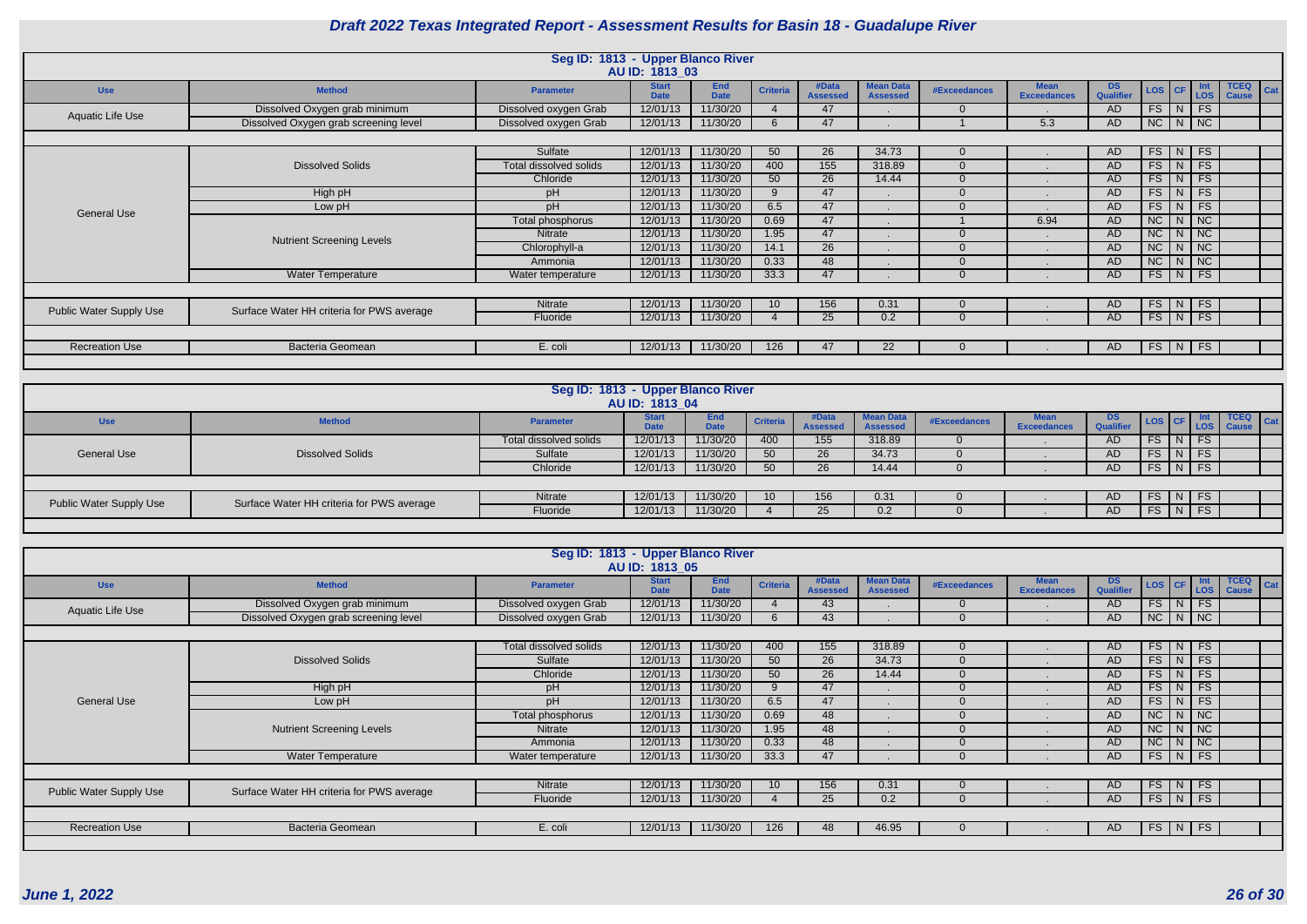|                                |                                           | Seg ID: 1813 - Upper Blanco River | AU ID: 1813 03              |                           |                 |                          |                                     |                     |                                   |                  |                   |                                |                                    |
|--------------------------------|-------------------------------------------|-----------------------------------|-----------------------------|---------------------------|-----------------|--------------------------|-------------------------------------|---------------------|-----------------------------------|------------------|-------------------|--------------------------------|------------------------------------|
| <b>Use</b>                     | <b>Method</b>                             | <b>Parameter</b>                  | <b>Start</b><br><b>Date</b> | <b>End</b><br><b>Date</b> | <b>Criteria</b> | #Data<br><b>Assessed</b> | <b>Mean Data</b><br><b>Assessed</b> | <b>#Exceedances</b> | <b>Mean</b><br><b>Exceedances</b> | DS.<br>Qualifier | LOS   CF          | <b>Int</b><br>LOS <sup>1</sup> | <b>TCEQ</b><br>Cat<br><b>Cause</b> |
| Aquatic Life Use               | Dissolved Oxygen grab minimum             | Dissolved oxygen Grab             | 12/01/13                    | 11/30/20                  |                 | 47                       |                                     |                     |                                   | AD               | $FS$ $N$ $FS$     |                                |                                    |
|                                | Dissolved Oxygen grab screening level     | Dissolved oxygen Grab             | 12/01/13                    | 11/30/20                  | 6               | 47                       |                                     |                     | 5.3                               | AD.              | $NC$ $N$ $NC$     |                                |                                    |
|                                |                                           |                                   |                             |                           |                 |                          |                                     |                     |                                   |                  |                   |                                |                                    |
|                                |                                           | Sulfate                           | 12/01/13                    | 11/30/20                  | 50              | 26                       | 34.73                               | 0                   |                                   | AD               | $FS$ N FS         |                                |                                    |
|                                | <b>Dissolved Solids</b>                   | Total dissolved solids            | 12/01/13                    | 11/30/20                  | 400             | 155                      | 318.89                              |                     |                                   | <b>AD</b>        | $FS$ $N$ $FS$     |                                |                                    |
|                                |                                           | Chloride                          | 12/01/13                    | 11/30/20                  | 50              | 26                       | 14.44                               |                     |                                   | <b>AD</b>        | $FS$ $N$          | <b>FS</b>                      |                                    |
|                                | High pH                                   | pH                                | 12/01/13                    | 11/30/20                  | $\mathbf{Q}$    | 47                       |                                     |                     |                                   | <b>AD</b>        | $FS$ N            | FS                             |                                    |
| <b>General Use</b>             | Low pH                                    | pH                                | 12/01/13                    | 11/30/20                  | 6.5             | 47                       |                                     |                     |                                   | <b>AD</b>        | $FS$   N          | FS                             |                                    |
|                                |                                           | Total phosphorus                  | 12/01/13                    | 11/30/20                  | 0.69            | 47                       |                                     |                     | 6.94                              | <b>AD</b>        | $NC$ $N$ $NC$     |                                |                                    |
|                                | <b>Nutrient Screening Levels</b>          | <b>Nitrate</b>                    | 12/01/13                    | 11/30/20                  | 1.95            | 47                       |                                     |                     |                                   | <b>AD</b>        | $NC$ $N$ $NC$     |                                |                                    |
|                                |                                           | Chlorophyll-a                     | 12/01/13                    | 11/30/20                  | 14.1            | 26                       |                                     |                     |                                   | <b>AD</b>        | $NC$ $N$ $NC$     |                                |                                    |
|                                |                                           | Ammonia                           | 12/01/13                    | 11/30/20                  | 0.33            | 48                       |                                     |                     |                                   | <b>AD</b>        | $NC$   $N$   $NC$ |                                |                                    |
|                                | <b>Water Temperature</b>                  | Water temperature                 | 12/01/13                    | 11/30/20                  | 33.3            | 47                       |                                     |                     |                                   | <b>AD</b>        | $FS$ $N$          | F S                            |                                    |
|                                |                                           |                                   |                             |                           |                 |                          |                                     |                     |                                   |                  |                   |                                |                                    |
|                                | Surface Water HH criteria for PWS average | Nitrate                           | 12/01/13                    | 11/30/20                  | 10              | 156                      | 0.31                                |                     |                                   | AD               | $FS$ $N$          | FS                             |                                    |
| <b>Public Water Supply Use</b> |                                           | Fluoride                          | 12/01/13                    | 11/30/20                  |                 | 25                       | 0.2                                 |                     |                                   | <b>AD</b>        | FS N FS           |                                |                                    |
|                                |                                           |                                   |                             |                           |                 |                          |                                     |                     |                                   |                  |                   |                                |                                    |
| <b>Recreation Use</b>          | <b>Bacteria Geomean</b>                   | E. coli                           | 12/01/13                    | 11/30/20                  | 126             | 47                       | 22                                  | - 0                 |                                   | AD.              | FS N FS           |                                |                                    |
|                                |                                           |                                   |                             |                           |                 |                          |                                     |                     |                                   |                  |                   |                                |                                    |

|                                |                                           | Seg ID: 1813 - Upper Blanco River | AU ID: 1813 04              |                    |                 |                          |                                     |                     |                                   |                         |               |        |           |                                  |  |
|--------------------------------|-------------------------------------------|-----------------------------------|-----------------------------|--------------------|-----------------|--------------------------|-------------------------------------|---------------------|-----------------------------------|-------------------------|---------------|--------|-----------|----------------------------------|--|
| <b>Use</b>                     | <b>Method</b>                             | <b>Parameter</b>                  | <b>Start</b><br><b>Date</b> | End<br><b>Date</b> | <b>Criteria</b> | #Data<br><b>Assessed</b> | <b>Mean Data</b><br><b>Assessed</b> | <b>#Exceedances</b> | <b>Mean</b><br><b>Exceedances</b> | DS.<br><b>Qualifier</b> |               |        |           | $TCEQ$ $Cat$<br>LOS CF LOS Cause |  |
|                                |                                           | Total dissolved solids            | 12/01/13                    | 11/30/20           | 400             | 155                      | 318.89                              |                     |                                   | AD.                     | FS.           |        | <b>FS</b> |                                  |  |
| <b>General Use</b>             | <b>Dissolved Solids</b>                   | Sulfate                           | 12/01/13                    | 11/30/20           | 50              | 26                       | 34.73                               |                     |                                   | AD.                     | FS.           | $N$ FS |           |                                  |  |
|                                |                                           | Chloride                          | 12/01/13                    | 11/30/20           | 50              | 26                       | 14.44                               |                     |                                   | AD.                     | FS J          | $N$ FS |           |                                  |  |
|                                |                                           |                                   |                             |                    |                 |                          |                                     |                     |                                   |                         |               |        |           |                                  |  |
| <b>Public Water Supply Use</b> | Surface Water HH criteria for PWS average | Nitrate                           | 12/01/13                    | 11/30/20           |                 | 156                      | 0.31                                |                     |                                   | AD.                     | $FS$ $N$ $FS$ |        |           |                                  |  |
|                                |                                           | Fluoride                          | 12/01/13                    | 11/30/20           |                 | 25                       | 0.2                                 |                     |                                   | AD.                     | $FS$ $N$ $FS$ |        |           |                                  |  |
|                                |                                           |                                   |                             |                    |                 |                          |                                     |                     |                                   |                         |               |        |           |                                  |  |

|                                |                                           | Seg ID: 1813 - Upper Blanco River | AU ID: 1813 05              |                           |                 |                          |                                     |                     |                                   |                        |          |                             |                                            |
|--------------------------------|-------------------------------------------|-----------------------------------|-----------------------------|---------------------------|-----------------|--------------------------|-------------------------------------|---------------------|-----------------------------------|------------------------|----------|-----------------------------|--------------------------------------------|
| <b>Use</b>                     | <b>Method</b>                             | <b>Parameter</b>                  | <b>Start</b><br><b>Date</b> | <b>End</b><br><b>Date</b> | <b>Criteria</b> | #Data<br><b>Assessed</b> | <b>Mean Data</b><br><b>Assessed</b> | <b>#Exceedances</b> | <b>Mean</b><br><b>Exceedances</b> | <b>DS</b><br>Qualifier | LOS CF   | Int<br>LOS                  | <b>TCEQ</b><br>$\vert$ Cat<br><b>Cause</b> |
| Aquatic Life Use               | Dissolved Oxygen grab minimum             | Dissolved oxygen Grab             | 12/01/13                    | 11/30/20                  |                 | 43                       |                                     | $\Omega$            |                                   | AD                     | FS   N   | <b>FS</b>                   |                                            |
|                                | Dissolved Oxygen grab screening level     | Dissolved oxygen Grab             | 12/01/13                    | 11/30/20                  | 6               | 43                       |                                     | $\Omega$            |                                   | <b>AD</b>              |          | $NC$ $N$ $NC$               |                                            |
|                                |                                           |                                   |                             |                           |                 |                          |                                     |                     |                                   |                        |          |                             |                                            |
|                                |                                           | Total dissolved solids            | 12/01/13                    | 11/30/20                  | 400             | 155                      | 318.89                              | $\Omega$            |                                   | AD.                    |          | $FS$ $N$ $FS$               |                                            |
|                                | <b>Dissolved Solids</b>                   | Sulfate                           | 12/01/13                    | 11/30/20                  | 50              | 26                       | 34.73                               | $\Omega$            |                                   | AD                     | $FS$ $N$ | $\overline{\phantom{a}}$ FS |                                            |
|                                |                                           | Chloride                          | 12/01/13                    | 11/30/20                  | 50              | 26                       | 14.44                               | $\Omega$            |                                   | <b>AD</b>              | $FS$ N   | FS                          |                                            |
|                                | High pH                                   | pH                                | 12/01/13                    | 11/30/20                  | 9               | 47                       |                                     |                     |                                   | AD                     | $FS$   N | FS                          |                                            |
| <b>General Use</b>             | Low pH                                    | pH                                | 12/01/13                    | 11/30/20                  | 6.5             | 47                       |                                     |                     |                                   | <b>AD</b>              |          | $FS$ $N$ $FS$               |                                            |
|                                |                                           | Total phosphorus                  | 12/01/13                    | 11/30/20                  | 0.69            | 48                       |                                     | $\cap$              |                                   | <b>AD</b>              | $NC$   N | $\overline{\phantom{a}}$ NC |                                            |
|                                | <b>Nutrient Screening Levels</b>          | <b>Nitrate</b>                    | 12/01/13                    | 11/30/20                  | 1.95            | 48                       |                                     | $\Omega$            |                                   | AD                     | $NC$ $N$ | $\overline{\phantom{a}}$ NC |                                            |
|                                |                                           | Ammonia                           | 12/01/13                    | 11/30/20                  | 0.33            | 48                       |                                     |                     |                                   | <b>AD</b>              |          | $NC$ $N$ $NC$               |                                            |
|                                | <b>Water Temperature</b>                  | Water temperature                 | 12/01/13                    | 11/30/20                  | 33.3            | 47                       |                                     |                     |                                   | <b>AD</b>              |          | $FS$ $N$ $FS$               |                                            |
|                                |                                           |                                   |                             |                           |                 |                          |                                     |                     |                                   |                        |          |                             |                                            |
|                                | Surface Water HH criteria for PWS average | Nitrate                           | 12/01/13                    | 11/30/20                  | 10              | 156                      | 0.31                                | $\Omega$            |                                   | AD                     |          | $FS$ $N$ $FS$               |                                            |
| <b>Public Water Supply Use</b> |                                           | Fluoride                          | 12/01/13                    | 11/30/20                  |                 | 25                       | 0.2                                 | $\Omega$            |                                   | AD.                    |          | $FS$ N FS                   |                                            |
|                                |                                           |                                   |                             |                           |                 |                          |                                     |                     |                                   |                        |          |                             |                                            |
| <b>Recreation Use</b>          | <b>Bacteria Geomean</b>                   | E. coli                           | 12/01/13                    | 11/30/20                  | 126             | 48                       | 46.95                               |                     |                                   | AD.                    | FS   N   | FS                          |                                            |
|                                |                                           |                                   |                             |                           |                 |                          |                                     |                     |                                   |                        |          |                             |                                            |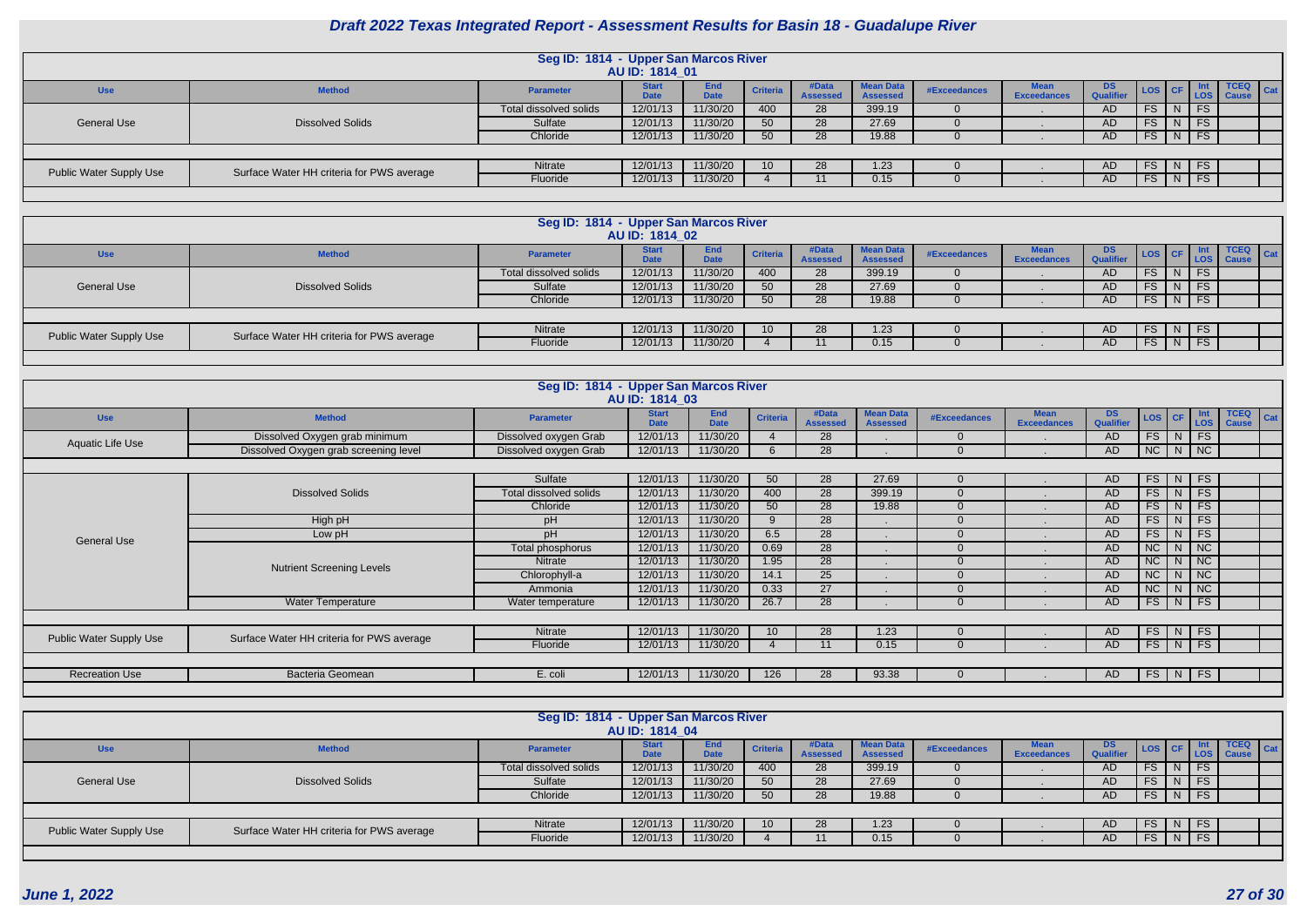|                                |                                           | Seg ID: 1814 - Upper San Marcos River | AU ID: 1814 01              |                           |                 |                          |                                     |              |                    |                         |                 |                    |                                  |
|--------------------------------|-------------------------------------------|---------------------------------------|-----------------------------|---------------------------|-----------------|--------------------------|-------------------------------------|--------------|--------------------|-------------------------|-----------------|--------------------|----------------------------------|
| <b>Use</b>                     | <b>Method</b>                             | <b>Parameter</b>                      | <b>Start</b><br><b>Date</b> | <b>End</b><br><b>Date</b> | <b>Criteria</b> | #Data<br><b>Assessed</b> | <b>Mean Data</b><br><b>Assessed</b> | #Exceedances | <b>Exceedances</b> | DS.<br><b>Qualifier</b> |                 |                    | $TCEQ$ $Cat$<br>LOS CF LOS Cause |
|                                |                                           | Total dissolved solids                | 12/01/13                    | 11/30/20                  | 400             | 28                       | 399.19                              |              |                    | <b>AD</b>               | <b>FS</b>       | <b>FS</b>          |                                  |
| General Use                    | <b>Dissolved Solids</b>                   | Sulfate                               | 12/01/13                    | 11/30/20                  | 50              | 28                       | 27.69                               |              |                    | <b>AD</b>               | <b>FS</b>       | FS.                |                                  |
|                                |                                           | Chloride                              | 12/01/13                    | 11/30/20                  | 50              | 28                       | 19.88                               |              |                    | AD                      | <b>FS</b>       | $\vert N \vert$ FS |                                  |
|                                |                                           |                                       |                             |                           |                 |                          |                                     |              |                    |                         |                 |                    |                                  |
| <b>Public Water Supply Use</b> | Surface Water HH criteria for PWS average | Nitrate                               | 12/01/13                    | 11/30/20                  | 10 <sup>°</sup> | 28                       | 1.23                                |              |                    | AD.                     | FS.             | IN IFS             |                                  |
|                                |                                           | Fluoride                              | 12/01/13                    | 11/30/20                  |                 |                          | 0.15                                |              |                    | <b>AD</b>               | FS <sub>1</sub> | $N$ FS             |                                  |
|                                |                                           |                                       |                             |                           |                 |                          |                                     |              |                    |                         |                 |                    |                                  |

|                         |                                           | Seg ID: 1814 - Upper San Marcos River |                             |                    |                 |                          |                                     |              |                                   |                        |             |             |              |
|-------------------------|-------------------------------------------|---------------------------------------|-----------------------------|--------------------|-----------------|--------------------------|-------------------------------------|--------------|-----------------------------------|------------------------|-------------|-------------|--------------|
|                         |                                           |                                       | AU ID: 1814 02              |                    |                 |                          |                                     |              |                                   |                        |             |             |              |
| <b>Use</b>              | <b>Method</b>                             | <b>Parameter</b>                      | <b>Start</b><br><b>Date</b> | End<br><b>Date</b> | <b>Criteria</b> | #Data<br><b>Assessed</b> | <b>Mean Data</b><br><b>Assessed</b> | #Exceedances | <b>Mean</b><br><b>Exceedances</b> | DS<br><b>Qualifier</b> | LOS CF      |             | Int TCEQ Cat |
|                         |                                           | Total dissolved solids                | 12/01/13                    | 11/30/20           | 400             | 28                       | 399.19                              |              |                                   | AD                     |             | FS   N   FS |              |
| <b>General Use</b>      | <b>Dissolved Solids</b>                   | Sulfate                               | 12/01/13                    | 11/30/20           | 50              | 28                       | 27.69                               |              |                                   | <b>AD</b>              | $FS$ N FS   |             |              |
|                         |                                           | Chloride                              | 12/01/13                    | 11/30/20           | 50 <sub>o</sub> | 28                       | 19.88                               |              |                                   | AD                     | FS   N   FS |             |              |
|                         |                                           |                                       |                             |                    |                 |                          |                                     |              |                                   |                        |             |             |              |
| Public Water Supply Use | Surface Water HH criteria for PWS average | Nitrate                               | 12/01/13                    | 11/30/20           | 10 <sup>1</sup> | 28                       | 1.23                                |              |                                   | AD                     | FS   N   FS |             |              |
|                         |                                           | Fluoride                              | 12/01/13                    | 11/30/20           |                 |                          | 0.15                                |              |                                   | <b>AD</b>              | $FS$ N FS   |             |              |
|                         |                                           |                                       |                             |                    |                 |                          |                                     |              |                                   |                        |             |             |              |

|                                |                                           | Seg ID: 1814 - Upper San Marcos River | AU ID: 1814 03              |                           |                 |                          |                                     |                     |                                   |                  |               |               |                             |                                    |
|--------------------------------|-------------------------------------------|---------------------------------------|-----------------------------|---------------------------|-----------------|--------------------------|-------------------------------------|---------------------|-----------------------------------|------------------|---------------|---------------|-----------------------------|------------------------------------|
| <b>Use</b>                     | <b>Method</b>                             | <b>Parameter</b>                      | <b>Start</b><br><b>Date</b> | <b>End</b><br><b>Date</b> | <b>Criteria</b> | #Data<br><b>Assessed</b> | <b>Mean Data</b><br><b>Assessed</b> | <b>#Exceedances</b> | <b>Mean</b><br><b>Exceedances</b> | DS.<br>Qualifier | $LOS$ $CF$    |               | LOS                         | <b>TCEQ</b><br>Cat<br><b>Cause</b> |
| Aquatic Life Use               | Dissolved Oxygen grab minimum             | Dissolved oxygen Grab                 | 12/01/13                    | 11/30/20                  |                 | 28                       |                                     | $\Omega$            |                                   | <b>AD</b>        | $FS$   N      |               | $\overline{\phantom{a}}$ FS |                                    |
|                                | Dissolved Oxygen grab screening level     | Dissolved oxygen Grab                 | 12/01/13                    | 11/30/20                  |                 | 28                       |                                     | $\Omega$            |                                   | AD               | $NC$ $N$ $NC$ |               |                             |                                    |
|                                |                                           |                                       |                             |                           |                 |                          |                                     |                     |                                   |                  |               |               |                             |                                    |
|                                |                                           | Sulfate                               | 12/01/13                    | 11/30/20                  | 50              | 28                       | 27.69                               | $\Omega$            |                                   | AD               | $FS$   N      |               | FS                          |                                    |
|                                | <b>Dissolved Solids</b>                   | Total dissolved solids                | 12/01/13                    | 11/30/20                  | 400             | 28                       | 399.19                              | $\Omega$            |                                   | <b>AD</b>        | $FS$   N      |               | $\overline{\phantom{a}}$ FS |                                    |
|                                |                                           | Chloride                              | 12/01/13                    | 11/30/20                  | 50              | 28                       | 19.88                               | $\Omega$            |                                   | <b>AD</b>        | $FS$   N      |               | FS                          |                                    |
|                                | High pH                                   | pH                                    | 12/01/13                    | 11/30/20                  | 9               | $\overline{28}$          |                                     | $\Omega$            |                                   | AD               |               | $FS$ $N$ $FS$ |                             |                                    |
| <b>General Use</b>             | Low pH                                    | pH                                    | 12/01/13                    | 11/30/20                  | 6.5             | $\overline{28}$          |                                     | $\Omega$            |                                   | <b>AD</b>        | FS            | N.            | FS                          |                                    |
|                                |                                           | Total phosphorus                      | 12/01/13                    | 11/30/20                  | 0.69            | 28                       |                                     | $\Omega$            |                                   | <b>AD</b>        | NC            | N             | $\overline{\phantom{a}}$ NC |                                    |
|                                | <b>Nutrient Screening Levels</b>          | Nitrate                               | 12/01/13                    | 11/30/20                  | 1.95            | $\overline{28}$          |                                     | $\Omega$            |                                   | <b>AD</b>        | NC            | N             | $\overline{\phantom{a}}$ NC |                                    |
|                                |                                           | Chlorophyll-a                         | 12/01/13                    | 11/30/20                  | 14.1            | $\overline{25}$          |                                     | $\Omega$            |                                   | AD               | NC            | N             | $\overline{\phantom{a}}$ NC |                                    |
|                                |                                           | Ammonia                               | 12/01/13                    | 11/30/20                  | 0.33            | 27                       |                                     | $\Omega$            |                                   | AD               | NC            | $N$   NC      |                             |                                    |
|                                | <b>Water Temperature</b>                  | Water temperature                     | 12/01/13                    | 11/30/20                  | 26.7            | 28                       |                                     | $\Omega$            |                                   | <b>AD</b>        |               | FS   N   FS   |                             |                                    |
|                                |                                           |                                       |                             |                           |                 |                          |                                     |                     |                                   |                  |               |               |                             |                                    |
| <b>Public Water Supply Use</b> | Surface Water HH criteria for PWS average | Nitrate                               | 12/01/13                    | 11/30/20                  | 10              | 28                       | .23                                 | $\Omega$            |                                   | AD               | $FS$ $N$ $FS$ |               |                             |                                    |
|                                |                                           | Fluoride                              | 12/01/13                    | 11/30/20                  |                 |                          | 0.15                                | $\Omega$            |                                   | AD               | $FS$ $N$ $FS$ |               |                             |                                    |
|                                |                                           |                                       |                             |                           |                 |                          |                                     |                     |                                   |                  |               |               |                             |                                    |
| <b>Recreation Use</b>          | <b>Bacteria Geomean</b>                   | E. coli                               | 12/01/13                    | 11/30/20                  | 126             | 28                       | 93.38                               | $\Omega$            |                                   | AD               | $FS$ $N$ $FS$ |               |                             |                                    |
|                                |                                           |                                       |                             |                           |                 |                          |                                     |                     |                                   |                  |               |               |                             |                                    |

|                         |                                           | Seg ID: 1814 - Upper San Marcos River | AU ID: 1814 04              |                           |                 |                          |                                     |              |                    |                        |           |                |               |                                        |
|-------------------------|-------------------------------------------|---------------------------------------|-----------------------------|---------------------------|-----------------|--------------------------|-------------------------------------|--------------|--------------------|------------------------|-----------|----------------|---------------|----------------------------------------|
| <b>Use</b>              | <b>Method</b>                             | <b>Parameter</b>                      | <b>Start</b><br><b>Date</b> | <b>End</b><br><b>Date</b> | <b>Criteria</b> | #Data<br><b>Assessed</b> | <b>Mean Data</b><br><b>Assessed</b> | #Exceedances | <b>Exceedances</b> | DS<br><b>Qualifier</b> | LOS CF    |                |               | <b>TCEQ</b><br><b>Cat</b><br>LOS Cause |
|                         |                                           | Total dissolved solids                | 12/01/13                    | 11/30/20                  | 400             | 28                       | 399.19                              |              |                    | AD                     | <b>FS</b> |                | FS.           |                                        |
| <b>General Use</b>      | <b>Dissolved Solids</b>                   | Sulfate                               | 12/01/13                    | 11/30/20                  | 50              | 28                       | 27.69                               |              |                    | <b>AD</b>              | FS.       |                | <b>FS</b>     |                                        |
|                         |                                           | Chloride                              | 12/01/13                    | 11/30/20                  | 50              | 28                       | 19.88                               |              |                    | AD                     | <b>FS</b> | $\vert N$      | <b>FS</b>     |                                        |
|                         |                                           |                                       |                             |                           |                 |                          |                                     |              |                    |                        |           |                |               |                                        |
| Public Water Supply Use | Surface Water HH criteria for PWS average | Nitrate                               | 12/01/13                    | 11/30/20                  | 10 <sup>1</sup> | 28                       | 1.23                                |              |                    | <b>AD</b>              |           |                | $FS$   N   FS |                                        |
|                         |                                           | Fluoride                              | 12/01/13                    | 11/30/20                  |                 |                          | 0.15                                |              |                    | AD                     | <b>FS</b> | $\overline{N}$ | <b>FS</b>     |                                        |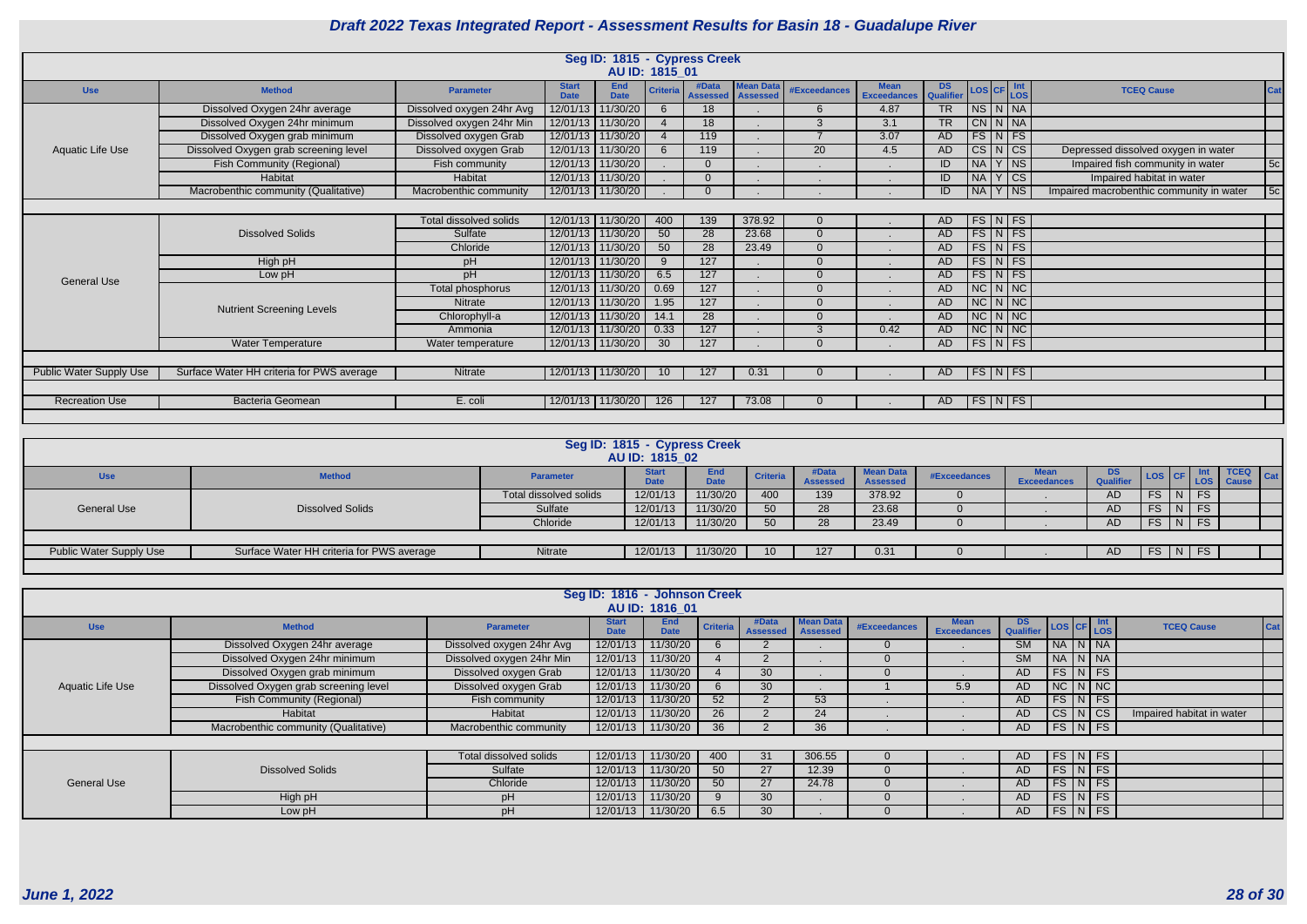|                         |                                           |                           |                             |                           | AU ID: 1815_01  | Seg ID: 1815 - Cypress Creek |                                     |                          |                                   |                        |               |                      |                                          |     |
|-------------------------|-------------------------------------------|---------------------------|-----------------------------|---------------------------|-----------------|------------------------------|-------------------------------------|--------------------------|-----------------------------------|------------------------|---------------|----------------------|------------------------------------------|-----|
| <b>Use</b>              | <b>Method</b>                             | <b>Parameter</b>          | <b>Start</b><br><b>Date</b> | <b>End</b><br><b>Date</b> | <b>Criteria</b> | #Data<br><b>Assessed</b>     | <b>Mean Data</b><br><b>Assessed</b> | <b>#Exceedances</b>      | <b>Mean</b><br><b>Exceedances</b> | <b>DS</b><br>Qualifier |               | LOS CF LOS           | <b>TCEQ Cause</b>                        | Cat |
|                         | Dissolved Oxygen 24hr average             | Dissolved oxygen 24hr Avg | 12/01/13                    | 11/30/20                  | 6               | 18                           |                                     | 6                        | 4.87                              | TR                     | NS N NA       |                      |                                          |     |
|                         | Dissolved Oxygen 24hr minimum             | Dissolved oxygen 24hr Min |                             | 12/01/13 11/30/20         |                 | 18                           |                                     | 3                        | 3.1                               | <b>TR</b>              |               | $CN$ $N$ $NA$        |                                          |     |
|                         | Dissolved Oxygen grab minimum             | Dissolved oxygen Grab     | 12/01/13                    | 11/30/20                  |                 | 119                          |                                     | $\overline{\phantom{a}}$ | 3.07                              | <b>AD</b>              |               | $FS\vert N \vert FS$ |                                          |     |
| Aquatic Life Use        | Dissolved Oxygen grab screening level     | Dissolved oxygen Grab     | 12/01/13                    | 11/30/20                  | 6               | 119                          |                                     | 20                       | 4.5                               | AD                     |               | CS N CS              | Depressed dissolved oxygen in water      |     |
|                         | Fish Community (Regional)                 | Fish community            |                             | 12/01/13 11/30/20         |                 | $\Omega$                     |                                     |                          |                                   | ID                     |               | $N_A$ $Y$ $N_S$      | Impaired fish community in water         | 5c  |
|                         | Habitat                                   | Habitat                   |                             | 12/01/13 11/30/20         |                 |                              |                                     |                          |                                   | ID                     |               | $N_A Y CS$           | Impaired habitat in water                |     |
|                         | Macrobenthic community (Qualitative)      | Macrobenthic community    | 12/01/13                    | 11/30/20                  |                 | $\Omega$                     |                                     |                          |                                   | ID                     | $N_A Y $ NS   |                      | Impaired macrobenthic community in water | 5c  |
|                         |                                           |                           |                             |                           |                 |                              |                                     |                          |                                   |                        |               |                      |                                          |     |
|                         |                                           | Total dissolved solids    | 12/01/13                    | 11/30/20                  | 400             | 139                          | 378.92                              | $\Omega$                 |                                   | AD.                    |               | $FS\vert N \vert FS$ |                                          |     |
|                         | <b>Dissolved Solids</b>                   | Sulfate                   |                             | 12/01/13 11/30/20         | 50              | 28                           | 23.68                               | $\Omega$                 |                                   | AD.                    |               | $FS\overline{N}$ FS  |                                          |     |
|                         |                                           | Chloride                  | 12/01/13                    | 11/30/20                  | 50              | 28                           | 23.49                               | $\Omega$                 |                                   | AD.                    |               | $FS\vert N \vert FS$ |                                          |     |
|                         | High pH                                   | pH                        |                             | 12/01/13 11/30/20         | 9               | 127                          |                                     | $\overline{0}$           |                                   | AD                     |               | $FS\vert N \vert FS$ |                                          |     |
| <b>General Use</b>      | Low pH                                    | pH                        | 12/01/13                    | 11/30/20                  | 6.5             | $\overline{127}$             |                                     | $\Omega$                 |                                   | <b>AD</b>              |               | $FS\vert N \vert FS$ |                                          |     |
|                         |                                           | Total phosphorus          | 12/01/13                    | 11/30/20                  | 0.69            | $\overline{127}$             |                                     | $\Omega$                 |                                   | AD                     |               | $NC$ $N$ $NC$        |                                          |     |
|                         | <b>Nutrient Screening Levels</b>          | Nitrate                   |                             | 12/01/13 11/30/20         | 1.95            | 127                          |                                     | $\Omega$                 |                                   | AD                     | $NC\ N\$      |                      |                                          |     |
|                         |                                           | Chlorophyll-a             | 12/01/13                    | 11/30/20                  | 14.1            | $\overline{28}$              |                                     | $\Omega$                 |                                   | AD                     | $NC$ $N$ $NC$ |                      |                                          |     |
|                         |                                           | Ammonia                   |                             | 12/01/13 11/30/20         | 0.33            | 127                          |                                     | 3                        | 0.42                              | <b>AD</b>              |               | $NC\vert N\vert NC$  |                                          |     |
|                         | <b>Water Temperature</b>                  | Water temperature         | 12/01/13                    | 11/30/20                  | 30 <sup>°</sup> | 127                          |                                     | $\Omega$                 |                                   | AD.                    |               | FS N FS              |                                          |     |
|                         |                                           |                           |                             |                           |                 |                              |                                     |                          |                                   |                        |               |                      |                                          |     |
| Public Water Supply Use | Surface Water HH criteria for PWS average | Nitrate                   |                             | 12/01/13 11/30/20         | 10 <sup>°</sup> | 127                          | 0.31                                |                          |                                   | AD                     |               | FS N FS              |                                          |     |
|                         |                                           |                           |                             |                           |                 |                              |                                     |                          |                                   |                        |               |                      |                                          |     |
| <b>Recreation Use</b>   | <b>Bacteria Geomean</b>                   | E. coli                   |                             | 12/01/13   11/30/20       | 126             | 127                          | 73.08                               |                          |                                   | AD.                    |               | FS N FS              |                                          |     |
|                         |                                           |                           |                             |                           |                 |                              |                                     |                          |                                   |                        |               |                      |                                          |     |

|                                |                                           |                        | Seg ID: 1815 - Cypress Creek<br>AU ID: 1815 02 |                    |                 |                          |                                    |                     |                                   |                 |                     |  |                                 |     |
|--------------------------------|-------------------------------------------|------------------------|------------------------------------------------|--------------------|-----------------|--------------------------|------------------------------------|---------------------|-----------------------------------|-----------------|---------------------|--|---------------------------------|-----|
| <b>Use</b>                     | <b>Method</b>                             | <b>Parameter</b>       | <b>Start</b><br><b>Date</b>                    | End<br><b>Date</b> | <b>Criteria</b> | #Data<br><b>Assessed</b> | <b>Mean Data</b><br><b>Assesse</b> | <b>#Exceedances</b> | <b>Mean</b><br><b>Exceedances</b> | ്ധ<br>Qualifier |                     |  | <b>TCEQ</b><br>LOS CF LOS Cause | Cat |
|                                |                                           | Total dissolved solids | 12/01/13                                       | 11/30/20           | 400             | 139                      | 378.92                             |                     |                                   | AD              | $FS$ $N$ $FS$       |  |                                 |     |
| <b>General Use</b>             | <b>Dissolved Solids</b>                   | Sulfate                | 12/01/13                                       | 11/30/20           | 50              | 28                       | 23.68                              |                     |                                   | AD              | $FS \mid N \mid FS$ |  |                                 |     |
|                                |                                           | Chloride               | 12/01/13                                       | 11/30/20           | 50              | 28                       | 23.49                              |                     |                                   | AD.             | $FS \mid N \mid FS$ |  |                                 |     |
|                                |                                           |                        |                                                |                    |                 |                          |                                    |                     |                                   |                 |                     |  |                                 |     |
| <b>Public Water Supply Use</b> | Surface Water HH criteria for PWS average | Nitrate                | 12/01/13                                       | 11/30/20           | 10 <sup>°</sup> | 127                      | 0.31                               |                     |                                   | AD.             | $FS$ $N$ $FS$       |  |                                 |     |
|                                |                                           |                        |                                                |                    |                 |                          |                                    |                     |                                   |                 |                     |  |                                 |     |

|                         | Seg ID: 1816 - Johnson Creek<br>AU ID: 1816 01<br><b>End</b><br><b>Mean Data</b><br><b>Start</b><br>#Data<br><b>Mean</b><br>DS.<br>LOS CF LOS<br>Cat<br><b>Criteria</b><br><b>TCEQ Cause</b><br>#Exceedances<br><b>Method</b><br><b>Use</b><br><b>Parameter</b><br>Qualifier<br><b>Date</b><br><b>Exceedances</b><br><b>Assessed</b><br><b>Assessed</b><br><b>NA</b><br>Dissolved Oxygen 24hr average<br>11/30/20<br>Dissolved oxygen 24hr Avg<br>12/01/13<br><b>SM</b><br>$\overline{N}$<br>I NA<br>Dissolved Oxygen 24hr minimum<br>Dissolved oxygen 24hr Min<br>NA N NA<br>12/01/13 11/30/20<br><b>SM</b><br>Dissolved Oxygen grab minimum<br>FS<br>Dissolved oxygen Grab<br>N FS<br>11/30/20<br>12/01/13<br>30 <sup>°</sup><br>AD.<br>Dissolved Oxygen grab screening level<br>$NC \mid N$<br>Dissolved oxygen Grab<br>$\overline{\phantom{a}}$ NC<br>12/01/13<br>11/30/20<br>30 <sup>°</sup><br>AD.<br>5.9<br>6<br>FS<br><b>Fish Community (Regional)</b><br>11/30/20<br>52 <sub>2</sub><br><b>FS</b><br>Fish community<br>12/01/13<br>53<br>AD.<br>N N<br>$\overline{\phantom{a}}$ CS |                        |          |                   |     |                 |        |  |  |     |                            |  |      |                           |  |
|-------------------------|---------------------------------------------------------------------------------------------------------------------------------------------------------------------------------------------------------------------------------------------------------------------------------------------------------------------------------------------------------------------------------------------------------------------------------------------------------------------------------------------------------------------------------------------------------------------------------------------------------------------------------------------------------------------------------------------------------------------------------------------------------------------------------------------------------------------------------------------------------------------------------------------------------------------------------------------------------------------------------------------------------------------------------------------------------------------------------------------|------------------------|----------|-------------------|-----|-----------------|--------|--|--|-----|----------------------------|--|------|---------------------------|--|
|                         |                                                                                                                                                                                                                                                                                                                                                                                                                                                                                                                                                                                                                                                                                                                                                                                                                                                                                                                                                                                                                                                                                             |                        |          |                   |     |                 |        |  |  |     |                            |  |      |                           |  |
|                         |                                                                                                                                                                                                                                                                                                                                                                                                                                                                                                                                                                                                                                                                                                                                                                                                                                                                                                                                                                                                                                                                                             |                        |          |                   |     |                 |        |  |  |     |                            |  |      |                           |  |
|                         |                                                                                                                                                                                                                                                                                                                                                                                                                                                                                                                                                                                                                                                                                                                                                                                                                                                                                                                                                                                                                                                                                             |                        |          |                   |     |                 |        |  |  |     |                            |  |      |                           |  |
|                         |                                                                                                                                                                                                                                                                                                                                                                                                                                                                                                                                                                                                                                                                                                                                                                                                                                                                                                                                                                                                                                                                                             |                        |          |                   |     |                 |        |  |  |     |                            |  |      |                           |  |
| <b>Aquatic Life Use</b> |                                                                                                                                                                                                                                                                                                                                                                                                                                                                                                                                                                                                                                                                                                                                                                                                                                                                                                                                                                                                                                                                                             |                        |          |                   |     |                 |        |  |  |     |                            |  |      |                           |  |
|                         |                                                                                                                                                                                                                                                                                                                                                                                                                                                                                                                                                                                                                                                                                                                                                                                                                                                                                                                                                                                                                                                                                             |                        |          |                   |     |                 |        |  |  |     |                            |  |      |                           |  |
|                         | Habitat                                                                                                                                                                                                                                                                                                                                                                                                                                                                                                                                                                                                                                                                                                                                                                                                                                                                                                                                                                                                                                                                                     | Habitat                | 12/01/13 | 11/30/20          | 26  |                 | 24     |  |  | AD. | $\overline{\text{CS}}$     |  |      | Impaired habitat in water |  |
|                         | Macrobenthic community (Qualitative)                                                                                                                                                                                                                                                                                                                                                                                                                                                                                                                                                                                                                                                                                                                                                                                                                                                                                                                                                                                                                                                        | Macrobenthic community |          | 12/01/13 11/30/20 | 36  |                 | 36     |  |  | AD  | $FS\vert N \vert FS$       |  |      |                           |  |
|                         |                                                                                                                                                                                                                                                                                                                                                                                                                                                                                                                                                                                                                                                                                                                                                                                                                                                                                                                                                                                                                                                                                             |                        |          |                   |     |                 |        |  |  |     |                            |  |      |                           |  |
|                         |                                                                                                                                                                                                                                                                                                                                                                                                                                                                                                                                                                                                                                                                                                                                                                                                                                                                                                                                                                                                                                                                                             | Total dissolved solids |          | 12/01/13 11/30/20 | 400 | 31              | 306.55 |  |  | AD. | $FS\vert N \vert FS \vert$ |  |      |                           |  |
|                         | <b>Dissolved Solids</b>                                                                                                                                                                                                                                                                                                                                                                                                                                                                                                                                                                                                                                                                                                                                                                                                                                                                                                                                                                                                                                                                     | Sulfate                | 12/01/13 | 11/30/20          | 50  | 27              | 12.39  |  |  | AD. | FS                         |  | N FS |                           |  |
| <b>General Use</b>      |                                                                                                                                                                                                                                                                                                                                                                                                                                                                                                                                                                                                                                                                                                                                                                                                                                                                                                                                                                                                                                                                                             | Chloride               | 12/01/13 | 11/30/20          | 50  | 27              | 24.78  |  |  | AD. | $FS\vert N \vert FS$       |  |      |                           |  |
|                         | High pH                                                                                                                                                                                                                                                                                                                                                                                                                                                                                                                                                                                                                                                                                                                                                                                                                                                                                                                                                                                                                                                                                     | pH                     | 12/01/13 | 11/30/20          |     | 30 <sup>°</sup> |        |  |  | AD. | $FS\vert N \vert FS$       |  |      |                           |  |
|                         | Low pH                                                                                                                                                                                                                                                                                                                                                                                                                                                                                                                                                                                                                                                                                                                                                                                                                                                                                                                                                                                                                                                                                      | pH                     | 12/01/13 | 11/30/20          | 6.5 | 30 <sup>°</sup> |        |  |  | AD  | $FS\vert N \vert FS$       |  |      |                           |  |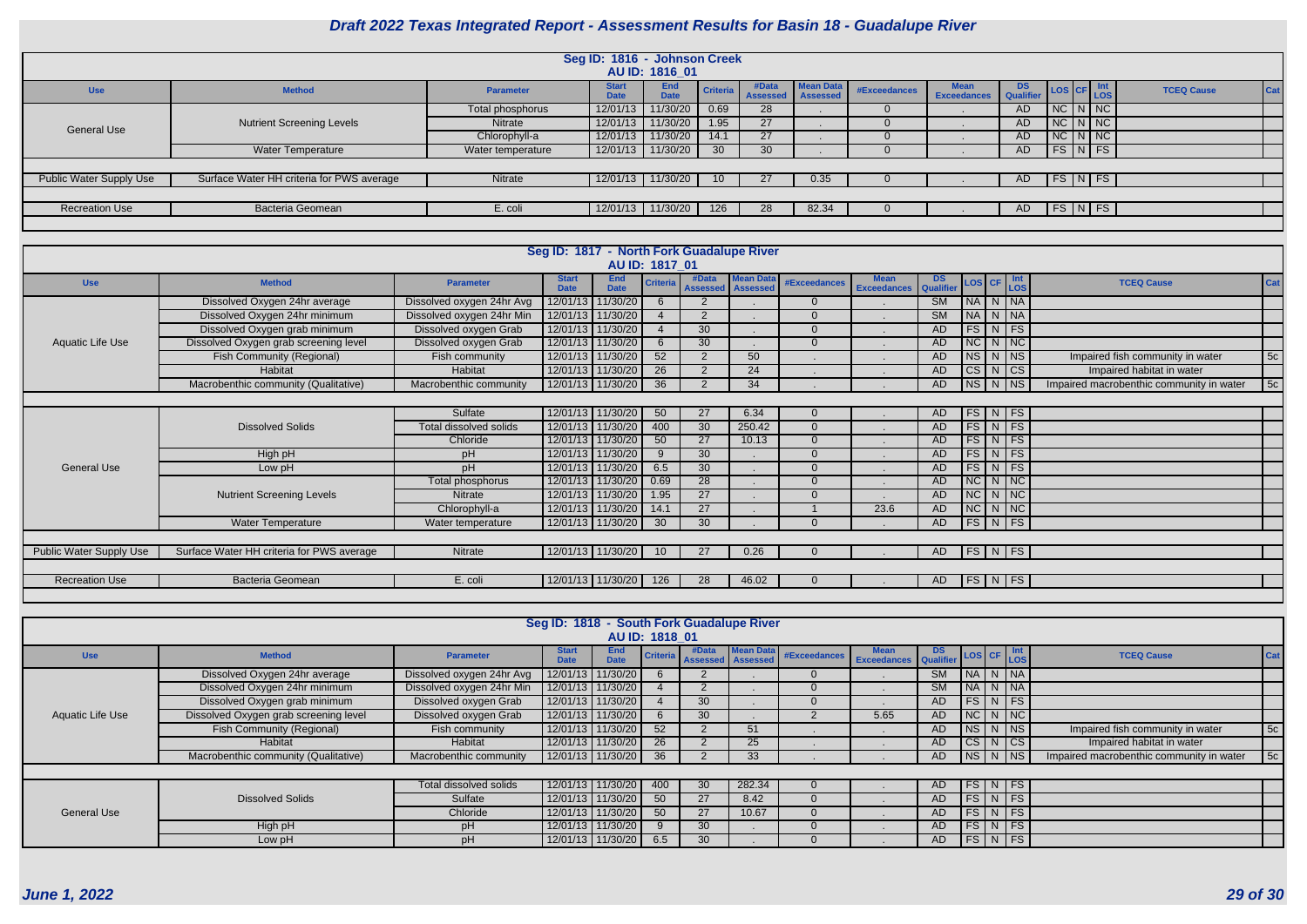| s | <b>DS</b><br><b>Qualifier</b> | LOS CF                 |              | Int<br>LOS             | <b>TCEQ Cause</b> | Cat |
|---|-------------------------------|------------------------|--------------|------------------------|-------------------|-----|
|   | <b>AD</b>                     | $\overline{\text{NC}}$ | N            | NC                     |                   |     |
|   | <b>AD</b>                     | <b>NC</b>              | N            | <b>NC</b>              |                   |     |
|   | <b>AD</b>                     | $\overline{\text{NC}}$ | N            | $\overline{\text{NC}}$ |                   |     |
|   | <b>AD</b>                     | FS                     | N            | FS                     |                   |     |
|   |                               |                        |              |                        |                   |     |
|   | <b>AD</b>                     | <b>FS</b>              | $\mathsf{N}$ | <b>FS</b>              |                   |     |
|   |                               |                        |              |                        |                   |     |
|   | <b>AD</b>                     | <b>FS</b>              | N            | <b>FS</b>              |                   |     |
|   |                               |                        |              |                        |                   |     |

| Seg ID: 1816 - Johnson Creek |                                           |                   |                             |                           |          |                          |                              |              |                                   |                            |                     |  |  |  |
|------------------------------|-------------------------------------------|-------------------|-----------------------------|---------------------------|----------|--------------------------|------------------------------|--------------|-----------------------------------|----------------------------|---------------------|--|--|--|
|                              |                                           |                   |                             | AU ID: 1816 01            |          |                          |                              |              |                                   |                            |                     |  |  |  |
| <b>Use</b>                   | <b>Method</b>                             | <b>Parameter</b>  | <b>Start</b><br><b>Date</b> | <b>End</b><br><b>Date</b> | Criteria | #Data<br><b>Assessed</b> | Mean Data<br><b>Assessed</b> | #Exceedances | <b>Mean</b><br><b>Exceedances</b> | DS.<br><b>Qualifier</b>    | LOS CF Int          |  |  |  |
|                              |                                           | Total phosphorus  | 12/01/13                    | 11/30/20                  | 0.69     | 28                       |                              |              |                                   | <b>AD</b>                  | $NC$ $N$ $NC$       |  |  |  |
|                              | <b>Nutrient Screening Levels</b>          | <b>Nitrate</b>    | 12/01/13                    | 11/30/20                  | 1.95     | 27                       |                              |              |                                   | $NC$ $N$ $NC$<br><b>AD</b> |                     |  |  |  |
| <b>General Use</b>           |                                           | Chlorophyll-a     | 12/01/13                    | 11/30/20                  | 14.1     | 27                       |                              | O            |                                   | <b>AD</b>                  | $NC$ $N$ $NC$       |  |  |  |
|                              | Water Temperature                         | Water temperature | 12/01/13                    | 11/30/20                  | 30       | 30                       |                              |              |                                   | <b>AD</b>                  | $FS\mid N \mid FS$  |  |  |  |
|                              |                                           |                   |                             |                           |          |                          |                              |              |                                   |                            |                     |  |  |  |
| Public Water Supply Use      | Surface Water HH criteria for PWS average | Nitrate           | 12/01/13                    | 11/30/20                  | 10       | 27                       | 0.35                         | $\cup$       |                                   | AD                         | $FS\overline{N}$ FS |  |  |  |
|                              |                                           |                   |                             |                           |          |                          |                              |              |                                   |                            |                     |  |  |  |
| <b>Recreation Use</b>        | <b>Bacteria Geomean</b>                   | E. coli           | 12/01/13                    | 11/30/20                  | 126      | 28                       | 82.34                        |              |                                   | AD                         | $FS$ $N$ $FS$       |  |  |  |
|                              |                                           |                   |                             |                           |          |                          |                              |              |                                   |                            |                     |  |  |  |

| Seg ID: 1817 - North Fork Guadalupe River |                                           |                           |                             |                           |                       |                 |                                                |                     |                                   |                        |  |             |                                                                                                                          |                                          |     |
|-------------------------------------------|-------------------------------------------|---------------------------|-----------------------------|---------------------------|-----------------------|-----------------|------------------------------------------------|---------------------|-----------------------------------|------------------------|--|-------------|--------------------------------------------------------------------------------------------------------------------------|------------------------------------------|-----|
|                                           |                                           |                           |                             |                           | <b>AU ID: 1817_01</b> |                 |                                                |                     |                                   |                        |  |             |                                                                                                                          |                                          |     |
| <b>Use</b>                                | <b>Method</b>                             | <b>Parameter</b>          | <b>Start</b><br><b>Date</b> | <b>End</b><br><b>Date</b> | <b>Criteria</b>       | #Data           | <b>Mean Data</b><br><b>Assessed   Assessed</b> | <b>#Exceedances</b> | <b>Mean</b><br><b>Exceedances</b> | DS<br>Qualifier        |  |             | $\begin{array}{ c c c c }\n\hline\n\text{LoS} & \text{CF} & \text{Ln} \\ \hline\n\text{LoS} & & \text{LoS}\n\end{array}$ | <b>TCEQ Cause</b>                        | Cat |
|                                           | Dissolved Oxygen 24hr average             | Dissolved oxygen 24hr Avg | 12/01/13                    | 11/30/20                  |                       | $\overline{2}$  |                                                |                     |                                   | SM                     |  |             | NA N NA                                                                                                                  |                                          |     |
|                                           | Dissolved Oxygen 24hr minimum             | Dissolved oxygen 24hr Min | 12/01/13                    | 11/30/20                  |                       | $\overline{2}$  |                                                |                     |                                   | $\overline{\text{SM}}$ |  |             | NA N NA                                                                                                                  |                                          |     |
|                                           | Dissolved Oxygen grab minimum             |                           | 12/01/13                    | 11/30/20                  |                       | 30              |                                                |                     |                                   | AD                     |  |             | FS N FS                                                                                                                  |                                          |     |
| Aquatic Life Use                          | Dissolved Oxygen grab screening level     | Dissolved oxygen Grab     |                             | 12/01/13 11/30/20         |                       | 30              |                                                |                     |                                   | <b>AD</b>              |  |             | $NC$ $N$ $NC$                                                                                                            |                                          |     |
|                                           | <b>Fish Community (Regional)</b>          | Fish community            |                             | 12/01/13 11/30/20         | 52                    | $\overline{2}$  | 50                                             |                     |                                   | <b>AD</b>              |  |             | $NS$ N $NS$                                                                                                              | Impaired fish community in water         | 5c  |
|                                           | Habitat                                   |                           | 12/01/13 11/30/20           | 26                        | 2                     | 24              |                                                |                     | <b>AD</b>                         |                        |  | $CS$ N $CS$ | Impaired habitat in water                                                                                                |                                          |     |
|                                           | Macrobenthic community (Qualitative)      | Macrobenthic community    |                             | 12/01/13 11/30/20         | 36                    | 2               | 34                                             |                     |                                   | <b>AD</b>              |  |             | $NS$ $N$ $NS$                                                                                                            | Impaired macrobenthic community in water | 5c  |
|                                           |                                           |                           |                             |                           |                       |                 |                                                |                     |                                   |                        |  |             |                                                                                                                          |                                          |     |
|                                           |                                           | Sulfate                   |                             | 12/01/13 11/30/20         | 50                    | 27              | 6.34                                           |                     |                                   | AD                     |  |             | FS N FS                                                                                                                  |                                          |     |
|                                           | <b>Dissolved Solids</b>                   | Total dissolved solids    |                             | 12/01/13 11/30/20         | 400                   | $\overline{30}$ | 250.42                                         |                     |                                   | <b>AD</b>              |  |             | $FS$ N FS                                                                                                                |                                          |     |
|                                           |                                           | Chloride                  |                             | 12/01/13 11/30/20         | 50                    | $\overline{27}$ | 10.13                                          |                     |                                   | <b>AD</b>              |  |             | $FS$ N FS                                                                                                                |                                          |     |
|                                           | High pH                                   | pH                        |                             | 12/01/13 11/30/20         |                       | 30              |                                                |                     |                                   | AD                     |  |             | $FS\mid N \mid FS \mid$                                                                                                  |                                          |     |
| <b>General Use</b>                        | Low pH                                    | рH                        | 12/01/13                    | 11/30/20                  | 6.5                   | $\overline{30}$ |                                                |                     |                                   | AD                     |  |             | FS N FS                                                                                                                  |                                          |     |
|                                           |                                           | Total phosphorus          | 12/01/13                    | 11/30/20                  | 0.69                  | 28              |                                                |                     |                                   | <b>AD</b>              |  |             | $NC$ $N$ $NC$                                                                                                            |                                          |     |
|                                           | <b>Nutrient Screening Levels</b>          | Nitrate                   |                             | 12/01/13 11/30/20         | 1.95                  | 27              |                                                |                     |                                   | <b>AD</b>              |  |             | NC N NC                                                                                                                  |                                          |     |
|                                           |                                           | Chlorophyll-a             |                             | 12/01/13 11/30/20         | 14.1                  | $\overline{27}$ |                                                |                     | 23.6                              | AD                     |  |             | $NC$ $N$ $NC$                                                                                                            |                                          |     |
|                                           | Water Temperature                         | Water temperature         |                             | 12/01/13   11/30/20       | 30                    | 30              |                                                |                     |                                   | AD                     |  |             | FS N FS                                                                                                                  |                                          |     |
|                                           |                                           |                           |                             |                           |                       |                 |                                                |                     |                                   |                        |  |             |                                                                                                                          |                                          |     |
| <b>Public Water Supply Use</b>            | Surface Water HH criteria for PWS average | Nitrate                   |                             | 12/01/13 11/30/20         | 10                    | 27              | 0.26                                           |                     |                                   | AD                     |  |             | FS N FS                                                                                                                  |                                          |     |
|                                           |                                           |                           |                             |                           |                       |                 |                                                |                     |                                   |                        |  |             |                                                                                                                          |                                          |     |
| <b>Recreation Use</b>                     | Bacteria Geomean                          | E. coli                   |                             | 12/01/13   11/30/20       | 126                   | 28              | 46.02                                          |                     |                                   | AD                     |  |             | FS N FS                                                                                                                  |                                          |     |
|                                           |                                           |                           |                             |                           |                       |                 |                                                |                     |                                   |                        |  |             |                                                                                                                          |                                          |     |

|                    | Seg ID: 1818 - South Fork Guadalupe River<br>AU ID: 1818 01 |                           |                             |                           |       |                                                |              |                                         |             |           |  |  |                                                                |                                          |    |
|--------------------|-------------------------------------------------------------|---------------------------|-----------------------------|---------------------------|-------|------------------------------------------------|--------------|-----------------------------------------|-------------|-----------|--|--|----------------------------------------------------------------|------------------------------------------|----|
| <b>Use</b>         | <b>Method</b>                                               | <b>Parameter</b>          | <b>Start</b><br><b>Date</b> | <b>End</b><br><b>Date</b> | #Data | <b>Mean Data</b><br>Criteria Assessed Assessed | #Exceedances | <b>Exceedances Qualifier LOS CF LOS</b> | DS <b>D</b> |           |  |  | <b>TCEQ Cause</b>                                              | Cat                                      |    |
|                    | Dissolved Oxygen 24hr average                               | Dissolved oxygen 24hr Avg | 12/01/13                    | 11/30/20                  |       |                                                |              |                                         |             | <b>SM</b> |  |  | NA N NA                                                        |                                          |    |
|                    | Dissolved Oxygen 24hr minimum                               | Dissolved oxygen 24hr Min |                             | 12/01/13 11/30/20         |       |                                                |              |                                         |             | <b>SM</b> |  |  | $N_A N_N$                                                      |                                          |    |
| Aquatic Life Use   | Dissolved Oxygen grab minimum                               | Dissolved oxygen Grab     | 12/01/13 11/30/20           |                           |       | 30                                             |              |                                         |             | AD.       |  |  | $\lceil\mathsf{FS}\rceil\,\mathsf{N}\,\lceil\mathsf{FS}\rceil$ |                                          |    |
|                    | Dissolved Oxygen grab screening level                       | Dissolved oxygen Grab     | 12/01/13 11/30/20           |                           |       | 30                                             |              |                                         | 5.65        | AD        |  |  | NCNNC                                                          |                                          |    |
|                    | <b>Fish Community (Regional)</b>                            | Fish community            | 12/01/13 11/30/20           |                           | 52    |                                                | 51           |                                         |             | AD.       |  |  | NS N NS                                                        | Impaired fish community in water         | 5c |
|                    | Habitat                                                     | Habitat                   | 12/01/13 11/30/20           |                           | 26    |                                                | 25           |                                         |             | AD.       |  |  | CS N CS                                                        | Impaired habitat in water                |    |
|                    | Macrobenthic community (Qualitative)                        | Macrobenthic community    |                             | 12/01/13 11/30/20         | 36    |                                                | 33           |                                         |             | AD        |  |  | $N_S/N$ $NS$                                                   | Impaired macrobenthic community in water | 5c |
|                    |                                                             |                           |                             |                           |       |                                                |              |                                         |             |           |  |  |                                                                |                                          |    |
|                    |                                                             | Total dissolved solids    | 12/01/13   11/30/20         |                           | 400   | 30                                             | 282.34       |                                         |             | AD.       |  |  | $FS$ N FS                                                      |                                          |    |
|                    | <b>Dissolved Solids</b>                                     | Sulfate                   | 12/01/13 11/30/20           |                           | 50    | 27                                             | 8.42         |                                         |             | AD.       |  |  | $FS\mid N \mid FS \mid$                                        |                                          |    |
| <b>General Use</b> |                                                             | Chloride                  | 12/01/13 11/30/20           |                           | 50    | 27                                             | 10.67        |                                         |             | AD        |  |  | $\lceil \mathsf{FS} \rceil$ N $\lceil \mathsf{FS} \rceil$      |                                          |    |
|                    | High pH                                                     | pH                        | 12/01/13 11/30/20           |                           |       | 30                                             |              |                                         |             | AD.       |  |  | $FS\mid N \mid FS$                                             |                                          |    |
|                    | Low pH                                                      | pH                        | 12/01/13   11/30/20         |                           | 6.5   | 30                                             |              |                                         |             | AD        |  |  | FS N FS                                                        |                                          |    |